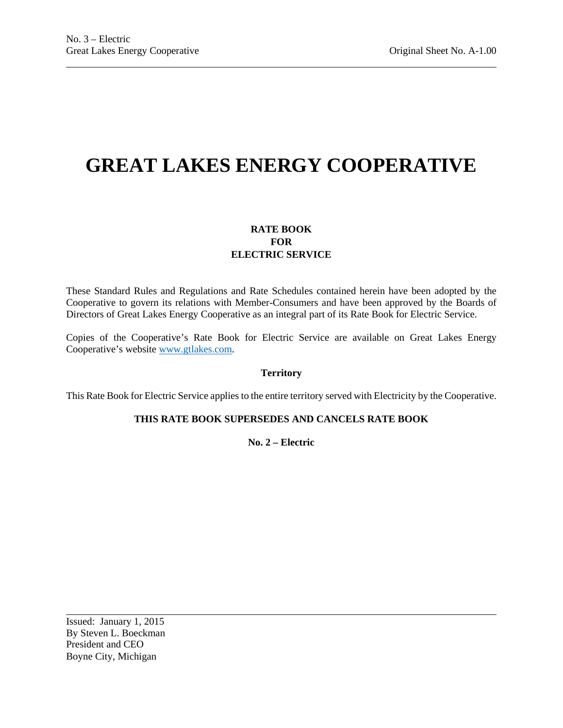# **GREAT LAKES ENERGY COOPERATIVE**

# **RATE BOOK FOR ELECTRIC SERVICE**

These Standard Rules and Regulations and Rate Schedules contained herein have been adopted by the Cooperative to govern its relations with Member-Consumers and have been approved by the Boards of Directors of Great Lakes Energy Cooperative as an integral part of its Rate Book for Electric Service.

Copies of the Cooperative's Rate Book for Electric Service are available on Great Lakes Energy Cooperative's website [www.gtlakes.com.](http://www.gtlakes.com/)

### **Territory**

This Rate Book for Electric Service applies to the entire territory served with Electricity by the Cooperative.

# **THIS RATE BOOK SUPERSEDES AND CANCELS RATE BOOK**

**No. 2 – Electric**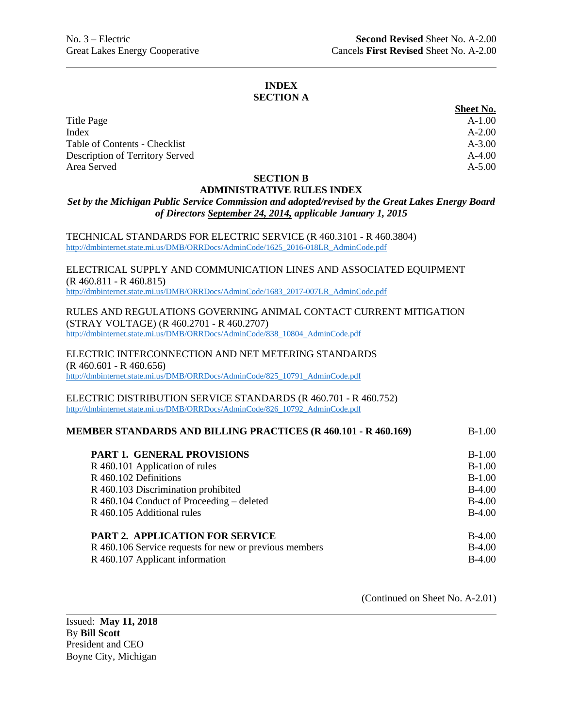#### **INDEX SECTION A**

|                                 | <b>Sheet No.</b> |
|---------------------------------|------------------|
| Title Page                      | $A-1.00$         |
| Index                           | $A - 2.00$       |
| Table of Contents - Checklist   | $A - 3.00$       |
| Description of Territory Served | $A-4.00$         |
| Area Served                     | $A - 5.00$       |

#### **SECTION B**

#### **ADMINISTRATIVE RULES INDEX**

# *Set by the Michigan Public Service Commission and adopted/revised by the Great Lakes Energy Board of Directors September 24, 2014, applicable January 1, 2015*

TECHNICAL STANDARDS FOR ELECTRIC SERVICE (R 460.3101 - R 460.3804) [http://dmbinternet.state.mi.us/DMB/ORRDocs/AdminCode/1625\\_2016-018LR\\_AdminCode.pdf](http://dmbinternet.state.mi.us/DMB/ORRDocs/AdminCode/1625_2016-018LR_AdminCode.pdf)

ELECTRICAL SUPPLY AND COMMUNICATION LINES AND ASSOCIATED EQUIPMENT (R 460.811 - R 460.815) [http://dmbinternet.state.mi.us/DMB/ORRDocs/AdminCode/1683\\_2017-007LR\\_AdminCode.pdf](http://dmbinternet.state.mi.us/DMB/ORRDocs/AdminCode/1683_2017-007LR_AdminCode.pdf)

RULES AND REGULATIONS GOVERNING ANIMAL CONTACT CURRENT MITIGATION (STRAY VOLTAGE) (R 460.2701 - R 460.2707) [http://dmbinternet.state.mi.us/DMB/ORRDocs/AdminCode/838\\_10804\\_AdminCode.pdf](http://dmbinternet.state.mi.us/DMB/ORRDocs/AdminCode/838_10804_AdminCode.pdf)

ELECTRIC INTERCONNECTION AND NET METERING STANDARDS (R 460.601 - R 460.656) [http://dmbinternet.state.mi.us/DMB/ORRDocs/AdminCode/825\\_10791\\_AdminCode.pdf](http://dmbinternet.state.mi.us/DMB/ORRDocs/AdminCode/825_10791_AdminCode.pdf)

ELECTRIC DISTRIBUTION SERVICE STANDARDS (R 460.701 - R 460.752) [http://dmbinternet.state.mi.us/DMB/ORRDocs/AdminCode/826\\_10792\\_AdminCode.pdf](http://dmbinternet.state.mi.us/DMB/ORRDocs/AdminCode/826_10792_AdminCode.pdf)

| MEMBER STANDARDS AND BILLING PRACTICES (R 460.101 - R 460.169) | $B-1.00$ |
|----------------------------------------------------------------|----------|
|                                                                |          |

| <b>PART 1. GENERAL PROVISIONS</b>                      | $B-1.00$ |
|--------------------------------------------------------|----------|
| R 460.101 Application of rules                         | $B-1.00$ |
| R 460.102 Definitions                                  | $B-1.00$ |
| R 460.103 Discrimination prohibited                    | $B-4.00$ |
| R 460.104 Conduct of Proceeding – deleted              | $B-4.00$ |
| R 460.105 Additional rules                             | $B-4.00$ |
|                                                        |          |
| <b>PART 2. APPLICATION FOR SERVICE</b>                 | $B-4.00$ |
| R 460.106 Service requests for new or previous members | $B-4.00$ |
| R 460.107 Applicant information                        | $B-4.00$ |
|                                                        |          |

(Continued on Sheet No. A-2.01)

Issued: **May 11, 2018** By **Bill Scott** President and CEO Boyne City, Michigan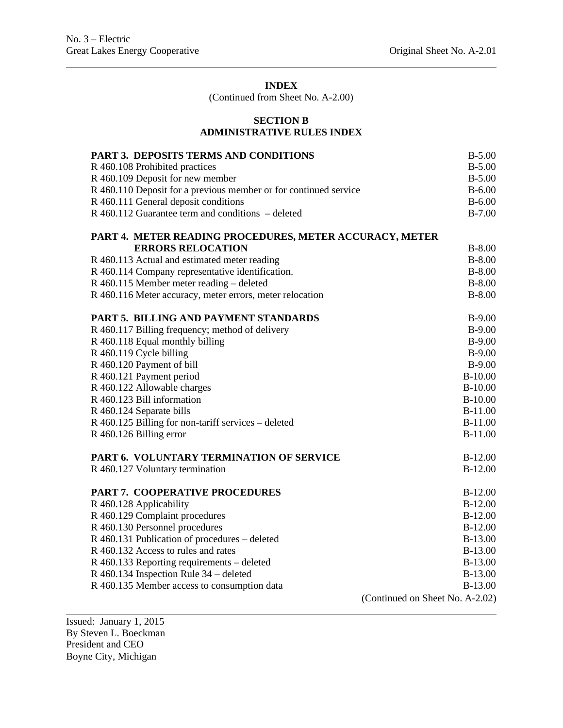(Continued from Sheet No. A-2.00)

# **SECTION B ADMINISTRATIVE RULES INDEX**

| PART 3. DEPOSITS TERMS AND CONDITIONS                            | $B-5.00$                        |
|------------------------------------------------------------------|---------------------------------|
| R 460.108 Prohibited practices                                   | $B-5.00$                        |
| R 460.109 Deposit for new member                                 | $B-5.00$                        |
| R 460.110 Deposit for a previous member or for continued service | $B - 6.00$                      |
| R 460.111 General deposit conditions                             | $B - 6.00$                      |
| R 460.112 Guarantee term and conditions – deleted                | $B-7.00$                        |
| PART 4. METER READING PROCEDURES, METER ACCURACY, METER          |                                 |
| <b>ERRORS RELOCATION</b>                                         | $B-8.00$                        |
| R 460.113 Actual and estimated meter reading                     | $B-8.00$                        |
| R 460.114 Company representative identification.                 | $B-8.00$                        |
| R 460.115 Member meter reading – deleted                         | $B-8.00$                        |
| R 460.116 Meter accuracy, meter errors, meter relocation         | $B-8.00$                        |
| <b>PART 5. BILLING AND PAYMENT STANDARDS</b>                     | $B-9.00$                        |
| R 460.117 Billing frequency; method of delivery                  | $B-9.00$                        |
| R 460.118 Equal monthly billing                                  | $B-9.00$                        |
| R 460.119 Cycle billing                                          | $B-9.00$                        |
| R 460.120 Payment of bill                                        | $B-9.00$                        |
| R 460.121 Payment period                                         | $B-10.00$                       |
| R 460.122 Allowable charges                                      | $B-10.00$                       |
| R 460.123 Bill information                                       | $B-10.00$                       |
| R 460.124 Separate bills                                         | $B-11.00$                       |
| R 460.125 Billing for non-tariff services – deleted              | <b>B-11.00</b>                  |
| R 460.126 Billing error                                          | <b>B-11.00</b>                  |
| PART 6. VOLUNTARY TERMINATION OF SERVICE                         | $B-12.00$                       |
| R 460.127 Voluntary termination                                  | $B-12.00$                       |
| PART 7. COOPERATIVE PROCEDURES                                   | $B-12.00$                       |
| R 460.128 Applicability                                          | $B-12.00$                       |
| R 460.129 Complaint procedures                                   | $B-12.00$                       |
| R 460.130 Personnel procedures                                   | $B-12.00$                       |
| R 460.131 Publication of procedures – deleted                    | B-13.00                         |
| R 460.132 Access to rules and rates                              | B-13.00                         |
| R 460.133 Reporting requirements – deleted                       | B-13.00                         |
| R 460.134 Inspection Rule 34 - deleted                           | B-13.00                         |
| R 460.135 Member access to consumption data                      | B-13.00                         |
|                                                                  | (Continued on Sheet No. A-2.02) |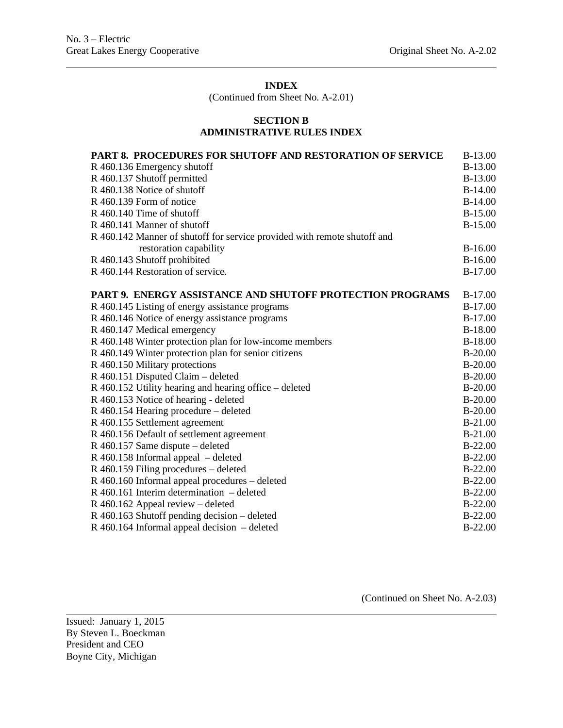(Continued from Sheet No. A-2.01)

### **SECTION B ADMINISTRATIVE RULES INDEX**

| <b>PART 8. PROCEDURES FOR SHUTOFF AND RESTORATION OF SERVICE</b>         | B-13.00        |
|--------------------------------------------------------------------------|----------------|
| R 460.136 Emergency shutoff                                              | <b>B-13.00</b> |
| R 460.137 Shutoff permitted                                              | <b>B-13.00</b> |
| R 460.138 Notice of shutoff                                              | $B-14.00$      |
| R 460.139 Form of notice                                                 | $B-14.00$      |
| R 460.140 Time of shutoff                                                | $B-15.00$      |
| R 460.141 Manner of shutoff                                              | <b>B-15.00</b> |
| R 460.142 Manner of shutoff for service provided with remote shutoff and |                |
| restoration capability                                                   | $B-16.00$      |
| R 460.143 Shutoff prohibited                                             | $B-16.00$      |
| R 460.144 Restoration of service.                                        | <b>B-17.00</b> |
| PART 9. ENERGY ASSISTANCE AND SHUTOFF PROTECTION PROGRAMS                | <b>B-17.00</b> |
| R 460.145 Listing of energy assistance programs                          | $B-17.00$      |
| R 460.146 Notice of energy assistance programs                           | <b>B-17.00</b> |
| R 460.147 Medical emergency                                              | $B-18.00$      |
| R 460.148 Winter protection plan for low-income members                  | <b>B-18.00</b> |
| R 460.149 Winter protection plan for senior citizens                     | $B-20.00$      |
| R 460.150 Military protections                                           | $B-20.00$      |
| R 460.151 Disputed Claim – deleted                                       | $B-20.00$      |
| R 460.152 Utility hearing and hearing office – deleted                   | $B-20.00$      |
| R 460.153 Notice of hearing - deleted                                    | $B-20.00$      |
| R 460.154 Hearing procedure – deleted                                    | $B-20.00$      |
| R 460.155 Settlement agreement                                           | $B-21.00$      |
| R 460.156 Default of settlement agreement                                | <b>B-21.00</b> |
| R 460.157 Same dispute – deleted                                         | $B-22.00$      |
| R 460.158 Informal appeal – deleted                                      | $B-22.00$      |
| R 460.159 Filing procedures – deleted                                    | $B-22.00$      |
| R 460.160 Informal appeal procedures - deleted                           | $B-22.00$      |
| $R$ 460.161 Interim determination – deleted                              | $B-22.00$      |
| R 460.162 Appeal review - deleted                                        | $B-22.00$      |
| R 460.163 Shutoff pending decision – deleted                             | $B-22.00$      |
| $R$ 460.164 Informal appeal decision – deleted                           | $B-22.00$      |
|                                                                          |                |

(Continued on Sheet No. A-2.03)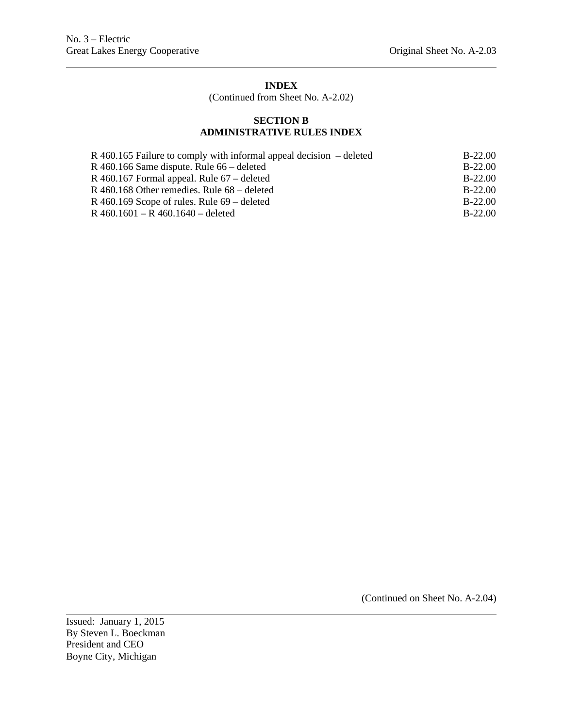(Continued from Sheet No. A-2.02)

# **SECTION B ADMINISTRATIVE RULES INDEX**

| $R$ 460.165 Failure to comply with informal appeal decision – deleted | $B-22.00$ |
|-----------------------------------------------------------------------|-----------|
| R 460.166 Same dispute. Rule $66$ – deleted                           | $B-22.00$ |
| R 460.167 Formal appeal. Rule $67$ – deleted                          | $B-22.00$ |
| R 460.168 Other remedies. Rule $68$ – deleted                         | $B-22.00$ |
| R 460.169 Scope of rules. Rule $69$ – deleted                         | $B-22.00$ |
| R $460.1601 - R$ $460.1640 -$ deleted                                 | $B-22.00$ |

(Continued on Sheet No. A-2.04)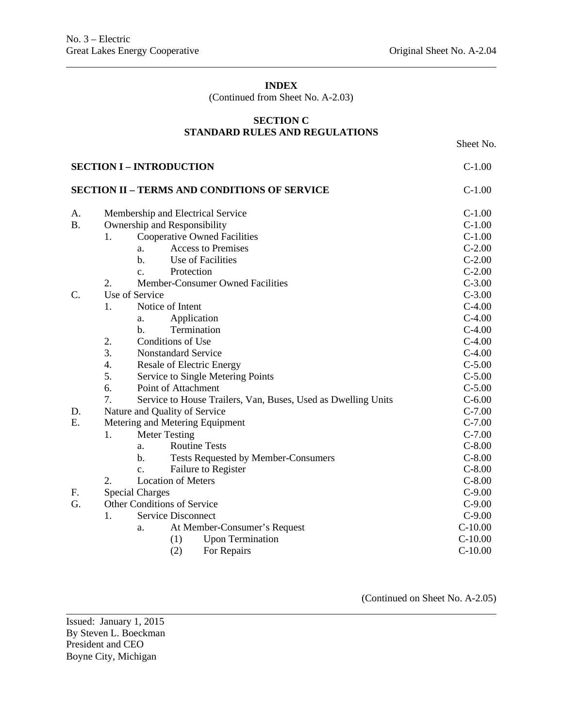(Continued from Sheet No. A-2.03)

# **SECTION C STANDARD RULES AND REGULATIONS**

Sheet No.

| <b>SECTION I - INTRODUCTION</b> | $C-1.00$                                                            |           |
|---------------------------------|---------------------------------------------------------------------|-----------|
|                                 | <b>SECTION II - TERMS AND CONDITIONS OF SERVICE</b>                 | $C-1.00$  |
| А.                              | Membership and Electrical Service                                   | $C-1.00$  |
| <b>B.</b>                       | Ownership and Responsibility                                        | $C-1.00$  |
|                                 | <b>Cooperative Owned Facilities</b><br>1.                           | $C-1.00$  |
|                                 | <b>Access to Premises</b><br>a.                                     | $C-2.00$  |
|                                 | Use of Facilities<br>b.                                             | $C-2.00$  |
|                                 | Protection<br>c.                                                    | $C-2.00$  |
|                                 | 2.<br>Member-Consumer Owned Facilities                              | $C-3.00$  |
| $\mathcal{C}$ .                 | Use of Service                                                      | $C-3.00$  |
|                                 | 1.<br>Notice of Intent                                              | $C-4.00$  |
|                                 | Application<br>a.                                                   | $C-4.00$  |
|                                 | Termination<br>$\mathbf{b}$ .                                       | $C-4.00$  |
|                                 | 2.<br>Conditions of Use                                             | $C-4.00$  |
|                                 | 3.<br><b>Nonstandard Service</b>                                    | $C-4.00$  |
|                                 | $\overline{4}$ .<br><b>Resale of Electric Energy</b>                | $C-5.00$  |
|                                 | 5.<br>Service to Single Metering Points                             | $C-5.00$  |
|                                 | 6.<br>Point of Attachment                                           | $C-5.00$  |
|                                 | 7.<br>Service to House Trailers, Van, Buses, Used as Dwelling Units | $C-6.00$  |
| D.                              | Nature and Quality of Service                                       | $C-7.00$  |
| E.                              | Metering and Metering Equipment                                     | $C-7.00$  |
|                                 | 1.<br><b>Meter Testing</b>                                          | $C-7.00$  |
|                                 | <b>Routine Tests</b><br>a.                                          | $C-8.00$  |
|                                 | b.<br><b>Tests Requested by Member-Consumers</b>                    | $C-8.00$  |
|                                 | Failure to Register<br>c.                                           | $C-8.00$  |
|                                 | 2.<br><b>Location of Meters</b>                                     | $C-8.00$  |
| F.                              | <b>Special Charges</b>                                              | $C-9.00$  |
| G.                              | Other Conditions of Service                                         | $C-9.00$  |
|                                 | <b>Service Disconnect</b><br>1.                                     | $C-9.00$  |
|                                 | At Member-Consumer's Request<br>a.                                  | $C-10.00$ |
|                                 | <b>Upon Termination</b><br>(1)                                      | $C-10.00$ |
|                                 | (2)<br>For Repairs                                                  | $C-10.00$ |

(Continued on Sheet No. A-2.05)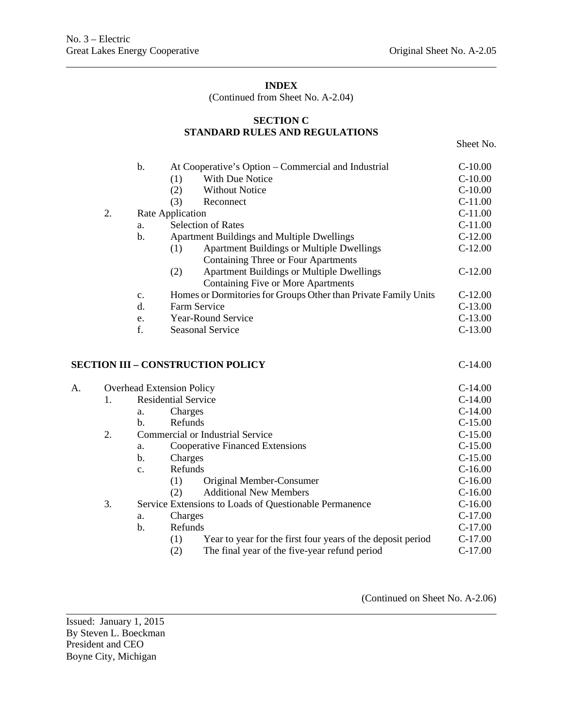(Continued from Sheet No. A-2.04)

# **SECTION C STANDARD RULES AND REGULATIONS**

Sheet No.

|    |    | b.                                                     |                                  | At Cooperative's Option – Commercial and Industrial             | $C-10.00$ |
|----|----|--------------------------------------------------------|----------------------------------|-----------------------------------------------------------------|-----------|
|    |    |                                                        | (1)                              | With Due Notice                                                 | $C-10.00$ |
|    |    |                                                        | (2)                              | <b>Without Notice</b>                                           | $C-10.00$ |
|    |    |                                                        | (3)                              | Reconnect                                                       | $C-11.00$ |
|    | 2. |                                                        | Rate Application                 |                                                                 | $C-11.00$ |
|    |    | a.                                                     |                                  | <b>Selection of Rates</b>                                       | $C-11.00$ |
|    |    | b.                                                     |                                  | <b>Apartment Buildings and Multiple Dwellings</b>               | $C-12.00$ |
|    |    |                                                        | (1)                              | <b>Apartment Buildings or Multiple Dwellings</b>                | $C-12.00$ |
|    |    |                                                        |                                  | Containing Three or Four Apartments                             |           |
|    |    |                                                        | (2)                              | <b>Apartment Buildings or Multiple Dwellings</b>                | $C-12.00$ |
|    |    |                                                        |                                  | Containing Five or More Apartments                              |           |
|    |    | c.                                                     |                                  | Homes or Dormitories for Groups Other than Private Family Units | $C-12.00$ |
|    |    | d.                                                     | Farm Service                     |                                                                 | $C-13.00$ |
|    |    | e.                                                     |                                  | Year-Round Service                                              | $C-13.00$ |
|    |    | f.                                                     |                                  | <b>Seasonal Service</b>                                         | $C-13.00$ |
|    |    |                                                        |                                  | <b>SECTION III – CONSTRUCTION POLICY</b>                        | $C-14.00$ |
| A. |    |                                                        | <b>Overhead Extension Policy</b> |                                                                 | $C-14.00$ |
|    | 1. |                                                        | <b>Residential Service</b>       |                                                                 | $C-14.00$ |
|    |    | a.                                                     | Charges                          |                                                                 | $C-14.00$ |
|    |    | b.                                                     | Refunds                          |                                                                 | $C-15.00$ |
|    | 2. |                                                        |                                  | <b>Commercial or Industrial Service</b>                         | $C-15.00$ |
|    |    | a.                                                     |                                  | <b>Cooperative Financed Extensions</b>                          | $C-15.00$ |
|    |    | b.                                                     | Charges                          |                                                                 | $C-15.00$ |
|    |    | c.                                                     | Refunds                          |                                                                 | $C-16.00$ |
|    |    |                                                        | (1)                              | Original Member-Consumer                                        | $C-16.00$ |
|    |    |                                                        | (2)                              | <b>Additional New Members</b>                                   | $C-16.00$ |
|    | 3. | Service Extensions to Loads of Questionable Permanence |                                  |                                                                 | $C-16.00$ |
|    |    | a.                                                     | Charges                          |                                                                 | $C-17.00$ |
|    |    | b.                                                     | Refunds                          |                                                                 | $C-17.00$ |
|    |    |                                                        | (1)                              | Year to year for the first four years of the deposit period     | $C-17.00$ |
|    |    |                                                        | (2)                              | The final year of the five-year refund period                   | $C-17.00$ |

(Continued on Sheet No. A-2.06)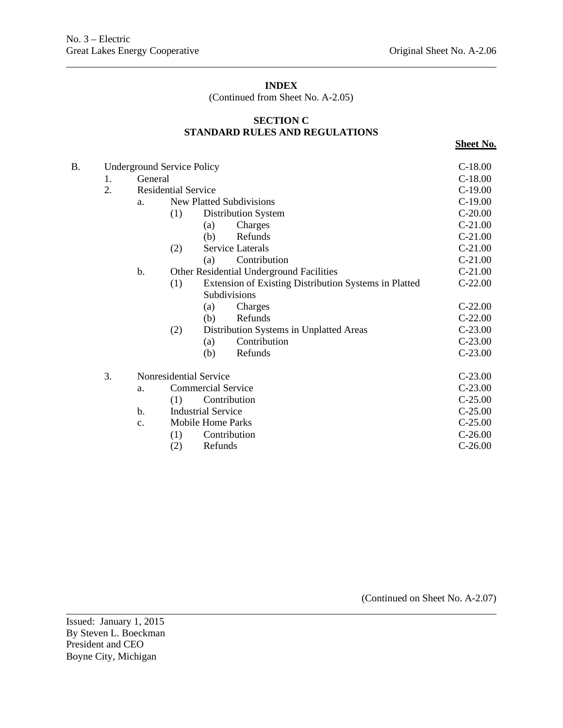(Continued from Sheet No. A-2.05)

# **SECTION C STANDARD RULES AND REGULATIONS**

**Sheet No.**

| B. | <b>Underground Service Policy</b> |         |                            |                                                       |           |  |
|----|-----------------------------------|---------|----------------------------|-------------------------------------------------------|-----------|--|
|    | 1.                                | General |                            |                                                       | $C-18.00$ |  |
|    | 2.                                |         | <b>Residential Service</b> |                                                       |           |  |
|    |                                   | a.      |                            | <b>New Platted Subdivisions</b>                       | $C-19.00$ |  |
|    |                                   |         | (1)                        | <b>Distribution System</b>                            | $C-20.00$ |  |
|    |                                   |         |                            | (a)<br>Charges                                        | $C-21.00$ |  |
|    |                                   |         |                            | Refunds<br>(b)                                        | $C-21.00$ |  |
|    |                                   |         | (2)                        | <b>Service Laterals</b>                               | $C-21.00$ |  |
|    |                                   |         |                            | Contribution<br>(a)                                   | $C-21.00$ |  |
|    |                                   | b.      |                            | Other Residential Underground Facilities              | $C-21.00$ |  |
|    |                                   |         | (1)                        | Extension of Existing Distribution Systems in Platted | $C-22.00$ |  |
|    |                                   |         |                            | Subdivisions                                          |           |  |
|    |                                   |         |                            | Charges<br>(a)                                        | $C-22.00$ |  |
|    |                                   |         |                            | (b)<br>Refunds                                        | $C-22.00$ |  |
|    |                                   |         | (2)                        | Distribution Systems in Unplatted Areas               | $C-23.00$ |  |
|    |                                   |         |                            | Contribution<br>(a)                                   | $C-23.00$ |  |
|    |                                   |         |                            | Refunds<br>(b)                                        | $C-23.00$ |  |
|    | 3.                                |         |                            | Nonresidential Service                                | $C-23.00$ |  |
|    |                                   | a.      |                            | <b>Commercial Service</b>                             | $C-23.00$ |  |
|    |                                   |         | (1)                        | Contribution                                          | $C-25.00$ |  |
|    |                                   | b.      |                            | <b>Industrial Service</b>                             | $C-25.00$ |  |
|    |                                   | c.      |                            | Mobile Home Parks                                     | $C-25.00$ |  |
|    |                                   |         | (1)                        | Contribution                                          | $C-26.00$ |  |
|    |                                   |         | (2)                        | Refunds                                               | $C-26.00$ |  |

(Continued on Sheet No. A-2.07)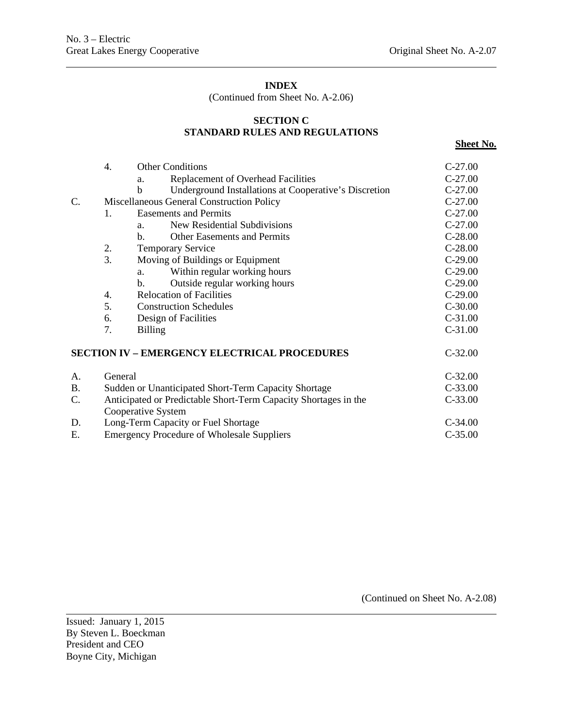(Continued from Sheet No. A-2.06)

# **SECTION C STANDARD RULES AND REGULATIONS**

| ee1<br>ı<br>п<br>$\cdot$ .<br>п | n<br>ъ<br>и |
|---------------------------------|-------------|
|---------------------------------|-------------|

|    | 4.                                                                                    | <b>Other Conditions</b>                                    | $C-27.00$ |
|----|---------------------------------------------------------------------------------------|------------------------------------------------------------|-----------|
|    |                                                                                       | <b>Replacement of Overhead Facilities</b><br>a.            | $C-27.00$ |
|    |                                                                                       | Underground Installations at Cooperative's Discretion<br>b | $C-27.00$ |
| C. |                                                                                       | Miscellaneous General Construction Policy                  | $C-27.00$ |
|    | $\mathbf{1}$ .                                                                        | <b>Easements and Permits</b>                               | $C-27.00$ |
|    |                                                                                       | New Residential Subdivisions<br>a.                         | $C-27.00$ |
|    |                                                                                       | Other Easements and Permits<br>b.                          | $C-28.00$ |
|    | 2.                                                                                    | <b>Temporary Service</b>                                   | $C-28.00$ |
|    | 3.                                                                                    | Moving of Buildings or Equipment                           | $C-29.00$ |
|    |                                                                                       | Within regular working hours<br>a.                         | $C-29.00$ |
|    |                                                                                       | Outside regular working hours<br>$\mathbf{b}$ .            | $C-29.00$ |
|    | 4.                                                                                    | <b>Relocation of Facilities</b>                            | $C-29.00$ |
|    | 5.                                                                                    | <b>Construction Schedules</b>                              | $C-30.00$ |
|    | 6.                                                                                    | Design of Facilities                                       | $C-31.00$ |
|    | 7.                                                                                    | <b>Billing</b>                                             | $C-31.00$ |
|    |                                                                                       | <b>SECTION IV – EMERGENCY ELECTRICAL PROCEDURES</b>        | $C-32.00$ |
| A. | General                                                                               |                                                            | $C-32.00$ |
| Β. |                                                                                       | Sudden or Unanticipated Short-Term Capacity Shortage       | $C-33.00$ |
| C. | Anticipated or Predictable Short-Term Capacity Shortages in the<br>Cooperative System | $C-33.00$                                                  |           |
| D. |                                                                                       | Long-Term Capacity or Fuel Shortage                        | $C-34.00$ |
| E. |                                                                                       | <b>Emergency Procedure of Wholesale Suppliers</b>          | $C-35.00$ |

(Continued on Sheet No. A-2.08)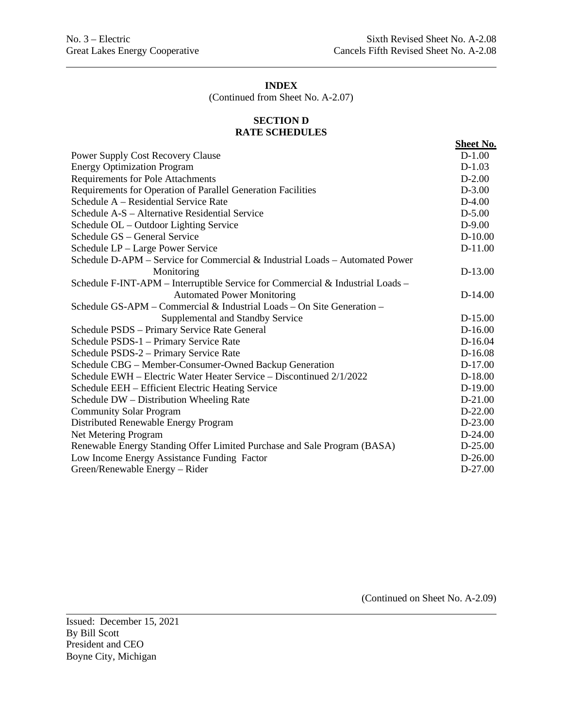(Continued from Sheet No. A-2.07)

#### **SECTION D RATE SCHEDULES**

|                                                                                | <b>Sheet No.</b> |
|--------------------------------------------------------------------------------|------------------|
| <b>Power Supply Cost Recovery Clause</b>                                       | $D-1.00$         |
| <b>Energy Optimization Program</b>                                             | $D-1.03$         |
| <b>Requirements for Pole Attachments</b>                                       | $D-2.00$         |
| Requirements for Operation of Parallel Generation Facilities                   | $D-3.00$         |
| Schedule A – Residential Service Rate                                          | $D-4.00$         |
| Schedule A-S – Alternative Residential Service                                 | $D-5.00$         |
| Schedule OL - Outdoor Lighting Service                                         | $D-9.00$         |
| Schedule GS – General Service                                                  | $D-10.00$        |
| Schedule LP - Large Power Service                                              | $D-11.00$        |
| Schedule D-APM – Service for Commercial & Industrial Loads – Automated Power   |                  |
| Monitoring                                                                     | $D-13.00$        |
| Schedule F-INT-APM – Interruptible Service for Commercial & Industrial Loads – |                  |
| <b>Automated Power Monitoring</b>                                              | $D-14.00$        |
| Schedule GS-APM – Commercial & Industrial Loads – On Site Generation –         |                  |
| Supplemental and Standby Service                                               | $D-15.00$        |
| Schedule PSDS - Primary Service Rate General                                   | $D-16.00$        |
| Schedule PSDS-1 - Primary Service Rate                                         | D-16.04          |
| Schedule PSDS-2 - Primary Service Rate                                         | D-16.08          |
| Schedule CBG - Member-Consumer-Owned Backup Generation                         | D-17.00          |
| Schedule EWH – Electric Water Heater Service – Discontinued 2/1/2022           | $D-18.00$        |
| Schedule EEH - Efficient Electric Heating Service                              | $D-19.00$        |
| Schedule DW - Distribution Wheeling Rate                                       | $D-21.00$        |
| <b>Community Solar Program</b>                                                 | $D-22.00$        |
| Distributed Renewable Energy Program                                           | D-23.00          |
| Net Metering Program                                                           | $D-24.00$        |
| Renewable Energy Standing Offer Limited Purchase and Sale Program (BASA)       | $D-25.00$        |
| Low Income Energy Assistance Funding Factor                                    | $D-26.00$        |
| Green/Renewable Energy - Rider                                                 | $D-27.00$        |
|                                                                                |                  |

(Continued on Sheet No. A-2.09)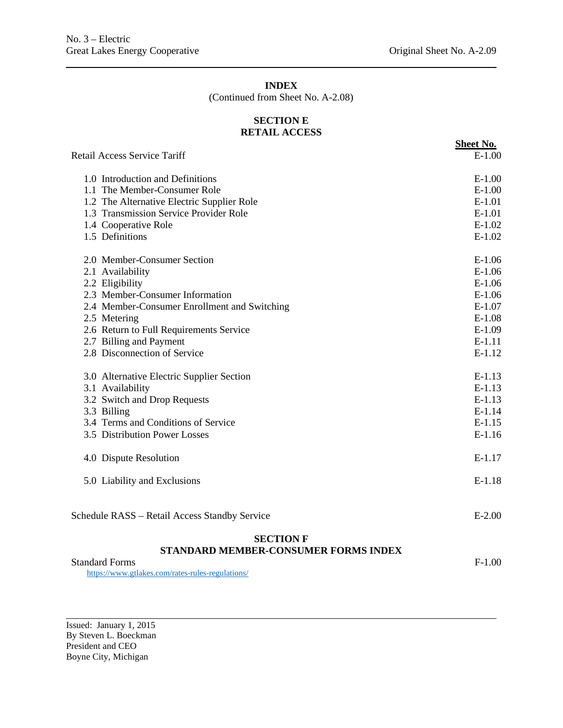(Continued from Sheet No. A-2.08)

#### **SECTION E RETAIL ACCESS**

**Sheet No.** Retail Access Service Tariff E-1.00 1.0 Introduction and Definitions E-1.00 1.1 The Member-Consumer Role E-1.00 1.2 The Alternative Electric Supplier Role E-1.01 1.3 Transmission Service Provider Role **E-1.01** E-1.01 1.4 Cooperative Role E-1.02 1.5 Definitions E-1.02 2.0 Member-Consumer Section E-1.06 2.1 Availability E-1.06 2.2 Eligibility E-1.06 2.3 Member-Consumer Information E-1.06 2.4 Member-Consumer Enrollment and Switching E-1.07 2.5 Metering E-1.08 2.6 Return to Full Requirements Service E-1.09 2.7 Billing and Payment E-1.11 2.8 Disconnection of Service E-1.12 3.0 Alternative Electric Supplier Section E-1.13 3.1 Availability E-1.13 3.2 Switch and Drop Requests E-1.13 3.3 Billing E-1.14 3.4 Terms and Conditions of Service E-1.15 3.5 Distribution Power Losses E-1.16 4.0 Dispute Resolution E-1.17 5.0 Liability and Exclusions E-1.18 Schedule RASS – Retail Access Standby Service E-2.00 **SECTION F STANDARD MEMBER-CONSUMER FORMS INDEX** Standard Forms F-1.00

<https://www.gtlakes.com/rates-rules-regulations/>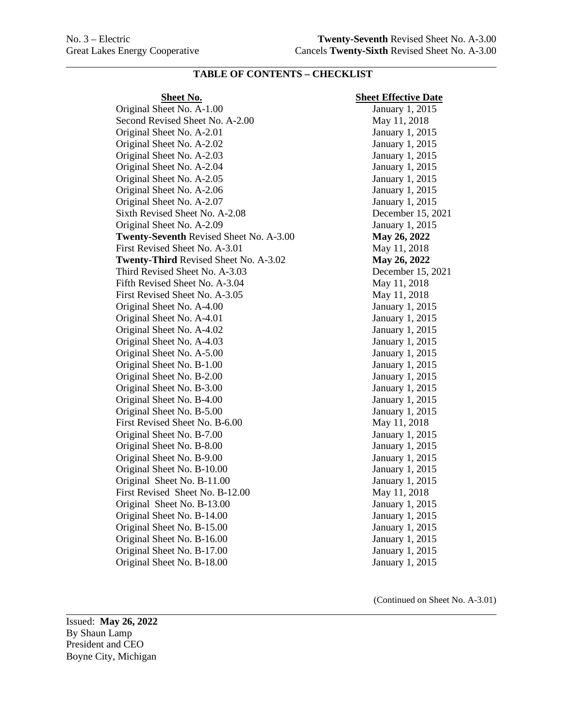#### **Sheet No. Sheet Effective Date**

Original Sheet No. A-1.00 January 1, 2015 Second Revised Sheet No. A-2.00 May 11, 2018 Original Sheet No. A-2.01 January 1, 2015 Original Sheet No. A-2.02 January 1, 2015 Original Sheet No. A-2.03 January 1, 2015 Original Sheet No. A-2.04 January 1, 2015 Original Sheet No. A-2.05 January 1, 2015 Original Sheet No. A-2.06 January 1, 2015 Original Sheet No. A-2.07 January 1, 2015 Sixth Revised Sheet No. A-2.08 December 15, 2021 Original Sheet No. A-2.09 January 1, 2015 **Twenty-Seventh** Revised Sheet No. A-3.00 **May 26, 2022** First Revised Sheet No. A-3.01 May 11, 2018 **Twenty-Third** Revised Sheet No. A-3.02 **May 26, 2022** Third Revised Sheet No. A-3.03 December 15, 2021 Fifth Revised Sheet No. A-3.04 May 11, 2018 First Revised Sheet No. A-3.05 May 11, 2018 Original Sheet No. A-4.00 January 1, 2015 Original Sheet No. A-4.01 January 1, 2015 Original Sheet No. A-4.02 January 1, 2015 Original Sheet No. A-4.03 January 1, 2015 Original Sheet No. A-5.00 January 1, 2015 Original Sheet No. B-1.00 January 1, 2015 Original Sheet No. B-2.00 January 1, 2015 Original Sheet No. B-3.00 January 1, 2015 Original Sheet No. B-4.00 January 1, 2015 Original Sheet No. B-5.00 January 1, 2015 First Revised Sheet No. B-6.00 May 11, 2018 Original Sheet No. B-7.00 January 1, 2015 Original Sheet No. B-8.00 January 1, 2015 Original Sheet No. B-9.00 January 1, 2015 Original Sheet No. B-10.00 January 1, 2015 Original Sheet No. B-11.00 January 1, 2015 First Revised Sheet No. B-12.00 May 11, 2018 Original Sheet No. B-13.00 January 1, 2015 Original Sheet No. B-14.00 January 1, 2015 Original Sheet No. B-15.00 January 1, 2015 Original Sheet No. B-16.00 January 1, 2015 Original Sheet No. B-17.00 January 1, 2015 Original Sheet No. B-18.00 January 1, 2015

(Continued on Sheet No. A-3.01)

Issued: **May 26, 2022** By Shaun Lamp President and CEO Boyne City, Michigan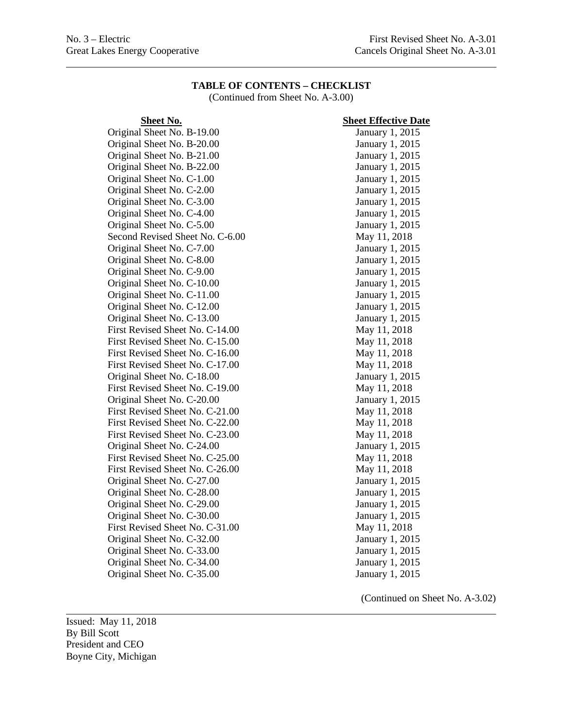(Continued from Sheet No. A-3.00)

# **Sheet No.**<br> **Sheet Effective Date**<br> **Sheet No. B-19.00**<br> **Sheet Effective Date**<br> **Sheet Effective Date** Original Sheet No. B-19.00 Original Sheet No. B-20.00 January 1, 2015 Original Sheet No. B-21.00 January 1, 2015 Original Sheet No. B-22.00 January 1, 2015 Original Sheet No. C-1.00 January 1, 2015 Original Sheet No. C-2.00 January 1, 2015 Original Sheet No. C-3.00 January 1, 2015 Original Sheet No. C-4.00 January 1, 2015 Original Sheet No. C-5.00 January 1, 2015 Second Revised Sheet No. C-6.00 May 11, 2018 Original Sheet No. C-7.00 January 1, 2015 Original Sheet No. C-8.00 January 1, 2015 Original Sheet No. C-9.00 January 1, 2015 Original Sheet No. C-10.00 January 1, 2015 Original Sheet No. C-11.00 January 1, 2015 Original Sheet No. C-12.00 January 1, 2015 Original Sheet No. C-13.00 January 1, 2015 First Revised Sheet No. C-14.00 May 11, 2018 First Revised Sheet No. C-15.00 May 11, 2018 First Revised Sheet No. C-16.00 May 11, 2018 First Revised Sheet No. C-17.00 May 11, 2018 Original Sheet No. C-18.00 January 1, 2015 First Revised Sheet No. C-19.00 May 11, 2018 Original Sheet No. C-20.00 January 1, 2015 First Revised Sheet No. C-21.00 May 11, 2018 First Revised Sheet No. C-22.00 May 11, 2018 First Revised Sheet No. C-23.00 May 11, 2018 Original Sheet No. C-24.00 January 1, 2015 First Revised Sheet No. C-25.00 May 11, 2018 First Revised Sheet No. C-26.00 May 11, 2018 Original Sheet No. C-27.00 January 1, 2015 Original Sheet No. C-28.00 January 1, 2015 Original Sheet No. C-29.00 January 1, 2015 Original Sheet No. C-30.00 January 1, 2015 First Revised Sheet No. C-31.00 May 11, 2018 Original Sheet No. C-32.00 January 1, 2015 Original Sheet No. C-33.00 January 1, 2015<br>
Original Sheet No. C-34.00 January 1, 2015 Original Sheet No. C-34.00 Original Sheet No. C-35.00 January 1, 2015

(Continued on Sheet No. A-3.02)

Issued: May 11, 2018 By Bill Scott President and CEO Boyne City, Michigan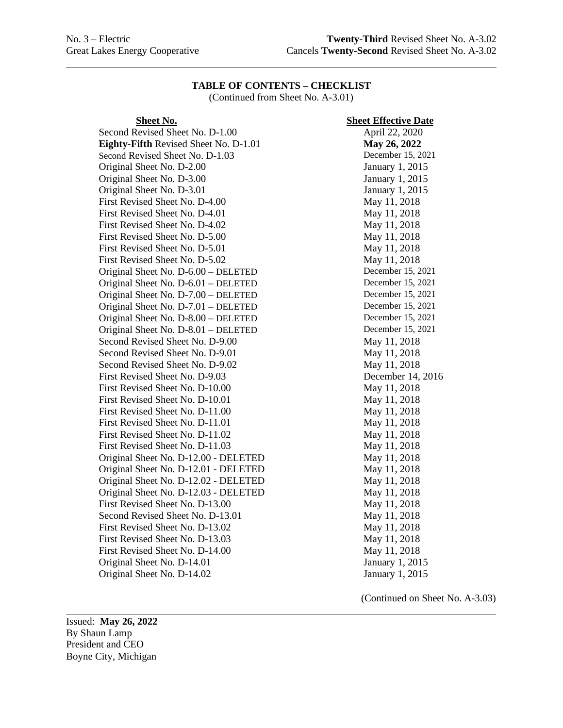(Continued from Sheet No. A-3.01)

| <b>Sheet No.</b>                      | <b>Sheet Effective Date</b> |
|---------------------------------------|-----------------------------|
| Second Revised Sheet No. D-1.00       | April 22, 2020              |
| Eighty-Fifth Revised Sheet No. D-1.01 | May 26, 2022                |
| Second Revised Sheet No. D-1.03       | December 15, 2021           |
| Original Sheet No. D-2.00             | January 1, 2015             |
| Original Sheet No. D-3.00             | January 1, 2015             |
| Original Sheet No. D-3.01             | January 1, 2015             |
| First Revised Sheet No. D-4.00        | May 11, 2018                |
| First Revised Sheet No. D-4.01        | May 11, 2018                |
| First Revised Sheet No. D-4.02        | May 11, 2018                |
| First Revised Sheet No. D-5.00        | May 11, 2018                |
| First Revised Sheet No. D-5.01        | May 11, 2018                |
| First Revised Sheet No. D-5.02        | May 11, 2018                |
| Original Sheet No. D-6.00 - DELETED   | December 15, 2021           |
| Original Sheet No. D-6.01 - DELETED   | December 15, 2021           |
| Original Sheet No. D-7.00 - DELETED   | December 15, 2021           |
| Original Sheet No. D-7.01 - DELETED   | December 15, 2021           |
| Original Sheet No. D-8.00 - DELETED   | December 15, 2021           |
| Original Sheet No. D-8.01 - DELETED   | December 15, 2021           |
| Second Revised Sheet No. D-9.00       | May 11, 2018                |
| Second Revised Sheet No. D-9.01       | May 11, 2018                |
| Second Revised Sheet No. D-9.02       | May 11, 2018                |
| First Revised Sheet No. D-9.03        | December 14, 2016           |
| First Revised Sheet No. D-10.00       | May 11, 2018                |
| First Revised Sheet No. D-10.01       | May 11, 2018                |
| First Revised Sheet No. D-11.00       | May 11, 2018                |
| First Revised Sheet No. D-11.01       | May 11, 2018                |
| First Revised Sheet No. D-11.02       | May 11, 2018                |
| First Revised Sheet No. D-11.03       | May 11, 2018                |
| Original Sheet No. D-12.00 - DELETED  | May 11, 2018                |
| Original Sheet No. D-12.01 - DELETED  | May 11, 2018                |
| Original Sheet No. D-12.02 - DELETED  | May 11, 2018                |
| Original Sheet No. D-12.03 - DELETED  | May 11, 2018                |
| First Revised Sheet No. D-13.00       | May 11, 2018                |
| Second Revised Sheet No. D-13.01      | May 11, 2018                |
| First Revised Sheet No. D-13.02       | May 11, 2018                |
| First Revised Sheet No. D-13.03       | May 11, 2018                |
| First Revised Sheet No. D-14.00       | May 11, 2018                |
| Original Sheet No. D-14.01            | January 1, 2015             |
| Original Sheet No. D-14.02            | January 1, 2015             |

| <u>neet Effective Date</u>                   |
|----------------------------------------------|
| April 22, 2020                               |
| May 26, 2022                                 |
| December 15, 2021                            |
| January 1, 2015                              |
| January 1, 2015                              |
| January 1, 2015                              |
| May 11, 2018                                 |
|                                              |
| May 11, 2018<br>May 11, 2018<br>May 11, 2018 |
|                                              |
| May 11, 2018                                 |
| May 11, 2018                                 |
| December 15, 2021                            |
| December 15, 2021                            |
|                                              |
| December 15, 2021<br>December 15, 2021       |
| December 15, 2021                            |
| December 15, 2021                            |
| May 11, 2018                                 |
| May 11, 2018                                 |
| May 11, 2018                                 |
| December 14, 2016                            |
| May 11, 2018                                 |
| May 11, 2018                                 |
| May 11, 2018                                 |
| May 11, 2018                                 |
| May 11, 2018                                 |
|                                              |
| May 11, 2018<br>May 11, 2018<br>May 11, 2018 |
|                                              |
| May 11, 2018                                 |
| May 11, 2018                                 |
| May 11, 2018                                 |
| May 11, 2018                                 |
| May 11, 2018<br>May 11, 2018<br>May 11, 2018 |
|                                              |
|                                              |
| January 1, 2015                              |
| January 1, 2015                              |

(Continued on Sheet No. A-3.03)

Issued: **May 26, 2022** By Shaun Lamp President and CEO Boyne City, Michigan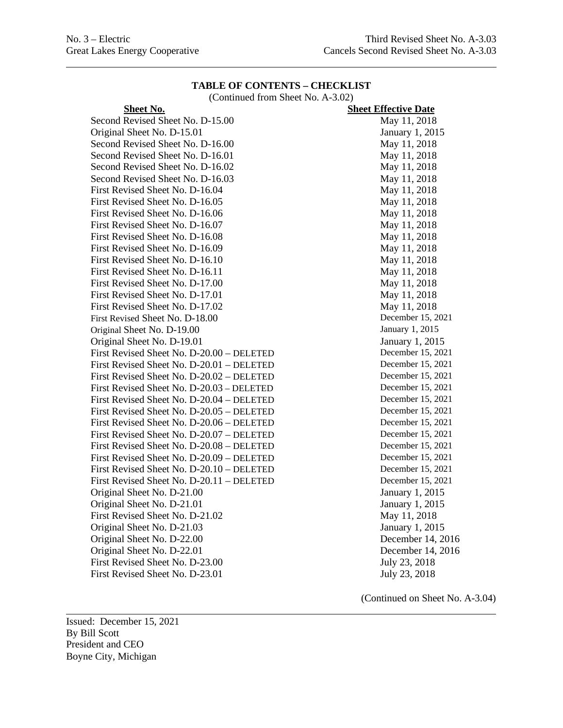(Continued from Sheet No. A-3.02)

| Sheet No.                                 | <b>Sheet Effective Date</b> |
|-------------------------------------------|-----------------------------|
| Second Revised Sheet No. D-15.00          | May 11, 2018                |
| Original Sheet No. D-15.01                | January 1, 2015             |
| Second Revised Sheet No. D-16.00          | May 11, 2018                |
| Second Revised Sheet No. D-16.01          | May 11, 2018                |
| Second Revised Sheet No. D-16.02          | May 11, 2018                |
| Second Revised Sheet No. D-16.03          | May 11, 2018                |
| First Revised Sheet No. D-16.04           | May 11, 2018                |
| First Revised Sheet No. D-16.05           | May 11, 2018                |
| First Revised Sheet No. D-16.06           | May 11, 2018                |
| First Revised Sheet No. D-16.07           | May 11, 2018                |
| First Revised Sheet No. D-16.08           | May 11, 2018                |
| First Revised Sheet No. D-16.09           | May 11, 2018                |
| First Revised Sheet No. D-16.10           | May 11, 2018                |
| First Revised Sheet No. D-16.11           | May 11, 2018                |
| First Revised Sheet No. D-17.00           | May 11, 2018                |
| First Revised Sheet No. D-17.01           | May 11, 2018                |
| First Revised Sheet No. D-17.02           | May 11, 2018                |
| First Revised Sheet No. D-18.00           | December 15, 2021           |
| Original Sheet No. D-19.00                | January 1, 2015             |
| Original Sheet No. D-19.01                | January 1, 2015             |
| First Revised Sheet No. D-20.00 - DELETED | December 15, 2021           |
| First Revised Sheet No. D-20.01 - DELETED | December 15, 2021           |
| First Revised Sheet No. D-20.02 – DELETED | December 15, 2021           |
| First Revised Sheet No. D-20.03 - DELETED | December 15, 2021           |
| First Revised Sheet No. D-20.04 - DELETED | December 15, 2021           |
| First Revised Sheet No. D-20.05 - DELETED | December 15, 2021           |
| First Revised Sheet No. D-20.06 – DELETED | December 15, 2021           |
| First Revised Sheet No. D-20.07 - DELETED | December 15, 2021           |
| First Revised Sheet No. D-20.08 - DELETED | December 15, 2021           |
| First Revised Sheet No. D-20.09 - DELETED | December 15, 2021           |
| First Revised Sheet No. D-20.10 - DELETED | December 15, 2021           |
| First Revised Sheet No. D-20.11 - DELETED | December 15, 2021           |
| Original Sheet No. D-21.00                | January 1, 2015             |
| Original Sheet No. D-21.01                | January 1, 2015             |
| First Revised Sheet No. D-21.02           | May 11, 2018                |
| Original Sheet No. D-21.03                | January 1, 2015             |
| Original Sheet No. D-22.00                | December 14, 2016           |
| Original Sheet No. D-22.01                | December 14, 2016           |
| First Revised Sheet No. D-23.00           | July 23, 2018               |
| First Revised Sheet No. D-23.01           | July 23, 2018               |
|                                           |                             |

Issued: December 15, 2021 By Bill Scott President and CEO Boyne City, Michigan

(Continued on Sheet No. A-3.04)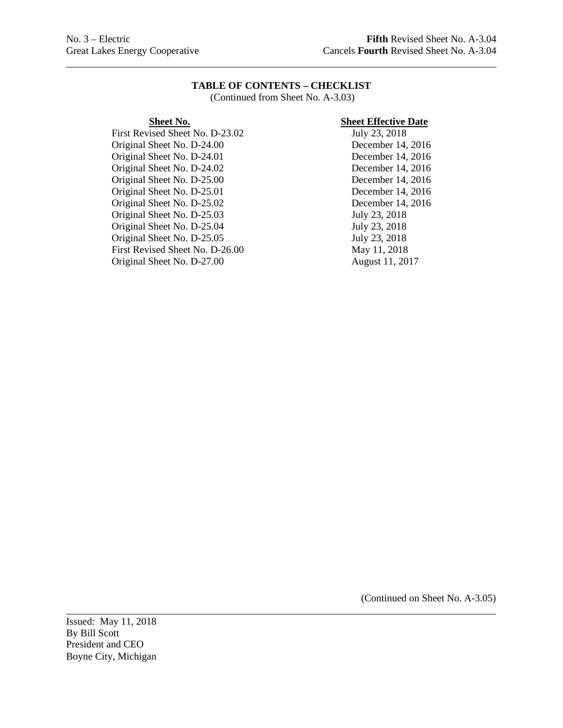(Continued from Sheet No. A-3.03)

First Revised Sheet No. D-23.02 Original Sheet No. D-24.00 December 14, 2016 Original Sheet No. D-24.01 December 14, 2016 Original Sheet No. D-24.02 December 14, 2016 Original Sheet No. D-25.00 December 14, 2016 Original Sheet No. D-25.01 December 14, 2016 Original Sheet No. D-25.02 December 14, 2016 Original Sheet No. D-25.03 July 23, 2018 Original Sheet No. D-25.04 July 23, 2018<br>
Original Sheet No. D-25.05 July 23, 2018 Original Sheet No. D-25.05 First Revised Sheet No. D-26.00 May 11, 2018 Original Sheet No. D-27.00 August 11, 2017

# **Sheet No. Sheet Effective Date**<br>
vised Sheet No. D-23.02 **Sheet Effective Date**

(Continued on Sheet No. A-3.05)

Issued: May 11, 2018 By Bill Scott President and CEO Boyne City, Michigan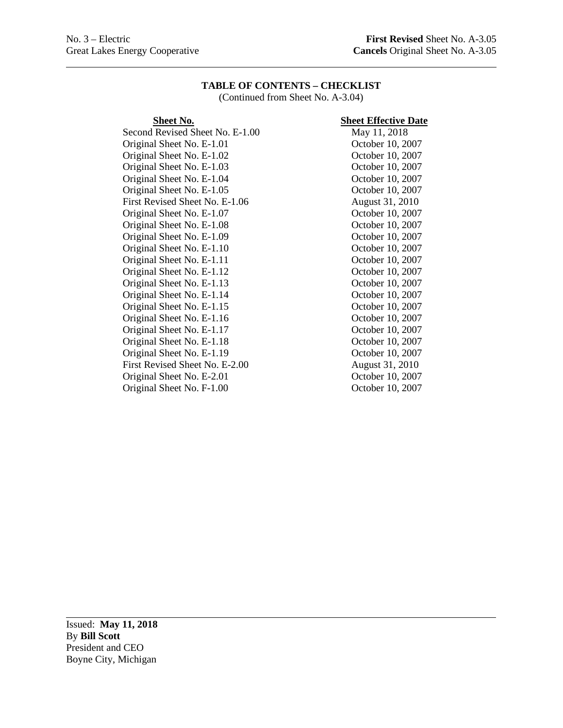(Continued from Sheet No. A-3.04)

Second Revised Sheet No. E-1.00 Original Sheet No. E-1.01 October 10, 2007 Original Sheet No. E-1.02 October 10, 2007 Original Sheet No. E-1.03 October 10, 2007 Original Sheet No. E-1.04 October 10, 2007 Original Sheet No. E-1.05 October 10, 2007 First Revised Sheet No. E-1.06 August 31, 2010 Original Sheet No. E-1.07 October 10, 2007 Original Sheet No. E-1.08 October 10, 2007 Original Sheet No. E-1.09 October 10, 2007 Original Sheet No. E-1.10 October 10, 2007 Original Sheet No. E-1.11 October 10, 2007 Original Sheet No. E-1.12 October 10, 2007 Original Sheet No. E-1.13 October 10, 2007 Original Sheet No. E-1.14 October 10, 2007 Original Sheet No. E-1.15 October 10, 2007 Original Sheet No. E-1.16 October 10, 2007 Original Sheet No. E-1.17 October 10, 2007 Original Sheet No. E-1.18 October 10, 2007 Original Sheet No. E-1.19 October 10, 2007 First Revised Sheet No. E-2.00 August 31, 2010 Original Sheet No. E-2.01 October 10, 2007 Original Sheet No. F-1.00 October 10, 2007

# **Sheet No.**<br>Revised Sheet No. E-1.00 **Sheet Effective Date**<br>May 11, 2018

Issued: **May 11, 2018** By **Bill Scott** President and CEO Boyne City, Michigan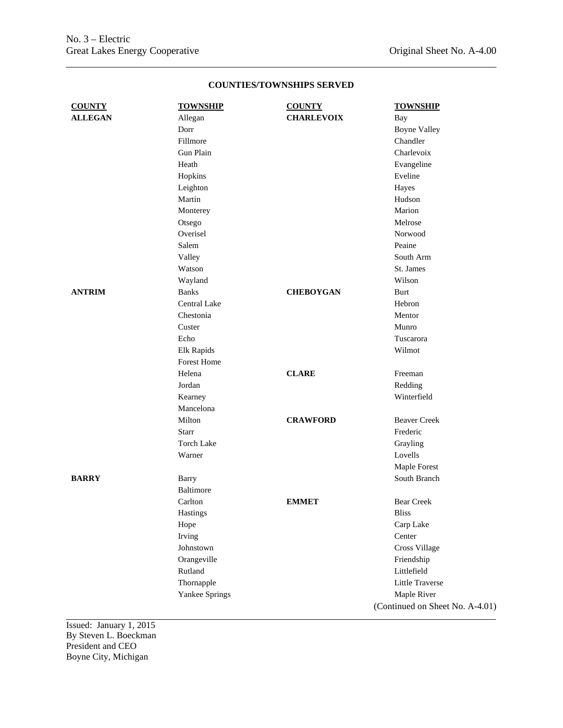| <b>COUNTY</b>  | <b>TOWNSHIP</b>                                                                                   | <b>COUNTY</b>     | <b>TOWNSHIP</b>                                                                                                                                               |
|----------------|---------------------------------------------------------------------------------------------------|-------------------|---------------------------------------------------------------------------------------------------------------------------------------------------------------|
| <b>ALLEGAN</b> | Allegan                                                                                           | <b>CHARLEVOIX</b> | Bay                                                                                                                                                           |
|                | Dorr                                                                                              |                   | <b>Boyne Valley</b>                                                                                                                                           |
|                | Fillmore                                                                                          |                   | Chandler                                                                                                                                                      |
|                | Gun Plain                                                                                         |                   | Charlevoix                                                                                                                                                    |
|                | Heath                                                                                             |                   | Evangeline                                                                                                                                                    |
|                | Hopkins                                                                                           |                   | Eveline                                                                                                                                                       |
|                | Leighton                                                                                          |                   | Hayes                                                                                                                                                         |
|                | Martin                                                                                            |                   | Hudson                                                                                                                                                        |
|                | Monterey                                                                                          |                   | Marion                                                                                                                                                        |
|                | Otsego                                                                                            |                   | Melrose                                                                                                                                                       |
|                | Overisel                                                                                          |                   | Norwood                                                                                                                                                       |
|                | Salem                                                                                             |                   | Peaine                                                                                                                                                        |
|                | Valley                                                                                            |                   | South Arm                                                                                                                                                     |
|                | Watson                                                                                            |                   | St. James                                                                                                                                                     |
|                | Wayland                                                                                           |                   | Wilson                                                                                                                                                        |
| <b>ANTRIM</b>  | <b>Banks</b>                                                                                      | <b>CHEBOYGAN</b>  | Burt                                                                                                                                                          |
|                | Central Lake                                                                                      |                   | Hebron                                                                                                                                                        |
|                | Chestonia                                                                                         |                   | Mentor                                                                                                                                                        |
|                | Custer                                                                                            |                   | Munro                                                                                                                                                         |
|                | Echo                                                                                              |                   | Tuscarora                                                                                                                                                     |
|                | Elk Rapids                                                                                        |                   | Wilmot                                                                                                                                                        |
|                | Forest Home                                                                                       |                   |                                                                                                                                                               |
|                | Helena                                                                                            | <b>CLARE</b>      | Freeman                                                                                                                                                       |
|                | Jordan                                                                                            |                   | Redding                                                                                                                                                       |
|                | Kearney                                                                                           |                   | Winterfield                                                                                                                                                   |
|                | Mancelona                                                                                         |                   |                                                                                                                                                               |
|                | Milton                                                                                            | <b>CRAWFORD</b>   | <b>Beaver Creek</b>                                                                                                                                           |
|                | Starr                                                                                             |                   | Frederic                                                                                                                                                      |
|                | <b>Torch Lake</b>                                                                                 |                   | Grayling                                                                                                                                                      |
|                | Warner                                                                                            |                   | Lovells                                                                                                                                                       |
|                |                                                                                                   |                   | Maple Forest                                                                                                                                                  |
| <b>BARRY</b>   | Barry                                                                                             |                   | South Branch                                                                                                                                                  |
|                | <b>Baltimore</b>                                                                                  |                   |                                                                                                                                                               |
|                | Carlton                                                                                           | <b>EMMET</b>      | <b>Bear Creek</b>                                                                                                                                             |
|                |                                                                                                   |                   |                                                                                                                                                               |
|                |                                                                                                   |                   |                                                                                                                                                               |
|                |                                                                                                   |                   |                                                                                                                                                               |
|                |                                                                                                   |                   |                                                                                                                                                               |
|                |                                                                                                   |                   |                                                                                                                                                               |
|                |                                                                                                   |                   |                                                                                                                                                               |
|                |                                                                                                   |                   |                                                                                                                                                               |
|                |                                                                                                   |                   |                                                                                                                                                               |
|                |                                                                                                   |                   |                                                                                                                                                               |
|                | Hastings<br>Hope<br>Irving<br>Johnstown<br>Orangeville<br>Rutland<br>Thornapple<br>Yankee Springs |                   | <b>Bliss</b><br>Carp Lake<br>Center<br><b>Cross Village</b><br>Friendship<br>Littlefield<br>Little Traverse<br>Maple River<br>(Continued on Sheet No. A-4.01) |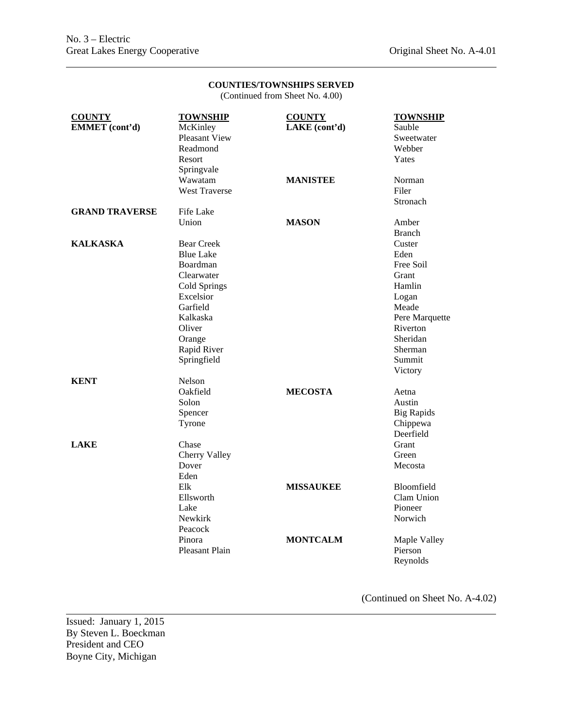(Continued from Sheet No. 4.00)

| <b>COUNTY</b><br>EMMET (cont'd) | <b>TOWNSHIP</b><br>McKinley<br>Pleasant View<br>Readmond<br>Resort<br>Springvale                                                                                       | <b>COUNTY</b><br>LAKE (cont'd) | <b>TOWNSHIP</b><br>Sauble<br>Sweetwater<br>Webber<br>Yates                                                                                                  |
|---------------------------------|------------------------------------------------------------------------------------------------------------------------------------------------------------------------|--------------------------------|-------------------------------------------------------------------------------------------------------------------------------------------------------------|
|                                 | Wawatam<br><b>West Traverse</b>                                                                                                                                        | <b>MANISTEE</b>                | Norman<br>Filer<br>Stronach                                                                                                                                 |
| <b>GRAND TRAVERSE</b>           | Fife Lake<br>Union                                                                                                                                                     | <b>MASON</b>                   | Amber                                                                                                                                                       |
| <b>KALKASKA</b>                 | <b>Bear Creek</b><br><b>Blue Lake</b><br>Boardman<br>Clearwater<br>Cold Springs<br>Excelsior<br>Garfield<br>Kalkaska<br>Oliver<br>Orange<br>Rapid River<br>Springfield |                                | <b>Branch</b><br>Custer<br>Eden<br>Free Soil<br>Grant<br>Hamlin<br>Logan<br>Meade<br>Pere Marquette<br>Riverton<br>Sheridan<br>Sherman<br>Summit<br>Victory |
| <b>KENT</b>                     | Nelson<br>Oakfield<br>Solon<br>Spencer<br>Tyrone                                                                                                                       | <b>MECOSTA</b>                 | Aetna<br>Austin<br><b>Big Rapids</b><br>Chippewa<br>Deerfield                                                                                               |
| <b>LAKE</b>                     | Chase<br>Cherry Valley<br>Dover<br>Eden                                                                                                                                |                                | Grant<br>Green<br>Mecosta                                                                                                                                   |
|                                 | Elk<br>Ellsworth<br>Lake<br>Newkirk<br>Peacock                                                                                                                         | <b>MISSAUKEE</b>               | Bloomfield<br>Clam Union<br>Pioneer<br>Norwich                                                                                                              |
|                                 | Pinora<br><b>Pleasant Plain</b>                                                                                                                                        | <b>MONTCALM</b>                | Maple Valley<br>Pierson<br>Revnolds                                                                                                                         |

(Continued on Sheet No. A-4.02)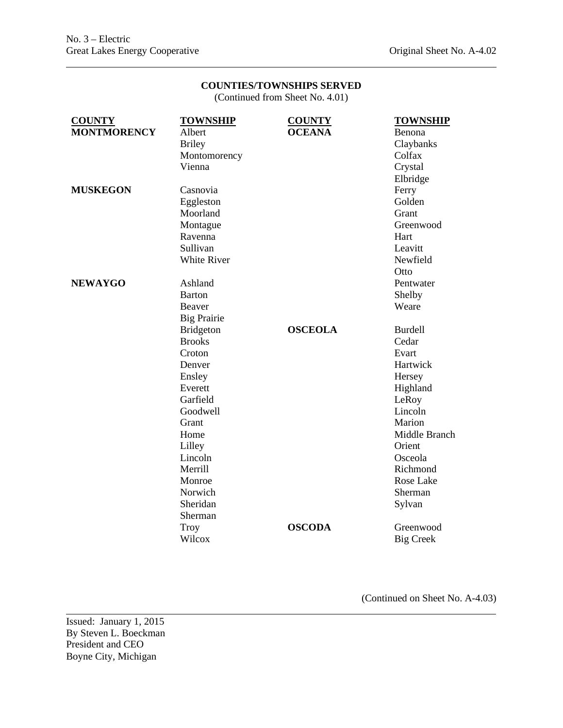(Continued from Sheet No. 4.01)

| <b>COUNTY</b>      | <b>TOWNSHIP</b>    | <b>COUNTY</b>  | <b>TOWNSHIP</b>  |
|--------------------|--------------------|----------------|------------------|
| <b>MONTMORENCY</b> | Albert             | <b>OCEANA</b>  | Benona           |
|                    | <b>Briley</b>      |                | Claybanks        |
|                    | Montomorency       |                | Colfax           |
|                    | Vienna             |                | Crystal          |
|                    |                    |                | Elbridge         |
| <b>MUSKEGON</b>    | Casnovia           |                | Ferry            |
|                    | Eggleston          |                | Golden           |
|                    | Moorland           |                | Grant            |
|                    | Montague           |                | Greenwood        |
|                    | Ravenna            |                | Hart             |
|                    | Sullivan           |                | Leavitt          |
|                    | <b>White River</b> |                | Newfield         |
|                    |                    |                | Otto             |
| <b>NEWAYGO</b>     | Ashland            |                | Pentwater        |
|                    | <b>Barton</b>      |                | Shelby           |
|                    | Beaver             |                | Weare            |
|                    | <b>Big Prairie</b> |                |                  |
|                    | <b>Bridgeton</b>   | <b>OSCEOLA</b> | <b>Burdell</b>   |
|                    | <b>Brooks</b>      |                | Cedar            |
|                    | Croton             |                | Evart            |
|                    | Denver             |                | Hartwick         |
|                    | Ensley             |                | Hersey           |
|                    | Everett            |                | Highland         |
|                    | Garfield           |                | LeRoy            |
|                    | Goodwell           |                | Lincoln          |
|                    | Grant              |                | Marion           |
|                    | Home               |                | Middle Branch    |
|                    | Lilley             |                | Orient           |
|                    | Lincoln            |                | Osceola          |
|                    | Merrill            |                | Richmond         |
|                    | Monroe             |                | Rose Lake        |
|                    | Norwich            |                | Sherman          |
|                    | Sheridan           |                | Sylvan           |
|                    | Sherman            |                |                  |
|                    | <b>Troy</b>        | <b>OSCODA</b>  | Greenwood        |
|                    | Wilcox             |                | <b>Big Creek</b> |

(Continued on Sheet No. A-4.03)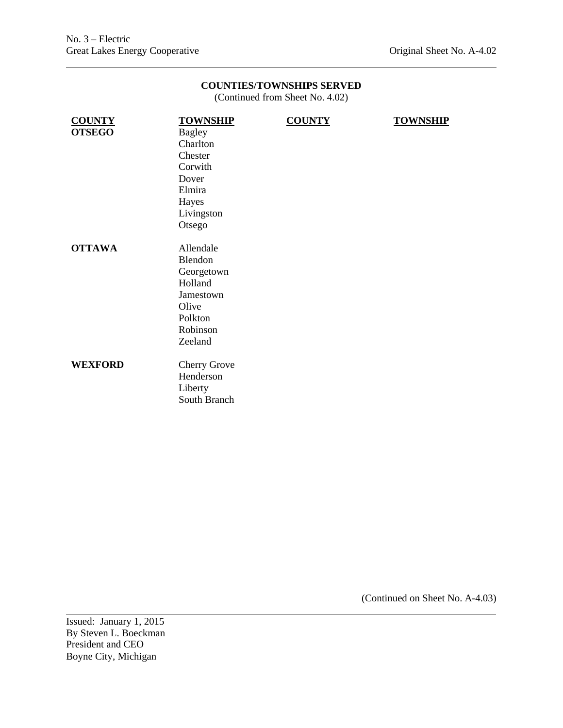(Continued from Sheet No. 4.02)

| <b>COUNTY</b>  | <b>TOWNSHIP</b>     | <b>COUNTY</b> | <b>TOWNSHIP</b> |
|----------------|---------------------|---------------|-----------------|
| <b>OTSEGO</b>  | <b>Bagley</b>       |               |                 |
|                | Charlton            |               |                 |
|                | Chester             |               |                 |
|                | Corwith             |               |                 |
|                | Dover               |               |                 |
|                | Elmira              |               |                 |
|                | Hayes               |               |                 |
|                | Livingston          |               |                 |
|                | Otsego              |               |                 |
|                |                     |               |                 |
| <b>OTTAWA</b>  | Allendale           |               |                 |
|                | Blendon             |               |                 |
|                | Georgetown          |               |                 |
|                | Holland             |               |                 |
|                | Jamestown           |               |                 |
|                | Olive               |               |                 |
|                | Polkton             |               |                 |
|                | Robinson            |               |                 |
|                | Zeeland             |               |                 |
|                |                     |               |                 |
| <b>WEXFORD</b> | <b>Cherry Grove</b> |               |                 |
|                | Henderson           |               |                 |
|                | Liberty             |               |                 |
|                | South Branch        |               |                 |
|                |                     |               |                 |
|                |                     |               |                 |

(Continued on Sheet No. A-4.03)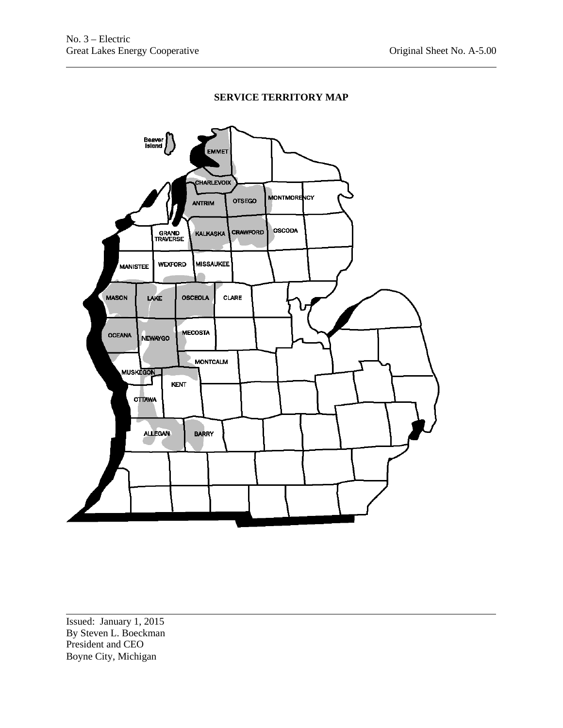# **SERVICE TERRITORY MAP**

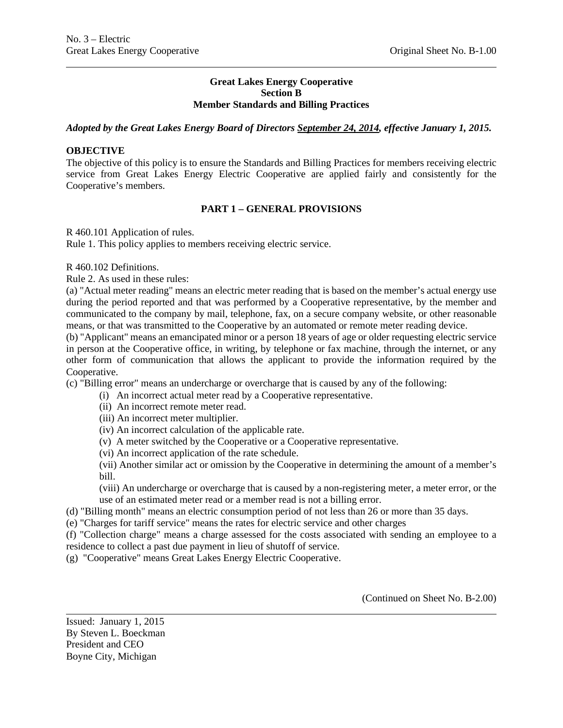#### **Great Lakes Energy Cooperative Section B Member Standards and Billing Practices**

### *Adopted by the Great Lakes Energy Board of Directors September 24, 2014, effective January 1, 2015.*

# **OBJECTIVE**

The objective of this policy is to ensure the Standards and Billing Practices for members receiving electric service from Great Lakes Energy Electric Cooperative are applied fairly and consistently for the Cooperative's members.

### **PART 1 – GENERAL PROVISIONS**

#### R 460.101 Application of rules.

Rule 1. This policy applies to members receiving electric service.

R 460.102 Definitions.

Rule 2. As used in these rules:

(a) "Actual meter reading" means an electric meter reading that is based on the member's actual energy use during the period reported and that was performed by a Cooperative representative, by the member and communicated to the company by mail, telephone, fax, on a secure company website, or other reasonable means, or that was transmitted to the Cooperative by an automated or remote meter reading device.

(b) "Applicant" means an emancipated minor or a person 18 years of age or older requesting electric service in person at the Cooperative office, in writing, by telephone or fax machine, through the internet, or any other form of communication that allows the applicant to provide the information required by the Cooperative.

(c) "Billing error" means an undercharge or overcharge that is caused by any of the following:

- (i) An incorrect actual meter read by a Cooperative representative.
- (ii) An incorrect remote meter read.
- (iii) An incorrect meter multiplier.
- (iv) An incorrect calculation of the applicable rate.
- (v) A meter switched by the Cooperative or a Cooperative representative.
- (vi) An incorrect application of the rate schedule.

(vii) Another similar act or omission by the Cooperative in determining the amount of a member's bill.

(viii) An undercharge or overcharge that is caused by a non-registering meter, a meter error, or the use of an estimated meter read or a member read is not a billing error.

- (d) "Billing month" means an electric consumption period of not less than 26 or more than 35 days.
- (e) "Charges for tariff service" means the rates for electric service and other charges

(f) "Collection charge" means a charge assessed for the costs associated with sending an employee to a residence to collect a past due payment in lieu of shutoff of service.

(g) "Cooperative" means Great Lakes Energy Electric Cooperative.

(Continued on Sheet No. B-2.00)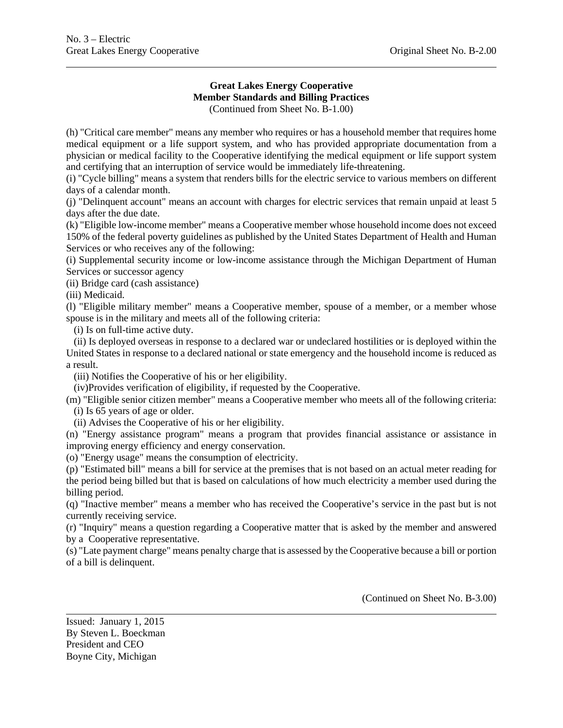#### **Great Lakes Energy Cooperative Member Standards and Billing Practices**  (Continued from Sheet No. B-1.00)

(h) "Critical care member" means any member who requires or has a household member that requires home medical equipment or a life support system, and who has provided appropriate documentation from a physician or medical facility to the Cooperative identifying the medical equipment or life support system and certifying that an interruption of service would be immediately life-threatening.

(i) "Cycle billing" means a system that renders bills for the electric service to various members on different days of a calendar month.

(j) "Delinquent account" means an account with charges for electric services that remain unpaid at least 5 days after the due date.

(k) "Eligible low-income member" means a Cooperative member whose household income does not exceed 150% of the federal poverty guidelines as published by the United States Department of Health and Human Services or who receives any of the following:

(i) Supplemental security income or low-income assistance through the Michigan Department of Human Services or successor agency

(ii) Bridge card (cash assistance)

(iii) Medicaid.

(l) "Eligible military member" means a Cooperative member, spouse of a member, or a member whose spouse is in the military and meets all of the following criteria:

(i) Is on full-time active duty.

 (ii) Is deployed overseas in response to a declared war or undeclared hostilities or is deployed within the United States in response to a declared national or state emergency and the household income is reduced as a result.

(iii) Notifies the Cooperative of his or her eligibility.

(iv)Provides verification of eligibility, if requested by the Cooperative.

(m) "Eligible senior citizen member" means a Cooperative member who meets all of the following criteria: (i) Is 65 years of age or older.

(ii) Advises the Cooperative of his or her eligibility.

(n) "Energy assistance program" means a program that provides financial assistance or assistance in improving energy efficiency and energy conservation.

(o) "Energy usage" means the consumption of electricity.

(p) "Estimated bill" means a bill for service at the premises that is not based on an actual meter reading for the period being billed but that is based on calculations of how much electricity a member used during the billing period.

(q) "Inactive member" means a member who has received the Cooperative's service in the past but is not currently receiving service.

(r) "Inquiry" means a question regarding a Cooperative matter that is asked by the member and answered by a Cooperative representative.

(s) "Late payment charge" means penalty charge that is assessed by the Cooperative because a bill or portion of a bill is delinquent.

(Continued on Sheet No. B-3.00)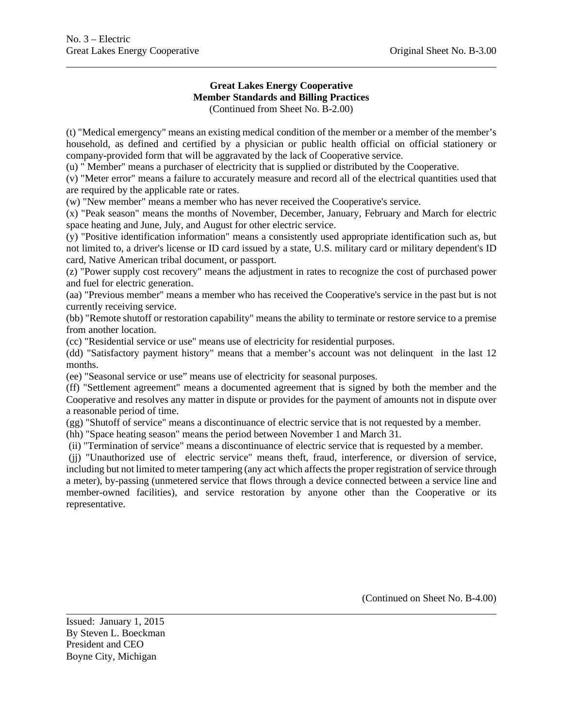#### **Great Lakes Energy Cooperative Member Standards and Billing Practices**  (Continued from Sheet No. B-2.00)

(t) "Medical emergency" means an existing medical condition of the member or a member of the member's household, as defined and certified by a physician or public health official on official stationery or company-provided form that will be aggravated by the lack of Cooperative service.

(u) " Member" means a purchaser of electricity that is supplied or distributed by the Cooperative.

(v) "Meter error" means a failure to accurately measure and record all of the electrical quantities used that are required by the applicable rate or rates.

(w) "New member" means a member who has never received the Cooperative's service.

(x) "Peak season" means the months of November, December, January, February and March for electric space heating and June, July, and August for other electric service.

(y) "Positive identification information" means a consistently used appropriate identification such as, but not limited to, a driver's license or ID card issued by a state, U.S. military card or military dependent's ID card, Native American tribal document, or passport.

(z) "Power supply cost recovery" means the adjustment in rates to recognize the cost of purchased power and fuel for electric generation.

(aa) "Previous member" means a member who has received the Cooperative's service in the past but is not currently receiving service.

(bb) "Remote shutoff or restoration capability" means the ability to terminate or restore service to a premise from another location.

(cc) "Residential service or use" means use of electricity for residential purposes.

(dd) "Satisfactory payment history" means that a member's account was not delinquent in the last 12 months.

(ee) "Seasonal service or use" means use of electricity for seasonal purposes.

(ff) "Settlement agreement" means a documented agreement that is signed by both the member and the Cooperative and resolves any matter in dispute or provides for the payment of amounts not in dispute over a reasonable period of time.

(gg) "Shutoff of service" means a discontinuance of electric service that is not requested by a member.

(hh) "Space heating season" means the period between November 1 and March 31.

(ii) "Termination of service" means a discontinuance of electric service that is requested by a member.

(jj) "Unauthorized use of electric service" means theft, fraud, interference, or diversion of service, including but not limited to meter tampering (any act which affects the proper registration of service through a meter), by-passing (unmetered service that flows through a device connected between a service line and member-owned facilities), and service restoration by anyone other than the Cooperative or its representative.

(Continued on Sheet No. B-4.00)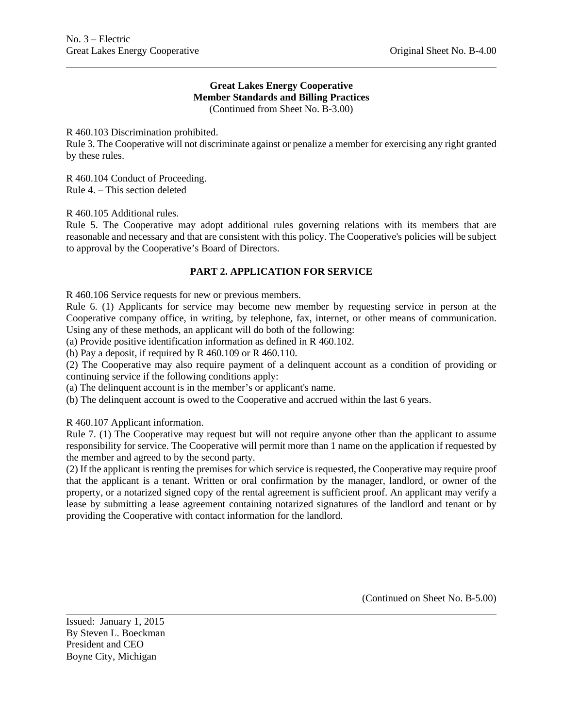#### **Great Lakes Energy Cooperative Member Standards and Billing Practices** (Continued from Sheet No. B-3.00)

R 460.103 Discrimination prohibited.

Rule 3. The Cooperative will not discriminate against or penalize a member for exercising any right granted by these rules.

R 460.104 Conduct of Proceeding. Rule 4. – This section deleted

R 460.105 Additional rules.

Rule 5. The Cooperative may adopt additional rules governing relations with its members that are reasonable and necessary and that are consistent with this policy. The Cooperative's policies will be subject to approval by the Cooperative's Board of Directors.

#### **PART 2. APPLICATION FOR SERVICE**

R 460.106 Service requests for new or previous members.

Rule 6. (1) Applicants for service may become new member by requesting service in person at the Cooperative company office, in writing, by telephone, fax, internet, or other means of communication. Using any of these methods, an applicant will do both of the following:

(a) Provide positive identification information as defined in R 460.102.

(b) Pay a deposit, if required by R  $460.109$  or R  $460.110$ .

(2) The Cooperative may also require payment of a delinquent account as a condition of providing or continuing service if the following conditions apply:

(a) The delinquent account is in the member's or applicant's name.

(b) The delinquent account is owed to the Cooperative and accrued within the last 6 years.

R 460.107 Applicant information.

Rule 7. (1) The Cooperative may request but will not require anyone other than the applicant to assume responsibility for service. The Cooperative will permit more than 1 name on the application if requested by the member and agreed to by the second party.

(2) If the applicant is renting the premises for which service is requested, the Cooperative may require proof that the applicant is a tenant. Written or oral confirmation by the manager, landlord, or owner of the property, or a notarized signed copy of the rental agreement is sufficient proof. An applicant may verify a lease by submitting a lease agreement containing notarized signatures of the landlord and tenant or by providing the Cooperative with contact information for the landlord.

(Continued on Sheet No. B-5.00)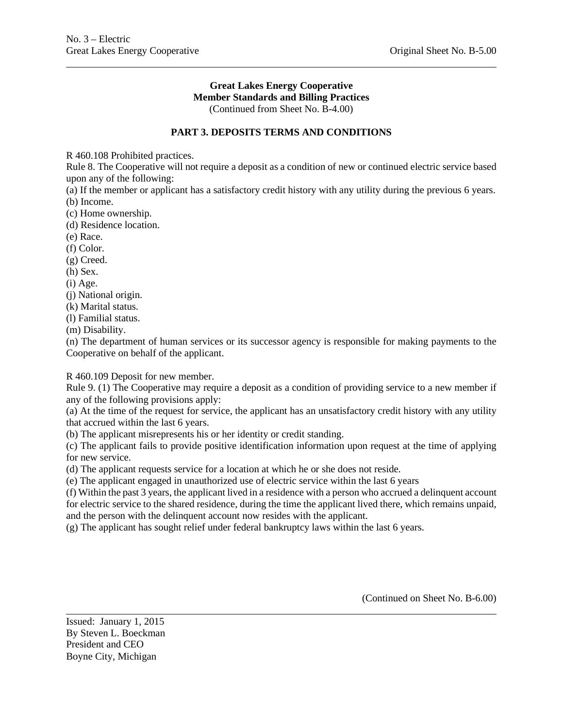### **Great Lakes Energy Cooperative Member Standards and Billing Practices** (Continued from Sheet No. B-4.00)

**PART 3. DEPOSITS TERMS AND CONDITIONS** 

R 460.108 Prohibited practices.

Rule 8. The Cooperative will not require a deposit as a condition of new or continued electric service based upon any of the following:

(a) If the member or applicant has a satisfactory credit history with any utility during the previous 6 years. (b) Income.

(c) Home ownership.

(d) Residence location.

(e) Race.

(f) Color.

(g) Creed.

(h) Sex.

(i) Age.

(j) National origin.

(k) Marital status.

(l) Familial status.

(m) Disability.

(n) The department of human services or its successor agency is responsible for making payments to the Cooperative on behalf of the applicant.

R 460.109 Deposit for new member.

Rule 9. (1) The Cooperative may require a deposit as a condition of providing service to a new member if any of the following provisions apply:

(a) At the time of the request for service, the applicant has an unsatisfactory credit history with any utility that accrued within the last 6 years.

(b) The applicant misrepresents his or her identity or credit standing.

(c) The applicant fails to provide positive identification information upon request at the time of applying for new service.

(d) The applicant requests service for a location at which he or she does not reside.

(e) The applicant engaged in unauthorized use of electric service within the last 6 years

(f) Within the past 3 years, the applicant lived in a residence with a person who accrued a delinquent account for electric service to the shared residence, during the time the applicant lived there, which remains unpaid, and the person with the delinquent account now resides with the applicant.

(g) The applicant has sought relief under federal bankruptcy laws within the last 6 years.

(Continued on Sheet No. B-6.00)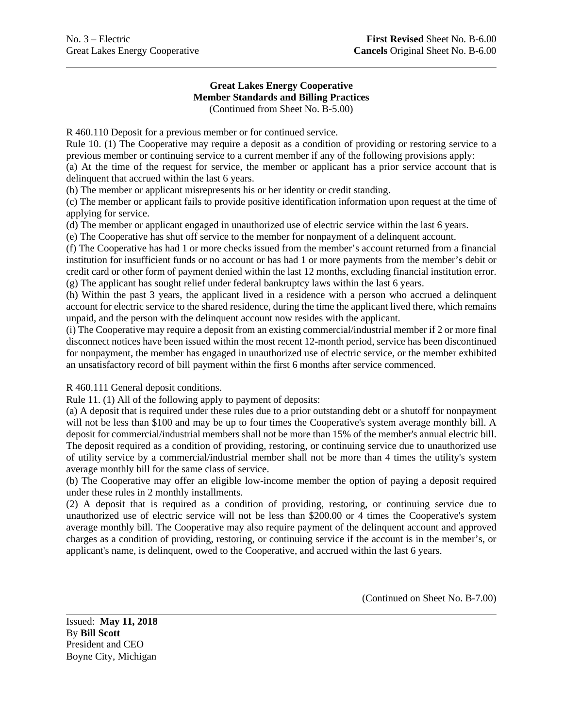#### **Great Lakes Energy Cooperative Member Standards and Billing Practices** (Continued from Sheet No. B-5.00)

R 460.110 Deposit for a previous member or for continued service.

Rule 10. (1) The Cooperative may require a deposit as a condition of providing or restoring service to a previous member or continuing service to a current member if any of the following provisions apply:

(a) At the time of the request for service, the member or applicant has a prior service account that is delinquent that accrued within the last 6 years.

(b) The member or applicant misrepresents his or her identity or credit standing.

(c) The member or applicant fails to provide positive identification information upon request at the time of applying for service.

(d) The member or applicant engaged in unauthorized use of electric service within the last 6 years.

(e) The Cooperative has shut off service to the member for nonpayment of a delinquent account.

(f) The Cooperative has had 1 or more checks issued from the member's account returned from a financial institution for insufficient funds or no account or has had 1 or more payments from the member's debit or credit card or other form of payment denied within the last 12 months, excluding financial institution error. (g) The applicant has sought relief under federal bankruptcy laws within the last 6 years.

(h) Within the past 3 years, the applicant lived in a residence with a person who accrued a delinquent account for electric service to the shared residence, during the time the applicant lived there, which remains unpaid, and the person with the delinquent account now resides with the applicant.

(i) The Cooperative may require a deposit from an existing commercial/industrial member if 2 or more final disconnect notices have been issued within the most recent 12-month period, service has been discontinued for nonpayment, the member has engaged in unauthorized use of electric service, or the member exhibited an unsatisfactory record of bill payment within the first 6 months after service commenced.

R 460.111 General deposit conditions.

Rule 11. (1) All of the following apply to payment of deposits:

(a) A deposit that is required under these rules due to a prior outstanding debt or a shutoff for nonpayment will not be less than \$100 and may be up to four times the Cooperative's system average monthly bill. A deposit for commercial/industrial members shall not be more than 15% of the member's annual electric bill. The deposit required as a condition of providing, restoring, or continuing service due to unauthorized use of utility service by a commercial/industrial member shall not be more than 4 times the utility's system average monthly bill for the same class of service.

(b) The Cooperative may offer an eligible low-income member the option of paying a deposit required under these rules in 2 monthly installments.

(2) A deposit that is required as a condition of providing, restoring, or continuing service due to unauthorized use of electric service will not be less than \$200.00 or 4 times the Cooperative's system average monthly bill. The Cooperative may also require payment of the delinquent account and approved charges as a condition of providing, restoring, or continuing service if the account is in the member's, or applicant's name, is delinquent, owed to the Cooperative, and accrued within the last 6 years.

(Continued on Sheet No. B-7.00)

Issued: **May 11, 2018** By **Bill Scott** President and CEO Boyne City, Michigan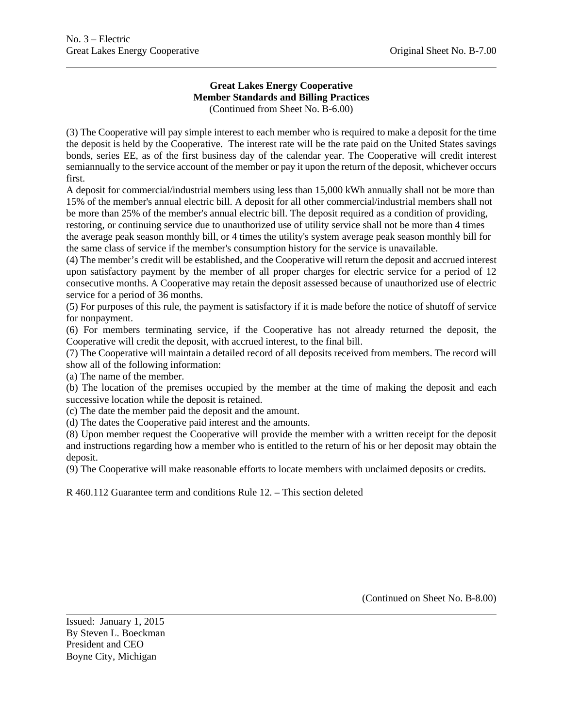# **Great Lakes Energy Cooperative Member Standards and Billing Practices** (Continued from Sheet No. B-6.00)

(3) The Cooperative will pay simple interest to each member who is required to make a deposit for the time the deposit is held by the Cooperative. The interest rate will be the rate paid on the United States savings bonds, series EE, as of the first business day of the calendar year. The Cooperative will credit interest semiannually to the service account of the member or pay it upon the return of the deposit, whichever occurs first.

A deposit for commercial/industrial members using less than 15,000 kWh annually shall not be more than 15% of the member's annual electric bill. A deposit for all other commercial/industrial members shall not be more than 25% of the member's annual electric bill. The deposit required as a condition of providing, restoring, or continuing service due to unauthorized use of utility service shall not be more than 4 times the average peak season monthly bill, or 4 times the utility's system average peak season monthly bill for the same class of service if the member's consumption history for the service is unavailable.

(4) The member's credit will be established, and the Cooperative will return the deposit and accrued interest upon satisfactory payment by the member of all proper charges for electric service for a period of 12 consecutive months. A Cooperative may retain the deposit assessed because of unauthorized use of electric service for a period of 36 months.

(5) For purposes of this rule, the payment is satisfactory if it is made before the notice of shutoff of service for nonpayment.

(6) For members terminating service, if the Cooperative has not already returned the deposit, the Cooperative will credit the deposit, with accrued interest, to the final bill.

(7) The Cooperative will maintain a detailed record of all deposits received from members. The record will show all of the following information:

(a) The name of the member.

(b) The location of the premises occupied by the member at the time of making the deposit and each successive location while the deposit is retained.

(c) The date the member paid the deposit and the amount.

(d) The dates the Cooperative paid interest and the amounts.

(8) Upon member request the Cooperative will provide the member with a written receipt for the deposit and instructions regarding how a member who is entitled to the return of his or her deposit may obtain the deposit.

(9) The Cooperative will make reasonable efforts to locate members with unclaimed deposits or credits.

R 460.112 Guarantee term and conditions Rule 12. – This section deleted

(Continued on Sheet No. B-8.00)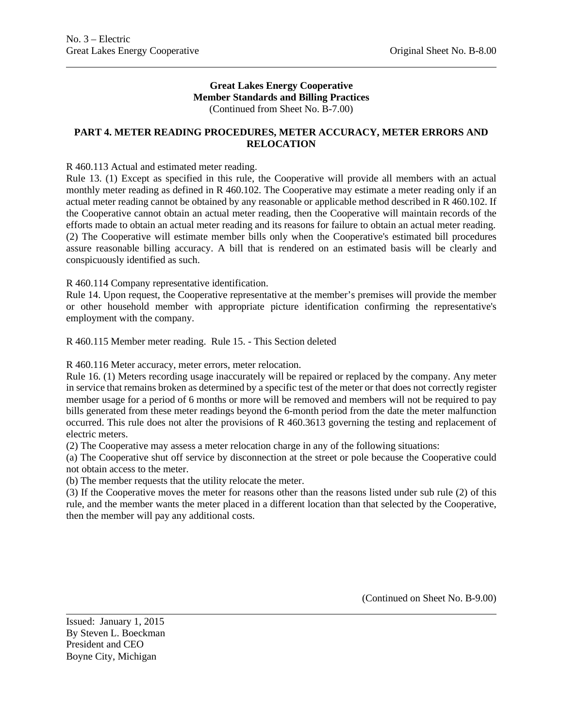#### **Great Lakes Energy Cooperative Member Standards and Billing Practices** (Continued from Sheet No. B-7.00)

**PART 4. METER READING PROCEDURES, METER ACCURACY, METER ERRORS AND RELOCATION** 

R 460.113 Actual and estimated meter reading.

Rule 13. (1) Except as specified in this rule, the Cooperative will provide all members with an actual monthly meter reading as defined in R 460.102. The Cooperative may estimate a meter reading only if an actual meter reading cannot be obtained by any reasonable or applicable method described in R 460.102. If the Cooperative cannot obtain an actual meter reading, then the Cooperative will maintain records of the efforts made to obtain an actual meter reading and its reasons for failure to obtain an actual meter reading. (2) The Cooperative will estimate member bills only when the Cooperative's estimated bill procedures assure reasonable billing accuracy. A bill that is rendered on an estimated basis will be clearly and conspicuously identified as such.

R 460.114 Company representative identification.

Rule 14. Upon request, the Cooperative representative at the member's premises will provide the member or other household member with appropriate picture identification confirming the representative's employment with the company.

R 460.115 Member meter reading. Rule 15. - This Section deleted

R 460.116 Meter accuracy, meter errors, meter relocation.

Rule 16. (1) Meters recording usage inaccurately will be repaired or replaced by the company. Any meter in service that remains broken as determined by a specific test of the meter or that does not correctly register member usage for a period of 6 months or more will be removed and members will not be required to pay bills generated from these meter readings beyond the 6-month period from the date the meter malfunction occurred. This rule does not alter the provisions of R 460.3613 governing the testing and replacement of electric meters.

(2) The Cooperative may assess a meter relocation charge in any of the following situations:

(a) The Cooperative shut off service by disconnection at the street or pole because the Cooperative could not obtain access to the meter.

(b) The member requests that the utility relocate the meter.

(3) If the Cooperative moves the meter for reasons other than the reasons listed under sub rule (2) of this rule, and the member wants the meter placed in a different location than that selected by the Cooperative, then the member will pay any additional costs.

(Continued on Sheet No. B-9.00)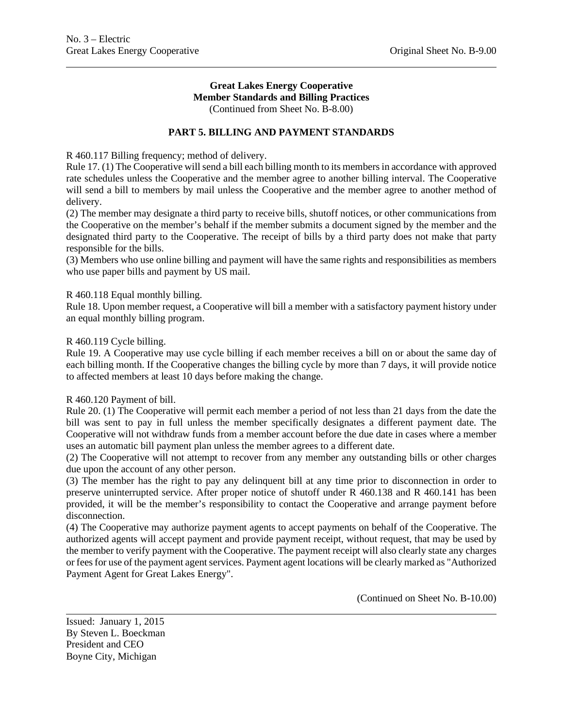#### **Great Lakes Energy Cooperative Member Standards and Billing Practices** (Continued from Sheet No. B-8.00)

**PART 5. BILLING AND PAYMENT STANDARDS** 

R 460.117 Billing frequency; method of delivery.

Rule 17. (1) The Cooperative will send a bill each billing month to its members in accordance with approved rate schedules unless the Cooperative and the member agree to another billing interval. The Cooperative will send a bill to members by mail unless the Cooperative and the member agree to another method of delivery.

(2) The member may designate a third party to receive bills, shutoff notices, or other communications from the Cooperative on the member's behalf if the member submits a document signed by the member and the designated third party to the Cooperative. The receipt of bills by a third party does not make that party responsible for the bills.

(3) Members who use online billing and payment will have the same rights and responsibilities as members who use paper bills and payment by US mail.

#### R 460.118 Equal monthly billing.

Rule 18. Upon member request, a Cooperative will bill a member with a satisfactory payment history under an equal monthly billing program.

#### R 460.119 Cycle billing.

Rule 19. A Cooperative may use cycle billing if each member receives a bill on or about the same day of each billing month. If the Cooperative changes the billing cycle by more than 7 days, it will provide notice to affected members at least 10 days before making the change.

#### R 460.120 Payment of bill.

Rule 20. (1) The Cooperative will permit each member a period of not less than 21 days from the date the bill was sent to pay in full unless the member specifically designates a different payment date. The Cooperative will not withdraw funds from a member account before the due date in cases where a member uses an automatic bill payment plan unless the member agrees to a different date.

(2) The Cooperative will not attempt to recover from any member any outstanding bills or other charges due upon the account of any other person.

(3) The member has the right to pay any delinquent bill at any time prior to disconnection in order to preserve uninterrupted service. After proper notice of shutoff under R 460.138 and R 460.141 has been provided, it will be the member's responsibility to contact the Cooperative and arrange payment before disconnection.

(4) The Cooperative may authorize payment agents to accept payments on behalf of the Cooperative. The authorized agents will accept payment and provide payment receipt, without request, that may be used by the member to verify payment with the Cooperative. The payment receipt will also clearly state any charges or fees for use of the payment agent services. Payment agent locations will be clearly marked as "Authorized Payment Agent for Great Lakes Energy".

(Continued on Sheet No. B-10.00)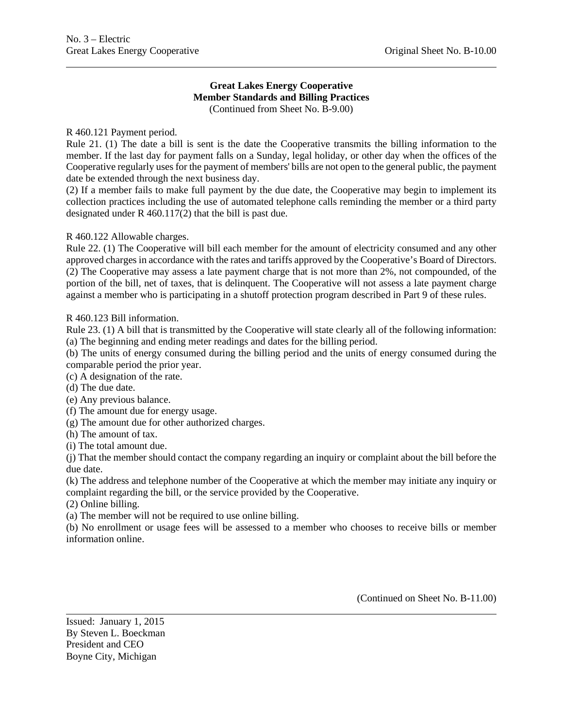# **Great Lakes Energy Cooperative Member Standards and Billing Practices**

(Continued from Sheet No. B-9.00)

# R 460.121 Payment period.

Rule 21. (1) The date a bill is sent is the date the Cooperative transmits the billing information to the member. If the last day for payment falls on a Sunday, legal holiday, or other day when the offices of the Cooperative regularly uses for the payment of members' bills are not open to the general public, the payment date be extended through the next business day.

(2) If a member fails to make full payment by the due date, the Cooperative may begin to implement its collection practices including the use of automated telephone calls reminding the member or a third party designated under R 460.117(2) that the bill is past due.

# R 460.122 Allowable charges.

Rule 22. (1) The Cooperative will bill each member for the amount of electricity consumed and any other approved charges in accordance with the rates and tariffs approved by the Cooperative's Board of Directors. (2) The Cooperative may assess a late payment charge that is not more than 2%, not compounded, of the portion of the bill, net of taxes, that is delinquent. The Cooperative will not assess a late payment charge against a member who is participating in a shutoff protection program described in Part 9 of these rules.

R 460.123 Bill information.

Rule 23. (1) A bill that is transmitted by the Cooperative will state clearly all of the following information: (a) The beginning and ending meter readings and dates for the billing period.

(b) The units of energy consumed during the billing period and the units of energy consumed during the comparable period the prior year.

(c) A designation of the rate.

(d) The due date.

(e) Any previous balance.

(f) The amount due for energy usage.

(g) The amount due for other authorized charges.

(h) The amount of tax.

(i) The total amount due.

(j) That the member should contact the company regarding an inquiry or complaint about the bill before the due date.

(k) The address and telephone number of the Cooperative at which the member may initiate any inquiry or complaint regarding the bill, or the service provided by the Cooperative.

(2) Online billing.

(a) The member will not be required to use online billing.

(b) No enrollment or usage fees will be assessed to a member who chooses to receive bills or member information online.

(Continued on Sheet No. B-11.00)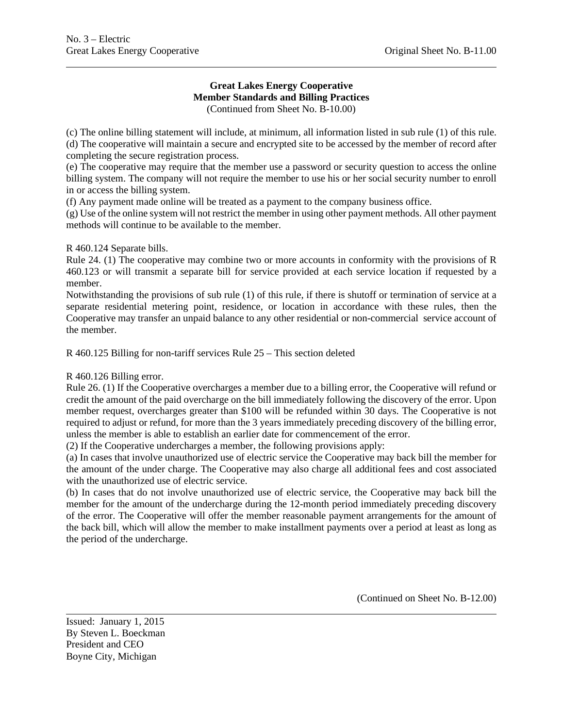#### **Great Lakes Energy Cooperative Member Standards and Billing Practices** (Continued from Sheet No. B-10.00)

(c) The online billing statement will include, at minimum, all information listed in sub rule (1) of this rule. (d) The cooperative will maintain a secure and encrypted site to be accessed by the member of record after completing the secure registration process.

(e) The cooperative may require that the member use a password or security question to access the online billing system. The company will not require the member to use his or her social security number to enroll in or access the billing system.

(f) Any payment made online will be treated as a payment to the company business office.

(g) Use of the online system will not restrict the member in using other payment methods. All other payment methods will continue to be available to the member.

# R 460.124 Separate bills.

Rule 24. (1) The cooperative may combine two or more accounts in conformity with the provisions of R 460.123 or will transmit a separate bill for service provided at each service location if requested by a member.

Notwithstanding the provisions of sub rule (1) of this rule, if there is shutoff or termination of service at a separate residential metering point, residence, or location in accordance with these rules, then the Cooperative may transfer an unpaid balance to any other residential or non-commercial service account of the member.

R 460.125 Billing for non-tariff services Rule 25 – This section deleted

### R 460.126 Billing error.

Rule 26. (1) If the Cooperative overcharges a member due to a billing error, the Cooperative will refund or credit the amount of the paid overcharge on the bill immediately following the discovery of the error. Upon member request, overcharges greater than \$100 will be refunded within 30 days. The Cooperative is not required to adjust or refund, for more than the 3 years immediately preceding discovery of the billing error, unless the member is able to establish an earlier date for commencement of the error.

(2) If the Cooperative undercharges a member, the following provisions apply:

(a) In cases that involve unauthorized use of electric service the Cooperative may back bill the member for the amount of the under charge. The Cooperative may also charge all additional fees and cost associated with the unauthorized use of electric service.

(b) In cases that do not involve unauthorized use of electric service, the Cooperative may back bill the member for the amount of the undercharge during the 12-month period immediately preceding discovery of the error. The Cooperative will offer the member reasonable payment arrangements for the amount of the back bill, which will allow the member to make installment payments over a period at least as long as the period of the undercharge.

(Continued on Sheet No. B-12.00)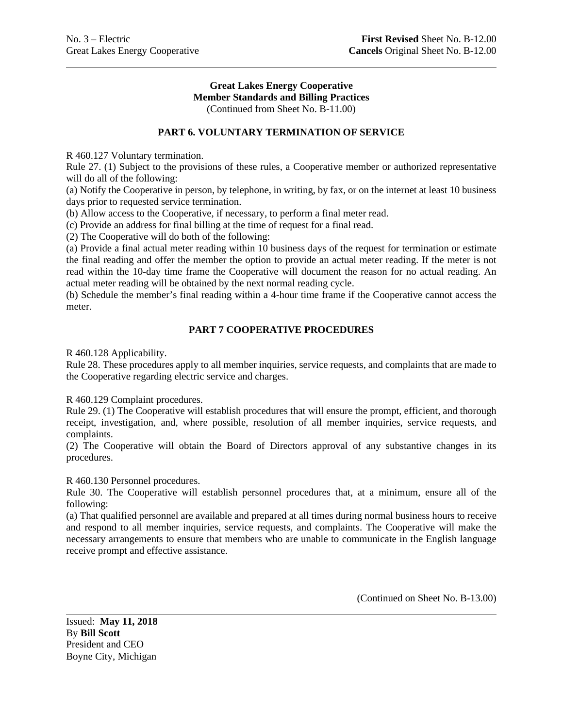#### **Great Lakes Energy Cooperative Member Standards and Billing Practices** (Continued from Sheet No. B-11.00)

# **PART 6. VOLUNTARY TERMINATION OF SERVICE**

R 460.127 Voluntary termination.

Rule 27. (1) Subject to the provisions of these rules, a Cooperative member or authorized representative will do all of the following:

(a) Notify the Cooperative in person, by telephone, in writing, by fax, or on the internet at least 10 business days prior to requested service termination.

(b) Allow access to the Cooperative, if necessary, to perform a final meter read.

(c) Provide an address for final billing at the time of request for a final read.

(2) The Cooperative will do both of the following:

(a) Provide a final actual meter reading within 10 business days of the request for termination or estimate the final reading and offer the member the option to provide an actual meter reading. If the meter is not read within the 10-day time frame the Cooperative will document the reason for no actual reading. An actual meter reading will be obtained by the next normal reading cycle.

(b) Schedule the member's final reading within a 4-hour time frame if the Cooperative cannot access the meter.

# **PART 7 COOPERATIVE PROCEDURES**

R 460.128 Applicability.

Rule 28. These procedures apply to all member inquiries, service requests, and complaints that are made to the Cooperative regarding electric service and charges.

R 460.129 Complaint procedures.

Rule 29. (1) The Cooperative will establish procedures that will ensure the prompt, efficient, and thorough receipt, investigation, and, where possible, resolution of all member inquiries, service requests, and complaints.

(2) The Cooperative will obtain the Board of Directors approval of any substantive changes in its procedures.

R 460.130 Personnel procedures.

Rule 30. The Cooperative will establish personnel procedures that, at a minimum, ensure all of the following:

(a) That qualified personnel are available and prepared at all times during normal business hours to receive and respond to all member inquiries, service requests, and complaints. The Cooperative will make the necessary arrangements to ensure that members who are unable to communicate in the English language receive prompt and effective assistance.

(Continued on Sheet No. B-13.00)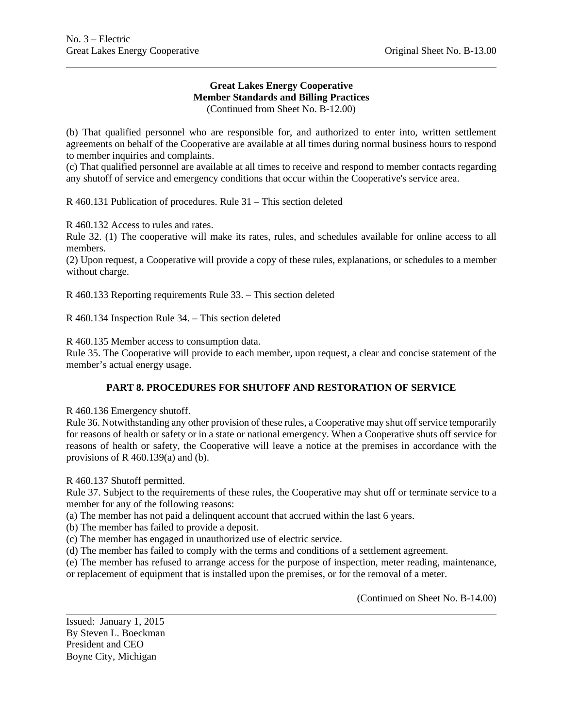#### **Great Lakes Energy Cooperative Member Standards and Billing Practices** (Continued from Sheet No. B-12.00)

(b) That qualified personnel who are responsible for, and authorized to enter into, written settlement agreements on behalf of the Cooperative are available at all times during normal business hours to respond to member inquiries and complaints.

(c) That qualified personnel are available at all times to receive and respond to member contacts regarding any shutoff of service and emergency conditions that occur within the Cooperative's service area.

R 460.131 Publication of procedures. Rule 31 – This section deleted

R 460.132 Access to rules and rates.

Rule 32. (1) The cooperative will make its rates, rules, and schedules available for online access to all members.

(2) Upon request, a Cooperative will provide a copy of these rules, explanations, or schedules to a member without charge.

R 460.133 Reporting requirements Rule 33. – This section deleted

R 460.134 Inspection Rule 34. – This section deleted

R 460.135 Member access to consumption data.

Rule 35. The Cooperative will provide to each member, upon request, a clear and concise statement of the member's actual energy usage.

### **PART 8. PROCEDURES FOR SHUTOFF AND RESTORATION OF SERVICE**

R 460.136 Emergency shutoff.

Rule 36. Notwithstanding any other provision of these rules, a Cooperative may shut off service temporarily for reasons of health or safety or in a state or national emergency. When a Cooperative shuts off service for reasons of health or safety, the Cooperative will leave a notice at the premises in accordance with the provisions of R  $460.139(a)$  and (b).

R 460.137 Shutoff permitted.

Rule 37. Subject to the requirements of these rules, the Cooperative may shut off or terminate service to a member for any of the following reasons:

(a) The member has not paid a delinquent account that accrued within the last 6 years.

(b) The member has failed to provide a deposit.

(c) The member has engaged in unauthorized use of electric service.

(d) The member has failed to comply with the terms and conditions of a settlement agreement.

(e) The member has refused to arrange access for the purpose of inspection, meter reading, maintenance, or replacement of equipment that is installed upon the premises, or for the removal of a meter.

(Continued on Sheet No. B-14.00)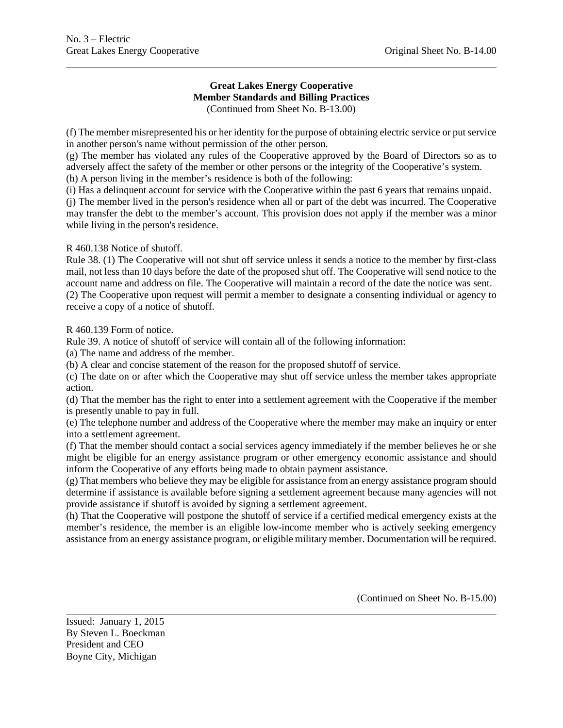#### **Great Lakes Energy Cooperative Member Standards and Billing Practices** (Continued from Sheet No. B-13.00)

(f) The member misrepresented his or her identity for the purpose of obtaining electric service or put service in another person's name without permission of the other person.

(g) The member has violated any rules of the Cooperative approved by the Board of Directors so as to adversely affect the safety of the member or other persons or the integrity of the Cooperative's system. (h) A person living in the member's residence is both of the following:

(i) Has a delinquent account for service with the Cooperative within the past 6 years that remains unpaid.

(j) The member lived in the person's residence when all or part of the debt was incurred. The Cooperative may transfer the debt to the member's account. This provision does not apply if the member was a minor while living in the person's residence.

R 460.138 Notice of shutoff.

Rule 38. (1) The Cooperative will not shut off service unless it sends a notice to the member by first-class mail, not less than 10 days before the date of the proposed shut off. The Cooperative will send notice to the account name and address on file. The Cooperative will maintain a record of the date the notice was sent. (2) The Cooperative upon request will permit a member to designate a consenting individual or agency to receive a copy of a notice of shutoff.

R 460.139 Form of notice.

Rule 39. A notice of shutoff of service will contain all of the following information:

(a) The name and address of the member.

(b) A clear and concise statement of the reason for the proposed shutoff of service.

(c) The date on or after which the Cooperative may shut off service unless the member takes appropriate action.

(d) That the member has the right to enter into a settlement agreement with the Cooperative if the member is presently unable to pay in full.

(e) The telephone number and address of the Cooperative where the member may make an inquiry or enter into a settlement agreement.

(f) That the member should contact a social services agency immediately if the member believes he or she might be eligible for an energy assistance program or other emergency economic assistance and should inform the Cooperative of any efforts being made to obtain payment assistance.

(g) That members who believe they may be eligible for assistance from an energy assistance program should determine if assistance is available before signing a settlement agreement because many agencies will not provide assistance if shutoff is avoided by signing a settlement agreement.

(h) That the Cooperative will postpone the shutoff of service if a certified medical emergency exists at the member's residence, the member is an eligible low-income member who is actively seeking emergency assistance from an energy assistance program, or eligible military member. Documentation will be required.

(Continued on Sheet No. B-15.00)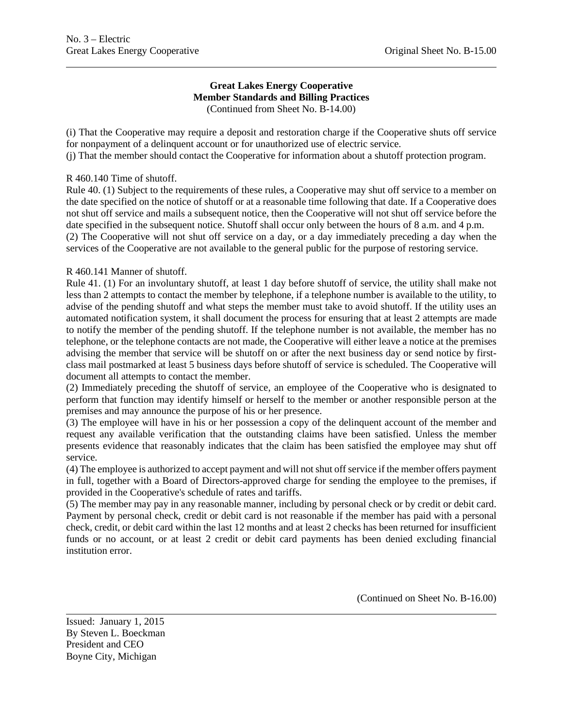#### **Great Lakes Energy Cooperative Member Standards and Billing Practices** (Continued from Sheet No. B-14.00)

(i) That the Cooperative may require a deposit and restoration charge if the Cooperative shuts off service for nonpayment of a delinquent account or for unauthorized use of electric service.

(j) That the member should contact the Cooperative for information about a shutoff protection program.

#### R 460.140 Time of shutoff.

Rule 40. (1) Subject to the requirements of these rules, a Cooperative may shut off service to a member on the date specified on the notice of shutoff or at a reasonable time following that date. If a Cooperative does not shut off service and mails a subsequent notice, then the Cooperative will not shut off service before the date specified in the subsequent notice. Shutoff shall occur only between the hours of 8 a.m. and 4 p.m. (2) The Cooperative will not shut off service on a day, or a day immediately preceding a day when the services of the Cooperative are not available to the general public for the purpose of restoring service.

## R 460.141 Manner of shutoff.

Rule 41. (1) For an involuntary shutoff, at least 1 day before shutoff of service, the utility shall make not less than 2 attempts to contact the member by telephone, if a telephone number is available to the utility, to advise of the pending shutoff and what steps the member must take to avoid shutoff. If the utility uses an automated notification system, it shall document the process for ensuring that at least 2 attempts are made to notify the member of the pending shutoff. If the telephone number is not available, the member has no telephone, or the telephone contacts are not made, the Cooperative will either leave a notice at the premises advising the member that service will be shutoff on or after the next business day or send notice by firstclass mail postmarked at least 5 business days before shutoff of service is scheduled. The Cooperative will document all attempts to contact the member.

(2) Immediately preceding the shutoff of service, an employee of the Cooperative who is designated to perform that function may identify himself or herself to the member or another responsible person at the premises and may announce the purpose of his or her presence.

(3) The employee will have in his or her possession a copy of the delinquent account of the member and request any available verification that the outstanding claims have been satisfied. Unless the member presents evidence that reasonably indicates that the claim has been satisfied the employee may shut off service.

(4) The employee is authorized to accept payment and will not shut off service if the member offers payment in full, together with a Board of Directors-approved charge for sending the employee to the premises, if provided in the Cooperative's schedule of rates and tariffs.

(5) The member may pay in any reasonable manner, including by personal check or by credit or debit card. Payment by personal check, credit or debit card is not reasonable if the member has paid with a personal check, credit, or debit card within the last 12 months and at least 2 checks has been returned for insufficient funds or no account, or at least 2 credit or debit card payments has been denied excluding financial institution error.

(Continued on Sheet No. B-16.00)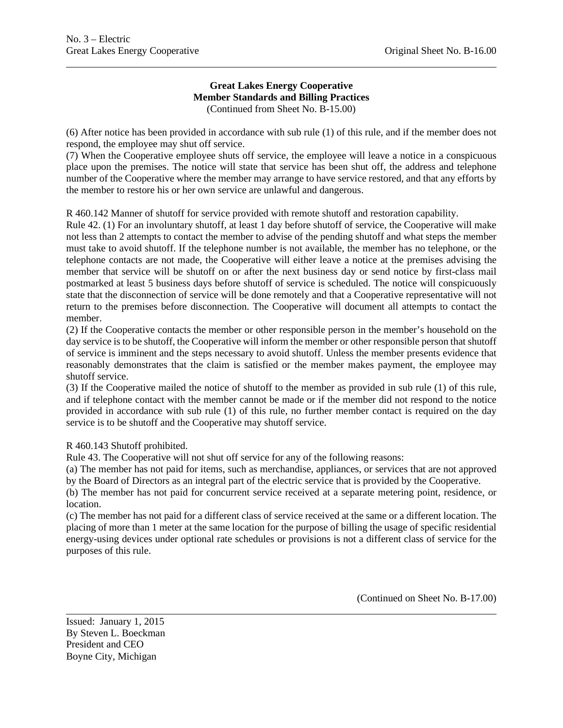#### **Great Lakes Energy Cooperative Member Standards and Billing Practices** (Continued from Sheet No. B-15.00)

(6) After notice has been provided in accordance with sub rule (1) of this rule, and if the member does not respond, the employee may shut off service.

(7) When the Cooperative employee shuts off service, the employee will leave a notice in a conspicuous place upon the premises. The notice will state that service has been shut off, the address and telephone number of the Cooperative where the member may arrange to have service restored, and that any efforts by the member to restore his or her own service are unlawful and dangerous.

R 460.142 Manner of shutoff for service provided with remote shutoff and restoration capability.

Rule 42. (1) For an involuntary shutoff, at least 1 day before shutoff of service, the Cooperative will make not less than 2 attempts to contact the member to advise of the pending shutoff and what steps the member must take to avoid shutoff. If the telephone number is not available, the member has no telephone, or the telephone contacts are not made, the Cooperative will either leave a notice at the premises advising the member that service will be shutoff on or after the next business day or send notice by first-class mail postmarked at least 5 business days before shutoff of service is scheduled. The notice will conspicuously state that the disconnection of service will be done remotely and that a Cooperative representative will not return to the premises before disconnection. The Cooperative will document all attempts to contact the member.

(2) If the Cooperative contacts the member or other responsible person in the member's household on the day service is to be shutoff, the Cooperative will inform the member or other responsible person that shutoff of service is imminent and the steps necessary to avoid shutoff. Unless the member presents evidence that reasonably demonstrates that the claim is satisfied or the member makes payment, the employee may shutoff service.

(3) If the Cooperative mailed the notice of shutoff to the member as provided in sub rule (1) of this rule, and if telephone contact with the member cannot be made or if the member did not respond to the notice provided in accordance with sub rule (1) of this rule, no further member contact is required on the day service is to be shutoff and the Cooperative may shutoff service.

R 460.143 Shutoff prohibited.

Rule 43. The Cooperative will not shut off service for any of the following reasons:

(a) The member has not paid for items, such as merchandise, appliances, or services that are not approved by the Board of Directors as an integral part of the electric service that is provided by the Cooperative.

(b) The member has not paid for concurrent service received at a separate metering point, residence, or location.

(c) The member has not paid for a different class of service received at the same or a different location. The placing of more than 1 meter at the same location for the purpose of billing the usage of specific residential energy-using devices under optional rate schedules or provisions is not a different class of service for the purposes of this rule.

(Continued on Sheet No. B-17.00)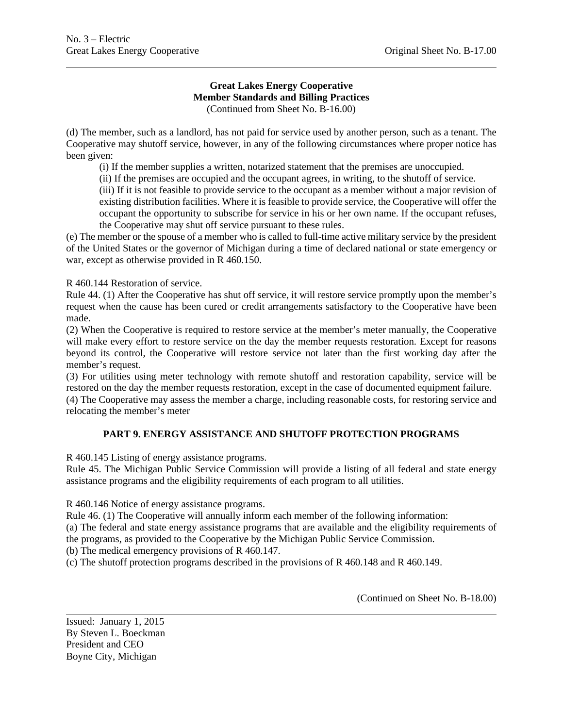#### **Great Lakes Energy Cooperative Member Standards and Billing Practices** (Continued from Sheet No. B-16.00)

(d) The member, such as a landlord, has not paid for service used by another person, such as a tenant. The Cooperative may shutoff service, however, in any of the following circumstances where proper notice has been given:

(i) If the member supplies a written, notarized statement that the premises are unoccupied.

(ii) If the premises are occupied and the occupant agrees, in writing, to the shutoff of service.

(iii) If it is not feasible to provide service to the occupant as a member without a major revision of existing distribution facilities. Where it is feasible to provide service, the Cooperative will offer the occupant the opportunity to subscribe for service in his or her own name. If the occupant refuses, the Cooperative may shut off service pursuant to these rules.

(e) The member or the spouse of a member who is called to full-time active military service by the president of the United States or the governor of Michigan during a time of declared national or state emergency or war, except as otherwise provided in R 460.150.

R 460.144 Restoration of service.

Rule 44. (1) After the Cooperative has shut off service, it will restore service promptly upon the member's request when the cause has been cured or credit arrangements satisfactory to the Cooperative have been made.

(2) When the Cooperative is required to restore service at the member's meter manually, the Cooperative will make every effort to restore service on the day the member requests restoration. Except for reasons beyond its control, the Cooperative will restore service not later than the first working day after the member's request.

(3) For utilities using meter technology with remote shutoff and restoration capability, service will be restored on the day the member requests restoration, except in the case of documented equipment failure.

(4) The Cooperative may assess the member a charge, including reasonable costs, for restoring service and relocating the member's meter

## **PART 9. ENERGY ASSISTANCE AND SHUTOFF PROTECTION PROGRAMS**

R 460.145 Listing of energy assistance programs.

Rule 45. The Michigan Public Service Commission will provide a listing of all federal and state energy assistance programs and the eligibility requirements of each program to all utilities.

R 460.146 Notice of energy assistance programs.

Rule 46. (1) The Cooperative will annually inform each member of the following information:

(a) The federal and state energy assistance programs that are available and the eligibility requirements of the programs, as provided to the Cooperative by the Michigan Public Service Commission.

(b) The medical emergency provisions of R 460.147.

(c) The shutoff protection programs described in the provisions of R 460.148 and R 460.149.

(Continued on Sheet No. B-18.00)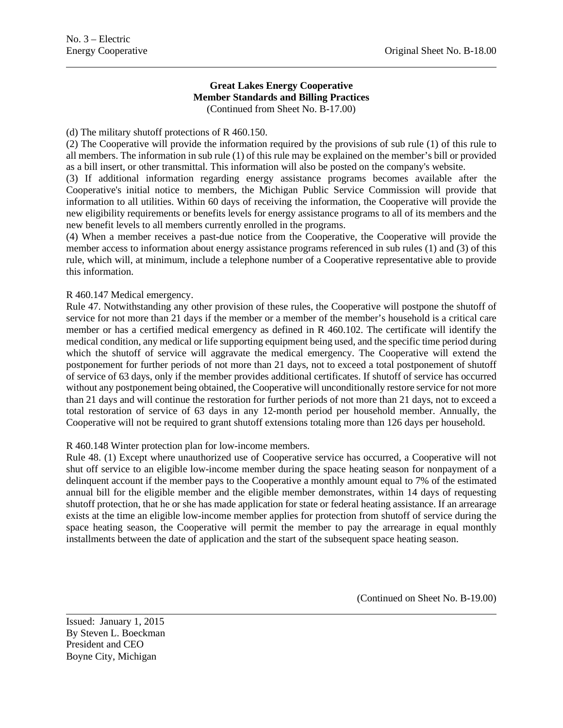#### **Great Lakes Energy Cooperative Member Standards and Billing Practices** (Continued from Sheet No. B-17.00)

(d) The military shutoff protections of R 460.150.

(2) The Cooperative will provide the information required by the provisions of sub rule (1) of this rule to all members. The information in sub rule (1) of this rule may be explained on the member's bill or provided as a bill insert, or other transmittal. This information will also be posted on the company's website.

(3) If additional information regarding energy assistance programs becomes available after the Cooperative's initial notice to members, the Michigan Public Service Commission will provide that information to all utilities. Within 60 days of receiving the information, the Cooperative will provide the new eligibility requirements or benefits levels for energy assistance programs to all of its members and the new benefit levels to all members currently enrolled in the programs.

(4) When a member receives a past-due notice from the Cooperative, the Cooperative will provide the member access to information about energy assistance programs referenced in sub rules (1) and (3) of this rule, which will, at minimum, include a telephone number of a Cooperative representative able to provide this information.

#### R 460.147 Medical emergency.

Rule 47. Notwithstanding any other provision of these rules, the Cooperative will postpone the shutoff of service for not more than 21 days if the member or a member of the member's household is a critical care member or has a certified medical emergency as defined in R 460.102. The certificate will identify the medical condition, any medical or life supporting equipment being used, and the specific time period during which the shutoff of service will aggravate the medical emergency. The Cooperative will extend the postponement for further periods of not more than 21 days, not to exceed a total postponement of shutoff of service of 63 days, only if the member provides additional certificates. If shutoff of service has occurred without any postponement being obtained, the Cooperative will unconditionally restore service for not more than 21 days and will continue the restoration for further periods of not more than 21 days, not to exceed a total restoration of service of 63 days in any 12-month period per household member. Annually, the Cooperative will not be required to grant shutoff extensions totaling more than 126 days per household.

#### R 460.148 Winter protection plan for low-income members.

Rule 48. (1) Except where unauthorized use of Cooperative service has occurred, a Cooperative will not shut off service to an eligible low-income member during the space heating season for nonpayment of a delinquent account if the member pays to the Cooperative a monthly amount equal to 7% of the estimated annual bill for the eligible member and the eligible member demonstrates, within 14 days of requesting shutoff protection, that he or she has made application for state or federal heating assistance. If an arrearage exists at the time an eligible low-income member applies for protection from shutoff of service during the space heating season, the Cooperative will permit the member to pay the arrearage in equal monthly installments between the date of application and the start of the subsequent space heating season.

(Continued on Sheet No. B-19.00)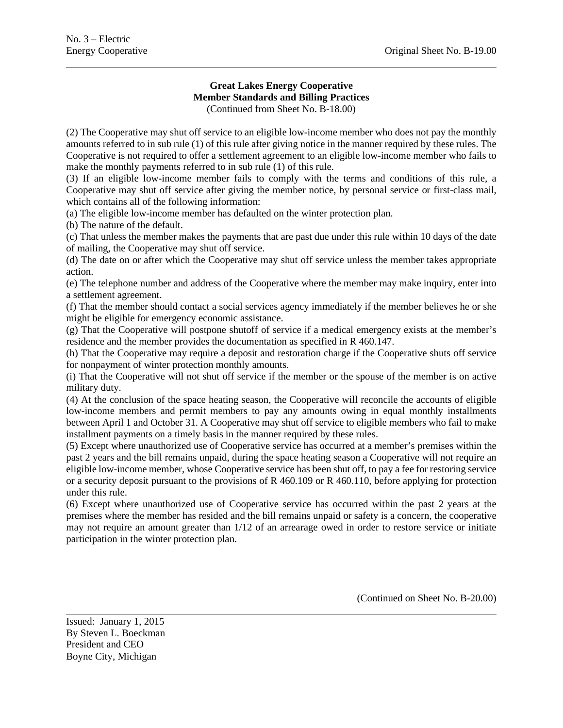# **Great Lakes Energy Cooperative Member Standards and Billing Practices**

(Continued from Sheet No. B-18.00)

(2) The Cooperative may shut off service to an eligible low-income member who does not pay the monthly amounts referred to in sub rule (1) of this rule after giving notice in the manner required by these rules. The Cooperative is not required to offer a settlement agreement to an eligible low-income member who fails to make the monthly payments referred to in sub rule (1) of this rule.

(3) If an eligible low-income member fails to comply with the terms and conditions of this rule, a Cooperative may shut off service after giving the member notice, by personal service or first-class mail, which contains all of the following information:

(a) The eligible low-income member has defaulted on the winter protection plan.

(b) The nature of the default.

(c) That unless the member makes the payments that are past due under this rule within 10 days of the date of mailing, the Cooperative may shut off service.

(d) The date on or after which the Cooperative may shut off service unless the member takes appropriate action.

(e) The telephone number and address of the Cooperative where the member may make inquiry, enter into a settlement agreement.

(f) That the member should contact a social services agency immediately if the member believes he or she might be eligible for emergency economic assistance.

(g) That the Cooperative will postpone shutoff of service if a medical emergency exists at the member's residence and the member provides the documentation as specified in R 460.147.

(h) That the Cooperative may require a deposit and restoration charge if the Cooperative shuts off service for nonpayment of winter protection monthly amounts.

(i) That the Cooperative will not shut off service if the member or the spouse of the member is on active military duty.

(4) At the conclusion of the space heating season, the Cooperative will reconcile the accounts of eligible low-income members and permit members to pay any amounts owing in equal monthly installments between April 1 and October 31. A Cooperative may shut off service to eligible members who fail to make installment payments on a timely basis in the manner required by these rules.

(5) Except where unauthorized use of Cooperative service has occurred at a member's premises within the past 2 years and the bill remains unpaid, during the space heating season a Cooperative will not require an eligible low-income member, whose Cooperative service has been shut off, to pay a fee for restoring service or a security deposit pursuant to the provisions of R 460.109 or R 460.110, before applying for protection under this rule.

(6) Except where unauthorized use of Cooperative service has occurred within the past 2 years at the premises where the member has resided and the bill remains unpaid or safety is a concern, the cooperative may not require an amount greater than 1/12 of an arrearage owed in order to restore service or initiate participation in the winter protection plan.

(Continued on Sheet No. B-20.00)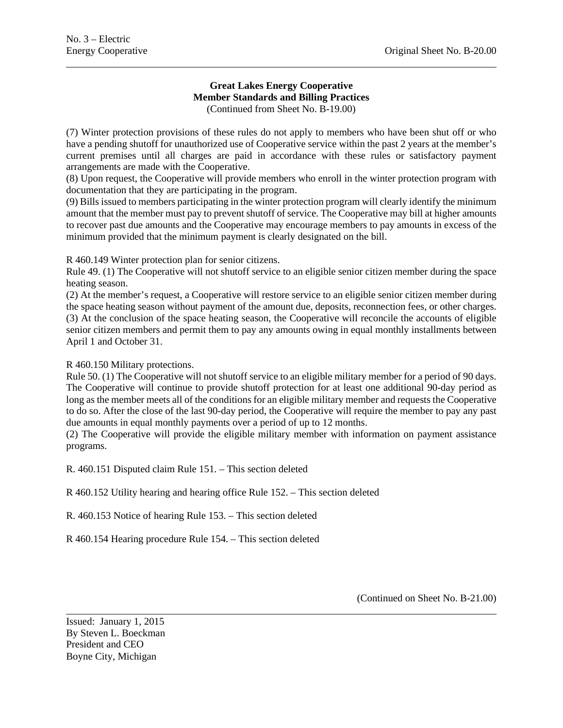#### **Great Lakes Energy Cooperative Member Standards and Billing Practices** (Continued from Sheet No. B-19.00)

(7) Winter protection provisions of these rules do not apply to members who have been shut off or who have a pending shutoff for unauthorized use of Cooperative service within the past 2 years at the member's current premises until all charges are paid in accordance with these rules or satisfactory payment arrangements are made with the Cooperative.

(8) Upon request, the Cooperative will provide members who enroll in the winter protection program with documentation that they are participating in the program.

(9) Bills issued to members participating in the winter protection program will clearly identify the minimum amount that the member must pay to prevent shutoff of service. The Cooperative may bill at higher amounts to recover past due amounts and the Cooperative may encourage members to pay amounts in excess of the minimum provided that the minimum payment is clearly designated on the bill.

R 460.149 Winter protection plan for senior citizens.

Rule 49. (1) The Cooperative will not shutoff service to an eligible senior citizen member during the space heating season.

(2) At the member's request, a Cooperative will restore service to an eligible senior citizen member during the space heating season without payment of the amount due, deposits, reconnection fees, or other charges. (3) At the conclusion of the space heating season, the Cooperative will reconcile the accounts of eligible senior citizen members and permit them to pay any amounts owing in equal monthly installments between April 1 and October 31.

R 460.150 Military protections.

Rule 50. (1) The Cooperative will not shutoff service to an eligible military member for a period of 90 days. The Cooperative will continue to provide shutoff protection for at least one additional 90-day period as long as the member meets all of the conditions for an eligible military member and requests the Cooperative to do so. After the close of the last 90-day period, the Cooperative will require the member to pay any past due amounts in equal monthly payments over a period of up to 12 months.

(2) The Cooperative will provide the eligible military member with information on payment assistance programs.

R. 460.151 Disputed claim Rule 151. – This section deleted

R 460.152 Utility hearing and hearing office Rule 152. – This section deleted

R. 460.153 Notice of hearing Rule 153. – This section deleted

R 460.154 Hearing procedure Rule 154. – This section deleted

(Continued on Sheet No. B-21.00)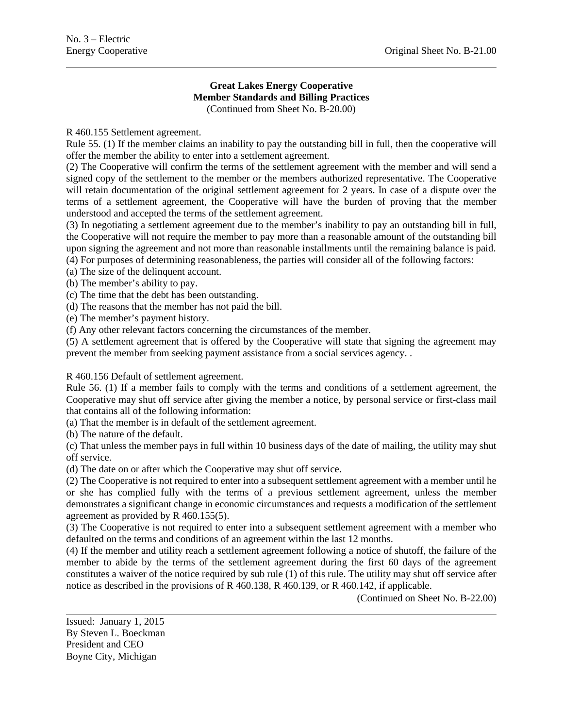## **Great Lakes Energy Cooperative Member Standards and Billing Practices**

(Continued from Sheet No. B-20.00)

R 460.155 Settlement agreement.

Rule 55. (1) If the member claims an inability to pay the outstanding bill in full, then the cooperative will offer the member the ability to enter into a settlement agreement.

(2) The Cooperative will confirm the terms of the settlement agreement with the member and will send a signed copy of the settlement to the member or the members authorized representative. The Cooperative will retain documentation of the original settlement agreement for 2 years. In case of a dispute over the terms of a settlement agreement, the Cooperative will have the burden of proving that the member understood and accepted the terms of the settlement agreement.

(3) In negotiating a settlement agreement due to the member's inability to pay an outstanding bill in full, the Cooperative will not require the member to pay more than a reasonable amount of the outstanding bill upon signing the agreement and not more than reasonable installments until the remaining balance is paid.

(4) For purposes of determining reasonableness, the parties will consider all of the following factors:

(a) The size of the delinquent account.

(b) The member's ability to pay.

(c) The time that the debt has been outstanding.

(d) The reasons that the member has not paid the bill.

(e) The member's payment history.

(f) Any other relevant factors concerning the circumstances of the member.

(5) A settlement agreement that is offered by the Cooperative will state that signing the agreement may prevent the member from seeking payment assistance from a social services agency. .

R 460.156 Default of settlement agreement.

Rule 56. (1) If a member fails to comply with the terms and conditions of a settlement agreement, the Cooperative may shut off service after giving the member a notice, by personal service or first-class mail that contains all of the following information:

(a) That the member is in default of the settlement agreement.

(b) The nature of the default.

(c) That unless the member pays in full within 10 business days of the date of mailing, the utility may shut off service.

(d) The date on or after which the Cooperative may shut off service.

(2) The Cooperative is not required to enter into a subsequent settlement agreement with a member until he or she has complied fully with the terms of a previous settlement agreement, unless the member demonstrates a significant change in economic circumstances and requests a modification of the settlement agreement as provided by R 460.155(5).

(3) The Cooperative is not required to enter into a subsequent settlement agreement with a member who defaulted on the terms and conditions of an agreement within the last 12 months.

(4) If the member and utility reach a settlement agreement following a notice of shutoff, the failure of the member to abide by the terms of the settlement agreement during the first 60 days of the agreement constitutes a waiver of the notice required by sub rule (1) of this rule. The utility may shut off service after notice as described in the provisions of R 460.138, R 460.139, or R 460.142, if applicable.

(Continued on Sheet No. B-22.00)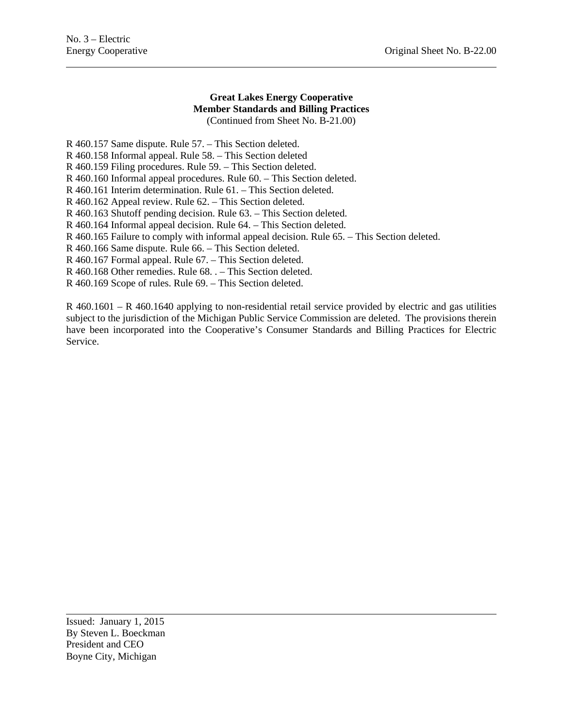#### **Great Lakes Energy Cooperative Member Standards and Billing Practices** (Continued from Sheet No. B-21.00)

R 460.157 Same dispute. Rule 57. – This Section deleted.

R 460.158 Informal appeal. Rule 58. – This Section deleted

R 460.159 Filing procedures. Rule 59. – This Section deleted.

R 460.160 Informal appeal procedures. Rule 60. – This Section deleted.

R 460.161 Interim determination. Rule 61. – This Section deleted.

R 460.162 Appeal review. Rule 62. – This Section deleted.

R 460.163 Shutoff pending decision. Rule 63. – This Section deleted.

R 460.164 Informal appeal decision. Rule 64. – This Section deleted.

R 460.165 Failure to comply with informal appeal decision. Rule 65. – This Section deleted.

R 460.166 Same dispute. Rule 66. – This Section deleted.

R 460.167 Formal appeal. Rule 67. – This Section deleted.

R 460.168 Other remedies. Rule 68. . – This Section deleted.

R 460.169 Scope of rules. Rule 69. – This Section deleted.

R 460.1601 – R 460.1640 applying to non-residential retail service provided by electric and gas utilities subject to the jurisdiction of the Michigan Public Service Commission are deleted. The provisions therein have been incorporated into the Cooperative's Consumer Standards and Billing Practices for Electric Service.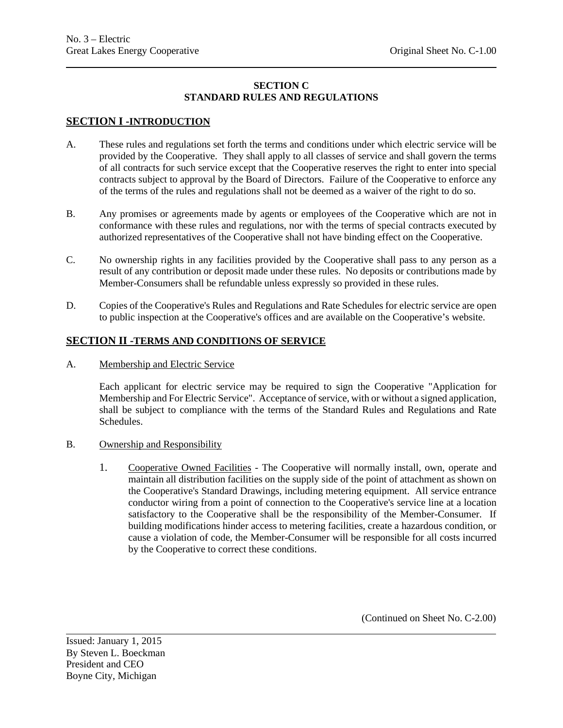## **SECTION C STANDARD RULES AND REGULATIONS**

## **SECTION I -INTRODUCTION**

- A. These rules and regulations set forth the terms and conditions under which electric service will be provided by the Cooperative. They shall apply to all classes of service and shall govern the terms of all contracts for such service except that the Cooperative reserves the right to enter into special contracts subject to approval by the Board of Directors. Failure of the Cooperative to enforce any of the terms of the rules and regulations shall not be deemed as a waiver of the right to do so.
- B. Any promises or agreements made by agents or employees of the Cooperative which are not in conformance with these rules and regulations, nor with the terms of special contracts executed by authorized representatives of the Cooperative shall not have binding effect on the Cooperative.
- C. No ownership rights in any facilities provided by the Cooperative shall pass to any person as a result of any contribution or deposit made under these rules. No deposits or contributions made by Member-Consumers shall be refundable unless expressly so provided in these rules.
- D. Copies of the Cooperative's Rules and Regulations and Rate Schedules for electric service are open to public inspection at the Cooperative's offices and are available on the Cooperative's website.

## **SECTION II -TERMS AND CONDITIONS OF SERVICE**

A. Membership and Electric Service

Each applicant for electric service may be required to sign the Cooperative "Application for Membership and For Electric Service". Acceptance of service, with or without a signed application, shall be subject to compliance with the terms of the Standard Rules and Regulations and Rate Schedules.

- B. Ownership and Responsibility
	- 1. Cooperative Owned Facilities The Cooperative will normally install, own, operate and maintain all distribution facilities on the supply side of the point of attachment as shown on the Cooperative's Standard Drawings, including metering equipment. All service entrance conductor wiring from a point of connection to the Cooperative's service line at a location satisfactory to the Cooperative shall be the responsibility of the Member-Consumer. If building modifications hinder access to metering facilities, create a hazardous condition, or cause a violation of code, the Member-Consumer will be responsible for all costs incurred by the Cooperative to correct these conditions.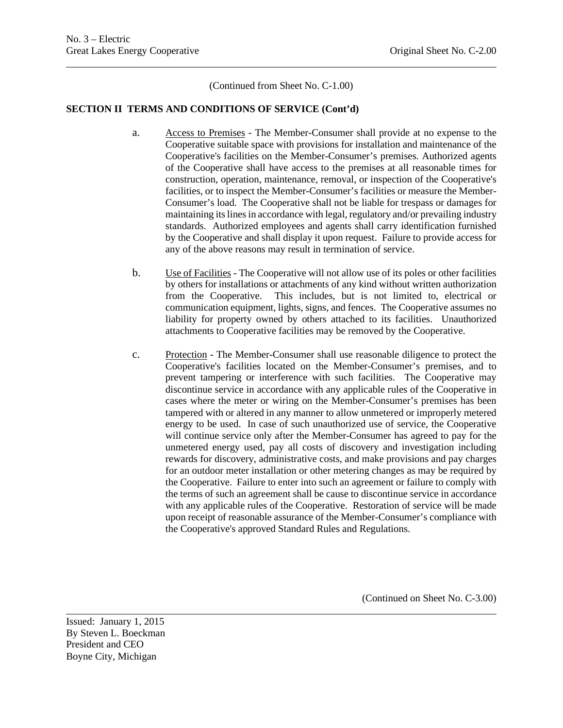(Continued from Sheet No. C-1.00)

#### **SECTION II TERMS AND CONDITIONS OF SERVICE (Cont'd)**

- a. Access to Premises The Member-Consumer shall provide at no expense to the Cooperative suitable space with provisions for installation and maintenance of the Cooperative's facilities on the Member-Consumer's premises. Authorized agents of the Cooperative shall have access to the premises at all reasonable times for construction, operation, maintenance, removal, or inspection of the Cooperative's facilities, or to inspect the Member-Consumer's facilities or measure the Member-Consumer's load. The Cooperative shall not be liable for trespass or damages for maintaining its lines in accordance with legal, regulatory and/or prevailing industry standards. Authorized employees and agents shall carry identification furnished by the Cooperative and shall display it upon request. Failure to provide access for any of the above reasons may result in termination of service.
- b. Use of Facilities The Cooperative will not allow use of its poles or other facilities by others for installations or attachments of any kind without written authorization from the Cooperative. This includes, but is not limited to, electrical or communication equipment, lights, signs, and fences. The Cooperative assumes no liability for property owned by others attached to its facilities. Unauthorized attachments to Cooperative facilities may be removed by the Cooperative.
- c. Protection The Member-Consumer shall use reasonable diligence to protect the Cooperative's facilities located on the Member-Consumer's premises, and to prevent tampering or interference with such facilities. The Cooperative may discontinue service in accordance with any applicable rules of the Cooperative in cases where the meter or wiring on the Member-Consumer's premises has been tampered with or altered in any manner to allow unmetered or improperly metered energy to be used. In case of such unauthorized use of service, the Cooperative will continue service only after the Member-Consumer has agreed to pay for the unmetered energy used, pay all costs of discovery and investigation including rewards for discovery, administrative costs, and make provisions and pay charges for an outdoor meter installation or other metering changes as may be required by the Cooperative. Failure to enter into such an agreement or failure to comply with the terms of such an agreement shall be cause to discontinue service in accordance with any applicable rules of the Cooperative. Restoration of service will be made upon receipt of reasonable assurance of the Member-Consumer's compliance with the Cooperative's approved Standard Rules and Regulations.

(Continued on Sheet No. C-3.00)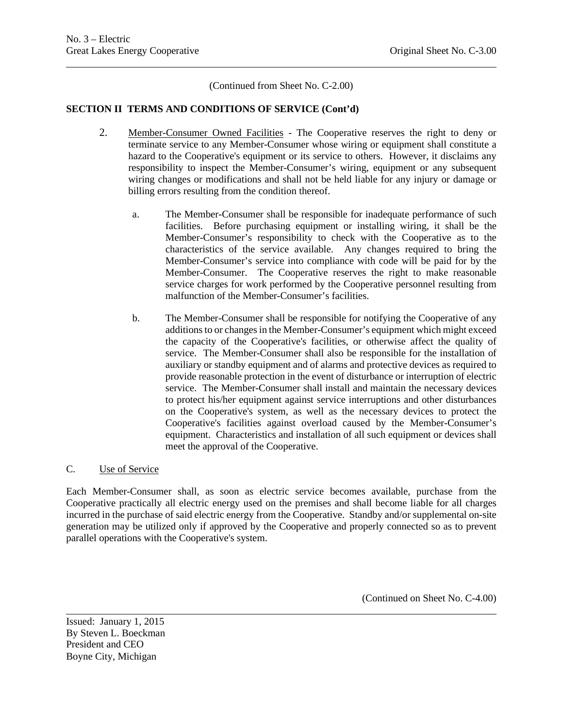(Continued from Sheet No. C-2.00)

## **SECTION II TERMS AND CONDITIONS OF SERVICE (Cont'd)**

- 2. Member-Consumer Owned Facilities The Cooperative reserves the right to deny or terminate service to any Member-Consumer whose wiring or equipment shall constitute a hazard to the Cooperative's equipment or its service to others. However, it disclaims any responsibility to inspect the Member-Consumer's wiring, equipment or any subsequent wiring changes or modifications and shall not be held liable for any injury or damage or billing errors resulting from the condition thereof.
	- a. The Member-Consumer shall be responsible for inadequate performance of such facilities. Before purchasing equipment or installing wiring, it shall be the Member-Consumer's responsibility to check with the Cooperative as to the characteristics of the service available. Any changes required to bring the Member-Consumer's service into compliance with code will be paid for by the Member-Consumer. The Cooperative reserves the right to make reasonable service charges for work performed by the Cooperative personnel resulting from malfunction of the Member-Consumer's facilities.
	- b. The Member-Consumer shall be responsible for notifying the Cooperative of any additions to or changes in the Member-Consumer's equipment which might exceed the capacity of the Cooperative's facilities, or otherwise affect the quality of service. The Member-Consumer shall also be responsible for the installation of auxiliary or standby equipment and of alarms and protective devices as required to provide reasonable protection in the event of disturbance or interruption of electric service. The Member-Consumer shall install and maintain the necessary devices to protect his/her equipment against service interruptions and other disturbances on the Cooperative's system, as well as the necessary devices to protect the Cooperative's facilities against overload caused by the Member-Consumer's equipment. Characteristics and installation of all such equipment or devices shall meet the approval of the Cooperative.

#### C. Use of Service

Each Member-Consumer shall, as soon as electric service becomes available, purchase from the Cooperative practically all electric energy used on the premises and shall become liable for all charges incurred in the purchase of said electric energy from the Cooperative. Standby and/or supplemental on-site generation may be utilized only if approved by the Cooperative and properly connected so as to prevent parallel operations with the Cooperative's system.

(Continued on Sheet No. C-4.00)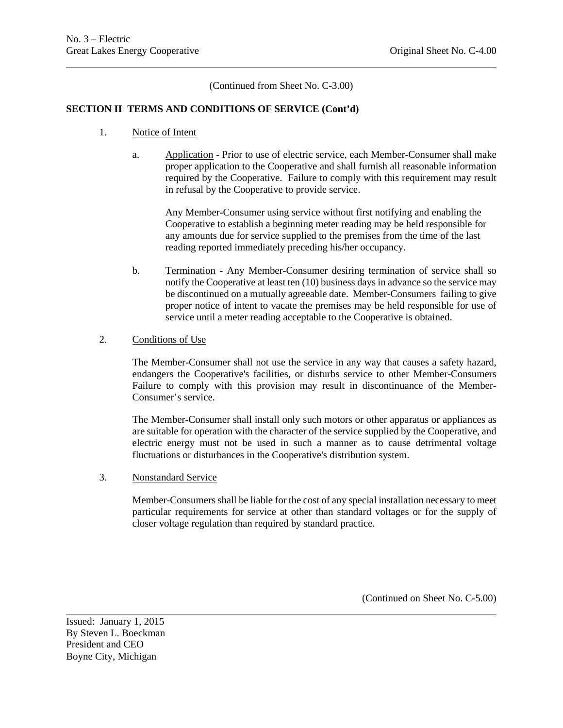(Continued from Sheet No. C-3.00)

#### **SECTION II TERMS AND CONDITIONS OF SERVICE (Cont'd)**

- 1. Notice of Intent
	- a. Application Prior to use of electric service, each Member-Consumer shall make proper application to the Cooperative and shall furnish all reasonable information required by the Cooperative. Failure to comply with this requirement may result in refusal by the Cooperative to provide service.

Any Member-Consumer using service without first notifying and enabling the Cooperative to establish a beginning meter reading may be held responsible for any amounts due for service supplied to the premises from the time of the last reading reported immediately preceding his/her occupancy.

b. Termination - Any Member-Consumer desiring termination of service shall so notify the Cooperative at least ten (10) business days in advance so the service may be discontinued on a mutually agreeable date. Member-Consumers failing to give proper notice of intent to vacate the premises may be held responsible for use of service until a meter reading acceptable to the Cooperative is obtained.

#### 2. Conditions of Use

The Member-Consumer shall not use the service in any way that causes a safety hazard, endangers the Cooperative's facilities, or disturbs service to other Member-Consumers Failure to comply with this provision may result in discontinuance of the Member-Consumer's service.

The Member-Consumer shall install only such motors or other apparatus or appliances as are suitable for operation with the character of the service supplied by the Cooperative, and electric energy must not be used in such a manner as to cause detrimental voltage fluctuations or disturbances in the Cooperative's distribution system.

3. Nonstandard Service

Member-Consumers shall be liable for the cost of any special installation necessary to meet particular requirements for service at other than standard voltages or for the supply of closer voltage regulation than required by standard practice.

(Continued on Sheet No. C-5.00)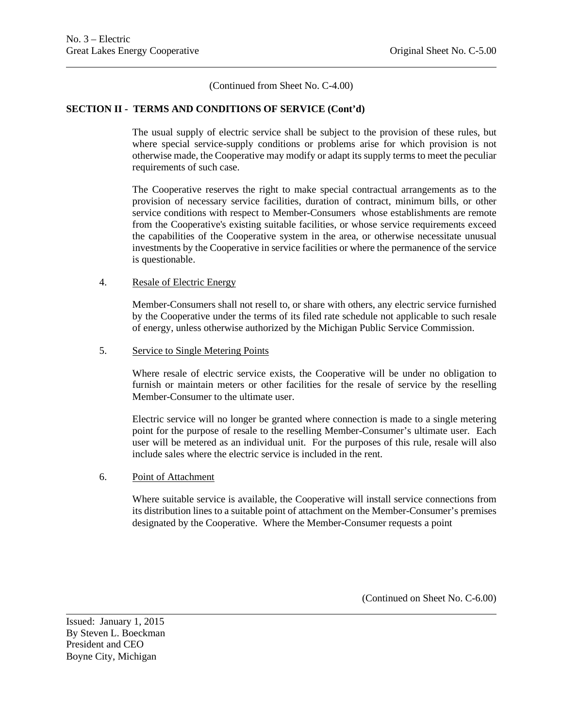(Continued from Sheet No. C-4.00)

#### **SECTION II - TERMS AND CONDITIONS OF SERVICE (Cont'd)**

The usual supply of electric service shall be subject to the provision of these rules, but where special service-supply conditions or problems arise for which provision is not otherwise made, the Cooperative may modify or adapt its supply terms to meet the peculiar requirements of such case.

The Cooperative reserves the right to make special contractual arrangements as to the provision of necessary service facilities, duration of contract, minimum bills, or other service conditions with respect to Member-Consumers whose establishments are remote from the Cooperative's existing suitable facilities, or whose service requirements exceed the capabilities of the Cooperative system in the area, or otherwise necessitate unusual investments by the Cooperative in service facilities or where the permanence of the service is questionable.

#### 4. Resale of Electric Energy

Member-Consumers shall not resell to, or share with others, any electric service furnished by the Cooperative under the terms of its filed rate schedule not applicable to such resale of energy, unless otherwise authorized by the Michigan Public Service Commission.

#### 5. Service to Single Metering Points

Where resale of electric service exists, the Cooperative will be under no obligation to furnish or maintain meters or other facilities for the resale of service by the reselling Member-Consumer to the ultimate user.

Electric service will no longer be granted where connection is made to a single metering point for the purpose of resale to the reselling Member-Consumer's ultimate user. Each user will be metered as an individual unit. For the purposes of this rule, resale will also include sales where the electric service is included in the rent.

#### 6. Point of Attachment

Where suitable service is available, the Cooperative will install service connections from its distribution lines to a suitable point of attachment on the Member-Consumer's premises designated by the Cooperative. Where the Member-Consumer requests a point

(Continued on Sheet No. C-6.00)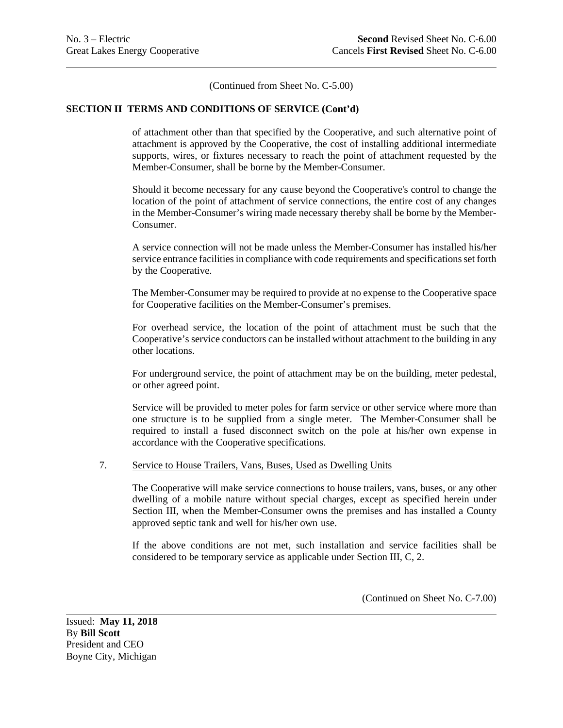(Continued from Sheet No. C-5.00)

#### **SECTION II TERMS AND CONDITIONS OF SERVICE (Cont'd)**

of attachment other than that specified by the Cooperative, and such alternative point of attachment is approved by the Cooperative, the cost of installing additional intermediate supports, wires, or fixtures necessary to reach the point of attachment requested by the Member-Consumer, shall be borne by the Member-Consumer.

Should it become necessary for any cause beyond the Cooperative's control to change the location of the point of attachment of service connections, the entire cost of any changes in the Member-Consumer's wiring made necessary thereby shall be borne by the Member-Consumer.

A service connection will not be made unless the Member-Consumer has installed his/her service entrance facilities in compliance with code requirements and specifications set forth by the Cooperative.

The Member-Consumer may be required to provide at no expense to the Cooperative space for Cooperative facilities on the Member-Consumer's premises.

For overhead service, the location of the point of attachment must be such that the Cooperative's service conductors can be installed without attachment to the building in any other locations.

For underground service, the point of attachment may be on the building, meter pedestal, or other agreed point.

Service will be provided to meter poles for farm service or other service where more than one structure is to be supplied from a single meter. The Member-Consumer shall be required to install a fused disconnect switch on the pole at his/her own expense in accordance with the Cooperative specifications.

#### 7. Service to House Trailers, Vans, Buses, Used as Dwelling Units

The Cooperative will make service connections to house trailers, vans, buses, or any other dwelling of a mobile nature without special charges, except as specified herein under Section III, when the Member-Consumer owns the premises and has installed a County approved septic tank and well for his/her own use.

If the above conditions are not met, such installation and service facilities shall be considered to be temporary service as applicable under Section III, C, 2.

(Continued on Sheet No. C-7.00)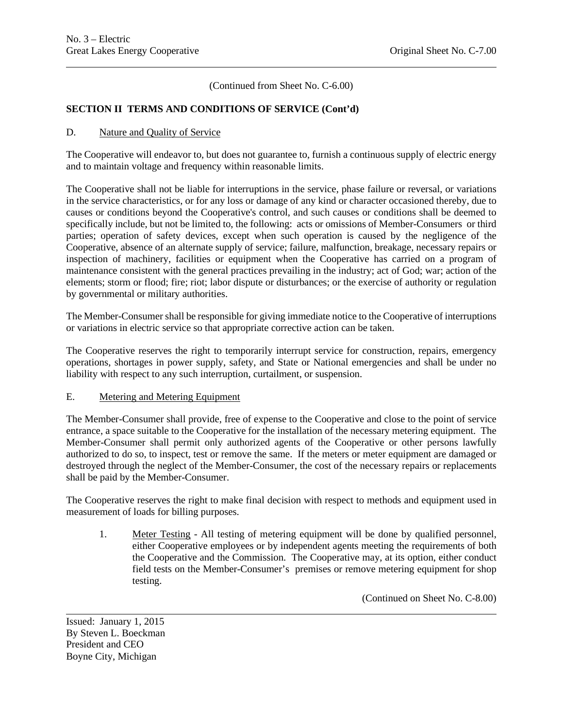(Continued from Sheet No. C-6.00)

## **SECTION II TERMS AND CONDITIONS OF SERVICE (Cont'd)**

#### D. Nature and Quality of Service

The Cooperative will endeavor to, but does not guarantee to, furnish a continuous supply of electric energy and to maintain voltage and frequency within reasonable limits.

The Cooperative shall not be liable for interruptions in the service, phase failure or reversal, or variations in the service characteristics, or for any loss or damage of any kind or character occasioned thereby, due to causes or conditions beyond the Cooperative's control, and such causes or conditions shall be deemed to specifically include, but not be limited to, the following: acts or omissions of Member-Consumers or third parties; operation of safety devices, except when such operation is caused by the negligence of the Cooperative, absence of an alternate supply of service; failure, malfunction, breakage, necessary repairs or inspection of machinery, facilities or equipment when the Cooperative has carried on a program of maintenance consistent with the general practices prevailing in the industry; act of God; war; action of the elements; storm or flood; fire; riot; labor dispute or disturbances; or the exercise of authority or regulation by governmental or military authorities.

The Member-Consumer shall be responsible for giving immediate notice to the Cooperative of interruptions or variations in electric service so that appropriate corrective action can be taken.

The Cooperative reserves the right to temporarily interrupt service for construction, repairs, emergency operations, shortages in power supply, safety, and State or National emergencies and shall be under no liability with respect to any such interruption, curtailment, or suspension.

#### E. Metering and Metering Equipment

The Member-Consumer shall provide, free of expense to the Cooperative and close to the point of service entrance, a space suitable to the Cooperative for the installation of the necessary metering equipment. The Member-Consumer shall permit only authorized agents of the Cooperative or other persons lawfully authorized to do so, to inspect, test or remove the same. If the meters or meter equipment are damaged or destroyed through the neglect of the Member-Consumer, the cost of the necessary repairs or replacements shall be paid by the Member-Consumer.

The Cooperative reserves the right to make final decision with respect to methods and equipment used in measurement of loads for billing purposes.

1. Meter Testing - All testing of metering equipment will be done by qualified personnel, either Cooperative employees or by independent agents meeting the requirements of both the Cooperative and the Commission. The Cooperative may, at its option, either conduct field tests on the Member-Consumer's premises or remove metering equipment for shop testing.

(Continued on Sheet No. C-8.00)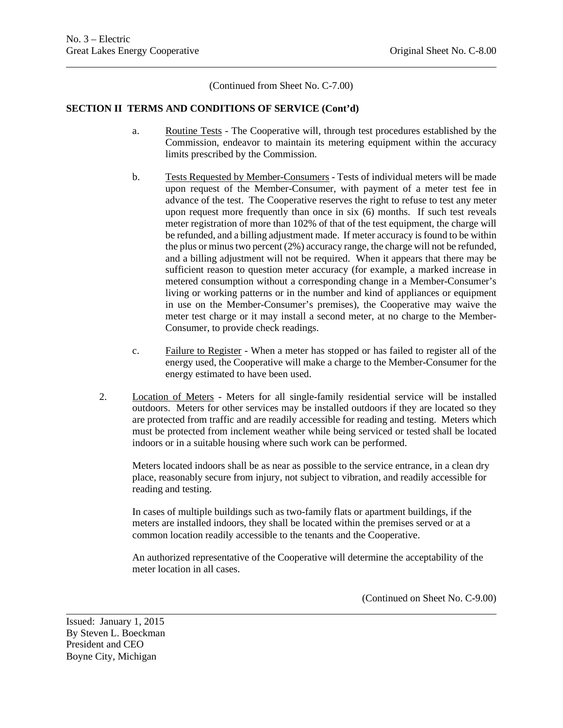(Continued from Sheet No. C-7.00)

#### **SECTION II TERMS AND CONDITIONS OF SERVICE (Cont'd)**

- a. Routine Tests The Cooperative will, through test procedures established by the Commission, endeavor to maintain its metering equipment within the accuracy limits prescribed by the Commission.
- b. Tests Requested by Member-Consumers Tests of individual meters will be made upon request of the Member-Consumer, with payment of a meter test fee in advance of the test. The Cooperative reserves the right to refuse to test any meter upon request more frequently than once in six (6) months. If such test reveals meter registration of more than 102% of that of the test equipment, the charge will be refunded, and a billing adjustment made. If meter accuracy is found to be within the plus or minus two percent (2%) accuracy range, the charge will not be refunded, and a billing adjustment will not be required. When it appears that there may be sufficient reason to question meter accuracy (for example, a marked increase in metered consumption without a corresponding change in a Member-Consumer's living or working patterns or in the number and kind of appliances or equipment in use on the Member-Consumer's premises), the Cooperative may waive the meter test charge or it may install a second meter, at no charge to the Member-Consumer, to provide check readings.
- c. Failure to Register When a meter has stopped or has failed to register all of the energy used, the Cooperative will make a charge to the Member-Consumer for the energy estimated to have been used.
- 2. Location of Meters Meters for all single-family residential service will be installed outdoors. Meters for other services may be installed outdoors if they are located so they are protected from traffic and are readily accessible for reading and testing. Meters which must be protected from inclement weather while being serviced or tested shall be located indoors or in a suitable housing where such work can be performed.

Meters located indoors shall be as near as possible to the service entrance, in a clean dry place, reasonably secure from injury, not subject to vibration, and readily accessible for reading and testing.

In cases of multiple buildings such as two-family flats or apartment buildings, if the meters are installed indoors, they shall be located within the premises served or at a common location readily accessible to the tenants and the Cooperative.

An authorized representative of the Cooperative will determine the acceptability of the meter location in all cases.

(Continued on Sheet No. C-9.00)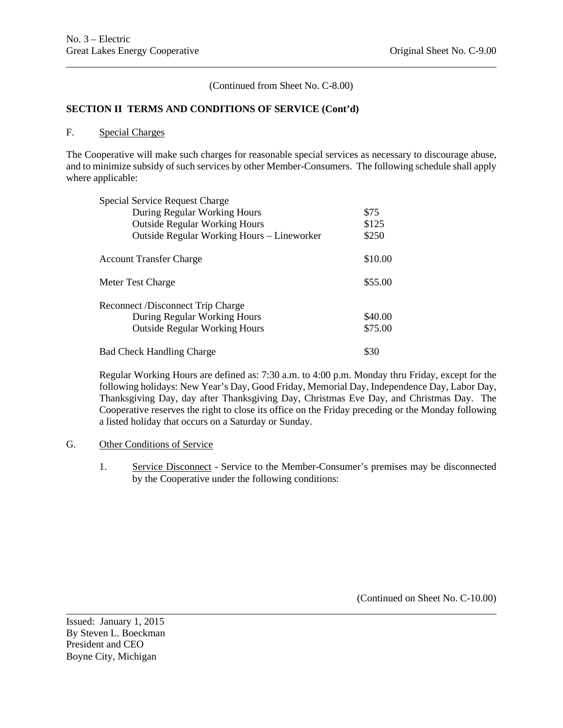(Continued from Sheet No. C-8.00)

#### **SECTION II TERMS AND CONDITIONS OF SERVICE (Cont'd)**

#### F. Special Charges

The Cooperative will make such charges for reasonable special services as necessary to discourage abuse, and to minimize subsidy of such services by other Member-Consumers. The following schedule shall apply where applicable:

| Special Service Request Charge             |         |
|--------------------------------------------|---------|
| During Regular Working Hours               | \$75    |
| <b>Outside Regular Working Hours</b>       | \$125   |
| Outside Regular Working Hours – Lineworker | \$250   |
| <b>Account Transfer Charge</b>             | \$10.00 |
| Meter Test Charge                          | \$55.00 |
| <b>Reconnect /Disconnect Trip Charge</b>   |         |
| During Regular Working Hours               | \$40.00 |
| <b>Outside Regular Working Hours</b>       | \$75.00 |
| <b>Bad Check Handling Charge</b>           | \$30    |

Regular Working Hours are defined as: 7:30 a.m. to 4:00 p.m. Monday thru Friday, except for the following holidays: New Year's Day, Good Friday, Memorial Day, Independence Day, Labor Day, Thanksgiving Day, day after Thanksgiving Day, Christmas Eve Day, and Christmas Day. The Cooperative reserves the right to close its office on the Friday preceding or the Monday following a listed holiday that occurs on a Saturday or Sunday.

#### G. Other Conditions of Service

1. Service Disconnect - Service to the Member-Consumer's premises may be disconnected by the Cooperative under the following conditions:

(Continued on Sheet No. C-10.00)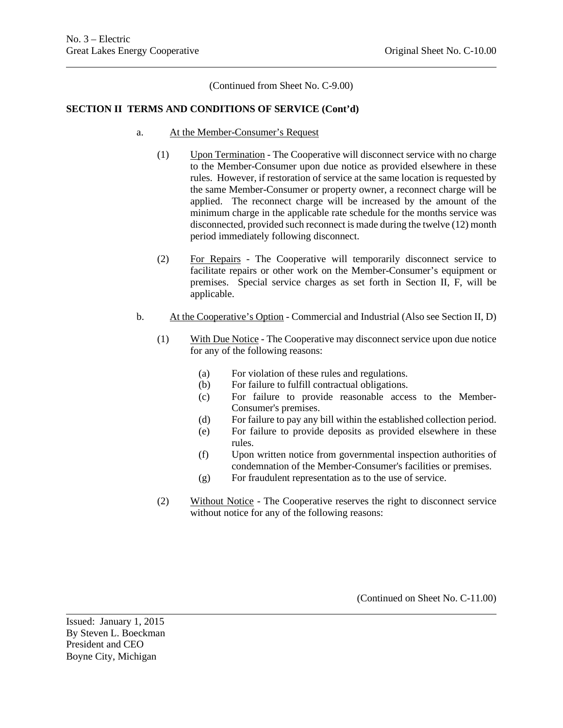(Continued from Sheet No. C-9.00)

#### **SECTION II TERMS AND CONDITIONS OF SERVICE (Cont'd)**

- a. At the Member-Consumer's Request
	- (1) Upon Termination The Cooperative will disconnect service with no charge to the Member-Consumer upon due notice as provided elsewhere in these rules. However, if restoration of service at the same location is requested by the same Member-Consumer or property owner, a reconnect charge will be applied. The reconnect charge will be increased by the amount of the minimum charge in the applicable rate schedule for the months service was disconnected, provided such reconnect is made during the twelve (12) month period immediately following disconnect.
	- (2) For Repairs The Cooperative will temporarily disconnect service to facilitate repairs or other work on the Member-Consumer's equipment or premises. Special service charges as set forth in Section II, F, will be applicable.
- b. At the Cooperative's Option Commercial and Industrial (Also see Section II, D)
	- (1) With Due Notice The Cooperative may disconnect service upon due notice for any of the following reasons:
		- (a) For violation of these rules and regulations.
		- (b) For failure to fulfill contractual obligations.
		- (c) For failure to provide reasonable access to the Member-Consumer's premises.
		- (d) For failure to pay any bill within the established collection period.
		- (e) For failure to provide deposits as provided elsewhere in these rules.
		- (f) Upon written notice from governmental inspection authorities of condemnation of the Member-Consumer's facilities or premises.
		- (g) For fraudulent representation as to the use of service.
	- (2) Without Notice The Cooperative reserves the right to disconnect service without notice for any of the following reasons:

(Continued on Sheet No. C-11.00)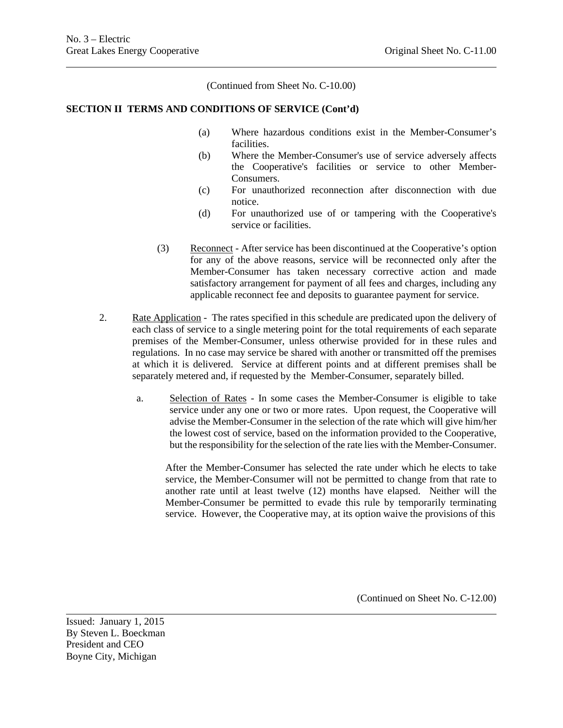(Continued from Sheet No. C-10.00)

#### **SECTION II TERMS AND CONDITIONS OF SERVICE (Cont'd)**

- (a) Where hazardous conditions exist in the Member-Consumer's facilities.
- (b) Where the Member-Consumer's use of service adversely affects the Cooperative's facilities or service to other Member-Consumers.
- (c) For unauthorized reconnection after disconnection with due notice.
- (d) For unauthorized use of or tampering with the Cooperative's service or facilities.
- (3) Reconnect After service has been discontinued at the Cooperative's option for any of the above reasons, service will be reconnected only after the Member-Consumer has taken necessary corrective action and made satisfactory arrangement for payment of all fees and charges, including any applicable reconnect fee and deposits to guarantee payment for service.
- 2. Rate Application The rates specified in this schedule are predicated upon the delivery of each class of service to a single metering point for the total requirements of each separate premises of the Member-Consumer, unless otherwise provided for in these rules and regulations. In no case may service be shared with another or transmitted off the premises at which it is delivered. Service at different points and at different premises shall be separately metered and, if requested by the Member-Consumer, separately billed.
	- a. Selection of Rates In some cases the Member-Consumer is eligible to take service under any one or two or more rates. Upon request, the Cooperative will advise the Member-Consumer in the selection of the rate which will give him/her the lowest cost of service, based on the information provided to the Cooperative, but the responsibility for the selection of the rate lies with the Member-Consumer.

After the Member-Consumer has selected the rate under which he elects to take service, the Member-Consumer will not be permitted to change from that rate to another rate until at least twelve (12) months have elapsed. Neither will the Member-Consumer be permitted to evade this rule by temporarily terminating service. However, the Cooperative may, at its option waive the provisions of this

(Continued on Sheet No. C-12.00)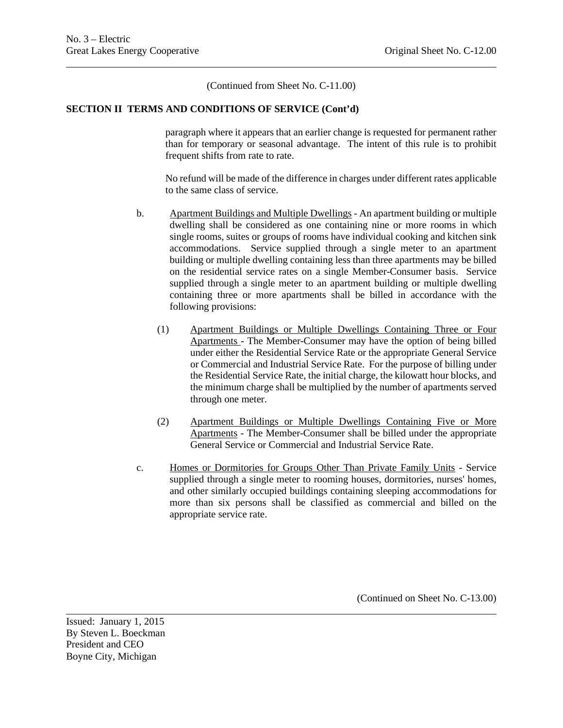(Continued from Sheet No. C-11.00)

#### **SECTION II TERMS AND CONDITIONS OF SERVICE (Cont'd)**

paragraph where it appears that an earlier change is requested for permanent rather than for temporary or seasonal advantage. The intent of this rule is to prohibit frequent shifts from rate to rate.

No refund will be made of the difference in charges under different rates applicable to the same class of service.

- b. Apartment Buildings and Multiple Dwellings An apartment building or multiple dwelling shall be considered as one containing nine or more rooms in which single rooms, suites or groups of rooms have individual cooking and kitchen sink accommodations. Service supplied through a single meter to an apartment building or multiple dwelling containing less than three apartments may be billed on the residential service rates on a single Member-Consumer basis. Service supplied through a single meter to an apartment building or multiple dwelling containing three or more apartments shall be billed in accordance with the following provisions:
	- (1) Apartment Buildings or Multiple Dwellings Containing Three or Four Apartments - The Member-Consumer may have the option of being billed under either the Residential Service Rate or the appropriate General Service or Commercial and Industrial Service Rate. For the purpose of billing under the Residential Service Rate, the initial charge, the kilowatt hour blocks, and the minimum charge shall be multiplied by the number of apartments served through one meter.
	- (2) Apartment Buildings or Multiple Dwellings Containing Five or More Apartments - The Member-Consumer shall be billed under the appropriate General Service or Commercial and Industrial Service Rate.
- c. Homes or Dormitories for Groups Other Than Private Family Units Service supplied through a single meter to rooming houses, dormitories, nurses' homes, and other similarly occupied buildings containing sleeping accommodations for more than six persons shall be classified as commercial and billed on the appropriate service rate.

(Continued on Sheet No. C-13.00)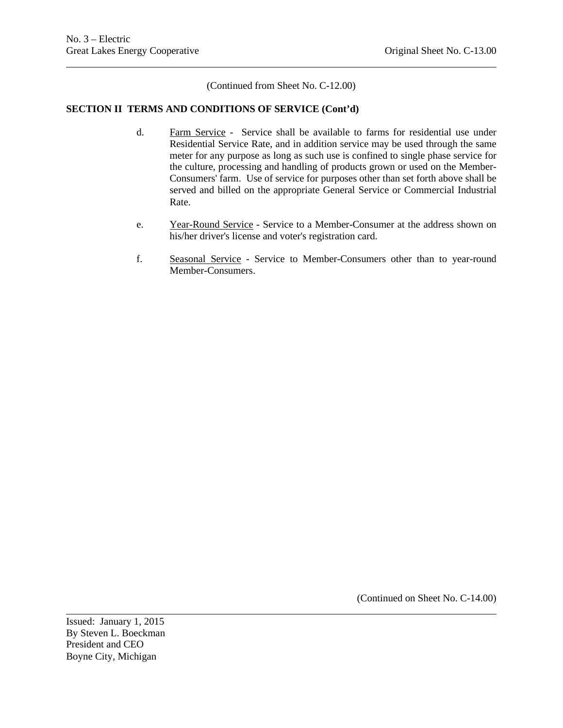(Continued from Sheet No. C-12.00)

## **SECTION II TERMS AND CONDITIONS OF SERVICE (Cont'd)**

- d. Farm Service Service shall be available to farms for residential use under Residential Service Rate, and in addition service may be used through the same meter for any purpose as long as such use is confined to single phase service for the culture, processing and handling of products grown or used on the Member-Consumers' farm. Use of service for purposes other than set forth above shall be served and billed on the appropriate General Service or Commercial Industrial Rate.
- e. Year-Round Service Service to a Member-Consumer at the address shown on his/her driver's license and voter's registration card.
- f. Seasonal Service Service to Member-Consumers other than to year-round Member-Consumers.

(Continued on Sheet No. C-14.00)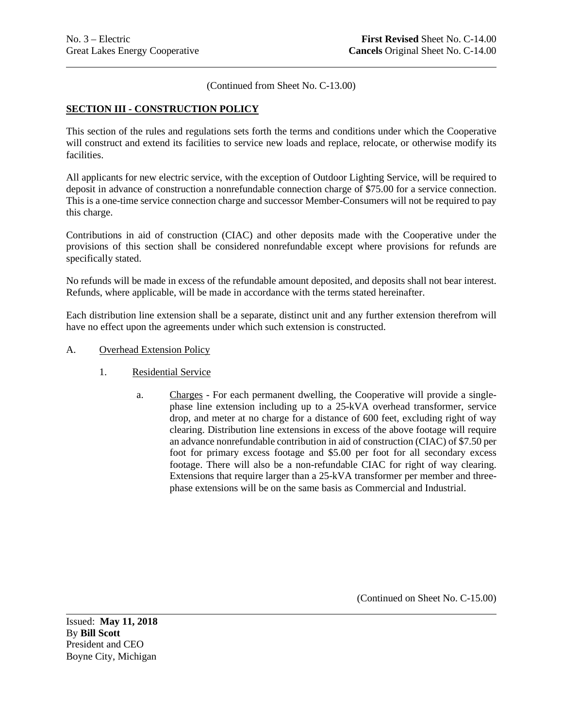(Continued from Sheet No. C-13.00)

#### **SECTION III - CONSTRUCTION POLICY**

This section of the rules and regulations sets forth the terms and conditions under which the Cooperative will construct and extend its facilities to service new loads and replace, relocate, or otherwise modify its facilities.

All applicants for new electric service, with the exception of Outdoor Lighting Service, will be required to deposit in advance of construction a nonrefundable connection charge of \$75.00 for a service connection. This is a one-time service connection charge and successor Member-Consumers will not be required to pay this charge.

Contributions in aid of construction (CIAC) and other deposits made with the Cooperative under the provisions of this section shall be considered nonrefundable except where provisions for refunds are specifically stated.

No refunds will be made in excess of the refundable amount deposited, and deposits shall not bear interest. Refunds, where applicable, will be made in accordance with the terms stated hereinafter.

Each distribution line extension shall be a separate, distinct unit and any further extension therefrom will have no effect upon the agreements under which such extension is constructed.

- A. Overhead Extension Policy
	- 1. Residential Service
		- a. Charges For each permanent dwelling, the Cooperative will provide a singlephase line extension including up to a 25-kVA overhead transformer, service drop, and meter at no charge for a distance of 600 feet, excluding right of way clearing. Distribution line extensions in excess of the above footage will require an advance nonrefundable contribution in aid of construction (CIAC) of \$7.50 per foot for primary excess footage and \$5.00 per foot for all secondary excess footage. There will also be a non-refundable CIAC for right of way clearing. Extensions that require larger than a 25-kVA transformer per member and threephase extensions will be on the same basis as Commercial and Industrial.

(Continued on Sheet No. C-15.00)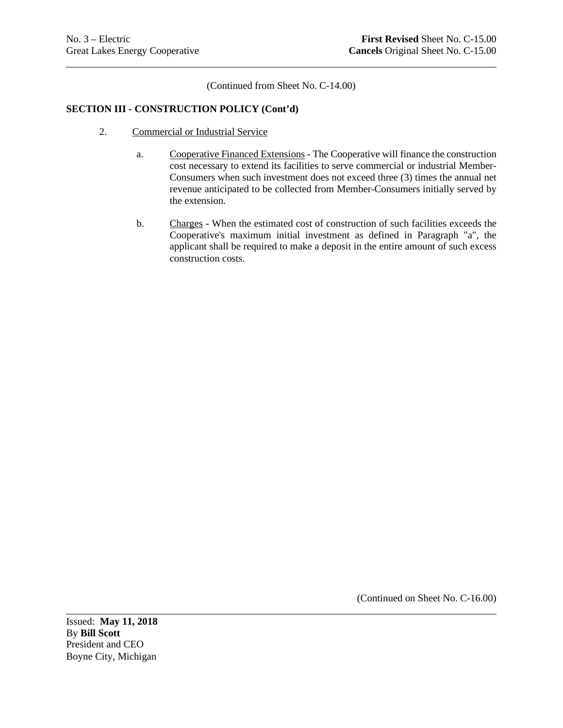(Continued from Sheet No. C-14.00)

## **SECTION III - CONSTRUCTION POLICY (Cont'd)**

- 2. Commercial or Industrial Service
	- a. Cooperative Financed Extensions The Cooperative will finance the construction cost necessary to extend its facilities to serve commercial or industrial Member-Consumers when such investment does not exceed three (3) times the annual net revenue anticipated to be collected from Member-Consumers initially served by the extension.
	- b. Charges When the estimated cost of construction of such facilities exceeds the Cooperative's maximum initial investment as defined in Paragraph "a", the applicant shall be required to make a deposit in the entire amount of such excess construction costs.

(Continued on Sheet No. C-16.00)

Issued: **May 11, 2018** By **Bill Scott** President and CEO Boyne City, Michigan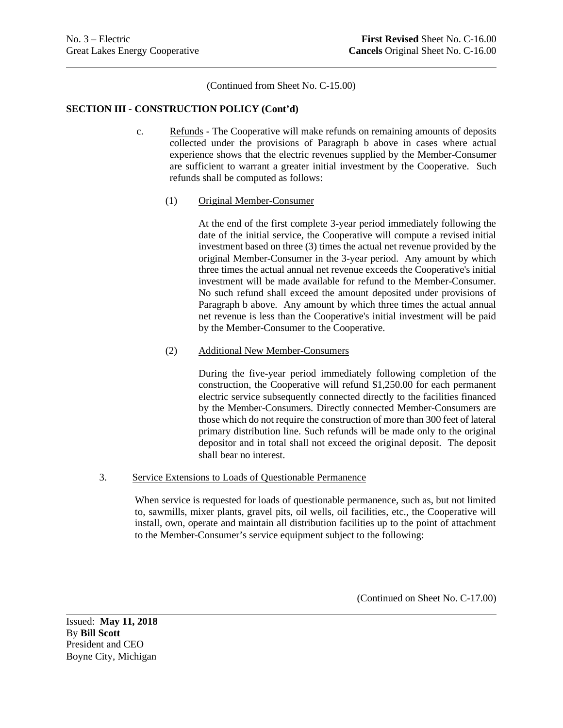(Continued from Sheet No. C-15.00)

#### **SECTION III - CONSTRUCTION POLICY (Cont'd)**

- c. Refunds The Cooperative will make refunds on remaining amounts of deposits collected under the provisions of Paragraph b above in cases where actual experience shows that the electric revenues supplied by the Member-Consumer are sufficient to warrant a greater initial investment by the Cooperative. Such refunds shall be computed as follows:
	- (1) Original Member-Consumer

At the end of the first complete 3-year period immediately following the date of the initial service, the Cooperative will compute a revised initial investment based on three (3) times the actual net revenue provided by the original Member-Consumer in the 3-year period. Any amount by which three times the actual annual net revenue exceeds the Cooperative's initial investment will be made available for refund to the Member-Consumer. No such refund shall exceed the amount deposited under provisions of Paragraph b above. Any amount by which three times the actual annual net revenue is less than the Cooperative's initial investment will be paid by the Member-Consumer to the Cooperative.

## (2) Additional New Member-Consumers

During the five-year period immediately following completion of the construction, the Cooperative will refund \$1,250.00 for each permanent electric service subsequently connected directly to the facilities financed by the Member-Consumers. Directly connected Member-Consumers are those which do not require the construction of more than 300 feet of lateral primary distribution line. Such refunds will be made only to the original depositor and in total shall not exceed the original deposit. The deposit shall bear no interest.

#### 3. Service Extensions to Loads of Questionable Permanence

When service is requested for loads of questionable permanence, such as, but not limited to, sawmills, mixer plants, gravel pits, oil wells, oil facilities, etc., the Cooperative will install, own, operate and maintain all distribution facilities up to the point of attachment to the Member-Consumer's service equipment subject to the following:

(Continued on Sheet No. C-17.00)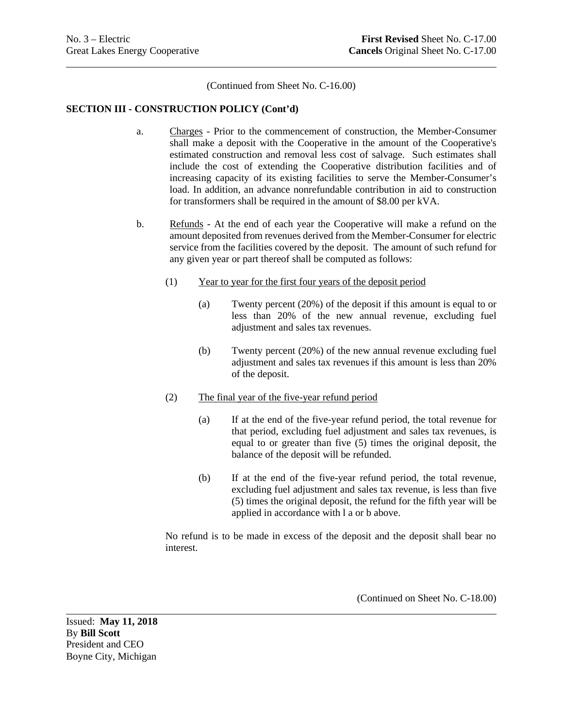(Continued from Sheet No. C-16.00)

#### **SECTION III - CONSTRUCTION POLICY (Cont'd)**

- a. Charges Prior to the commencement of construction, the Member-Consumer shall make a deposit with the Cooperative in the amount of the Cooperative's estimated construction and removal less cost of salvage. Such estimates shall include the cost of extending the Cooperative distribution facilities and of increasing capacity of its existing facilities to serve the Member-Consumer's load. In addition, an advance nonrefundable contribution in aid to construction for transformers shall be required in the amount of \$8.00 per kVA.
- b. Refunds At the end of each year the Cooperative will make a refund on the amount deposited from revenues derived from the Member-Consumer for electric service from the facilities covered by the deposit. The amount of such refund for any given year or part thereof shall be computed as follows:
	- (1) Year to year for the first four years of the deposit period
		- (a) Twenty percent (20%) of the deposit if this amount is equal to or less than 20% of the new annual revenue, excluding fuel adjustment and sales tax revenues.
		- (b) Twenty percent (20%) of the new annual revenue excluding fuel adjustment and sales tax revenues if this amount is less than 20% of the deposit.

#### (2) The final year of the five-year refund period

- (a) If at the end of the five-year refund period, the total revenue for that period, excluding fuel adjustment and sales tax revenues, is equal to or greater than five (5) times the original deposit, the balance of the deposit will be refunded.
- (b) If at the end of the five-year refund period, the total revenue, excluding fuel adjustment and sales tax revenue, is less than five (5) times the original deposit, the refund for the fifth year will be applied in accordance with l a or b above.

No refund is to be made in excess of the deposit and the deposit shall bear no interest.

(Continued on Sheet No. C-18.00)

Issued: **May 11, 2018** By **Bill Scott** President and CEO Boyne City, Michigan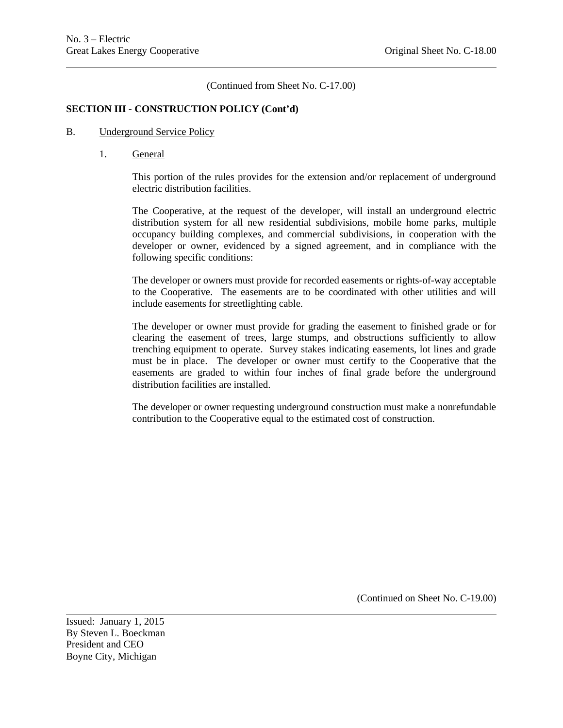(Continued from Sheet No. C-17.00)

## **SECTION III - CONSTRUCTION POLICY (Cont'd)**

#### B. Underground Service Policy

1. General

This portion of the rules provides for the extension and/or replacement of underground electric distribution facilities.

The Cooperative, at the request of the developer, will install an underground electric distribution system for all new residential subdivisions, mobile home parks, multiple occupancy building complexes, and commercial subdivisions, in cooperation with the developer or owner, evidenced by a signed agreement, and in compliance with the following specific conditions:

The developer or owners must provide for recorded easements or rights-of-way acceptable to the Cooperative. The easements are to be coordinated with other utilities and will include easements for streetlighting cable.

The developer or owner must provide for grading the easement to finished grade or for clearing the easement of trees, large stumps, and obstructions sufficiently to allow trenching equipment to operate. Survey stakes indicating easements, lot lines and grade must be in place. The developer or owner must certify to the Cooperative that the easements are graded to within four inches of final grade before the underground distribution facilities are installed.

The developer or owner requesting underground construction must make a nonrefundable contribution to the Cooperative equal to the estimated cost of construction.

(Continued on Sheet No. C-19.00)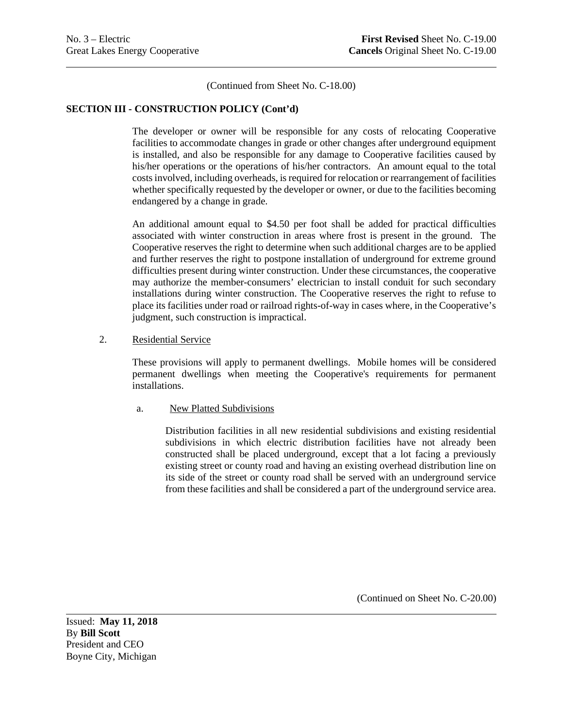(Continued from Sheet No. C-18.00)

#### **SECTION III - CONSTRUCTION POLICY (Cont'd)**

The developer or owner will be responsible for any costs of relocating Cooperative facilities to accommodate changes in grade or other changes after underground equipment is installed, and also be responsible for any damage to Cooperative facilities caused by his/her operations or the operations of his/her contractors. An amount equal to the total costs involved, including overheads, is required for relocation or rearrangement of facilities whether specifically requested by the developer or owner, or due to the facilities becoming endangered by a change in grade.

An additional amount equal to \$4.50 per foot shall be added for practical difficulties associated with winter construction in areas where frost is present in the ground. The Cooperative reserves the right to determine when such additional charges are to be applied and further reserves the right to postpone installation of underground for extreme ground difficulties present during winter construction. Under these circumstances, the cooperative may authorize the member-consumers' electrician to install conduit for such secondary installations during winter construction. The Cooperative reserves the right to refuse to place its facilities under road or railroad rights-of-way in cases where, in the Cooperative's judgment, such construction is impractical.

#### 2. Residential Service

These provisions will apply to permanent dwellings. Mobile homes will be considered permanent dwellings when meeting the Cooperative's requirements for permanent installations.

#### a. New Platted Subdivisions

Distribution facilities in all new residential subdivisions and existing residential subdivisions in which electric distribution facilities have not already been constructed shall be placed underground, except that a lot facing a previously existing street or county road and having an existing overhead distribution line on its side of the street or county road shall be served with an underground service from these facilities and shall be considered a part of the underground service area.

(Continued on Sheet No. C-20.00)

Issued: **May 11, 2018** By **Bill Scott** President and CEO Boyne City, Michigan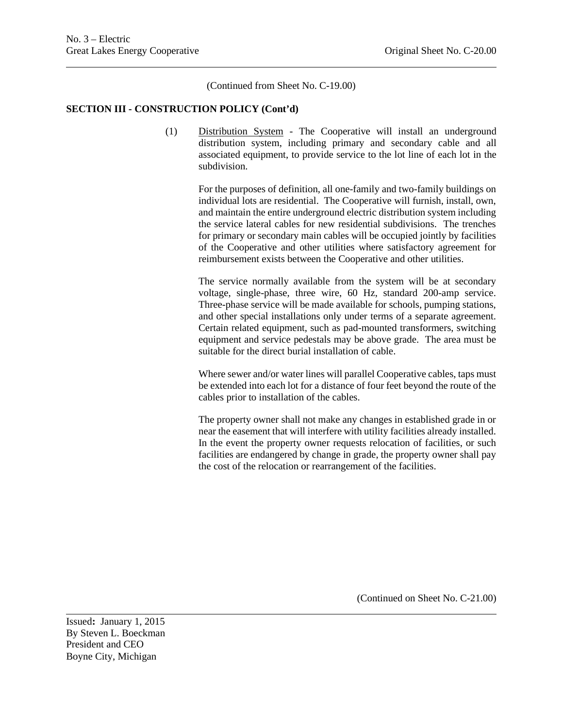(Continued from Sheet No. C-19.00)

#### **SECTION III - CONSTRUCTION POLICY (Cont'd)**

(1) Distribution System - The Cooperative will install an underground distribution system, including primary and secondary cable and all associated equipment, to provide service to the lot line of each lot in the subdivision.

> For the purposes of definition, all one-family and two-family buildings on individual lots are residential. The Cooperative will furnish, install, own, and maintain the entire underground electric distribution system including the service lateral cables for new residential subdivisions. The trenches for primary or secondary main cables will be occupied jointly by facilities of the Cooperative and other utilities where satisfactory agreement for reimbursement exists between the Cooperative and other utilities.

> The service normally available from the system will be at secondary voltage, single-phase, three wire, 60 Hz, standard 200-amp service. Three-phase service will be made available for schools, pumping stations, and other special installations only under terms of a separate agreement. Certain related equipment, such as pad-mounted transformers, switching equipment and service pedestals may be above grade. The area must be suitable for the direct burial installation of cable.

> Where sewer and/or water lines will parallel Cooperative cables, taps must be extended into each lot for a distance of four feet beyond the route of the cables prior to installation of the cables.

> The property owner shall not make any changes in established grade in or near the easement that will interfere with utility facilities already installed. In the event the property owner requests relocation of facilities, or such facilities are endangered by change in grade, the property owner shall pay the cost of the relocation or rearrangement of the facilities.

> > (Continued on Sheet No. C-21.00)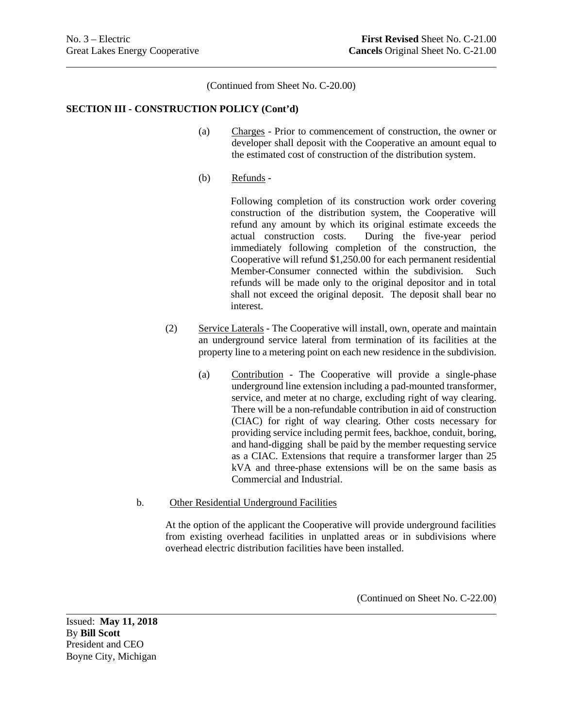(Continued from Sheet No. C-20.00)

#### **SECTION III - CONSTRUCTION POLICY (Cont'd)**

- (a) Charges Prior to commencement of construction, the owner or developer shall deposit with the Cooperative an amount equal to the estimated cost of construction of the distribution system.
- (b) Refunds -

Following completion of its construction work order covering construction of the distribution system, the Cooperative will refund any amount by which its original estimate exceeds the actual construction costs. During the five-year period immediately following completion of the construction, the Cooperative will refund \$1,250.00 for each permanent residential Member-Consumer connected within the subdivision. Such refunds will be made only to the original depositor and in total shall not exceed the original deposit. The deposit shall bear no interest.

- (2) Service Laterals The Cooperative will install, own, operate and maintain an underground service lateral from termination of its facilities at the property line to a metering point on each new residence in the subdivision.
	- (a) Contribution The Cooperative will provide a single-phase underground line extension including a pad-mounted transformer, service, and meter at no charge, excluding right of way clearing. There will be a non-refundable contribution in aid of construction (CIAC) for right of way clearing. Other costs necessary for providing service including permit fees, backhoe, conduit, boring, and hand-digging shall be paid by the member requesting service as a CIAC. Extensions that require a transformer larger than 25 kVA and three-phase extensions will be on the same basis as Commercial and Industrial.
- b. Other Residential Underground Facilities

At the option of the applicant the Cooperative will provide underground facilities from existing overhead facilities in unplatted areas or in subdivisions where overhead electric distribution facilities have been installed.

(Continued on Sheet No. C-22.00)

Issued: **May 11, 2018** By **Bill Scott** President and CEO Boyne City, Michigan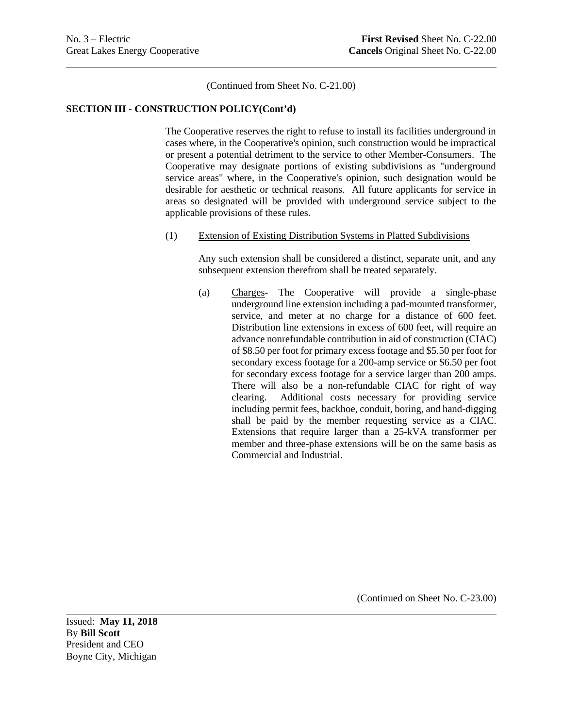(Continued from Sheet No. C-21.00)

#### **SECTION III - CONSTRUCTION POLICY(Cont'd)**

The Cooperative reserves the right to refuse to install its facilities underground in cases where, in the Cooperative's opinion, such construction would be impractical or present a potential detriment to the service to other Member-Consumers. The Cooperative may designate portions of existing subdivisions as "underground service areas" where, in the Cooperative's opinion, such designation would be desirable for aesthetic or technical reasons. All future applicants for service in areas so designated will be provided with underground service subject to the applicable provisions of these rules.

#### (1) Extension of Existing Distribution Systems in Platted Subdivisions

Any such extension shall be considered a distinct, separate unit, and any subsequent extension therefrom shall be treated separately.

(a) Charges- The Cooperative will provide a single-phase underground line extension including a pad-mounted transformer, service, and meter at no charge for a distance of 600 feet. Distribution line extensions in excess of 600 feet, will require an advance nonrefundable contribution in aid of construction (CIAC) of \$8.50 per foot for primary excess footage and \$5.50 per foot for secondary excess footage for a 200-amp service or \$6.50 per foot for secondary excess footage for a service larger than 200 amps. There will also be a non-refundable CIAC for right of way clearing. Additional costs necessary for providing service including permit fees, backhoe, conduit, boring, and hand-digging shall be paid by the member requesting service as a CIAC. Extensions that require larger than a 25-kVA transformer per member and three-phase extensions will be on the same basis as Commercial and Industrial.

(Continued on Sheet No. C-23.00)

Issued: **May 11, 2018** By **Bill Scott** President and CEO Boyne City, Michigan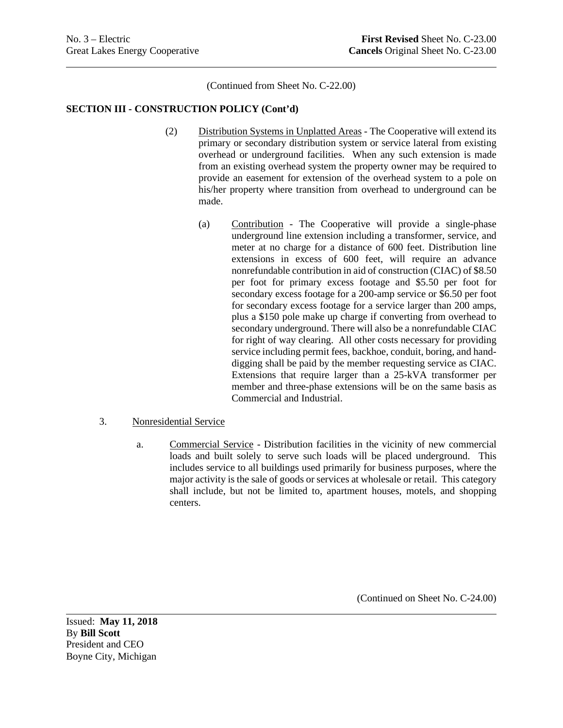(Continued from Sheet No. C-22.00)

#### **SECTION III - CONSTRUCTION POLICY (Cont'd)**

- (2) Distribution Systems in Unplatted Areas The Cooperative will extend its primary or secondary distribution system or service lateral from existing overhead or underground facilities. When any such extension is made from an existing overhead system the property owner may be required to provide an easement for extension of the overhead system to a pole on his/her property where transition from overhead to underground can be made.
	- (a) Contribution The Cooperative will provide a single-phase underground line extension including a transformer, service, and meter at no charge for a distance of 600 feet. Distribution line extensions in excess of 600 feet, will require an advance nonrefundable contribution in aid of construction (CIAC) of \$8.50 per foot for primary excess footage and \$5.50 per foot for secondary excess footage for a 200-amp service or \$6.50 per foot for secondary excess footage for a service larger than 200 amps, plus a \$150 pole make up charge if converting from overhead to secondary underground. There will also be a nonrefundable CIAC for right of way clearing. All other costs necessary for providing service including permit fees, backhoe, conduit, boring, and handdigging shall be paid by the member requesting service as CIAC. Extensions that require larger than a 25-kVA transformer per member and three-phase extensions will be on the same basis as Commercial and Industrial.

#### 3. Nonresidential Service

a. Commercial Service - Distribution facilities in the vicinity of new commercial loads and built solely to serve such loads will be placed underground. This includes service to all buildings used primarily for business purposes, where the major activity is the sale of goods or services at wholesale or retail. This category shall include, but not be limited to, apartment houses, motels, and shopping centers.

(Continued on Sheet No. C-24.00)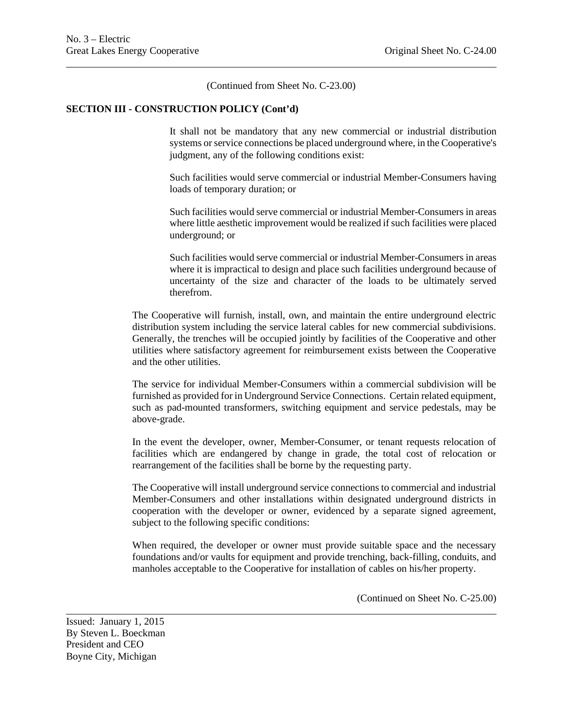(Continued from Sheet No. C-23.00)

#### **SECTION III - CONSTRUCTION POLICY (Cont'd)**

It shall not be mandatory that any new commercial or industrial distribution systems or service connections be placed underground where, in the Cooperative's judgment, any of the following conditions exist:

Such facilities would serve commercial or industrial Member-Consumers having loads of temporary duration; or

Such facilities would serve commercial or industrial Member-Consumers in areas where little aesthetic improvement would be realized if such facilities were placed underground; or

Such facilities would serve commercial or industrial Member-Consumers in areas where it is impractical to design and place such facilities underground because of uncertainty of the size and character of the loads to be ultimately served therefrom.

The Cooperative will furnish, install, own, and maintain the entire underground electric distribution system including the service lateral cables for new commercial subdivisions. Generally, the trenches will be occupied jointly by facilities of the Cooperative and other utilities where satisfactory agreement for reimbursement exists between the Cooperative and the other utilities.

The service for individual Member-Consumers within a commercial subdivision will be furnished as provided for in Underground Service Connections. Certain related equipment, such as pad-mounted transformers, switching equipment and service pedestals, may be above-grade.

In the event the developer, owner, Member-Consumer, or tenant requests relocation of facilities which are endangered by change in grade, the total cost of relocation or rearrangement of the facilities shall be borne by the requesting party.

The Cooperative will install underground service connections to commercial and industrial Member-Consumers and other installations within designated underground districts in cooperation with the developer or owner, evidenced by a separate signed agreement, subject to the following specific conditions:

When required, the developer or owner must provide suitable space and the necessary foundations and/or vaults for equipment and provide trenching, back-filling, conduits, and manholes acceptable to the Cooperative for installation of cables on his/her property.

(Continued on Sheet No. C-25.00)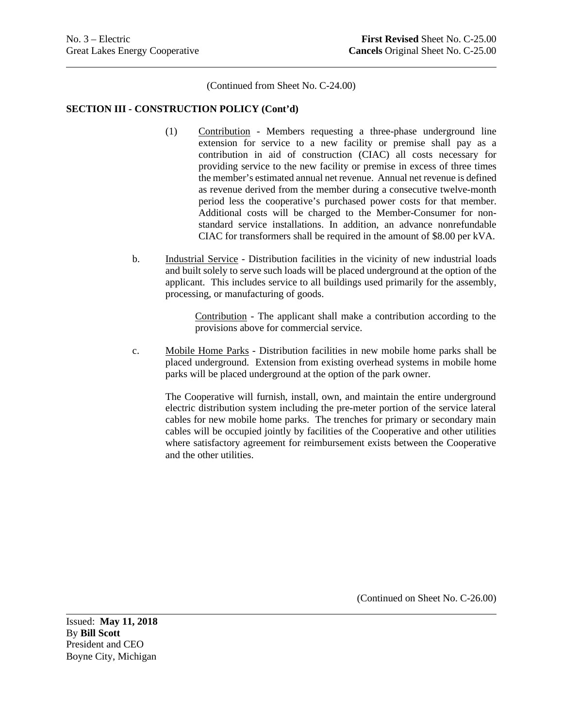(Continued from Sheet No. C-24.00)

#### **SECTION III - CONSTRUCTION POLICY (Cont'd)**

- (1) Contribution Members requesting a three-phase underground line extension for service to a new facility or premise shall pay as a contribution in aid of construction (CIAC) all costs necessary for providing service to the new facility or premise in excess of three times the member's estimated annual net revenue. Annual net revenue is defined as revenue derived from the member during a consecutive twelve-month period less the cooperative's purchased power costs for that member. Additional costs will be charged to the Member-Consumer for nonstandard service installations. In addition, an advance nonrefundable CIAC for transformers shall be required in the amount of \$8.00 per kVA.
- b. Industrial Service Distribution facilities in the vicinity of new industrial loads and built solely to serve such loads will be placed underground at the option of the applicant. This includes service to all buildings used primarily for the assembly, processing, or manufacturing of goods.

Contribution - The applicant shall make a contribution according to the provisions above for commercial service.

c. Mobile Home Parks - Distribution facilities in new mobile home parks shall be placed underground. Extension from existing overhead systems in mobile home parks will be placed underground at the option of the park owner.

The Cooperative will furnish, install, own, and maintain the entire underground electric distribution system including the pre-meter portion of the service lateral cables for new mobile home parks. The trenches for primary or secondary main cables will be occupied jointly by facilities of the Cooperative and other utilities where satisfactory agreement for reimbursement exists between the Cooperative and the other utilities.

(Continued on Sheet No. C-26.00)

Issued: **May 11, 2018** By **Bill Scott** President and CEO Boyne City, Michigan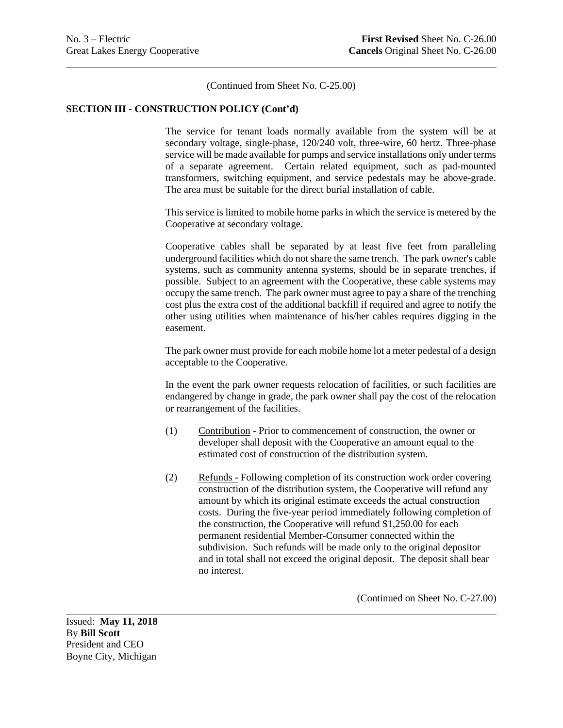(Continued from Sheet No. C-25.00)

#### **SECTION III - CONSTRUCTION POLICY (Cont'd)**

The service for tenant loads normally available from the system will be at secondary voltage, single-phase, 120/240 volt, three-wire, 60 hertz. Three-phase service will be made available for pumps and service installations only under terms of a separate agreement. Certain related equipment, such as pad-mounted transformers, switching equipment, and service pedestals may be above-grade. The area must be suitable for the direct burial installation of cable.

This service is limited to mobile home parks in which the service is metered by the Cooperative at secondary voltage.

Cooperative cables shall be separated by at least five feet from paralleling underground facilities which do not share the same trench. The park owner's cable systems, such as community antenna systems, should be in separate trenches, if possible. Subject to an agreement with the Cooperative, these cable systems may occupy the same trench. The park owner must agree to pay a share of the trenching cost plus the extra cost of the additional backfill if required and agree to notify the other using utilities when maintenance of his/her cables requires digging in the easement.

The park owner must provide for each mobile home lot a meter pedestal of a design acceptable to the Cooperative.

In the event the park owner requests relocation of facilities, or such facilities are endangered by change in grade, the park owner shall pay the cost of the relocation or rearrangement of the facilities.

- (1) Contribution Prior to commencement of construction, the owner or developer shall deposit with the Cooperative an amount equal to the estimated cost of construction of the distribution system.
- (2) Refunds Following completion of its construction work order covering construction of the distribution system, the Cooperative will refund any amount by which its original estimate exceeds the actual construction costs. During the five-year period immediately following completion of the construction, the Cooperative will refund \$1,250.00 for each permanent residential Member-Consumer connected within the subdivision. Such refunds will be made only to the original depositor and in total shall not exceed the original deposit. The deposit shall bear no interest.

(Continued on Sheet No. C-27.00)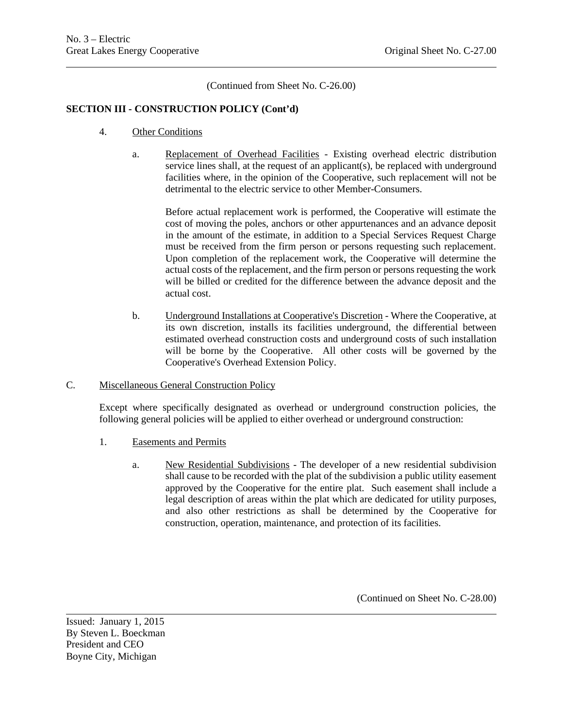(Continued from Sheet No. C-26.00)

## **SECTION III - CONSTRUCTION POLICY (Cont'd)**

- 4. Other Conditions
	- a. Replacement of Overhead Facilities Existing overhead electric distribution service lines shall, at the request of an applicant(s), be replaced with underground facilities where, in the opinion of the Cooperative, such replacement will not be detrimental to the electric service to other Member-Consumers.

Before actual replacement work is performed, the Cooperative will estimate the cost of moving the poles, anchors or other appurtenances and an advance deposit in the amount of the estimate, in addition to a Special Services Request Charge must be received from the firm person or persons requesting such replacement. Upon completion of the replacement work, the Cooperative will determine the actual costs of the replacement, and the firm person or persons requesting the work will be billed or credited for the difference between the advance deposit and the actual cost.

- b. Underground Installations at Cooperative's Discretion Where the Cooperative, at its own discretion, installs its facilities underground, the differential between estimated overhead construction costs and underground costs of such installation will be borne by the Cooperative. All other costs will be governed by the Cooperative's Overhead Extension Policy.
- C. Miscellaneous General Construction Policy

Except where specifically designated as overhead or underground construction policies, the following general policies will be applied to either overhead or underground construction:

- 1. Easements and Permits
	- a. New Residential Subdivisions The developer of a new residential subdivision shall cause to be recorded with the plat of the subdivision a public utility easement approved by the Cooperative for the entire plat. Such easement shall include a legal description of areas within the plat which are dedicated for utility purposes, and also other restrictions as shall be determined by the Cooperative for construction, operation, maintenance, and protection of its facilities.

(Continued on Sheet No. C-28.00)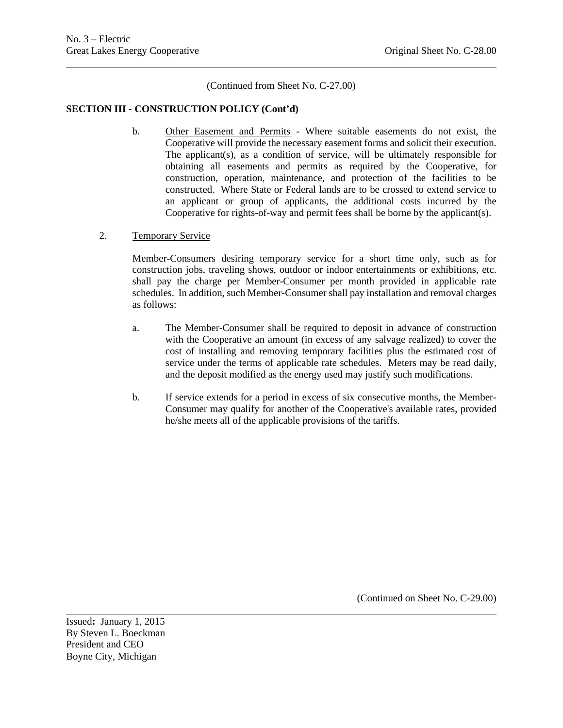(Continued from Sheet No. C-27.00)

#### **SECTION III - CONSTRUCTION POLICY (Cont'd)**

- b. Other Easement and Permits Where suitable easements do not exist, the Cooperative will provide the necessary easement forms and solicit their execution. The applicant(s), as a condition of service, will be ultimately responsible for obtaining all easements and permits as required by the Cooperative, for construction, operation, maintenance, and protection of the facilities to be constructed. Where State or Federal lands are to be crossed to extend service to an applicant or group of applicants, the additional costs incurred by the Cooperative for rights-of-way and permit fees shall be borne by the applicant(s).
- 2. Temporary Service

Member-Consumers desiring temporary service for a short time only, such as for construction jobs, traveling shows, outdoor or indoor entertainments or exhibitions, etc. shall pay the charge per Member-Consumer per month provided in applicable rate schedules. In addition, such Member-Consumer shall pay installation and removal charges as follows:

- a. The Member-Consumer shall be required to deposit in advance of construction with the Cooperative an amount (in excess of any salvage realized) to cover the cost of installing and removing temporary facilities plus the estimated cost of service under the terms of applicable rate schedules. Meters may be read daily, and the deposit modified as the energy used may justify such modifications.
- b. If service extends for a period in excess of six consecutive months, the Member-Consumer may qualify for another of the Cooperative's available rates, provided he/she meets all of the applicable provisions of the tariffs.

(Continued on Sheet No. C-29.00)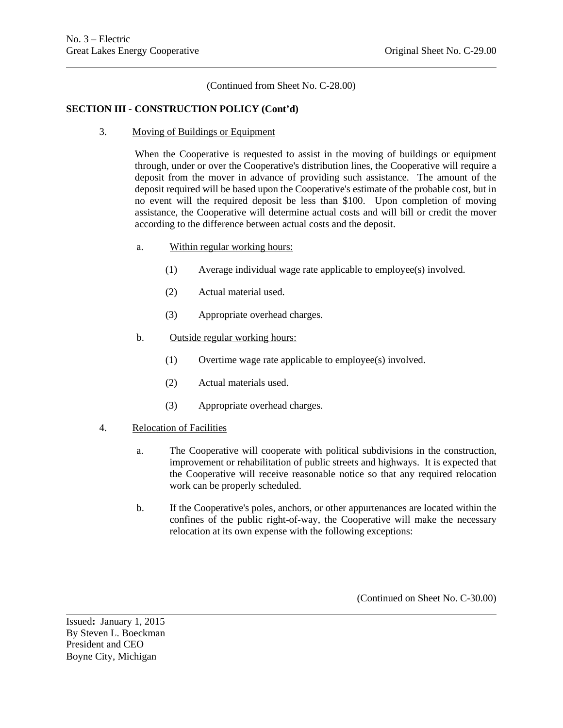(Continued from Sheet No. C-28.00)

## **SECTION III - CONSTRUCTION POLICY (Cont'd)**

3. Moving of Buildings or Equipment

When the Cooperative is requested to assist in the moving of buildings or equipment through, under or over the Cooperative's distribution lines, the Cooperative will require a deposit from the mover in advance of providing such assistance. The amount of the deposit required will be based upon the Cooperative's estimate of the probable cost, but in no event will the required deposit be less than \$100. Upon completion of moving assistance, the Cooperative will determine actual costs and will bill or credit the mover according to the difference between actual costs and the deposit.

- a. Within regular working hours:
	- (1) Average individual wage rate applicable to employee(s) involved.
	- (2) Actual material used.
	- (3) Appropriate overhead charges.
- b. Outside regular working hours:
	- (1) Overtime wage rate applicable to employee(s) involved.
	- (2) Actual materials used.
	- (3) Appropriate overhead charges.
- 4. Relocation of Facilities
	- a. The Cooperative will cooperate with political subdivisions in the construction, improvement or rehabilitation of public streets and highways. It is expected that the Cooperative will receive reasonable notice so that any required relocation work can be properly scheduled.
	- b. If the Cooperative's poles, anchors, or other appurtenances are located within the confines of the public right-of-way, the Cooperative will make the necessary relocation at its own expense with the following exceptions:

(Continued on Sheet No. C-30.00)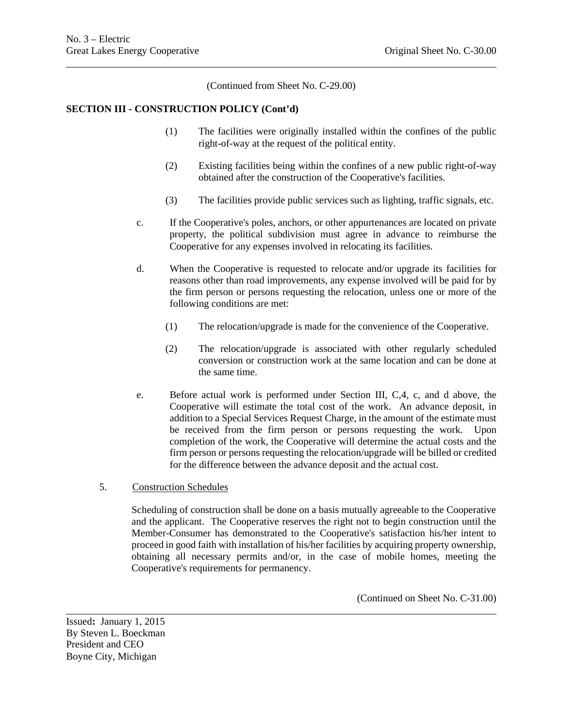(Continued from Sheet No. C-29.00)

### **SECTION III - CONSTRUCTION POLICY (Cont'd)**

- (1) The facilities were originally installed within the confines of the public right-of-way at the request of the political entity.
- (2) Existing facilities being within the confines of a new public right-of-way obtained after the construction of the Cooperative's facilities.
- (3) The facilities provide public services such as lighting, traffic signals, etc.
- c. If the Cooperative's poles, anchors, or other appurtenances are located on private property, the political subdivision must agree in advance to reimburse the Cooperative for any expenses involved in relocating its facilities.
- d. When the Cooperative is requested to relocate and/or upgrade its facilities for reasons other than road improvements, any expense involved will be paid for by the firm person or persons requesting the relocation, unless one or more of the following conditions are met:
	- (1) The relocation/upgrade is made for the convenience of the Cooperative.
	- (2) The relocation/upgrade is associated with other regularly scheduled conversion or construction work at the same location and can be done at the same time.
- e. Before actual work is performed under Section III, C,4, c, and d above, the Cooperative will estimate the total cost of the work. An advance deposit, in addition to a Special Services Request Charge, in the amount of the estimate must be received from the firm person or persons requesting the work. Upon completion of the work, the Cooperative will determine the actual costs and the firm person or persons requesting the relocation/upgrade will be billed or credited for the difference between the advance deposit and the actual cost.
- 5. Construction Schedules

Scheduling of construction shall be done on a basis mutually agreeable to the Cooperative and the applicant. The Cooperative reserves the right not to begin construction until the Member-Consumer has demonstrated to the Cooperative's satisfaction his/her intent to proceed in good faith with installation of his/her facilities by acquiring property ownership, obtaining all necessary permits and/or, in the case of mobile homes, meeting the Cooperative's requirements for permanency.

(Continued on Sheet No. C-31.00)

Issued**:** January 1, 2015 By Steven L. Boeckman President and CEO Boyne City, Michigan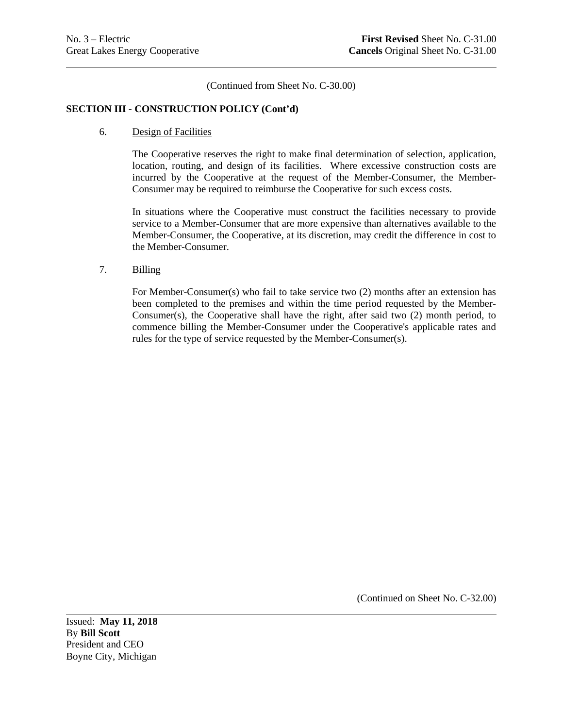(Continued from Sheet No. C-30.00)

## **SECTION III - CONSTRUCTION POLICY (Cont'd)**

#### 6. Design of Facilities

The Cooperative reserves the right to make final determination of selection, application, location, routing, and design of its facilities. Where excessive construction costs are incurred by the Cooperative at the request of the Member-Consumer, the Member-Consumer may be required to reimburse the Cooperative for such excess costs.

In situations where the Cooperative must construct the facilities necessary to provide service to a Member-Consumer that are more expensive than alternatives available to the Member-Consumer, the Cooperative, at its discretion, may credit the difference in cost to the Member-Consumer.

7. Billing

For Member-Consumer(s) who fail to take service two (2) months after an extension has been completed to the premises and within the time period requested by the Member-Consumer(s), the Cooperative shall have the right, after said two (2) month period, to commence billing the Member-Consumer under the Cooperative's applicable rates and rules for the type of service requested by the Member-Consumer(s).

(Continued on Sheet No. C-32.00)

Issued: **May 11, 2018** By **Bill Scott** President and CEO Boyne City, Michigan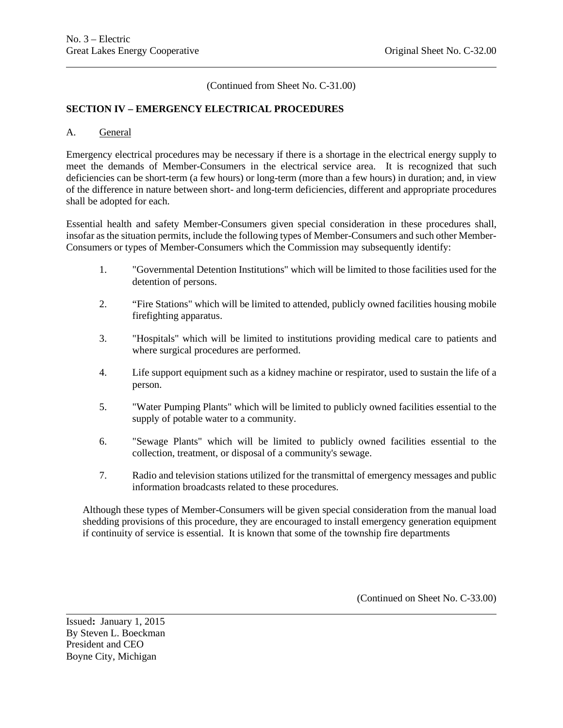(Continued from Sheet No. C-31.00)

## **SECTION IV – EMERGENCY ELECTRICAL PROCEDURES**

#### A. General

Emergency electrical procedures may be necessary if there is a shortage in the electrical energy supply to meet the demands of Member-Consumers in the electrical service area. It is recognized that such deficiencies can be short-term (a few hours) or long-term (more than a few hours) in duration; and, in view of the difference in nature between short- and long-term deficiencies, different and appropriate procedures shall be adopted for each.

Essential health and safety Member-Consumers given special consideration in these procedures shall, insofar as the situation permits, include the following types of Member-Consumers and such other Member-Consumers or types of Member-Consumers which the Commission may subsequently identify:

- 1. "Governmental Detention Institutions" which will be limited to those facilities used for the detention of persons.
- 2. "Fire Stations" which will be limited to attended, publicly owned facilities housing mobile firefighting apparatus.
- 3. "Hospitals" which will be limited to institutions providing medical care to patients and where surgical procedures are performed.
- 4. Life support equipment such as a kidney machine or respirator, used to sustain the life of a person.
- 5. "Water Pumping Plants" which will be limited to publicly owned facilities essential to the supply of potable water to a community.
- 6. "Sewage Plants" which will be limited to publicly owned facilities essential to the collection, treatment, or disposal of a community's sewage.
- 7. Radio and television stations utilized for the transmittal of emergency messages and public information broadcasts related to these procedures.

Although these types of Member-Consumers will be given special consideration from the manual load shedding provisions of this procedure, they are encouraged to install emergency generation equipment if continuity of service is essential. It is known that some of the township fire departments

(Continued on Sheet No. C-33.00)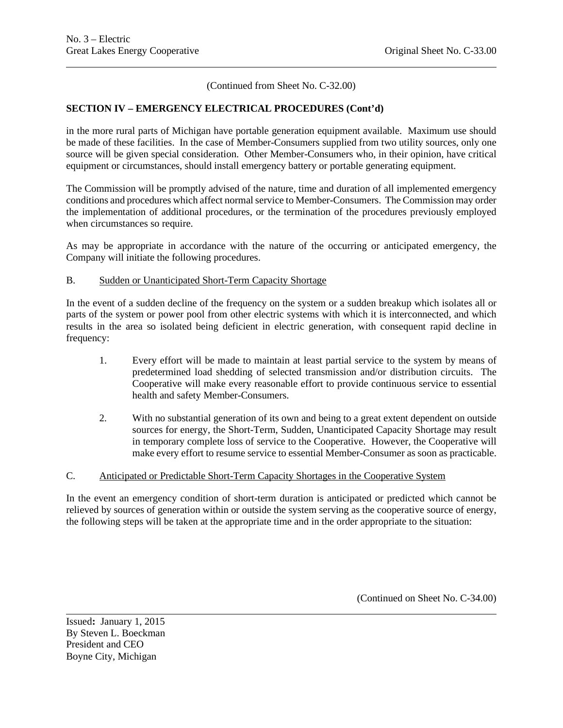(Continued from Sheet No. C-32.00)

## **SECTION IV – EMERGENCY ELECTRICAL PROCEDURES (Cont'd)**

in the more rural parts of Michigan have portable generation equipment available. Maximum use should be made of these facilities. In the case of Member-Consumers supplied from two utility sources, only one source will be given special consideration. Other Member-Consumers who, in their opinion, have critical equipment or circumstances, should install emergency battery or portable generating equipment.

The Commission will be promptly advised of the nature, time and duration of all implemented emergency conditions and procedures which affect normal service to Member-Consumers. The Commission may order the implementation of additional procedures, or the termination of the procedures previously employed when circumstances so require.

As may be appropriate in accordance with the nature of the occurring or anticipated emergency, the Company will initiate the following procedures.

## B. Sudden or Unanticipated Short-Term Capacity Shortage

In the event of a sudden decline of the frequency on the system or a sudden breakup which isolates all or parts of the system or power pool from other electric systems with which it is interconnected, and which results in the area so isolated being deficient in electric generation, with consequent rapid decline in frequency:

- 1. Every effort will be made to maintain at least partial service to the system by means of predetermined load shedding of selected transmission and/or distribution circuits. The Cooperative will make every reasonable effort to provide continuous service to essential health and safety Member-Consumers.
- 2. With no substantial generation of its own and being to a great extent dependent on outside sources for energy, the Short-Term, Sudden, Unanticipated Capacity Shortage may result in temporary complete loss of service to the Cooperative. However, the Cooperative will make every effort to resume service to essential Member-Consumer as soon as practicable.

## C. Anticipated or Predictable Short-Term Capacity Shortages in the Cooperative System

In the event an emergency condition of short-term duration is anticipated or predicted which cannot be relieved by sources of generation within or outside the system serving as the cooperative source of energy, the following steps will be taken at the appropriate time and in the order appropriate to the situation:

(Continued on Sheet No. C-34.00)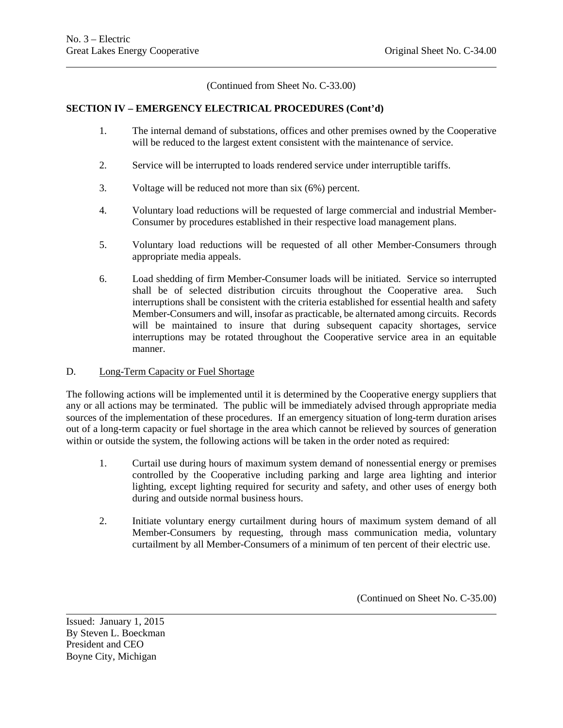(Continued from Sheet No. C-33.00)

## **SECTION IV – EMERGENCY ELECTRICAL PROCEDURES (Cont'd)**

- 1. The internal demand of substations, offices and other premises owned by the Cooperative will be reduced to the largest extent consistent with the maintenance of service.
- 2. Service will be interrupted to loads rendered service under interruptible tariffs.
- 3. Voltage will be reduced not more than six (6%) percent.
- 4. Voluntary load reductions will be requested of large commercial and industrial Member-Consumer by procedures established in their respective load management plans.
- 5. Voluntary load reductions will be requested of all other Member-Consumers through appropriate media appeals.
- 6. Load shedding of firm Member-Consumer loads will be initiated. Service so interrupted shall be of selected distribution circuits throughout the Cooperative area. Such interruptions shall be consistent with the criteria established for essential health and safety Member-Consumers and will, insofar as practicable, be alternated among circuits. Records will be maintained to insure that during subsequent capacity shortages, service interruptions may be rotated throughout the Cooperative service area in an equitable manner.

## D. Long-Term Capacity or Fuel Shortage

The following actions will be implemented until it is determined by the Cooperative energy suppliers that any or all actions may be terminated. The public will be immediately advised through appropriate media sources of the implementation of these procedures. If an emergency situation of long-term duration arises out of a long-term capacity or fuel shortage in the area which cannot be relieved by sources of generation within or outside the system, the following actions will be taken in the order noted as required:

- 1. Curtail use during hours of maximum system demand of nonessential energy or premises controlled by the Cooperative including parking and large area lighting and interior lighting, except lighting required for security and safety, and other uses of energy both during and outside normal business hours.
- 2. Initiate voluntary energy curtailment during hours of maximum system demand of all Member-Consumers by requesting, through mass communication media, voluntary curtailment by all Member-Consumers of a minimum of ten percent of their electric use.

(Continued on Sheet No. C-35.00)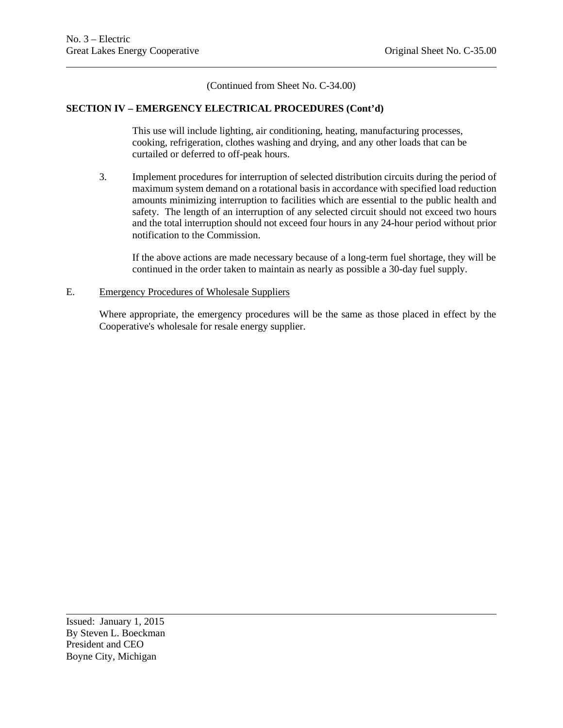(Continued from Sheet No. C-34.00)

## **SECTION IV – EMERGENCY ELECTRICAL PROCEDURES (Cont'd)**

This use will include lighting, air conditioning, heating, manufacturing processes, cooking, refrigeration, clothes washing and drying, and any other loads that can be curtailed or deferred to off-peak hours.

3. Implement procedures for interruption of selected distribution circuits during the period of maximum system demand on a rotational basis in accordance with specified load reduction amounts minimizing interruption to facilities which are essential to the public health and safety. The length of an interruption of any selected circuit should not exceed two hours and the total interruption should not exceed four hours in any 24-hour period without prior notification to the Commission.

If the above actions are made necessary because of a long-term fuel shortage, they will be continued in the order taken to maintain as nearly as possible a 30-day fuel supply.

#### E. Emergency Procedures of Wholesale Suppliers

Where appropriate, the emergency procedures will be the same as those placed in effect by the Cooperative's wholesale for resale energy supplier.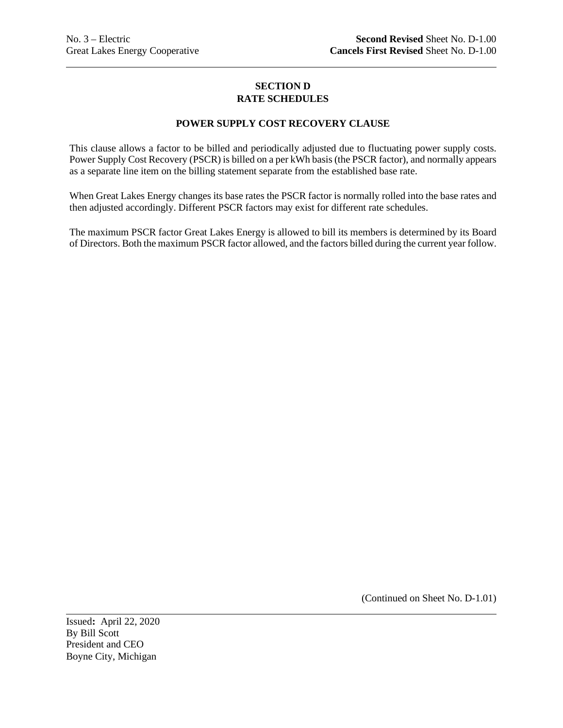## **SECTION D RATE SCHEDULES**

## **POWER SUPPLY COST RECOVERY CLAUSE**

This clause allows a factor to be billed and periodically adjusted due to fluctuating power supply costs. Power Supply Cost Recovery (PSCR) is billed on a per kWh basis (the PSCR factor), and normally appears as a separate line item on the billing statement separate from the established base rate.

When Great Lakes Energy changes its base rates the PSCR factor is normally rolled into the base rates and then adjusted accordingly. Different PSCR factors may exist for different rate schedules.

The maximum PSCR factor Great Lakes Energy is allowed to bill its members is determined by its Board of Directors. Both the maximum PSCR factor allowed, and the factors billed during the current year follow.

(Continued on Sheet No. D-1.01)

Issued**:** April 22, 2020 By Bill Scott President and CEO Boyne City, Michigan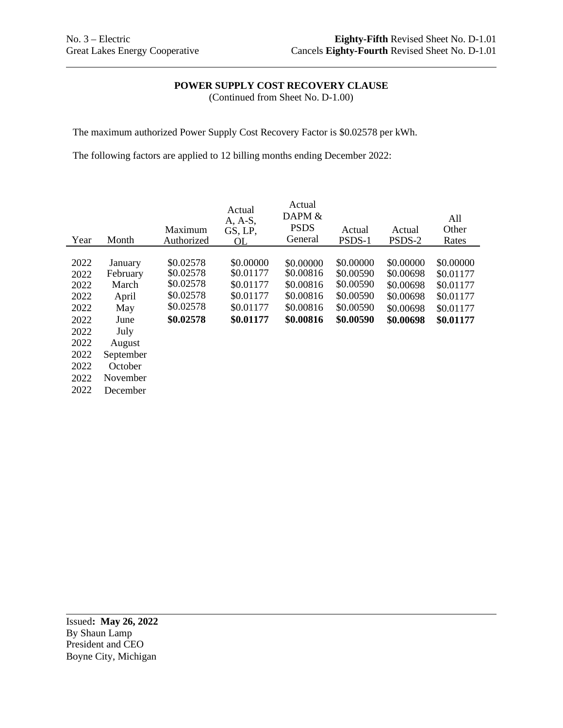## **POWER SUPPLY COST RECOVERY CLAUSE**

(Continued from Sheet No. D-1.00)

The maximum authorized Power Supply Cost Recovery Factor is \$0.02578 per kWh.

The following factors are applied to 12 billing months ending December 2022:

| Year                                                                                         | Month                                                                                                                  | Maximum<br>Authorized                                                      | Actual<br>A, A-S,<br>GS, LP,<br>OL                                         | Actual<br>DAPM &<br><b>PSDS</b><br>General                                 | Actual<br>PSDS-1                                                           | Actual<br>PSDS-2                                                           | All<br>Other<br>Rates                                                      |
|----------------------------------------------------------------------------------------------|------------------------------------------------------------------------------------------------------------------------|----------------------------------------------------------------------------|----------------------------------------------------------------------------|----------------------------------------------------------------------------|----------------------------------------------------------------------------|----------------------------------------------------------------------------|----------------------------------------------------------------------------|
| 2022<br>2022<br>2022<br>2022<br>2022<br>2022<br>2022<br>2022<br>2022<br>2022<br>2022<br>2022 | January<br>February<br>March<br>April<br>May<br>June<br>July<br>August<br>September<br>October<br>November<br>December | \$0.02578<br>\$0.02578<br>\$0.02578<br>\$0.02578<br>\$0.02578<br>\$0.02578 | \$0.00000<br>\$0.01177<br>\$0.01177<br>\$0.01177<br>\$0.01177<br>\$0.01177 | \$0.00000<br>\$0.00816<br>\$0.00816<br>\$0.00816<br>\$0.00816<br>\$0.00816 | \$0.00000<br>\$0.00590<br>\$0.00590<br>\$0.00590<br>\$0.00590<br>\$0.00590 | \$0.00000<br>\$0.00698<br>\$0.00698<br>\$0.00698<br>\$0.00698<br>\$0.00698 | \$0.00000<br>\$0.01177<br>\$0.01177<br>\$0.01177<br>\$0.01177<br>\$0.01177 |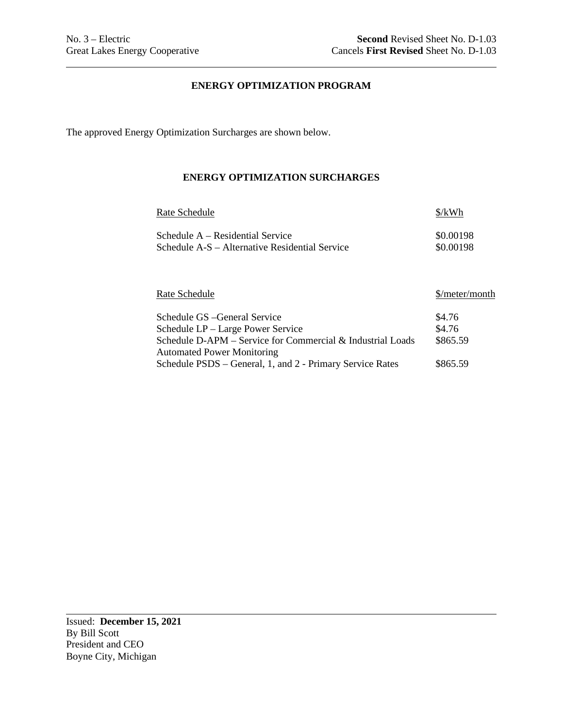## **ENERGY OPTIMIZATION PROGRAM**

The approved Energy Optimization Surcharges are shown below.

## **ENERGY OPTIMIZATION SURCHARGES**

| Rate Schedule                                  | $\frac{\frac{1}{2}}{kWh}$ |
|------------------------------------------------|---------------------------|
| Schedule $A - Residental Service$              | \$0.00198                 |
| Schedule A-S – Alternative Residential Service | \$0.00198                 |

| Rate Schedule                                              | \$/meter/month |
|------------------------------------------------------------|----------------|
| Schedule GS - General Service                              | \$4.76         |
| Schedule LP – Large Power Service                          | \$4.76         |
| Schedule D-APM - Service for Commercial & Industrial Loads | \$865.59       |
| <b>Automated Power Monitoring</b>                          |                |
| Schedule PSDS – General, 1, and 2 - Primary Service Rates  | \$865.59       |

Issued: **December 15, 2021** By Bill Scott President and CEO Boyne City, Michigan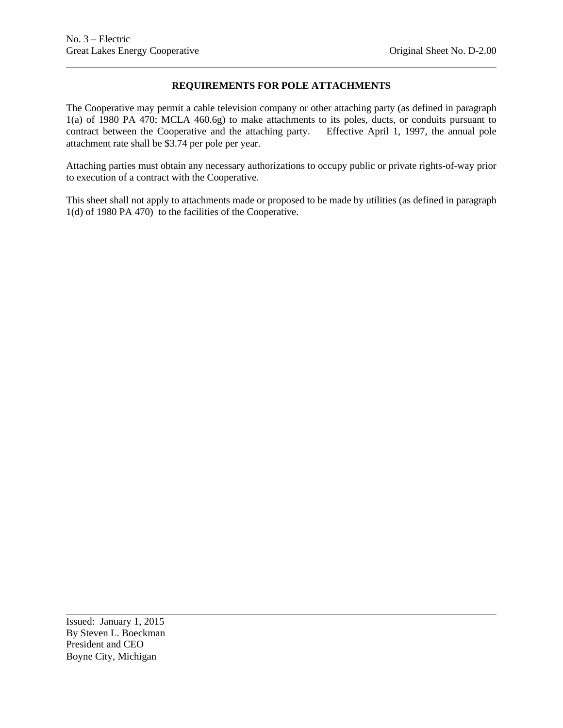## **REQUIREMENTS FOR POLE ATTACHMENTS**

The Cooperative may permit a cable television company or other attaching party (as defined in paragraph 1(a) of 1980 PA 470; MCLA 460.6g) to make attachments to its poles, ducts, or conduits pursuant to contract between the Cooperative and the attaching party. Effective April 1, 1997, the annual pole attachment rate shall be \$3.74 per pole per year.

Attaching parties must obtain any necessary authorizations to occupy public or private rights-of-way prior to execution of a contract with the Cooperative.

This sheet shall not apply to attachments made or proposed to be made by utilities (as defined in paragraph 1(d) of 1980 PA 470) to the facilities of the Cooperative.

Issued: January 1, 2015 By Steven L. Boeckman President and CEO Boyne City, Michigan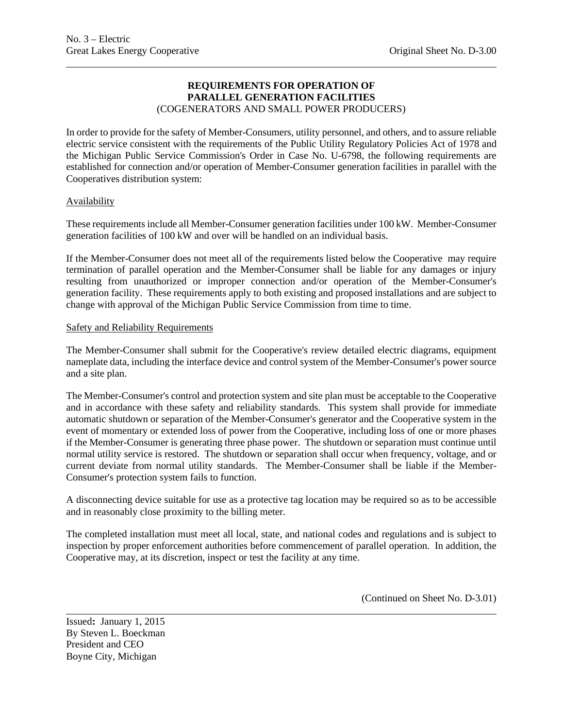## **REQUIREMENTS FOR OPERATION OF PARALLEL GENERATION FACILITIES** (COGENERATORS AND SMALL POWER PRODUCERS)

In order to provide for the safety of Member-Consumers, utility personnel, and others, and to assure reliable electric service consistent with the requirements of the Public Utility Regulatory Policies Act of 1978 and the Michigan Public Service Commission's Order in Case No. U-6798, the following requirements are established for connection and/or operation of Member-Consumer generation facilities in parallel with the Cooperatives distribution system:

## Availability

These requirements include all Member-Consumer generation facilities under 100 kW. Member-Consumer generation facilities of 100 kW and over will be handled on an individual basis.

If the Member-Consumer does not meet all of the requirements listed below the Cooperative may require termination of parallel operation and the Member-Consumer shall be liable for any damages or injury resulting from unauthorized or improper connection and/or operation of the Member-Consumer's generation facility. These requirements apply to both existing and proposed installations and are subject to change with approval of the Michigan Public Service Commission from time to time.

#### Safety and Reliability Requirements

The Member-Consumer shall submit for the Cooperative's review detailed electric diagrams, equipment nameplate data, including the interface device and control system of the Member-Consumer's power source and a site plan.

The Member-Consumer's control and protection system and site plan must be acceptable to the Cooperative and in accordance with these safety and reliability standards. This system shall provide for immediate automatic shutdown or separation of the Member-Consumer's generator and the Cooperative system in the event of momentary or extended loss of power from the Cooperative, including loss of one or more phases if the Member-Consumer is generating three phase power. The shutdown or separation must continue until normal utility service is restored. The shutdown or separation shall occur when frequency, voltage, and or current deviate from normal utility standards. The Member-Consumer shall be liable if the Member-Consumer's protection system fails to function.

A disconnecting device suitable for use as a protective tag location may be required so as to be accessible and in reasonably close proximity to the billing meter.

The completed installation must meet all local, state, and national codes and regulations and is subject to inspection by proper enforcement authorities before commencement of parallel operation. In addition, the Cooperative may, at its discretion, inspect or test the facility at any time.

(Continued on Sheet No. D-3.01)

Issued**:** January 1, 2015 By Steven L. Boeckman President and CEO Boyne City, Michigan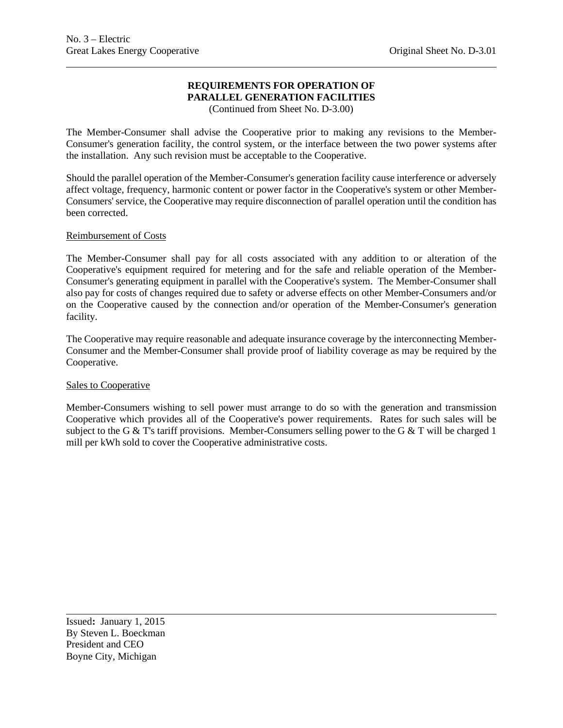## **REQUIREMENTS FOR OPERATION OF PARALLEL GENERATION FACILITIES**

(Continued from Sheet No. D-3.00)

The Member-Consumer shall advise the Cooperative prior to making any revisions to the Member-Consumer's generation facility, the control system, or the interface between the two power systems after the installation. Any such revision must be acceptable to the Cooperative.

Should the parallel operation of the Member-Consumer's generation facility cause interference or adversely affect voltage, frequency, harmonic content or power factor in the Cooperative's system or other Member-Consumers' service, the Cooperative may require disconnection of parallel operation until the condition has been corrected.

## Reimbursement of Costs

The Member-Consumer shall pay for all costs associated with any addition to or alteration of the Cooperative's equipment required for metering and for the safe and reliable operation of the Member-Consumer's generating equipment in parallel with the Cooperative's system. The Member-Consumer shall also pay for costs of changes required due to safety or adverse effects on other Member-Consumers and/or on the Cooperative caused by the connection and/or operation of the Member-Consumer's generation facility.

The Cooperative may require reasonable and adequate insurance coverage by the interconnecting Member-Consumer and the Member-Consumer shall provide proof of liability coverage as may be required by the Cooperative.

## Sales to Cooperative

Member-Consumers wishing to sell power must arrange to do so with the generation and transmission Cooperative which provides all of the Cooperative's power requirements. Rates for such sales will be subject to the G & T's tariff provisions. Member-Consumers selling power to the G & T will be charged 1 mill per kWh sold to cover the Cooperative administrative costs.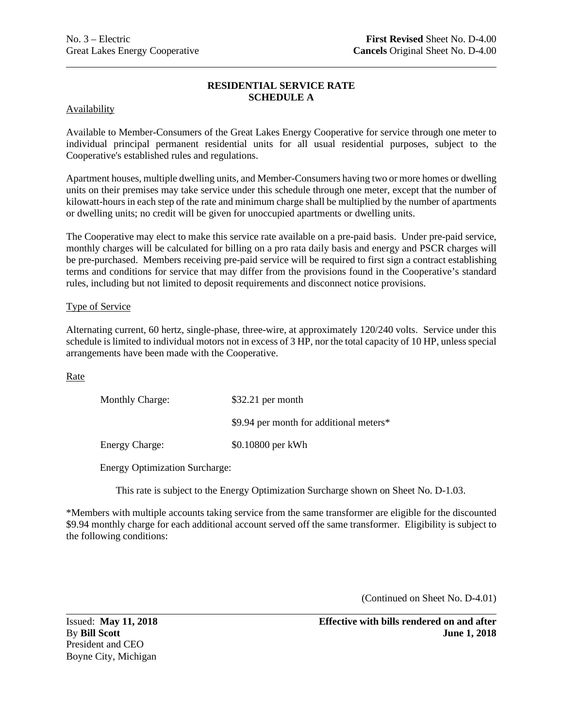## **RESIDENTIAL SERVICE RATE SCHEDULE A**

Availability

Available to Member-Consumers of the Great Lakes Energy Cooperative for service through one meter to individual principal permanent residential units for all usual residential purposes, subject to the Cooperative's established rules and regulations.

Apartment houses, multiple dwelling units, and Member-Consumers having two or more homes or dwelling units on their premises may take service under this schedule through one meter, except that the number of kilowatt-hours in each step of the rate and minimum charge shall be multiplied by the number of apartments or dwelling units; no credit will be given for unoccupied apartments or dwelling units.

The Cooperative may elect to make this service rate available on a pre-paid basis. Under pre-paid service, monthly charges will be calculated for billing on a pro rata daily basis and energy and PSCR charges will be pre-purchased. Members receiving pre-paid service will be required to first sign a contract establishing terms and conditions for service that may differ from the provisions found in the Cooperative's standard rules, including but not limited to deposit requirements and disconnect notice provisions.

## Type of Service

Alternating current, 60 hertz, single-phase, three-wire, at approximately 120/240 volts. Service under this schedule is limited to individual motors not in excess of 3 HP, nor the total capacity of 10 HP, unless special arrangements have been made with the Cooperative.

Rate

| <b>Monthly Charge:</b> | $$32.21$ per month                      |
|------------------------|-----------------------------------------|
|                        | \$9.94 per month for additional meters* |
| <b>Energy Charge:</b>  | \$0.10800 per kWh                       |

Energy Optimization Surcharge:

This rate is subject to the Energy Optimization Surcharge shown on Sheet No. D-1.03.

\*Members with multiple accounts taking service from the same transformer are eligible for the discounted \$9.94 monthly charge for each additional account served off the same transformer. Eligibility is subject to the following conditions:

(Continued on Sheet No. D-4.01)

President and CEO Boyne City, Michigan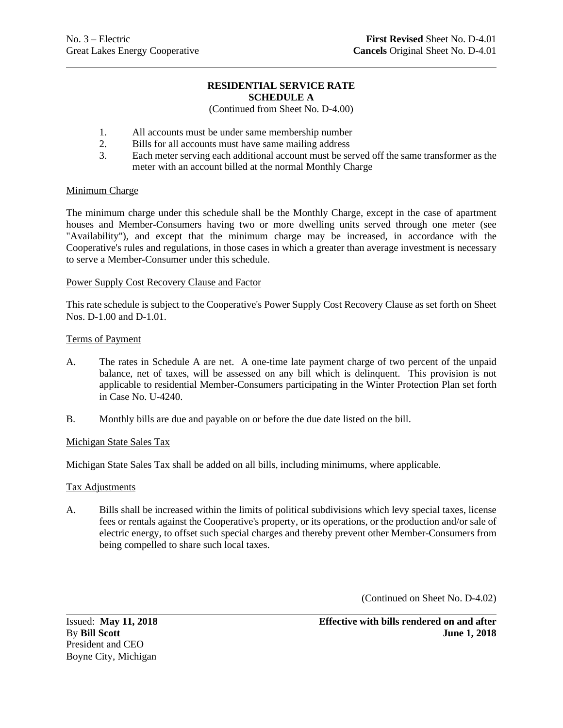## **RESIDENTIAL SERVICE RATE SCHEDULE A**

## (Continued from Sheet No. D-4.00)

- 1. All accounts must be under same membership number
- 2. Bills for all accounts must have same mailing address
- 3. Each meter serving each additional account must be served off the same transformer as the meter with an account billed at the normal Monthly Charge

## Minimum Charge

The minimum charge under this schedule shall be the Monthly Charge, except in the case of apartment houses and Member-Consumers having two or more dwelling units served through one meter (see "Availability"), and except that the minimum charge may be increased, in accordance with the Cooperative's rules and regulations, in those cases in which a greater than average investment is necessary to serve a Member-Consumer under this schedule.

## Power Supply Cost Recovery Clause and Factor

This rate schedule is subject to the Cooperative's Power Supply Cost Recovery Clause as set forth on Sheet Nos. D-1.00 and D-1.01.

## Terms of Payment

- A. The rates in Schedule A are net. A one-time late payment charge of two percent of the unpaid balance, net of taxes, will be assessed on any bill which is delinquent. This provision is not applicable to residential Member-Consumers participating in the Winter Protection Plan set forth in Case No. U-4240.
- B. Monthly bills are due and payable on or before the due date listed on the bill.

## Michigan State Sales Tax

Michigan State Sales Tax shall be added on all bills, including minimums, where applicable.

## Tax Adjustments

A. Bills shall be increased within the limits of political subdivisions which levy special taxes, license fees or rentals against the Cooperative's property, or its operations, or the production and/or sale of electric energy, to offset such special charges and thereby prevent other Member-Consumers from being compelled to share such local taxes.

(Continued on Sheet No. D-4.02)

President and CEO Boyne City, Michigan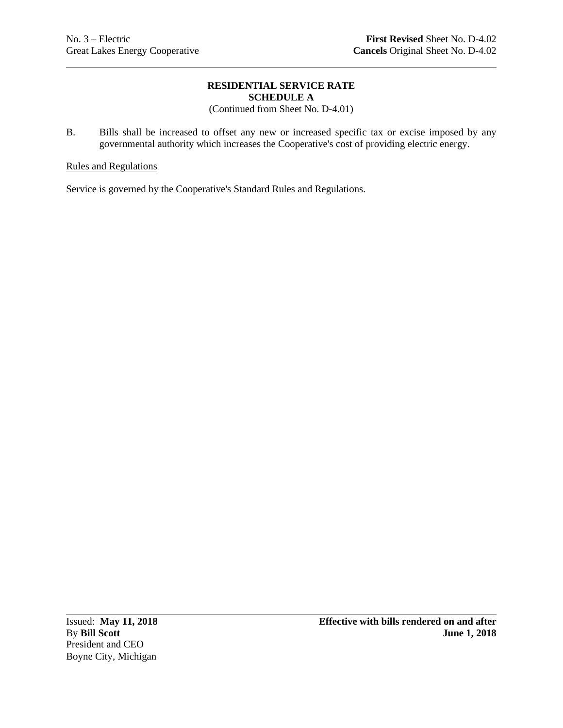## **RESIDENTIAL SERVICE RATE SCHEDULE A**

(Continued from Sheet No. D-4.01)

B. Bills shall be increased to offset any new or increased specific tax or excise imposed by any governmental authority which increases the Cooperative's cost of providing electric energy.

## Rules and Regulations

Service is governed by the Cooperative's Standard Rules and Regulations.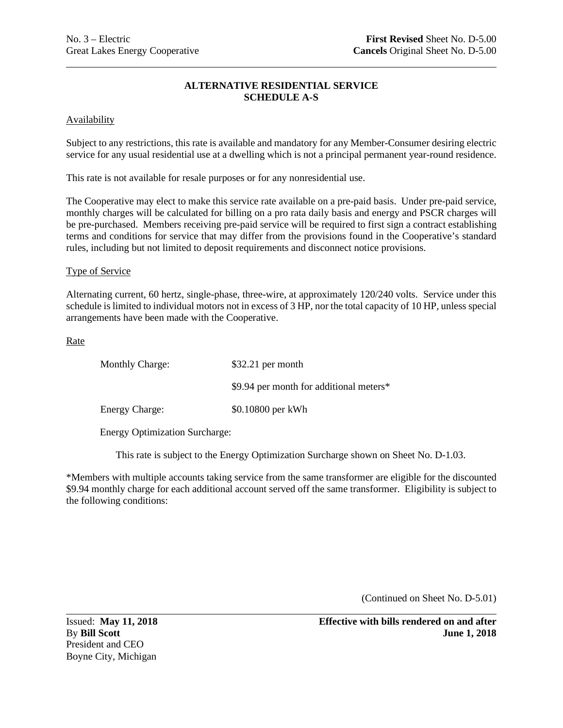## **ALTERNATIVE RESIDENTIAL SERVICE SCHEDULE A-S**

### **Availability**

Subject to any restrictions, this rate is available and mandatory for any Member-Consumer desiring electric service for any usual residential use at a dwelling which is not a principal permanent year-round residence.

This rate is not available for resale purposes or for any nonresidential use.

The Cooperative may elect to make this service rate available on a pre-paid basis. Under pre-paid service, monthly charges will be calculated for billing on a pro rata daily basis and energy and PSCR charges will be pre-purchased. Members receiving pre-paid service will be required to first sign a contract establishing terms and conditions for service that may differ from the provisions found in the Cooperative's standard rules, including but not limited to deposit requirements and disconnect notice provisions.

#### Type of Service

Alternating current, 60 hertz, single-phase, three-wire, at approximately 120/240 volts. Service under this schedule is limited to individual motors not in excess of 3 HP, nor the total capacity of 10 HP, unless special arrangements have been made with the Cooperative.

**Rate** 

| <b>Monthly Charge:</b> | $$32.21$ per month                      |
|------------------------|-----------------------------------------|
|                        | \$9.94 per month for additional meters* |
| <b>Energy Charge:</b>  | \$0.10800 per kWh                       |

Energy Optimization Surcharge:

This rate is subject to the Energy Optimization Surcharge shown on Sheet No. D-1.03.

\*Members with multiple accounts taking service from the same transformer are eligible for the discounted \$9.94 monthly charge for each additional account served off the same transformer. Eligibility is subject to the following conditions:

(Continued on Sheet No. D-5.01)

President and CEO Boyne City, Michigan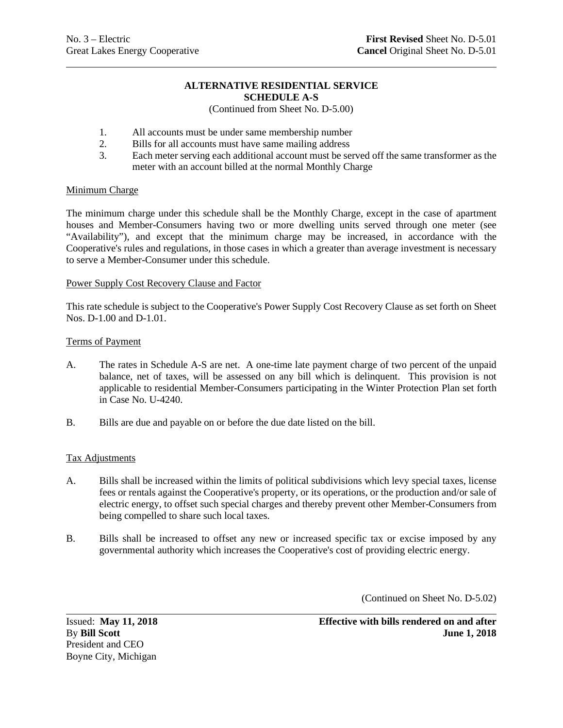#### **ALTERNATIVE RESIDENTIAL SERVICE SCHEDULE A-S**

## (Continued from Sheet No. D-5.00)

- 1. All accounts must be under same membership number
- 2. Bills for all accounts must have same mailing address
- 3. Each meter serving each additional account must be served off the same transformer as the meter with an account billed at the normal Monthly Charge

## Minimum Charge

The minimum charge under this schedule shall be the Monthly Charge, except in the case of apartment houses and Member-Consumers having two or more dwelling units served through one meter (see "Availability"), and except that the minimum charge may be increased, in accordance with the Cooperative's rules and regulations, in those cases in which a greater than average investment is necessary to serve a Member-Consumer under this schedule.

## Power Supply Cost Recovery Clause and Factor

This rate schedule is subject to the Cooperative's Power Supply Cost Recovery Clause as set forth on Sheet Nos. D-1.00 and D-1.01.

## Terms of Payment

- A. The rates in Schedule A-S are net. A one-time late payment charge of two percent of the unpaid balance, net of taxes, will be assessed on any bill which is delinquent. This provision is not applicable to residential Member-Consumers participating in the Winter Protection Plan set forth in Case No. U-4240.
- B. Bills are due and payable on or before the due date listed on the bill.

## Tax Adjustments

- A. Bills shall be increased within the limits of political subdivisions which levy special taxes, license fees or rentals against the Cooperative's property, or its operations, or the production and/or sale of electric energy, to offset such special charges and thereby prevent other Member-Consumers from being compelled to share such local taxes.
- B. Bills shall be increased to offset any new or increased specific tax or excise imposed by any governmental authority which increases the Cooperative's cost of providing electric energy.

(Continued on Sheet No. D-5.02)

President and CEO Boyne City, Michigan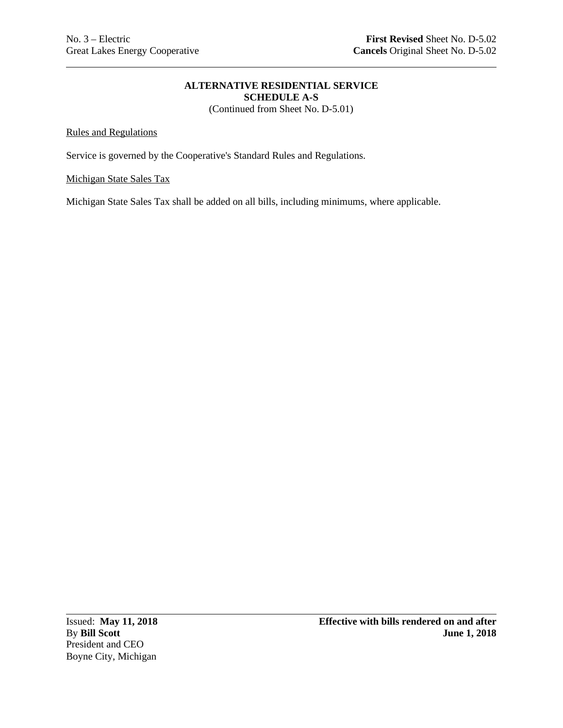# **ALTERNATIVE RESIDENTIAL SERVICE SCHEDULE A-S**

(Continued from Sheet No. D-5.01)

## Rules and Regulations

Service is governed by the Cooperative's Standard Rules and Regulations.

## Michigan State Sales Tax

Michigan State Sales Tax shall be added on all bills, including minimums, where applicable.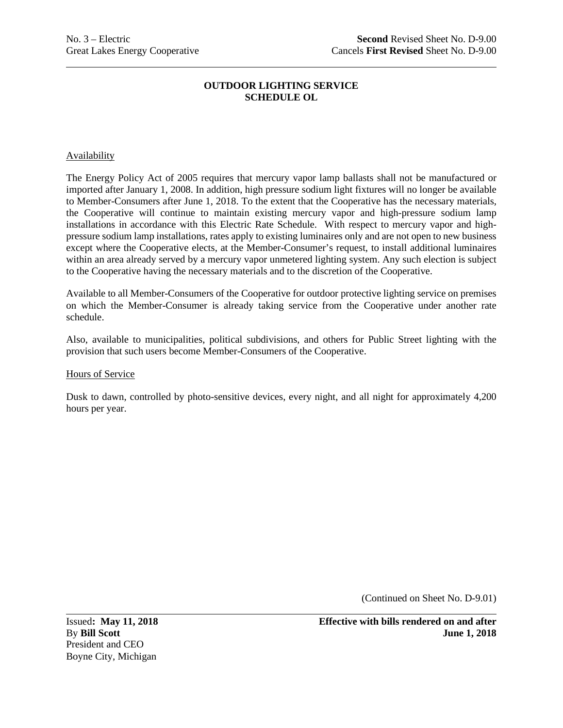### Availability

The Energy Policy Act of 2005 requires that mercury vapor lamp ballasts shall not be manufactured or imported after January 1, 2008. In addition, high pressure sodium light fixtures will no longer be available to Member-Consumers after June 1, 2018. To the extent that the Cooperative has the necessary materials, the Cooperative will continue to maintain existing mercury vapor and high-pressure sodium lamp installations in accordance with this Electric Rate Schedule. With respect to mercury vapor and highpressure sodium lamp installations, rates apply to existing luminaires only and are not open to new business except where the Cooperative elects, at the Member-Consumer's request, to install additional luminaires within an area already served by a mercury vapor unmetered lighting system. Any such election is subject to the Cooperative having the necessary materials and to the discretion of the Cooperative.

Available to all Member-Consumers of the Cooperative for outdoor protective lighting service on premises on which the Member-Consumer is already taking service from the Cooperative under another rate schedule.

Also, available to municipalities, political subdivisions, and others for Public Street lighting with the provision that such users become Member-Consumers of the Cooperative.

#### Hours of Service

Dusk to dawn, controlled by photo-sensitive devices, every night, and all night for approximately 4,200 hours per year.

(Continued on Sheet No. D-9.01)

President and CEO Boyne City, Michigan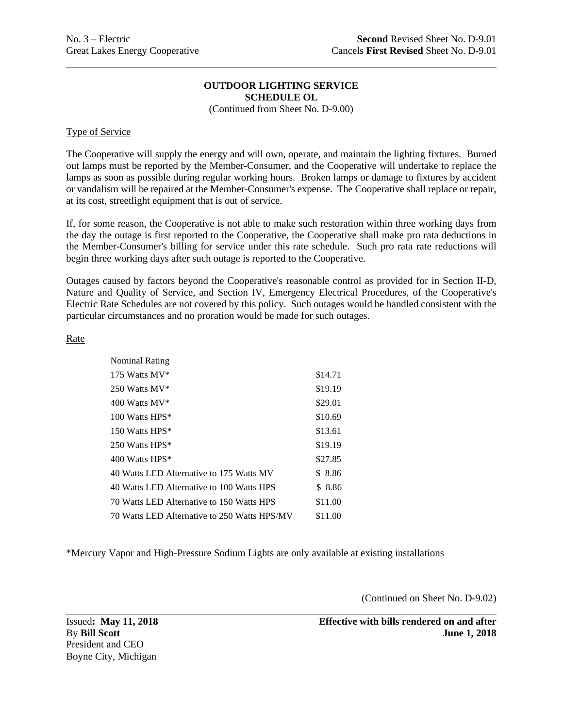(Continued from Sheet No. D-9.00)

## Type of Service

The Cooperative will supply the energy and will own, operate, and maintain the lighting fixtures. Burned out lamps must be reported by the Member-Consumer, and the Cooperative will undertake to replace the lamps as soon as possible during regular working hours. Broken lamps or damage to fixtures by accident or vandalism will be repaired at the Member-Consumer's expense. The Cooperative shall replace or repair, at its cost, streetlight equipment that is out of service.

If, for some reason, the Cooperative is not able to make such restoration within three working days from the day the outage is first reported to the Cooperative, the Cooperative shall make pro rata deductions in the Member-Consumer's billing for service under this rate schedule. Such pro rata rate reductions will begin three working days after such outage is reported to the Cooperative.

Outages caused by factors beyond the Cooperative's reasonable control as provided for in Section II-D, Nature and Quality of Service, and Section IV, Emergency Electrical Procedures, of the Cooperative's Electric Rate Schedules are not covered by this policy. Such outages would be handled consistent with the particular circumstances and no proration would be made for such outages.

## Rate

| <b>Nominal Rating</b>                        |         |
|----------------------------------------------|---------|
| 175 Watts MV*                                | \$14.71 |
| 250 Watts MV*                                | \$19.19 |
| $400$ Watts MV*                              | \$29.01 |
| 100 Watts HPS*                               | \$10.69 |
| 150 Watts HPS*                               | \$13.61 |
| 250 Watts HPS*                               | \$19.19 |
| 400 Watts HPS*                               | \$27.85 |
| 40 Watts LED Alternative to 175 Watts MV     | \$ 8.86 |
| 40 Watts LED Alternative to 100 Watts HPS    | \$8.86  |
| 70 Watts LED Alternative to 150 Watts HPS    | \$11.00 |
| 70 Watts LED Alternative to 250 Watts HPS/MV | \$11.00 |

\*Mercury Vapor and High-Pressure Sodium Lights are only available at existing installations

(Continued on Sheet No. D-9.02)

President and CEO Boyne City, Michigan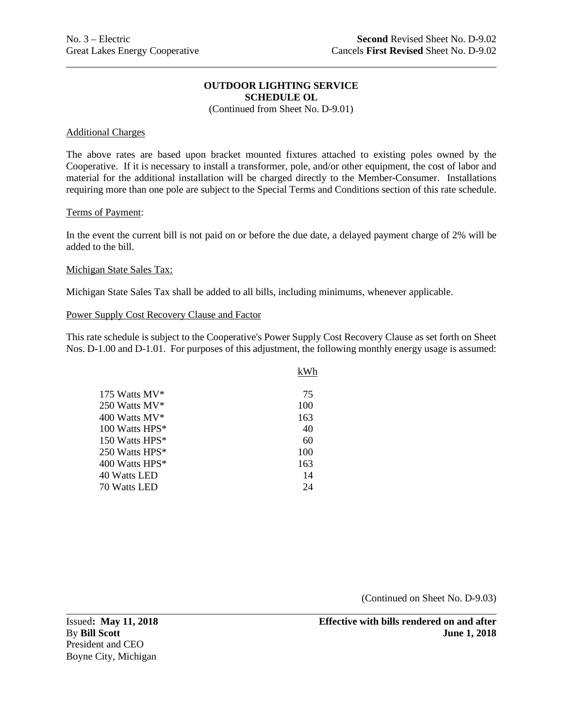(Continued from Sheet No. D-9.01)

#### Additional Charges

The above rates are based upon bracket mounted fixtures attached to existing poles owned by the Cooperative. If it is necessary to install a transformer, pole, and/or other equipment, the cost of labor and material for the additional installation will be charged directly to the Member-Consumer. Installations requiring more than one pole are subject to the Special Terms and Conditions section of this rate schedule.

#### Terms of Payment:

In the event the current bill is not paid on or before the due date, a delayed payment charge of 2% will be added to the bill.

#### Michigan State Sales Tax:

Michigan State Sales Tax shall be added to all bills, including minimums, whenever applicable.

## Power Supply Cost Recovery Clause and Factor

This rate schedule is subject to the Cooperative's Power Supply Cost Recovery Clause as set forth on Sheet Nos. D-1.00 and D-1.01. For purposes of this adjustment, the following monthly energy usage is assumed:

|                | kWh |
|----------------|-----|
| 175 Watts MV*  | 75  |
| 250 Watts MV*  | 100 |
| 400 Watts MV*  | 163 |
| 100 Watts HPS* | 40  |
| 150 Watts HPS* | 60  |
| 250 Watts HPS* | 100 |
| 400 Watts HPS* | 163 |
| 40 Watts LED   | 14  |
| 70 Watts LED   | 24  |
|                |     |

(Continued on Sheet No. D-9.03)

President and CEO Boyne City, Michigan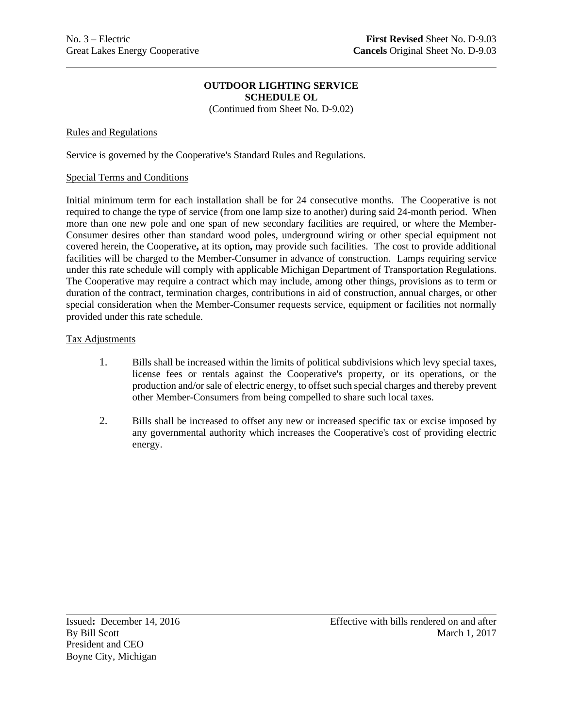(Continued from Sheet No. D-9.02)

### Rules and Regulations

Service is governed by the Cooperative's Standard Rules and Regulations.

#### Special Terms and Conditions

Initial minimum term for each installation shall be for 24 consecutive months. The Cooperative is not required to change the type of service (from one lamp size to another) during said 24-month period. When more than one new pole and one span of new secondary facilities are required, or where the Member-Consumer desires other than standard wood poles, underground wiring or other special equipment not covered herein, the Cooperative**,** at its option**,** may provide such facilities. The cost to provide additional facilities will be charged to the Member-Consumer in advance of construction. Lamps requiring service under this rate schedule will comply with applicable Michigan Department of Transportation Regulations. The Cooperative may require a contract which may include, among other things, provisions as to term or duration of the contract, termination charges, contributions in aid of construction, annual charges, or other special consideration when the Member-Consumer requests service, equipment or facilities not normally provided under this rate schedule.

#### Tax Adjustments

- 1. Bills shall be increased within the limits of political subdivisions which levy special taxes, license fees or rentals against the Cooperative's property, or its operations, or the production and/or sale of electric energy, to offset such special charges and thereby prevent other Member-Consumers from being compelled to share such local taxes.
- 2. Bills shall be increased to offset any new or increased specific tax or excise imposed by any governmental authority which increases the Cooperative's cost of providing electric energy.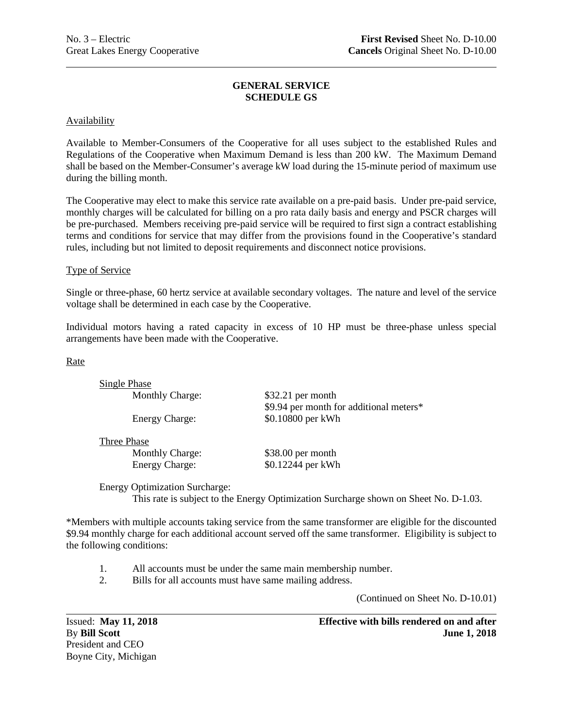## **GENERAL SERVICE SCHEDULE GS**

### Availability

Available to Member-Consumers of the Cooperative for all uses subject to the established Rules and Regulations of the Cooperative when Maximum Demand is less than 200 kW. The Maximum Demand shall be based on the Member-Consumer's average kW load during the 15-minute period of maximum use during the billing month.

The Cooperative may elect to make this service rate available on a pre-paid basis. Under pre-paid service, monthly charges will be calculated for billing on a pro rata daily basis and energy and PSCR charges will be pre-purchased. Members receiving pre-paid service will be required to first sign a contract establishing terms and conditions for service that may differ from the provisions found in the Cooperative's standard rules, including but not limited to deposit requirements and disconnect notice provisions.

#### Type of Service

Single or three**-**phase, 60 hertz service at available secondary voltages. The nature and level of the service voltage shall be determined in each case by the Cooperative.

Individual motors having a rated capacity in excess of 10 HP must be three-phase unless special arrangements have been made with the Cooperative.

Rate

| Single Phase           |                                         |
|------------------------|-----------------------------------------|
| <b>Monthly Charge:</b> | $$32.21$ per month                      |
|                        | \$9.94 per month for additional meters* |
| <b>Energy Charge:</b>  | \$0.10800 per kWh                       |
| Throa Dhaga            |                                         |

Three Phase

Monthly Charge: \$38.00 per month

Energy Charge:  $$0.12244$  per kWh

Energy Optimization Surcharge: This rate is subject to the Energy Optimization Surcharge shown on Sheet No. D-1.03.

\*Members with multiple accounts taking service from the same transformer are eligible for the discounted \$9.94 monthly charge for each additional account served off the same transformer. Eligibility is subject to the following conditions:

- 1. All accounts must be under the same main membership number.
- 2. Bills for all accounts must have same mailing address.

(Continued on Sheet No. D-10.01)

President and CEO Boyne City, Michigan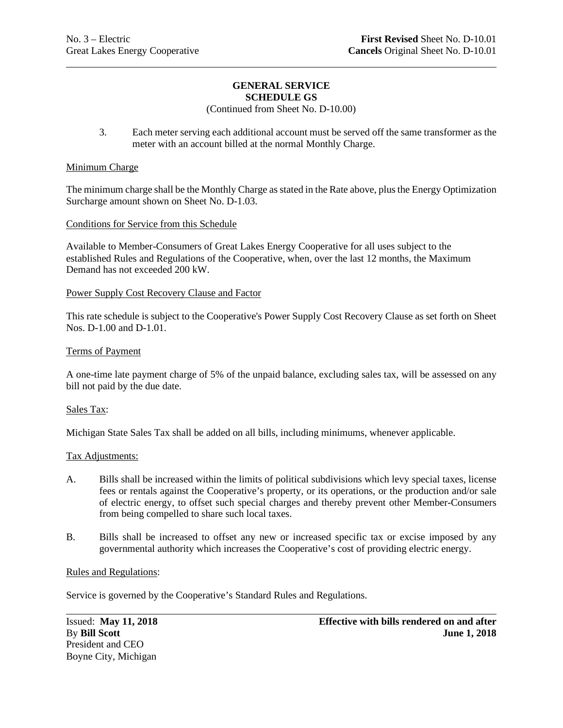#### **GENERAL SERVICE SCHEDULE GS**

## (Continued from Sheet No. D-10.00)

3. Each meter serving each additional account must be served off the same transformer as the meter with an account billed at the normal Monthly Charge.

#### Minimum Charge

The minimum charge shall be the Monthly Charge as stated in the Rate above, plus the Energy Optimization Surcharge amount shown on Sheet No. D-1.03.

#### Conditions for Service from this Schedule

Available to Member-Consumers of Great Lakes Energy Cooperative for all uses subject to the established Rules and Regulations of the Cooperative, when, over the last 12 months, the Maximum Demand has not exceeded 200 kW.

#### Power Supply Cost Recovery Clause and Factor

This rate schedule is subject to the Cooperative's Power Supply Cost Recovery Clause as set forth on Sheet Nos. D-1.00 and D-1.01.

#### Terms of Payment

A one-time late payment charge of 5% of the unpaid balance, excluding sales tax, will be assessed on any bill not paid by the due date.

#### Sales Tax:

Michigan State Sales Tax shall be added on all bills, including minimums, whenever applicable.

#### Tax Adjustments:

- A. Bills shall be increased within the limits of political subdivisions which levy special taxes, license fees or rentals against the Cooperative's property, or its operations, or the production and/or sale of electric energy, to offset such special charges and thereby prevent other Member-Consumers from being compelled to share such local taxes.
- B. Bills shall be increased to offset any new or increased specific tax or excise imposed by any governmental authority which increases the Cooperative's cost of providing electric energy.

#### Rules and Regulations:

Service is governed by the Cooperative's Standard Rules and Regulations.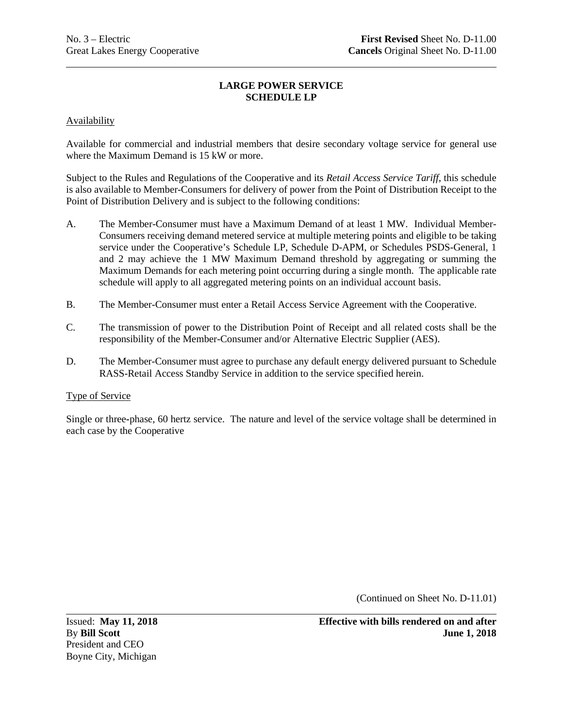## **LARGE POWER SERVICE SCHEDULE LP**

## Availability

Available for commercial and industrial members that desire secondary voltage service for general use where the Maximum Demand is 15 kW or more.

Subject to the Rules and Regulations of the Cooperative and its *Retail Access Service Tariff*, this schedule is also available to Member-Consumers for delivery of power from the Point of Distribution Receipt to the Point of Distribution Delivery and is subject to the following conditions:

- A. The Member-Consumer must have a Maximum Demand of at least 1 MW. Individual Member-Consumers receiving demand metered service at multiple metering points and eligible to be taking service under the Cooperative's Schedule LP, Schedule D-APM, or Schedules PSDS-General, 1 and 2 may achieve the 1 MW Maximum Demand threshold by aggregating or summing the Maximum Demands for each metering point occurring during a single month. The applicable rate schedule will apply to all aggregated metering points on an individual account basis.
- B. The Member-Consumer must enter a Retail Access Service Agreement with the Cooperative.
- C. The transmission of power to the Distribution Point of Receipt and all related costs shall be the responsibility of the Member-Consumer and/or Alternative Electric Supplier (AES).
- D. The Member-Consumer must agree to purchase any default energy delivered pursuant to Schedule RASS-Retail Access Standby Service in addition to the service specified herein.

## Type of Service

Single or three**-**phase, 60 hertz service. The nature and level of the service voltage shall be determined in each case by the Cooperative

(Continued on Sheet No. D-11.01)

President and CEO Boyne City, Michigan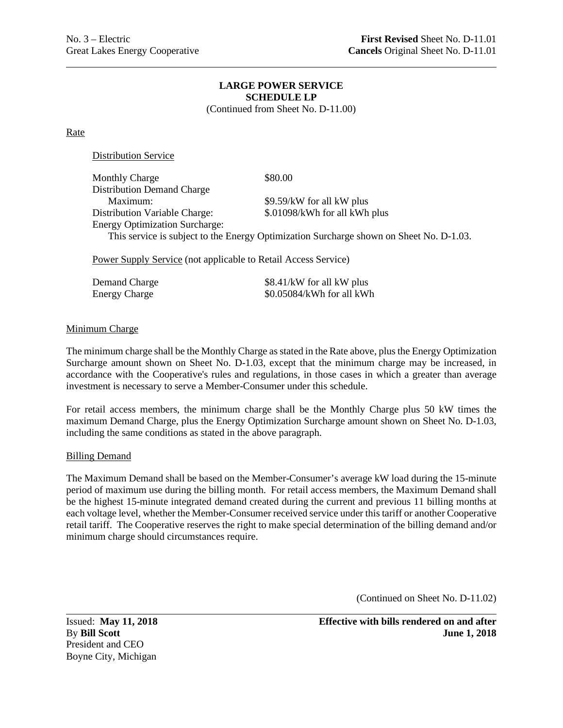#### **LARGE POWER SERVICE SCHEDULE LP** (Continued from Sheet No. D-11.00)

Rate

Distribution Service

| <b>Monthly Charge</b>                 | \$80.00                                                                                 |
|---------------------------------------|-----------------------------------------------------------------------------------------|
| <b>Distribution Demand Charge</b>     |                                                                                         |
| Maximum:                              | \$9.59/kW for all kW plus                                                               |
| <b>Distribution Variable Charge:</b>  | \$.01098/kWh for all kWh plus                                                           |
| <b>Energy Optimization Surcharge:</b> |                                                                                         |
|                                       | This service is subject to the Energy Optimization Surcharge shown on Sheet No. D-1.03. |
|                                       |                                                                                         |

Power Supply Service (not applicable to Retail Access Service)

| Demand Charge        | \$8.41/kW for all kW plus |
|----------------------|---------------------------|
| <b>Energy Charge</b> | \$0.05084/kWh for all kWh |

## Minimum Charge

The minimum charge shall be the Monthly Charge as stated in the Rate above, plus the Energy Optimization Surcharge amount shown on Sheet No. D-1.03, except that the minimum charge may be increased, in accordance with the Cooperative's rules and regulations, in those cases in which a greater than average investment is necessary to serve a Member-Consumer under this schedule.

For retail access members, the minimum charge shall be the Monthly Charge plus 50 kW times the maximum Demand Charge, plus the Energy Optimization Surcharge amount shown on Sheet No. D-1.03, including the same conditions as stated in the above paragraph.

#### Billing Demand

The Maximum Demand shall be based on the Member-Consumer's average kW load during the 15-minute period of maximum use during the billing month. For retail access members, the Maximum Demand shall be the highest 15-minute integrated demand created during the current and previous 11 billing months at each voltage level, whether the Member-Consumer received service under this tariff or another Cooperative retail tariff. The Cooperative reserves the right to make special determination of the billing demand and/or minimum charge should circumstances require.

(Continued on Sheet No. D-11.02)

President and CEO Boyne City, Michigan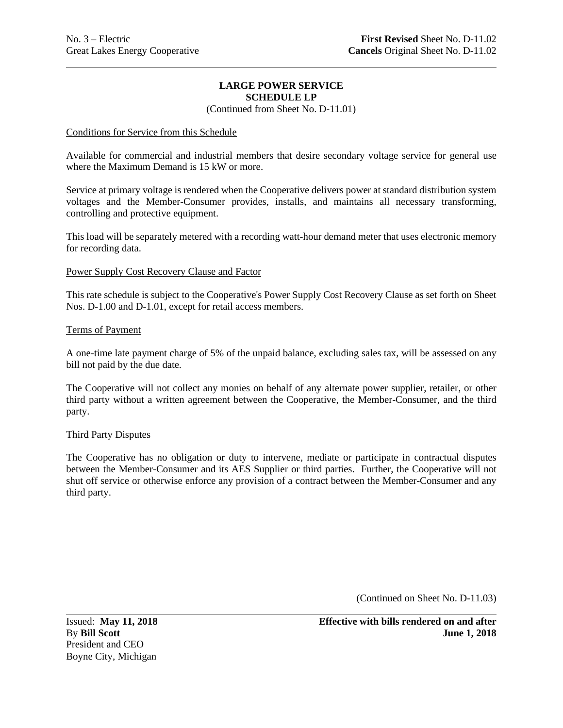## **LARGE POWER SERVICE SCHEDULE LP**

(Continued from Sheet No. D-11.01)

### Conditions for Service from this Schedule

Available for commercial and industrial members that desire secondary voltage service for general use where the Maximum Demand is 15 kW or more.

Service at primary voltage is rendered when the Cooperative delivers power at standard distribution system voltages and the Member-Consumer provides, installs, and maintains all necessary transforming, controlling and protective equipment.

This load will be separately metered with a recording watt-hour demand meter that uses electronic memory for recording data.

#### Power Supply Cost Recovery Clause and Factor

This rate schedule is subject to the Cooperative's Power Supply Cost Recovery Clause as set forth on Sheet Nos. D-1.00 and D-1.01, except for retail access members.

#### Terms of Payment

A one-time late payment charge of 5% of the unpaid balance, excluding sales tax, will be assessed on any bill not paid by the due date.

The Cooperative will not collect any monies on behalf of any alternate power supplier, retailer, or other third party without a written agreement between the Cooperative, the Member-Consumer, and the third party.

#### Third Party Disputes

The Cooperative has no obligation or duty to intervene, mediate or participate in contractual disputes between the Member-Consumer and its AES Supplier or third parties. Further, the Cooperative will not shut off service or otherwise enforce any provision of a contract between the Member-Consumer and any third party.

(Continued on Sheet No. D-11.03)

President and CEO Boyne City, Michigan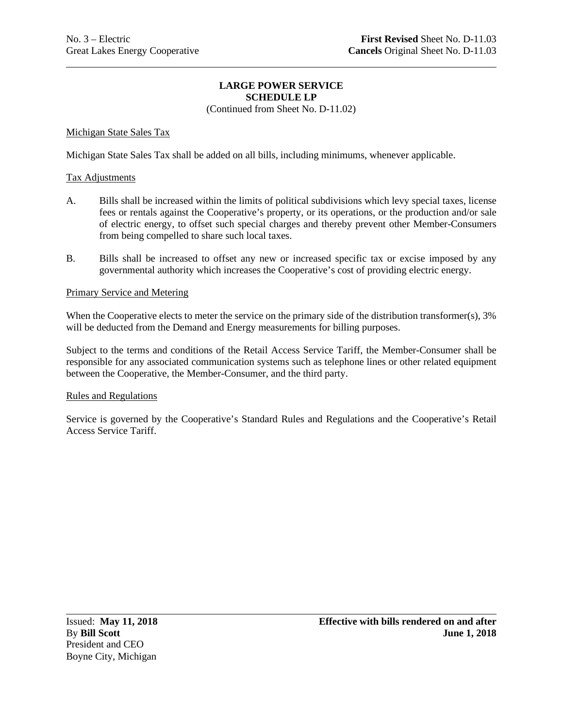## **LARGE POWER SERVICE SCHEDULE LP**

(Continued from Sheet No. D-11.02)

## Michigan State Sales Tax

Michigan State Sales Tax shall be added on all bills, including minimums, whenever applicable.

### Tax Adjustments

- A. Bills shall be increased within the limits of political subdivisions which levy special taxes, license fees or rentals against the Cooperative's property, or its operations, or the production and/or sale of electric energy, to offset such special charges and thereby prevent other Member-Consumers from being compelled to share such local taxes.
- B. Bills shall be increased to offset any new or increased specific tax or excise imposed by any governmental authority which increases the Cooperative's cost of providing electric energy.

#### Primary Service and Metering

When the Cooperative elects to meter the service on the primary side of the distribution transformer(s), 3% will be deducted from the Demand and Energy measurements for billing purposes.

Subject to the terms and conditions of the Retail Access Service Tariff, the Member-Consumer shall be responsible for any associated communication systems such as telephone lines or other related equipment between the Cooperative, the Member-Consumer, and the third party.

#### Rules and Regulations

Service is governed by the Cooperative's Standard Rules and Regulations and the Cooperative's Retail Access Service Tariff.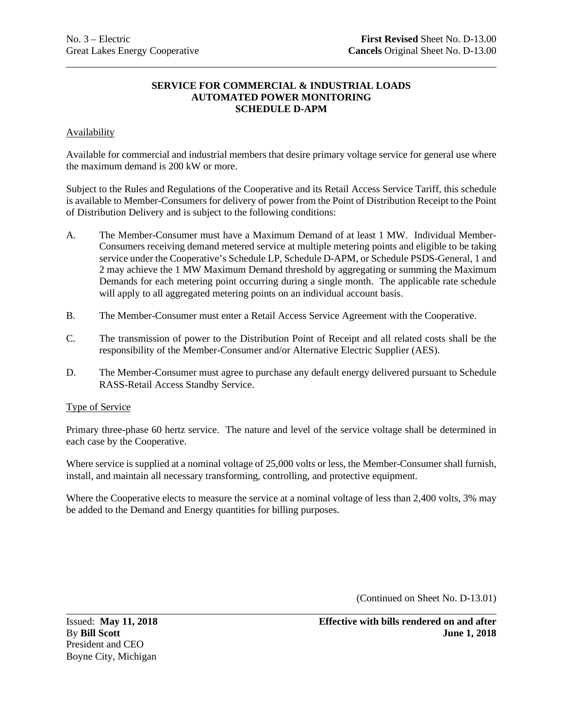## Availability

Available for commercial and industrial members that desire primary voltage service for general use where the maximum demand is 200 kW or more.

Subject to the Rules and Regulations of the Cooperative and its Retail Access Service Tariff, this schedule is available to Member-Consumers for delivery of power from the Point of Distribution Receipt to the Point of Distribution Delivery and is subject to the following conditions:

- A. The Member-Consumer must have a Maximum Demand of at least 1 MW. Individual Member-Consumers receiving demand metered service at multiple metering points and eligible to be taking service under the Cooperative's Schedule LP, Schedule D-APM, or Schedule PSDS-General, 1 and 2 may achieve the 1 MW Maximum Demand threshold by aggregating or summing the Maximum Demands for each metering point occurring during a single month. The applicable rate schedule will apply to all aggregated metering points on an individual account basis.
- B. The Member-Consumer must enter a Retail Access Service Agreement with the Cooperative.
- C. The transmission of power to the Distribution Point of Receipt and all related costs shall be the responsibility of the Member-Consumer and/or Alternative Electric Supplier (AES).
- D. The Member-Consumer must agree to purchase any default energy delivered pursuant to Schedule RASS-Retail Access Standby Service.

## Type of Service

Primary three-phase 60 hertz service. The nature and level of the service voltage shall be determined in each case by the Cooperative.

Where service is supplied at a nominal voltage of 25,000 volts or less, the Member-Consumer shall furnish, install, and maintain all necessary transforming, controlling, and protective equipment.

Where the Cooperative elects to measure the service at a nominal voltage of less than 2,400 volts, 3% may be added to the Demand and Energy quantities for billing purposes.

(Continued on Sheet No. D-13.01)

President and CEO Boyne City, Michigan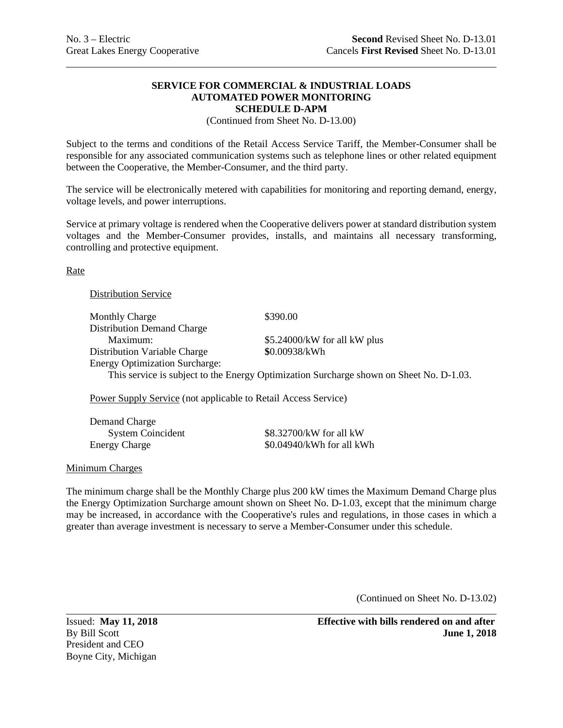(Continued from Sheet No. D-13.00)

Subject to the terms and conditions of the Retail Access Service Tariff, the Member-Consumer shall be responsible for any associated communication systems such as telephone lines or other related equipment between the Cooperative, the Member-Consumer, and the third party.

The service will be electronically metered with capabilities for monitoring and reporting demand, energy, voltage levels, and power interruptions.

Service at primary voltage is rendered when the Cooperative delivers power at standard distribution system voltages and the Member-Consumer provides, installs, and maintains all necessary transforming, controlling and protective equipment.

**Rate** 

#### Distribution Service

Monthly Charge \$390.00 Distribution Demand Charge Maximum:  $$5.24000/kW$  for all kW plus Distribution Variable Charge **\$**0.00938/kWh Energy Optimization Surcharge: This service is subject to the Energy Optimization Surcharge shown on Sheet No. D-1.03.

Power Supply Service (not applicable to Retail Access Service)

| Demand Charge            |      |
|--------------------------|------|
| <b>System Coincident</b> | \$8. |
| <b>Energy Charge</b>     | \$0. |

 $32700/kW$  for all kW  $.04940/kWh$  for all kWh

#### Minimum Charges

The minimum charge shall be the Monthly Charge plus 200 kW times the Maximum Demand Charge plus the Energy Optimization Surcharge amount shown on Sheet No. D-1.03, except that the minimum charge may be increased, in accordance with the Cooperative's rules and regulations, in those cases in which a greater than average investment is necessary to serve a Member-Consumer under this schedule.

(Continued on Sheet No. D-13.02)

President and CEO Boyne City, Michigan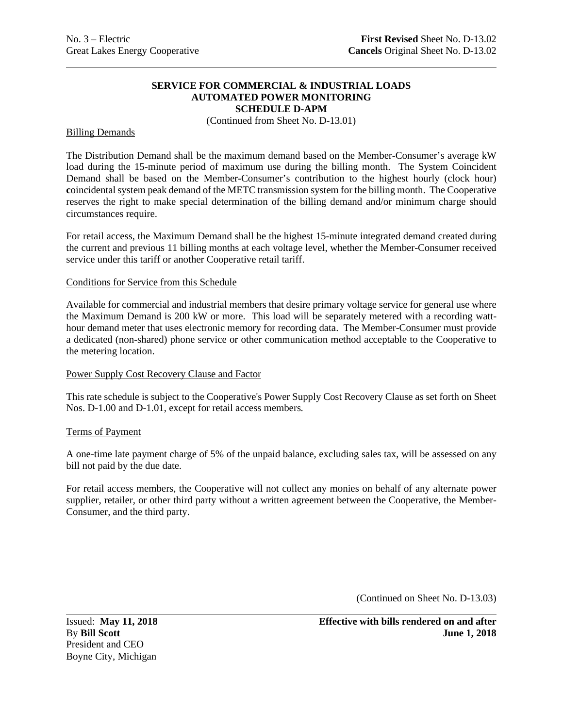(Continued from Sheet No. D-13.01)

#### Billing Demands

The Distribution Demand shall be the maximum demand based on the Member-Consumer's average kW load during the 15-minute period of maximum use during the billing month. The System Coincident Demand shall be based on the Member-Consumer's contribution to the highest hourly (clock hour) **c**oincidental system peak demand of the METC transmission system for the billing month. The Cooperative reserves the right to make special determination of the billing demand and/or minimum charge should circumstances require.

For retail access, the Maximum Demand shall be the highest 15-minute integrated demand created during the current and previous 11 billing months at each voltage level, whether the Member-Consumer received service under this tariff or another Cooperative retail tariff.

#### Conditions for Service from this Schedule

Available for commercial and industrial members that desire primary voltage service for general use where the Maximum Demand is 200 kW or more. This load will be separately metered with a recording watthour demand meter that uses electronic memory for recording data. The Member-Consumer must provide a dedicated (non-shared) phone service or other communication method acceptable to the Cooperative to the metering location.

## Power Supply Cost Recovery Clause and Factor

This rate schedule is subject to the Cooperative's Power Supply Cost Recovery Clause as set forth on Sheet Nos. D-1.00 and D-1.01, except for retail access members*.*

#### Terms of Payment

A one-time late payment charge of 5% of the unpaid balance, excluding sales tax, will be assessed on any bill not paid by the due date.

For retail access members, the Cooperative will not collect any monies on behalf of any alternate power supplier, retailer, or other third party without a written agreement between the Cooperative, the Member-Consumer, and the third party.

(Continued on Sheet No. D-13.03)

President and CEO Boyne City, Michigan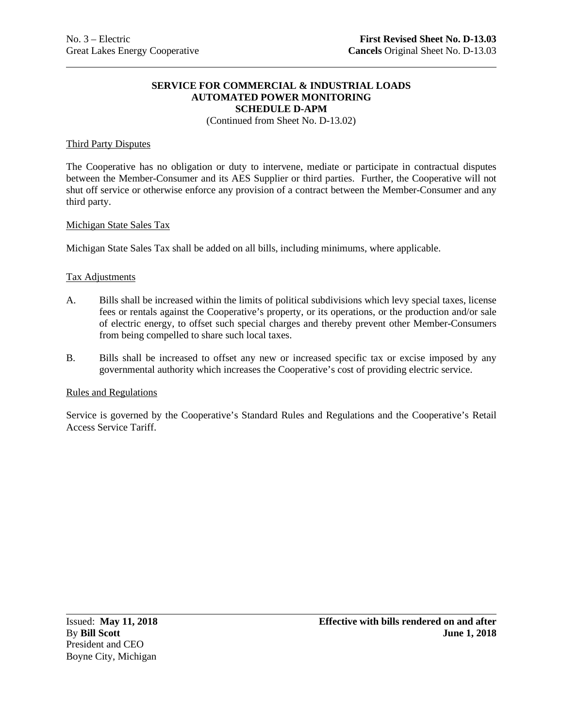(Continued from Sheet No. D-13.02)

#### Third Party Disputes

The Cooperative has no obligation or duty to intervene, mediate or participate in contractual disputes between the Member-Consumer and its AES Supplier or third parties. Further, the Cooperative will not shut off service or otherwise enforce any provision of a contract between the Member-Consumer and any third party.

#### Michigan State Sales Tax

Michigan State Sales Tax shall be added on all bills, including minimums, where applicable.

#### Tax Adjustments

- A. Bills shall be increased within the limits of political subdivisions which levy special taxes, license fees or rentals against the Cooperative's property, or its operations, or the production and/or sale of electric energy, to offset such special charges and thereby prevent other Member-Consumers from being compelled to share such local taxes.
- B. Bills shall be increased to offset any new or increased specific tax or excise imposed by any governmental authority which increases the Cooperative's cost of providing electric service.

#### Rules and Regulations

Service is governed by the Cooperative's Standard Rules and Regulations and the Cooperative's Retail Access Service Tariff.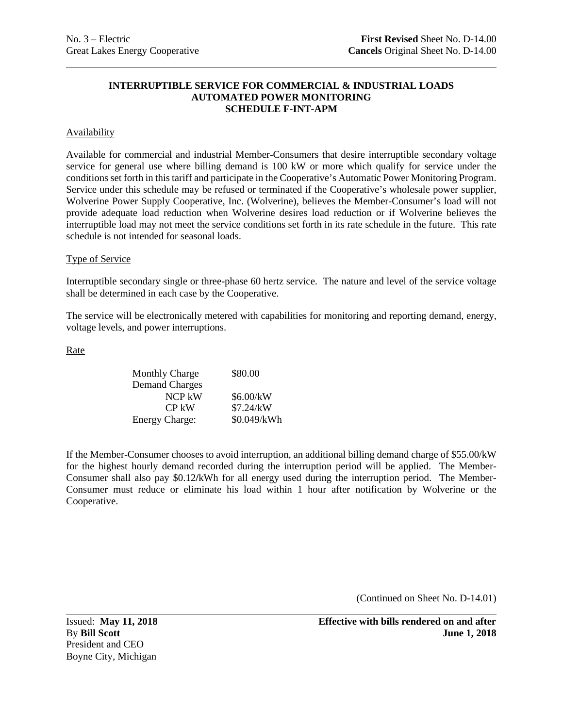## **INTERRUPTIBLE SERVICE FOR COMMERCIAL & INDUSTRIAL LOADS AUTOMATED POWER MONITORING SCHEDULE F-INT-APM**

### Availability

Available for commercial and industrial Member-Consumers that desire interruptible secondary voltage service for general use where billing demand is 100 kW or more which qualify for service under the conditions set forth in this tariff and participate in the Cooperative's Automatic Power Monitoring Program. Service under this schedule may be refused or terminated if the Cooperative's wholesale power supplier, Wolverine Power Supply Cooperative, Inc. (Wolverine), believes the Member-Consumer's load will not provide adequate load reduction when Wolverine desires load reduction or if Wolverine believes the interruptible load may not meet the service conditions set forth in its rate schedule in the future. This rate schedule is not intended for seasonal loads.

### Type of Service

Interruptible secondary single or three-phase 60 hertz service. The nature and level of the service voltage shall be determined in each case by the Cooperative.

The service will be electronically metered with capabilities for monitoring and reporting demand, energy, voltage levels, and power interruptions.

Rate

| <b>Monthly Charge</b> | \$80.00     |
|-----------------------|-------------|
| <b>Demand Charges</b> |             |
| NCP kW                | \$6.00/kW   |
| $CP$ kW               | \$7.24/kW   |
| <b>Energy Charge:</b> | \$0.049/kWh |

If the Member-Consumer chooses to avoid interruption, an additional billing demand charge of \$55.00/kW for the highest hourly demand recorded during the interruption period will be applied. The Member-Consumer shall also pay \$0.12**/**kWh for all energy used during the interruption period. The Member-Consumer must reduce or eliminate his load within 1 hour after notification by Wolverine or the Cooperative.

(Continued on Sheet No. D-14.01)

President and CEO Boyne City, Michigan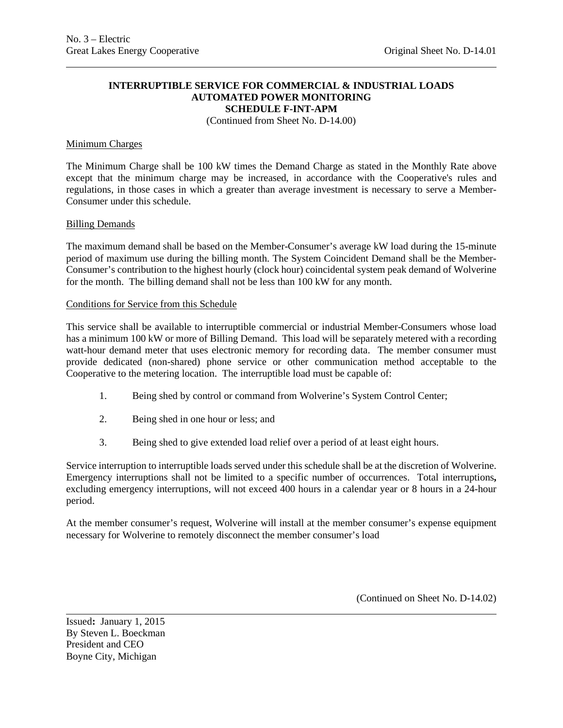#### **INTERRUPTIBLE SERVICE FOR COMMERCIAL & INDUSTRIAL LOADS AUTOMATED POWER MONITORING SCHEDULE F-INT-APM**

(Continued from Sheet No. D-14.00)

#### Minimum Charges

The Minimum Charge shall be 100 kW times the Demand Charge as stated in the Monthly Rate above except that the minimum charge may be increased, in accordance with the Cooperative's rules and regulations, in those cases in which a greater than average investment is necessary to serve a Member-Consumer under this schedule.

#### Billing Demands

The maximum demand shall be based on the Member-Consumer's average kW load during the 15-minute period of maximum use during the billing month. The System Coincident Demand shall be the Member-Consumer's contribution to the highest hourly (clock hour) coincidental system peak demand of Wolverine for the month. The billing demand shall not be less than 100 kW for any month.

#### Conditions for Service from this Schedule

This service shall be available to interruptible commercial or industrial Member-Consumers whose load has a minimum 100 kW or more of Billing Demand. This load will be separately metered with a recording watt-hour demand meter that uses electronic memory for recording data. The member consumer must provide dedicated (non-shared) phone service or other communication method acceptable to the Cooperative to the metering location. The interruptible load must be capable of:

- 1. Being shed by control or command from Wolverine's System Control Center;
- 2. Being shed in one hour or less; and
- 3. Being shed to give extended load relief over a period of at least eight hours.

Service interruption to interruptible loads served under this schedule shall be at the discretion of Wolverine. Emergency interruptions shall not be limited to a specific number of occurrences. Total interruptions**,** excluding emergency interruptions, will not exceed 400 hours in a calendar year or 8 hours in a 24-hour period.

At the member consumer's request, Wolverine will install at the member consumer's expense equipment necessary for Wolverine to remotely disconnect the member consumer's load

(Continued on Sheet No. D-14.02)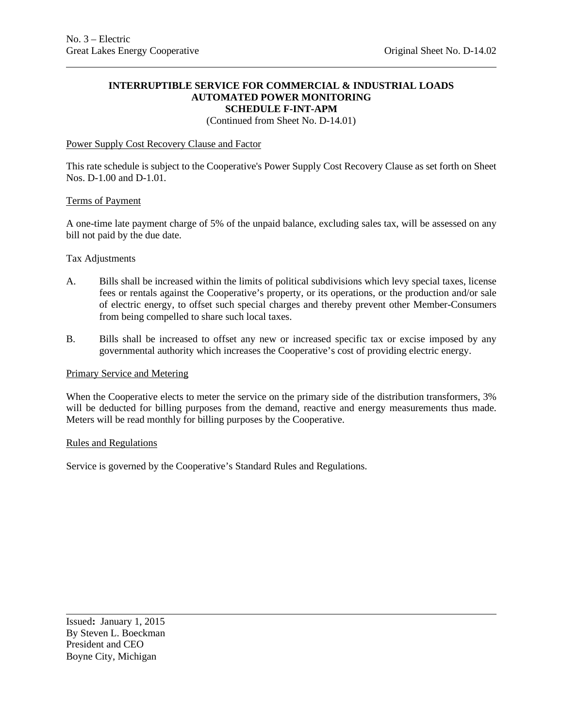#### **INTERRUPTIBLE SERVICE FOR COMMERCIAL & INDUSTRIAL LOADS AUTOMATED POWER MONITORING SCHEDULE F-INT-APM**

(Continued from Sheet No. D-14.01)

### Power Supply Cost Recovery Clause and Factor

This rate schedule is subject to the Cooperative's Power Supply Cost Recovery Clause as set forth on Sheet Nos. D-1.00 and D-1.01*.*

#### Terms of Payment

A one-time late payment charge of 5% of the unpaid balance, excluding sales tax, will be assessed on any bill not paid by the due date.

#### Tax Adjustments

- A. Bills shall be increased within the limits of political subdivisions which levy special taxes, license fees or rentals against the Cooperative's property, or its operations, or the production and/or sale of electric energy, to offset such special charges and thereby prevent other Member-Consumers from being compelled to share such local taxes.
- B. Bills shall be increased to offset any new or increased specific tax or excise imposed by any governmental authority which increases the Cooperative's cost of providing electric energy.

#### Primary Service and Metering

When the Cooperative elects to meter the service on the primary side of the distribution transformers, 3% will be deducted for billing purposes from the demand, reactive and energy measurements thus made. Meters will be read monthly for billing purposes by the Cooperative.

#### Rules and Regulations

Service is governed by the Cooperative's Standard Rules and Regulations.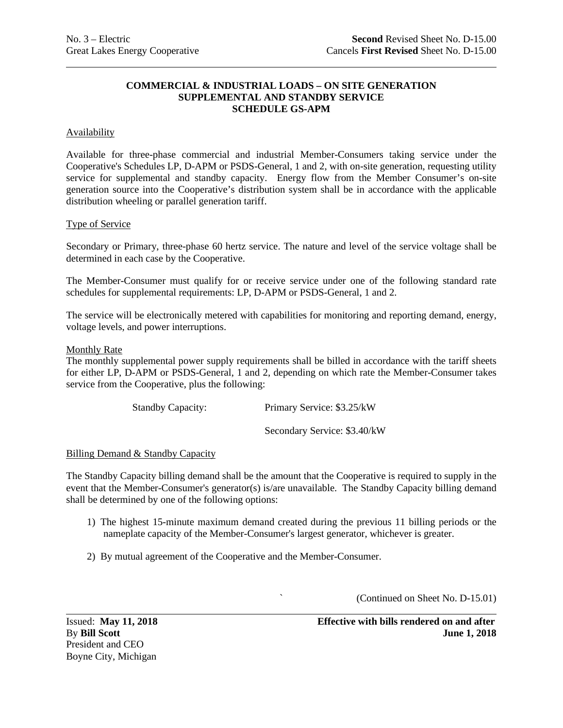### **COMMERCIAL & INDUSTRIAL LOADS – ON SITE GENERATION SUPPLEMENTAL AND STANDBY SERVICE SCHEDULE GS-APM**

### **Availability**

Available for three-phase commercial and industrial Member-Consumers taking service under the Cooperative's Schedules LP, D-APM or PSDS-General, 1 and 2, with on-site generation, requesting utility service for supplemental and standby capacity. Energy flow from the Member Consumer's on-site generation source into the Cooperative's distribution system shall be in accordance with the applicable distribution wheeling or parallel generation tariff.

### Type of Service

Secondary or Primary, three-phase 60 hertz service. The nature and level of the service voltage shall be determined in each case by the Cooperative.

The Member-Consumer must qualify for or receive service under one of the following standard rate schedules for supplemental requirements: LP, D-APM or PSDS-General, 1 and 2.

The service will be electronically metered with capabilities for monitoring and reporting demand, energy, voltage levels, and power interruptions.

### Monthly Rate

The monthly supplemental power supply requirements shall be billed in accordance with the tariff sheets for either LP, D-APM or PSDS-General, 1 and 2, depending on which rate the Member-Consumer takes service from the Cooperative, plus the following:

Standby Capacity: Primary Service: \$3.25/kW

Secondary Service: \$3.40/kW

#### Billing Demand & Standby Capacity

The Standby Capacity billing demand shall be the amount that the Cooperative is required to supply in the event that the Member-Consumer's generator(s) is/are unavailable. The Standby Capacity billing demand shall be determined by one of the following options:

- 1) The highest 15-minute maximum demand created during the previous 11 billing periods or the nameplate capacity of the Member-Consumer's largest generator, whichever is greater.
- 2) By mutual agreement of the Cooperative and the Member-Consumer.

` (Continued on Sheet No. D-15.01)

President and CEO Boyne City, Michigan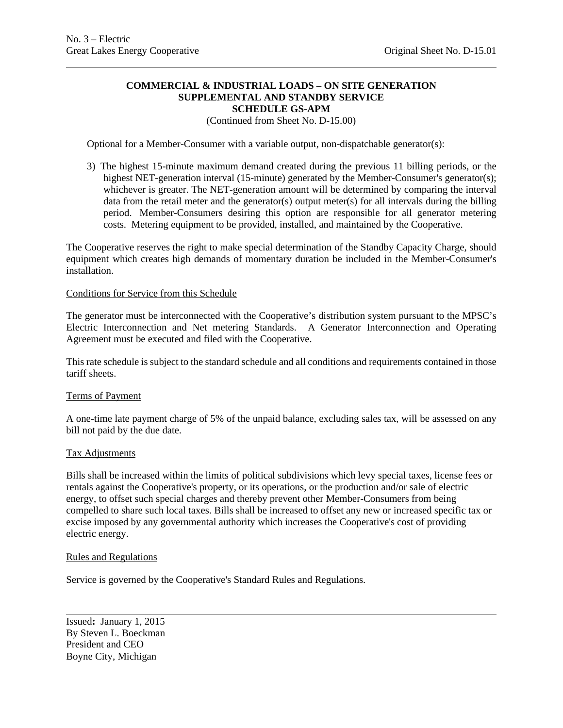### **COMMERCIAL & INDUSTRIAL LOADS – ON SITE GENERATION SUPPLEMENTAL AND STANDBY SERVICE SCHEDULE GS-APM**

### (Continued from Sheet No. D-15.00)

Optional for a Member-Consumer with a variable output, non-dispatchable generator(s):

3) The highest 15-minute maximum demand created during the previous 11 billing periods, or the highest NET-generation interval (15-minute) generated by the Member-Consumer's generator(s); whichever is greater. The NET-generation amount will be determined by comparing the interval data from the retail meter and the generator(s) output meter(s) for all intervals during the billing period. Member-Consumers desiring this option are responsible for all generator metering costs. Metering equipment to be provided, installed, and maintained by the Cooperative.

The Cooperative reserves the right to make special determination of the Standby Capacity Charge, should equipment which creates high demands of momentary duration be included in the Member-Consumer's installation.

#### Conditions for Service from this Schedule

The generator must be interconnected with the Cooperative's distribution system pursuant to the MPSC's Electric Interconnection and Net metering Standards. A Generator Interconnection and Operating Agreement must be executed and filed with the Cooperative.

This rate schedule is subject to the standard schedule and all conditions and requirements contained in those tariff sheets.

#### Terms of Payment

A one-time late payment charge of 5% of the unpaid balance, excluding sales tax, will be assessed on any bill not paid by the due date.

#### Tax Adjustments

Bills shall be increased within the limits of political subdivisions which levy special taxes, license fees or rentals against the Cooperative's property, or its operations, or the production and/or sale of electric energy, to offset such special charges and thereby prevent other Member-Consumers from being compelled to share such local taxes. Bills shall be increased to offset any new or increased specific tax or excise imposed by any governmental authority which increases the Cooperative's cost of providing electric energy.

#### Rules and Regulations

Service is governed by the Cooperative's Standard Rules and Regulations.

Issued**:** January 1, 2015 By Steven L. Boeckman President and CEO Boyne City, Michigan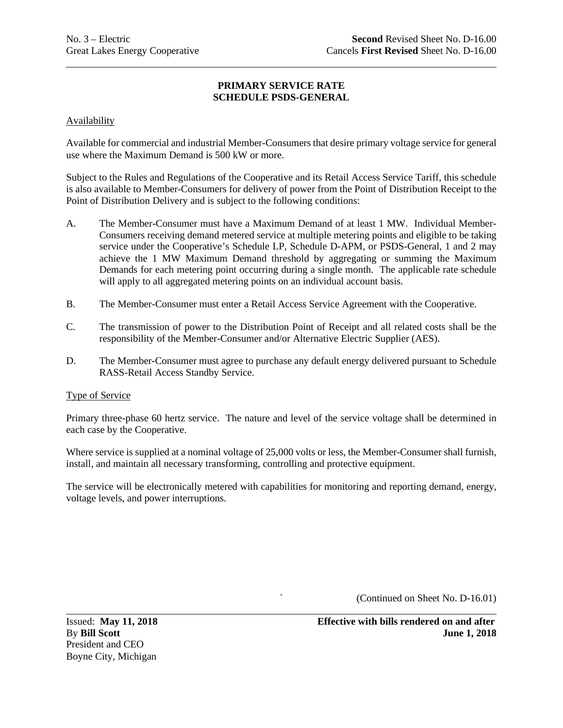### **Availability**

Available for commercial and industrial Member-Consumers that desire primary voltage service for general use where the Maximum Demand is 500 kW or more.

Subject to the Rules and Regulations of the Cooperative and its Retail Access Service Tariff, this schedule is also available to Member-Consumers for delivery of power from the Point of Distribution Receipt to the Point of Distribution Delivery and is subject to the following conditions:

- A. The Member-Consumer must have a Maximum Demand of at least 1 MW. Individual Member-Consumers receiving demand metered service at multiple metering points and eligible to be taking service under the Cooperative's Schedule LP, Schedule D-APM, or PSDS-General, 1 and 2 may achieve the 1 MW Maximum Demand threshold by aggregating or summing the Maximum Demands for each metering point occurring during a single month. The applicable rate schedule will apply to all aggregated metering points on an individual account basis.
- B. The Member-Consumer must enter a Retail Access Service Agreement with the Cooperative.
- C. The transmission of power to the Distribution Point of Receipt and all related costs shall be the responsibility of the Member-Consumer and/or Alternative Electric Supplier (AES).
- D. The Member-Consumer must agree to purchase any default energy delivered pursuant to Schedule RASS-Retail Access Standby Service.

### Type of Service

Primary three-phase 60 hertz service. The nature and level of the service voltage shall be determined in each case by the Cooperative.

Where service is supplied at a nominal voltage of 25,000 volts or less, the Member-Consumer shall furnish, install, and maintain all necessary transforming, controlling and protective equipment.

The service will be electronically metered with capabilities for monitoring and reporting demand, energy, voltage levels, and power interruptions.

` (Continued on Sheet No. D-16.01)

President and CEO Boyne City, Michigan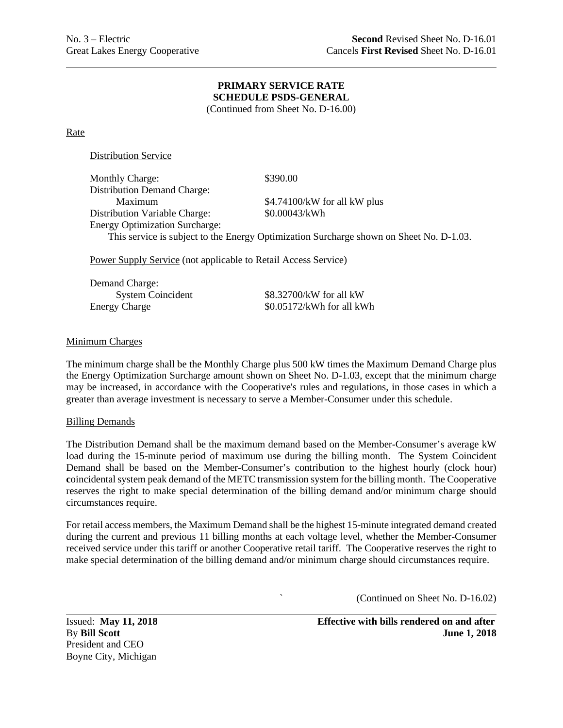(Continued from Sheet No. D-16.00)

Rate

Distribution Service

| <b>Monthly Charge:</b>                | \$390.00                                                                                |
|---------------------------------------|-----------------------------------------------------------------------------------------|
| <b>Distribution Demand Charge:</b>    |                                                                                         |
| Maximum                               | \$4.74100/kW for all kW plus                                                            |
| <b>Distribution Variable Charge:</b>  | \$0.00043/kWh                                                                           |
| <b>Energy Optimization Surcharge:</b> |                                                                                         |
|                                       | This service is subject to the Energy Optimization Surcharge shown on Sheet No. D-1.03. |
|                                       |                                                                                         |

Power Supply Service (not applicable to Retail Access Service)

| Demand Charge:           |                           |
|--------------------------|---------------------------|
| <b>System Coincident</b> | \$8.32700/kW for all kW   |
| <b>Energy Charge</b>     | \$0.05172/kWh for all kWh |

### Minimum Charges

The minimum charge shall be the Monthly Charge plus 500 kW times the Maximum Demand Charge plus the Energy Optimization Surcharge amount shown on Sheet No. D-1.03, except that the minimum charge may be increased, in accordance with the Cooperative's rules and regulations, in those cases in which a greater than average investment is necessary to serve a Member-Consumer under this schedule.

#### Billing Demands

The Distribution Demand shall be the maximum demand based on the Member-Consumer's average kW load during the 15-minute period of maximum use during the billing month. The System Coincident Demand shall be based on the Member-Consumer's contribution to the highest hourly (clock hour) **c**oincidental system peak demand of the METC transmission system for the billing month. The Cooperative reserves the right to make special determination of the billing demand and/or minimum charge should circumstances require.

For retail access members, the Maximum Demand shall be the highest 15-minute integrated demand created during the current and previous 11 billing months at each voltage level, whether the Member-Consumer received service under this tariff or another Cooperative retail tariff. The Cooperative reserves the right to make special determination of the billing demand and/or minimum charge should circumstances require.

` (Continued on Sheet No. D-16.02)

President and CEO Boyne City, Michigan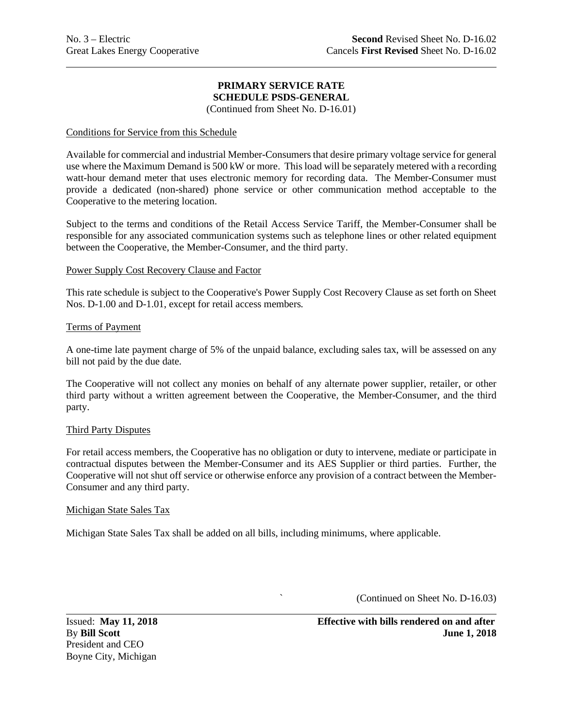(Continued from Sheet No. D-16.01)

### Conditions for Service from this Schedule

Available for commercial and industrial Member-Consumers that desire primary voltage service for general use where the Maximum Demand is 500 kW or more. This load will be separately metered with a recording watt-hour demand meter that uses electronic memory for recording data. The Member-Consumer must provide a dedicated (non-shared) phone service or other communication method acceptable to the Cooperative to the metering location.

Subject to the terms and conditions of the Retail Access Service Tariff, the Member-Consumer shall be responsible for any associated communication systems such as telephone lines or other related equipment between the Cooperative, the Member-Consumer, and the third party.

### Power Supply Cost Recovery Clause and Factor

This rate schedule is subject to the Cooperative's Power Supply Cost Recovery Clause as set forth on Sheet Nos. D-1.00 and D-1.01, except for retail access members*.*

### Terms of Payment

A one-time late payment charge of 5% of the unpaid balance, excluding sales tax, will be assessed on any bill not paid by the due date.

The Cooperative will not collect any monies on behalf of any alternate power supplier, retailer, or other third party without a written agreement between the Cooperative, the Member-Consumer, and the third party.

### Third Party Disputes

For retail access members, the Cooperative has no obligation or duty to intervene, mediate or participate in contractual disputes between the Member-Consumer and its AES Supplier or third parties. Further, the Cooperative will not shut off service or otherwise enforce any provision of a contract between the Member-Consumer and any third party.

#### Michigan State Sales Tax

Michigan State Sales Tax shall be added on all bills, including minimums, where applicable.

` (Continued on Sheet No. D-16.03)

President and CEO Boyne City, Michigan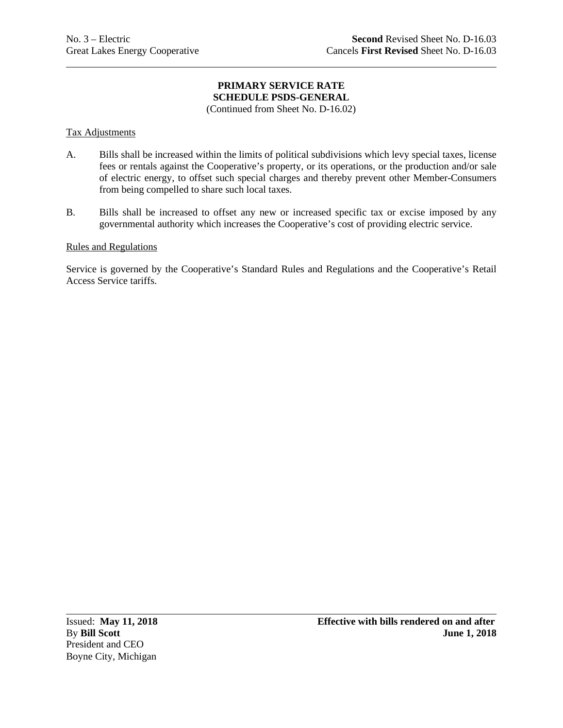(Continued from Sheet No. D-16.02)

### Tax Adjustments

- A. Bills shall be increased within the limits of political subdivisions which levy special taxes, license fees or rentals against the Cooperative's property, or its operations, or the production and/or sale of electric energy, to offset such special charges and thereby prevent other Member-Consumers from being compelled to share such local taxes.
- B. Bills shall be increased to offset any new or increased specific tax or excise imposed by any governmental authority which increases the Cooperative's cost of providing electric service.

### Rules and Regulations

Service is governed by the Cooperative's Standard Rules and Regulations and the Cooperative's Retail Access Service tariffs.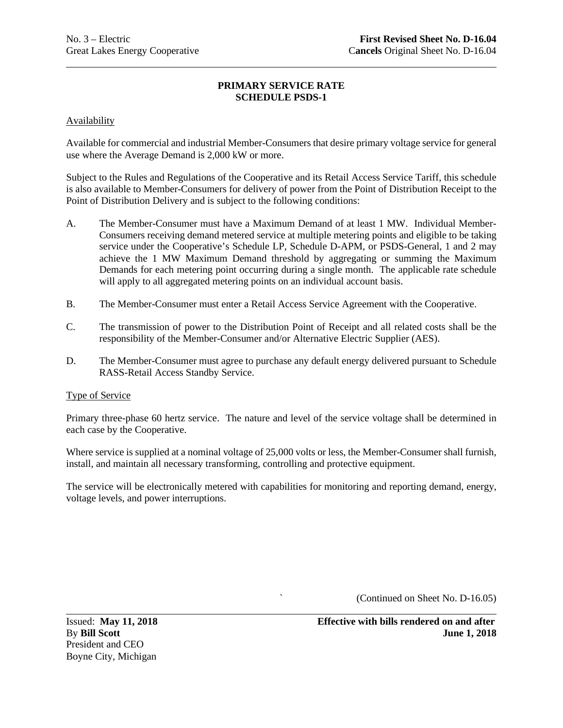### Availability

Available for commercial and industrial Member-Consumers that desire primary voltage service for general use where the Average Demand is 2,000 kW or more.

Subject to the Rules and Regulations of the Cooperative and its Retail Access Service Tariff, this schedule is also available to Member-Consumers for delivery of power from the Point of Distribution Receipt to the Point of Distribution Delivery and is subject to the following conditions:

- A. The Member-Consumer must have a Maximum Demand of at least 1 MW. Individual Member-Consumers receiving demand metered service at multiple metering points and eligible to be taking service under the Cooperative's Schedule LP, Schedule D-APM, or PSDS-General, 1 and 2 may achieve the 1 MW Maximum Demand threshold by aggregating or summing the Maximum Demands for each metering point occurring during a single month. The applicable rate schedule will apply to all aggregated metering points on an individual account basis.
- B. The Member-Consumer must enter a Retail Access Service Agreement with the Cooperative.
- C. The transmission of power to the Distribution Point of Receipt and all related costs shall be the responsibility of the Member-Consumer and/or Alternative Electric Supplier (AES).
- D. The Member-Consumer must agree to purchase any default energy delivered pursuant to Schedule RASS-Retail Access Standby Service.

### Type of Service

Primary three-phase 60 hertz service. The nature and level of the service voltage shall be determined in each case by the Cooperative.

Where service is supplied at a nominal voltage of 25,000 volts or less, the Member-Consumer shall furnish, install, and maintain all necessary transforming, controlling and protective equipment.

The service will be electronically metered with capabilities for monitoring and reporting demand, energy, voltage levels, and power interruptions.

` (Continued on Sheet No. D-16.05)

President and CEO Boyne City, Michigan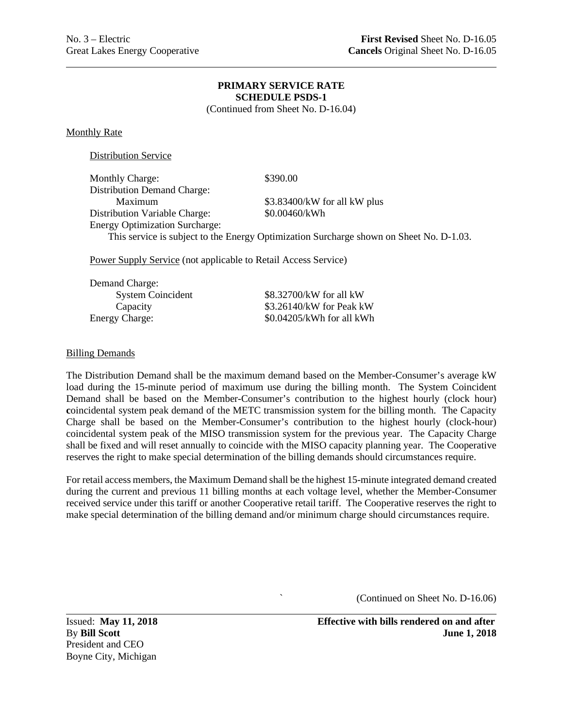(Continued from Sheet No. D-16.04)

Monthly Rate

Distribution Service

| <b>Monthly Charge:</b>                | \$390.00                                                                                |
|---------------------------------------|-----------------------------------------------------------------------------------------|
| <b>Distribution Demand Charge:</b>    |                                                                                         |
| Maximum                               | \$3.83400/kW for all kW plus                                                            |
| Distribution Variable Charge:         | \$0.00460/kWh                                                                           |
| <b>Energy Optimization Surcharge:</b> |                                                                                         |
|                                       | This service is subject to the Energy Optimization Surcharge shown on Sheet No. D-1.03. |

Power Supply Service (not applicable to Retail Access Service)

| Demand Charge:           |                           |
|--------------------------|---------------------------|
| <b>System Coincident</b> | \$8.32700/kW for all kW   |
| Capacity                 | \$3.26140/kW for Peak kW  |
| <b>Energy Charge:</b>    | \$0.04205/kWh for all kWh |
|                          |                           |

### Billing Demands

The Distribution Demand shall be the maximum demand based on the Member-Consumer's average kW load during the 15-minute period of maximum use during the billing month. The System Coincident Demand shall be based on the Member-Consumer's contribution to the highest hourly (clock hour) **c**oincidental system peak demand of the METC transmission system for the billing month. The Capacity Charge shall be based on the Member-Consumer's contribution to the highest hourly (clock-hour) coincidental system peak of the MISO transmission system for the previous year. The Capacity Charge shall be fixed and will reset annually to coincide with the MISO capacity planning year. The Cooperative reserves the right to make special determination of the billing demands should circumstances require.

For retail access members, the Maximum Demand shall be the highest 15-minute integrated demand created during the current and previous 11 billing months at each voltage level, whether the Member-Consumer received service under this tariff or another Cooperative retail tariff. The Cooperative reserves the right to make special determination of the billing demand and/or minimum charge should circumstances require.

` (Continued on Sheet No. D-16.06)

President and CEO Boyne City, Michigan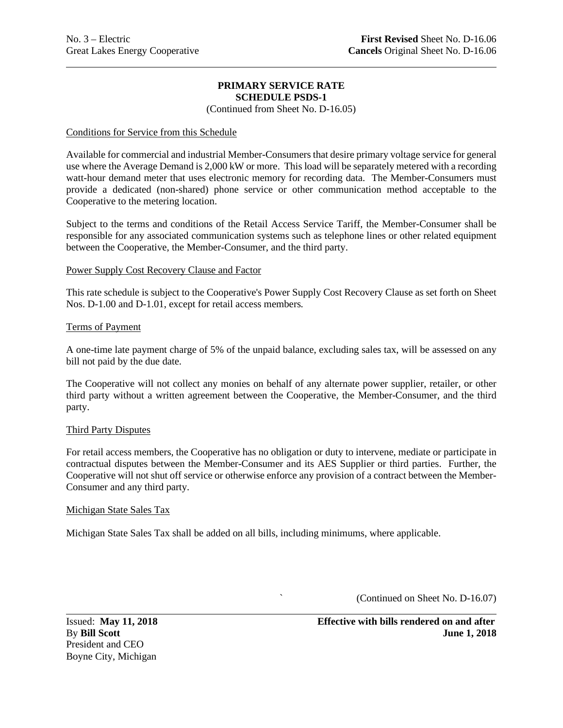(Continued from Sheet No. D-16.05)

### Conditions for Service from this Schedule

Available for commercial and industrial Member-Consumers that desire primary voltage service for general use where the Average Demand is 2,000 kW or more. This load will be separately metered with a recording watt-hour demand meter that uses electronic memory for recording data. The Member-Consumers must provide a dedicated (non-shared) phone service or other communication method acceptable to the Cooperative to the metering location.

Subject to the terms and conditions of the Retail Access Service Tariff, the Member-Consumer shall be responsible for any associated communication systems such as telephone lines or other related equipment between the Cooperative, the Member-Consumer, and the third party.

### Power Supply Cost Recovery Clause and Factor

This rate schedule is subject to the Cooperative's Power Supply Cost Recovery Clause as set forth on Sheet Nos. D-1.00 and D-1.01, except for retail access members*.*

### Terms of Payment

A one-time late payment charge of 5% of the unpaid balance, excluding sales tax, will be assessed on any bill not paid by the due date.

The Cooperative will not collect any monies on behalf of any alternate power supplier, retailer, or other third party without a written agreement between the Cooperative, the Member-Consumer, and the third party.

### Third Party Disputes

For retail access members, the Cooperative has no obligation or duty to intervene, mediate or participate in contractual disputes between the Member-Consumer and its AES Supplier or third parties. Further, the Cooperative will not shut off service or otherwise enforce any provision of a contract between the Member-Consumer and any third party.

#### Michigan State Sales Tax

Michigan State Sales Tax shall be added on all bills, including minimums, where applicable.

` (Continued on Sheet No. D-16.07)

President and CEO Boyne City, Michigan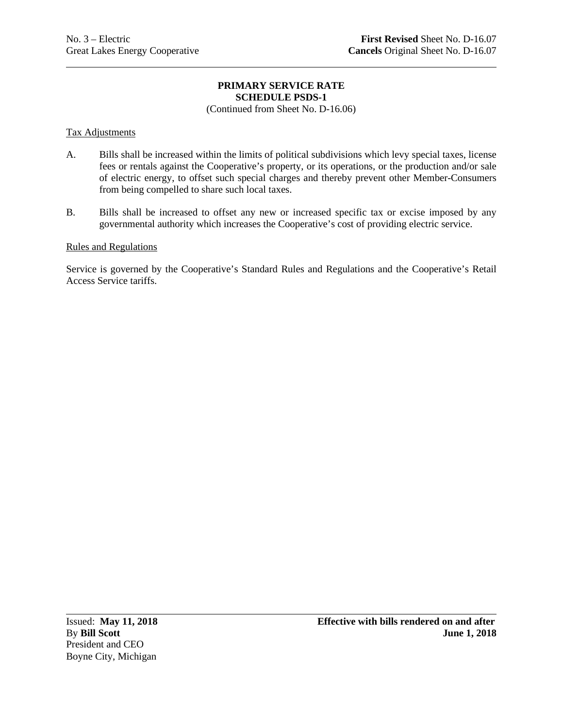(Continued from Sheet No. D-16.06)

### Tax Adjustments

- A. Bills shall be increased within the limits of political subdivisions which levy special taxes, license fees or rentals against the Cooperative's property, or its operations, or the production and/or sale of electric energy, to offset such special charges and thereby prevent other Member-Consumers from being compelled to share such local taxes.
- B. Bills shall be increased to offset any new or increased specific tax or excise imposed by any governmental authority which increases the Cooperative's cost of providing electric service.

### Rules and Regulations

Service is governed by the Cooperative's Standard Rules and Regulations and the Cooperative's Retail Access Service tariffs.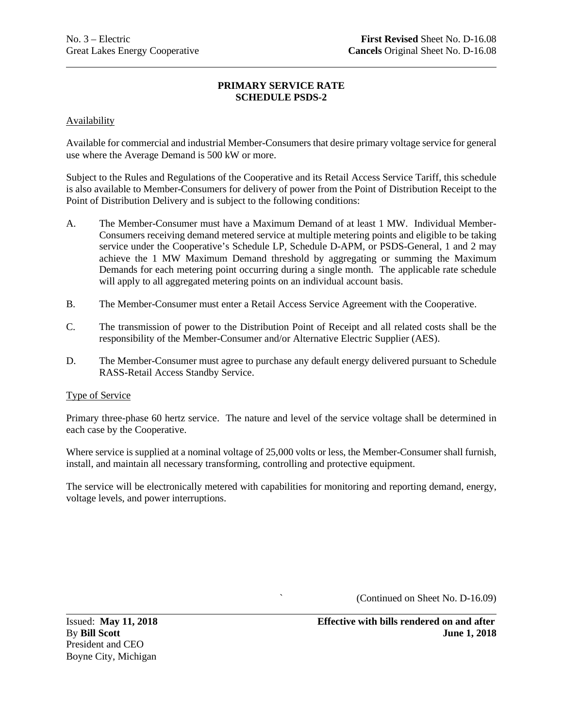### Availability

Available for commercial and industrial Member-Consumers that desire primary voltage service for general use where the Average Demand is 500 kW or more.

Subject to the Rules and Regulations of the Cooperative and its Retail Access Service Tariff, this schedule is also available to Member-Consumers for delivery of power from the Point of Distribution Receipt to the Point of Distribution Delivery and is subject to the following conditions:

- A. The Member-Consumer must have a Maximum Demand of at least 1 MW. Individual Member-Consumers receiving demand metered service at multiple metering points and eligible to be taking service under the Cooperative's Schedule LP, Schedule D-APM, or PSDS-General, 1 and 2 may achieve the 1 MW Maximum Demand threshold by aggregating or summing the Maximum Demands for each metering point occurring during a single month. The applicable rate schedule will apply to all aggregated metering points on an individual account basis.
- B. The Member-Consumer must enter a Retail Access Service Agreement with the Cooperative.
- C. The transmission of power to the Distribution Point of Receipt and all related costs shall be the responsibility of the Member-Consumer and/or Alternative Electric Supplier (AES).
- D. The Member-Consumer must agree to purchase any default energy delivered pursuant to Schedule RASS-Retail Access Standby Service.

### Type of Service

Primary three-phase 60 hertz service. The nature and level of the service voltage shall be determined in each case by the Cooperative.

Where service is supplied at a nominal voltage of 25,000 volts or less, the Member-Consumer shall furnish, install, and maintain all necessary transforming, controlling and protective equipment.

The service will be electronically metered with capabilities for monitoring and reporting demand, energy, voltage levels, and power interruptions.

` (Continued on Sheet No. D-16.09)

President and CEO Boyne City, Michigan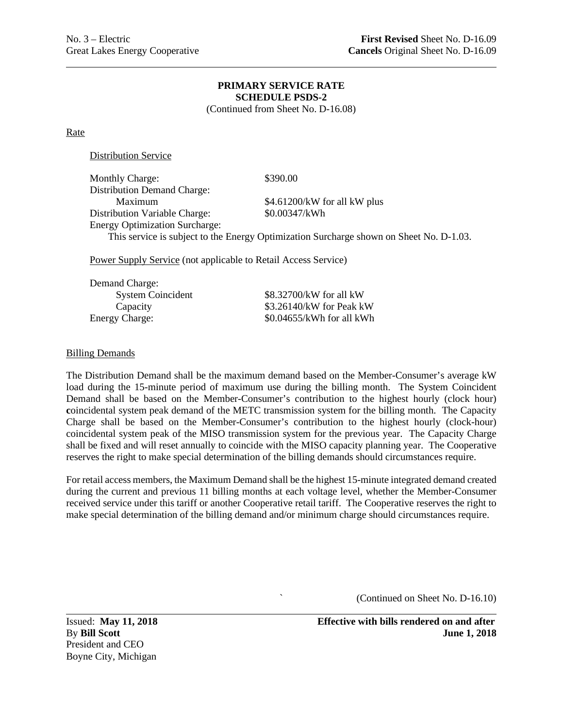(Continued from Sheet No. D-16.08)

Rate

Distribution Service

| <b>Monthly Charge:</b>                | \$390.00                                                                                |
|---------------------------------------|-----------------------------------------------------------------------------------------|
| <b>Distribution Demand Charge:</b>    |                                                                                         |
| Maximum                               | \$4.61200/kW for all kW plus                                                            |
| Distribution Variable Charge:         | \$0.00347/kWh                                                                           |
| <b>Energy Optimization Surcharge:</b> |                                                                                         |
|                                       | This service is subject to the Energy Optimization Surcharge shown on Sheet No. D-1.03. |
|                                       |                                                                                         |

Power Supply Service (not applicable to Retail Access Service)

| Demand Charge:           |                           |
|--------------------------|---------------------------|
| <b>System Coincident</b> | \$8.32700/kW for all kW   |
| Capacity                 | \$3.26140/kW for Peak kW  |
| <b>Energy Charge:</b>    | \$0.04655/kWh for all kWh |
|                          |                           |

### Billing Demands

The Distribution Demand shall be the maximum demand based on the Member-Consumer's average kW load during the 15-minute period of maximum use during the billing month. The System Coincident Demand shall be based on the Member-Consumer's contribution to the highest hourly (clock hour) **c**oincidental system peak demand of the METC transmission system for the billing month. The Capacity Charge shall be based on the Member-Consumer's contribution to the highest hourly (clock-hour) coincidental system peak of the MISO transmission system for the previous year. The Capacity Charge shall be fixed and will reset annually to coincide with the MISO capacity planning year. The Cooperative reserves the right to make special determination of the billing demands should circumstances require.

For retail access members, the Maximum Demand shall be the highest 15-minute integrated demand created during the current and previous 11 billing months at each voltage level, whether the Member-Consumer received service under this tariff or another Cooperative retail tariff. The Cooperative reserves the right to make special determination of the billing demand and/or minimum charge should circumstances require.

` (Continued on Sheet No. D-16.10)

President and CEO Boyne City, Michigan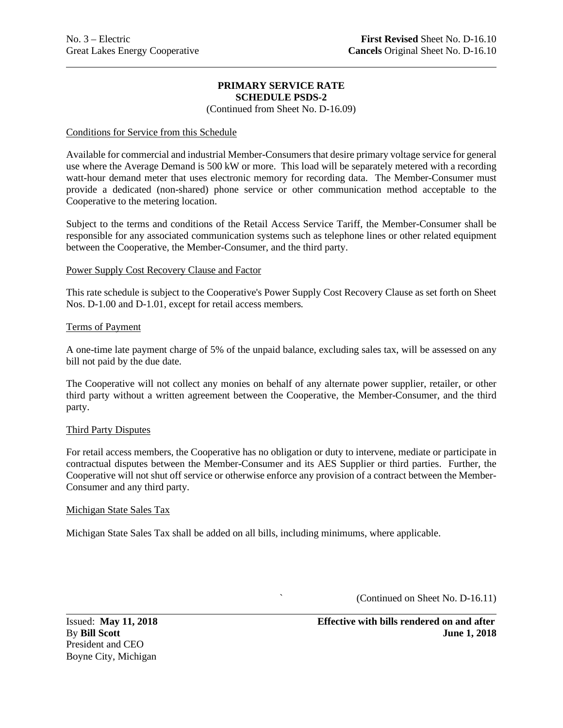(Continued from Sheet No. D-16.09)

### Conditions for Service from this Schedule

Available for commercial and industrial Member-Consumers that desire primary voltage service for general use where the Average Demand is 500 kW or more. This load will be separately metered with a recording watt-hour demand meter that uses electronic memory for recording data. The Member-Consumer must provide a dedicated (non-shared) phone service or other communication method acceptable to the Cooperative to the metering location.

Subject to the terms and conditions of the Retail Access Service Tariff, the Member-Consumer shall be responsible for any associated communication systems such as telephone lines or other related equipment between the Cooperative, the Member-Consumer, and the third party.

### Power Supply Cost Recovery Clause and Factor

This rate schedule is subject to the Cooperative's Power Supply Cost Recovery Clause as set forth on Sheet Nos. D-1.00 and D-1.01, except for retail access members*.*

### Terms of Payment

A one-time late payment charge of 5% of the unpaid balance, excluding sales tax, will be assessed on any bill not paid by the due date.

The Cooperative will not collect any monies on behalf of any alternate power supplier, retailer, or other third party without a written agreement between the Cooperative, the Member-Consumer, and the third party.

### Third Party Disputes

For retail access members, the Cooperative has no obligation or duty to intervene, mediate or participate in contractual disputes between the Member-Consumer and its AES Supplier or third parties. Further, the Cooperative will not shut off service or otherwise enforce any provision of a contract between the Member-Consumer and any third party.

#### Michigan State Sales Tax

Michigan State Sales Tax shall be added on all bills, including minimums, where applicable.

` (Continued on Sheet No. D-16.11)

President and CEO Boyne City, Michigan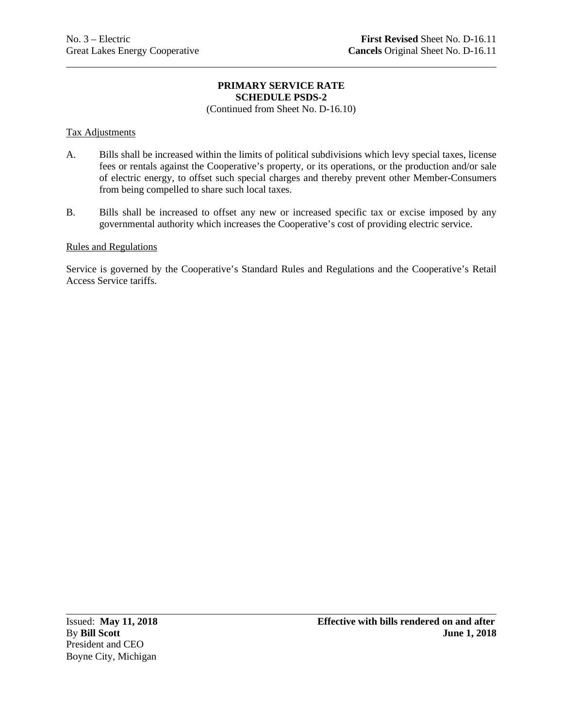(Continued from Sheet No. D-16.10)

### Tax Adjustments

- A. Bills shall be increased within the limits of political subdivisions which levy special taxes, license fees or rentals against the Cooperative's property, or its operations, or the production and/or sale of electric energy, to offset such special charges and thereby prevent other Member-Consumers from being compelled to share such local taxes.
- B. Bills shall be increased to offset any new or increased specific tax or excise imposed by any governmental authority which increases the Cooperative's cost of providing electric service.

### Rules and Regulations

Service is governed by the Cooperative's Standard Rules and Regulations and the Cooperative's Retail Access Service tariffs.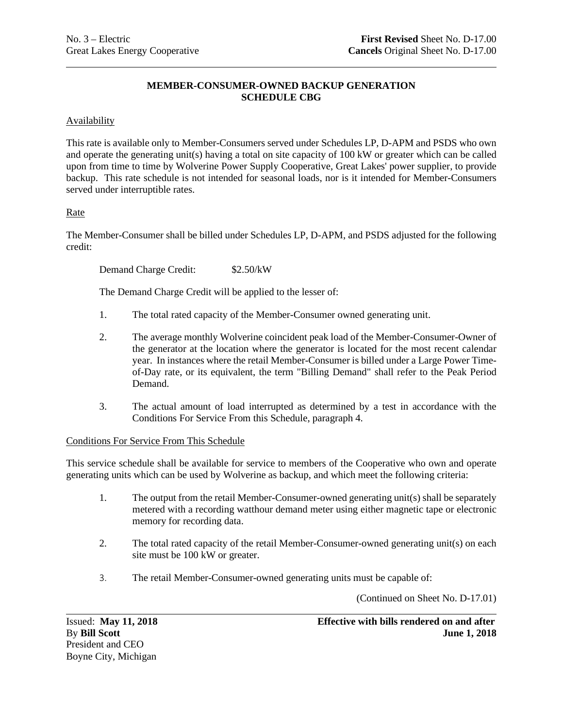# **MEMBER-CONSUMER-OWNED BACKUP GENERATION SCHEDULE CBG**

## Availability

This rate is available only to Member-Consumers served under Schedules LP, D-APM and PSDS who own and operate the generating unit(s) having a total on site capacity of 100 kW or greater which can be called upon from time to time by Wolverine Power Supply Cooperative, Great Lakes' power supplier, to provide backup. This rate schedule is not intended for seasonal loads, nor is it intended for Member-Consumers served under interruptible rates.

## Rate

The Member-Consumer shall be billed under Schedules LP, D-APM, and PSDS adjusted for the following credit:

Demand Charge Credit: \$2.50/kW

The Demand Charge Credit will be applied to the lesser of:

- 1. The total rated capacity of the Member-Consumer owned generating unit.
- 2. The average monthly Wolverine coincident peak load of the Member-Consumer-Owner of the generator at the location where the generator is located for the most recent calendar year. In instances where the retail Member-Consumer is billed under a Large Power Timeof-Day rate, or its equivalent, the term "Billing Demand" shall refer to the Peak Period Demand.
- 3. The actual amount of load interrupted as determined by a test in accordance with the Conditions For Service From this Schedule, paragraph 4.

### Conditions For Service From This Schedule

This service schedule shall be available for service to members of the Cooperative who own and operate generating units which can be used by Wolverine as backup, and which meet the following criteria:

- 1. The output from the retail Member-Consumer-owned generating unit(s) shall be separately metered with a recording watthour demand meter using either magnetic tape or electronic memory for recording data.
- 2. The total rated capacity of the retail Member-Consumer-owned generating unit(s) on each site must be 100 kW or greater.
- 3. The retail Member-Consumer-owned generating units must be capable of:

(Continued on Sheet No. D-17.01)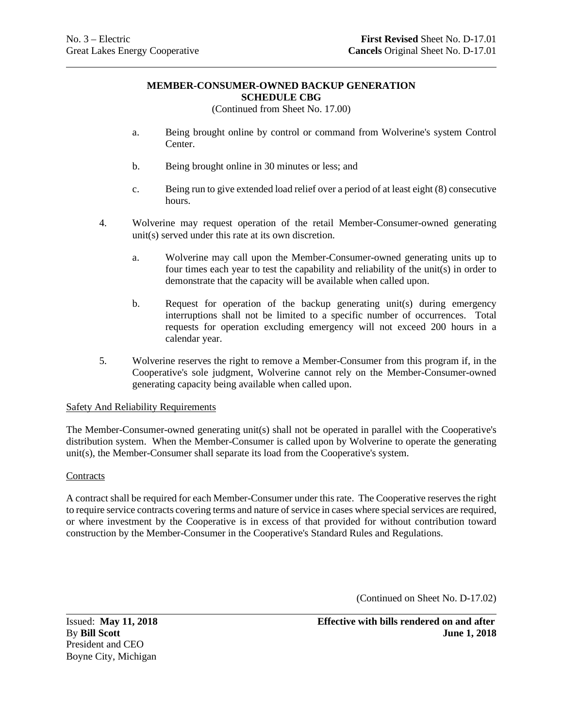### **MEMBER-CONSUMER-OWNED BACKUP GENERATION SCHEDULE CBG**

(Continued from Sheet No. 17.00)

- a. Being brought online by control or command from Wolverine's system Control Center.
- b. Being brought online in 30 minutes or less; and
- c. Being run to give extended load relief over a period of at least eight (8) consecutive hours.
- 4. Wolverine may request operation of the retail Member-Consumer-owned generating unit(s) served under this rate at its own discretion.
	- a. Wolverine may call upon the Member-Consumer-owned generating units up to four times each year to test the capability and reliability of the unit(s) in order to demonstrate that the capacity will be available when called upon.
	- b. Request for operation of the backup generating unit(s) during emergency interruptions shall not be limited to a specific number of occurrences. Total requests for operation excluding emergency will not exceed 200 hours in a calendar year.
- 5. Wolverine reserves the right to remove a Member-Consumer from this program if, in the Cooperative's sole judgment, Wolverine cannot rely on the Member-Consumer-owned generating capacity being available when called upon.

### Safety And Reliability Requirements

The Member-Consumer-owned generating unit(s) shall not be operated in parallel with the Cooperative's distribution system. When the Member-Consumer is called upon by Wolverine to operate the generating unit(s), the Member-Consumer shall separate its load from the Cooperative's system.

### **Contracts**

A contract shall be required for each Member-Consumer under this rate. The Cooperative reserves the right to require service contracts covering terms and nature of service in cases where special services are required, or where investment by the Cooperative is in excess of that provided for without contribution toward construction by the Member-Consumer in the Cooperative's Standard Rules and Regulations.

(Continued on Sheet No. D-17.02)

President and CEO Boyne City, Michigan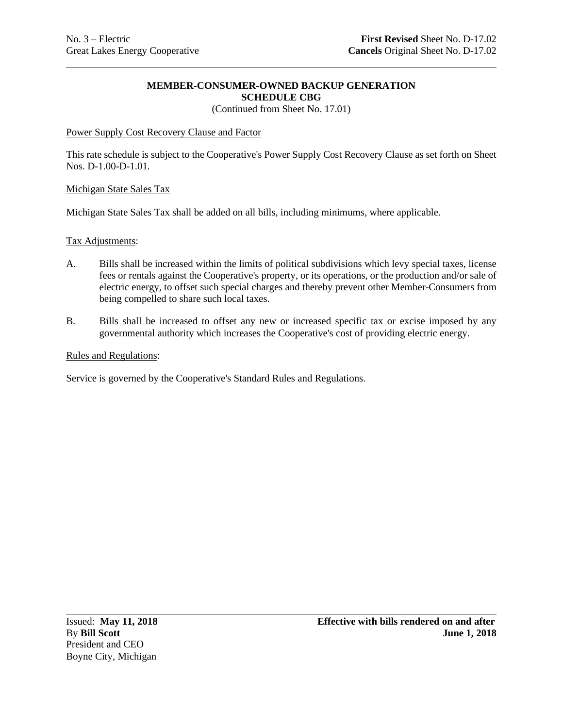### **MEMBER-CONSUMER-OWNED BACKUP GENERATION SCHEDULE CBG**

(Continued from Sheet No. 17.01)

## Power Supply Cost Recovery Clause and Factor

This rate schedule is subject to the Cooperative's Power Supply Cost Recovery Clause as set forth on Sheet Nos. D-1.00-D-1.01*.*

### Michigan State Sales Tax

Michigan State Sales Tax shall be added on all bills, including minimums, where applicable.

### Tax Adjustments:

- A. Bills shall be increased within the limits of political subdivisions which levy special taxes, license fees or rentals against the Cooperative's property, or its operations, or the production and/or sale of electric energy, to offset such special charges and thereby prevent other Member-Consumers from being compelled to share such local taxes.
- B. Bills shall be increased to offset any new or increased specific tax or excise imposed by any governmental authority which increases the Cooperative's cost of providing electric energy.

### Rules and Regulations:

Service is governed by the Cooperative's Standard Rules and Regulations.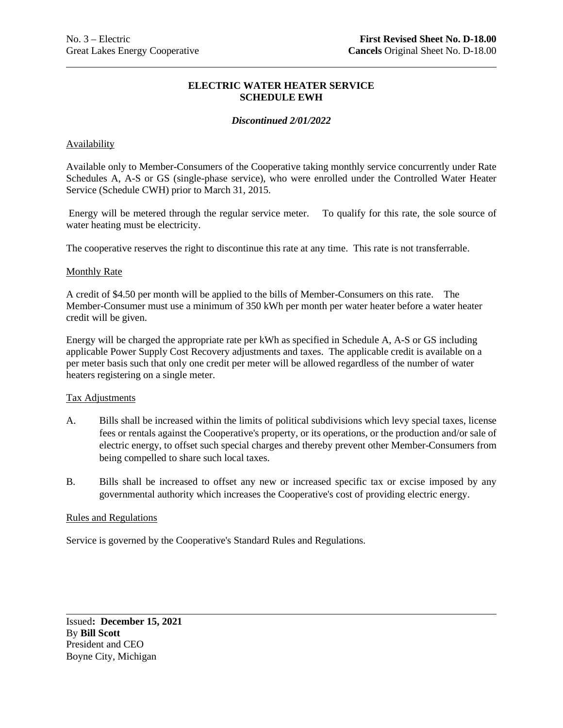### **ELECTRIC WATER HEATER SERVICE SCHEDULE EWH**

### *Discontinued 2/01/2022*

### Availability

Available only to Member-Consumers of the Cooperative taking monthly service concurrently under Rate Schedules A, A-S or GS (single-phase service), who were enrolled under the Controlled Water Heater Service (Schedule CWH) prior to March 31, 2015.

Energy will be metered through the regular service meter. To qualify for this rate, the sole source of water heating must be electricity.

The cooperative reserves the right to discontinue this rate at any time. This rate is not transferrable.

### Monthly Rate

A credit of \$4.50 per month will be applied to the bills of Member-Consumers on this rate. The Member-Consumer must use a minimum of 350 kWh per month per water heater before a water heater credit will be given.

Energy will be charged the appropriate rate per kWh as specified in Schedule A, A-S or GS including applicable Power Supply Cost Recovery adjustments and taxes. The applicable credit is available on a per meter basis such that only one credit per meter will be allowed regardless of the number of water heaters registering on a single meter.

#### Tax Adjustments

- A. Bills shall be increased within the limits of political subdivisions which levy special taxes, license fees or rentals against the Cooperative's property, or its operations, or the production and/or sale of electric energy, to offset such special charges and thereby prevent other Member-Consumers from being compelled to share such local taxes.
- B. Bills shall be increased to offset any new or increased specific tax or excise imposed by any governmental authority which increases the Cooperative's cost of providing electric energy.

## Rules and Regulations

Service is governed by the Cooperative's Standard Rules and Regulations.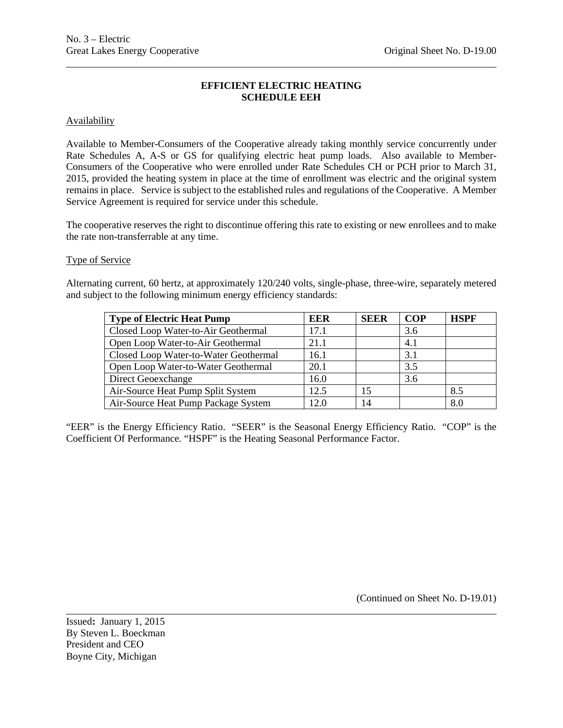# **EFFICIENT ELECTRIC HEATING SCHEDULE EEH**

### **Availability**

Available to Member-Consumers of the Cooperative already taking monthly service concurrently under Rate Schedules A, A-S or GS for qualifying electric heat pump loads. Also available to Member-Consumers of the Cooperative who were enrolled under Rate Schedules CH or PCH prior to March 31, 2015, provided the heating system in place at the time of enrollment was electric and the original system remains in place. Service is subject to the established rules and regulations of the Cooperative. A Member Service Agreement is required for service under this schedule.

The cooperative reserves the right to discontinue offering this rate to existing or new enrollees and to make the rate non-transferrable at any time.

## Type of Service

Alternating current, 60 hertz, at approximately 120/240 volts, single-phase, three-wire, separately metered and subject to the following minimum energy efficiency standards:

| <b>Type of Electric Heat Pump</b>     | <b>EER</b> | <b>SEER</b> | <b>COP</b> | <b>HSPF</b> |
|---------------------------------------|------------|-------------|------------|-------------|
| Closed Loop Water-to-Air Geothermal   | 17.1       |             | 3.6        |             |
| Open Loop Water-to-Air Geothermal     | 21.1       |             | 4.1        |             |
| Closed Loop Water-to-Water Geothermal | 16.1       |             | 3.1        |             |
| Open Loop Water-to-Water Geothermal   | 20.1       |             | 3.5        |             |
| Direct Geoexchange                    | 16.0       |             | 3.6        |             |
| Air-Source Heat Pump Split System     | 12.5       | 15          |            | 8.5         |
| Air-Source Heat Pump Package System   | 12.0       | 14          |            | 8.0         |

"EER" is the Energy Efficiency Ratio. "SEER" is the Seasonal Energy Efficiency Ratio. "COP" is the Coefficient Of Performance. "HSPF" is the Heating Seasonal Performance Factor.

(Continued on Sheet No. D-19.01)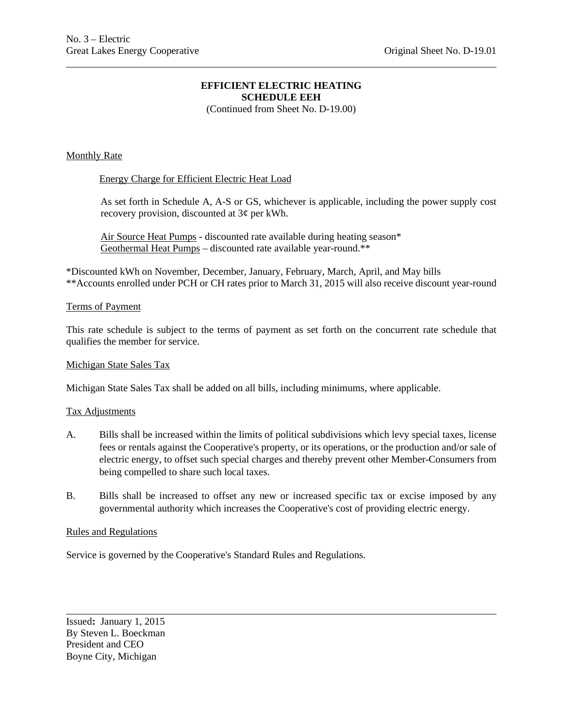# **EFFICIENT ELECTRIC HEATING SCHEDULE EEH**

(Continued from Sheet No. D-19.00)

### Monthly Rate

### Energy Charge for Efficient Electric Heat Load

As set forth in Schedule A, A-S or GS, whichever is applicable, including the power supply cost recovery provision, discounted at 3¢ per kWh.

Air Source Heat Pumps - discounted rate available during heating season\* Geothermal Heat Pumps – discounted rate available year-round.\*\*

\*Discounted kWh on November, December, January, February, March, April, and May bills \*\*Accounts enrolled under PCH or CH rates prior to March 31, 2015 will also receive discount year-round

### Terms of Payment

This rate schedule is subject to the terms of payment as set forth on the concurrent rate schedule that qualifies the member for service.

#### Michigan State Sales Tax

Michigan State Sales Tax shall be added on all bills, including minimums, where applicable.

#### Tax Adjustments

- A. Bills shall be increased within the limits of political subdivisions which levy special taxes, license fees or rentals against the Cooperative's property, or its operations, or the production and/or sale of electric energy, to offset such special charges and thereby prevent other Member-Consumers from being compelled to share such local taxes.
- B. Bills shall be increased to offset any new or increased specific tax or excise imposed by any governmental authority which increases the Cooperative's cost of providing electric energy.

### Rules and Regulations

Service is governed by the Cooperative's Standard Rules and Regulations.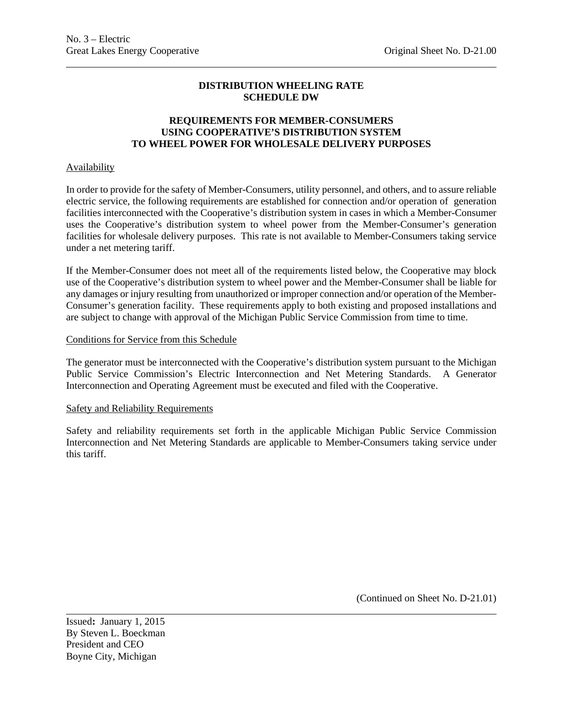### **REQUIREMENTS FOR MEMBER-CONSUMERS USING COOPERATIVE'S DISTRIBUTION SYSTEM TO WHEEL POWER FOR WHOLESALE DELIVERY PURPOSES**

### **Availability**

In order to provide for the safety of Member-Consumers, utility personnel, and others, and to assure reliable electric service, the following requirements are established for connection and/or operation of generation facilities interconnected with the Cooperative's distribution system in cases in which a Member-Consumer uses the Cooperative's distribution system to wheel power from the Member-Consumer's generation facilities for wholesale delivery purposes. This rate is not available to Member-Consumers taking service under a net metering tariff.

If the Member-Consumer does not meet all of the requirements listed below, the Cooperative may block use of the Cooperative's distribution system to wheel power and the Member-Consumer shall be liable for any damages or injury resulting from unauthorized or improper connection and/or operation of the Member-Consumer's generation facility. These requirements apply to both existing and proposed installations and are subject to change with approval of the Michigan Public Service Commission from time to time.

#### Conditions for Service from this Schedule

The generator must be interconnected with the Cooperative's distribution system pursuant to the Michigan Public Service Commission's Electric Interconnection and Net Metering Standards. A Generator Interconnection and Operating Agreement must be executed and filed with the Cooperative.

#### Safety and Reliability Requirements

Safety and reliability requirements set forth in the applicable Michigan Public Service Commission Interconnection and Net Metering Standards are applicable to Member-Consumers taking service under this tariff.

(Continued on Sheet No. D-21.01)

Issued**:** January 1, 2015 By Steven L. Boeckman President and CEO Boyne City, Michigan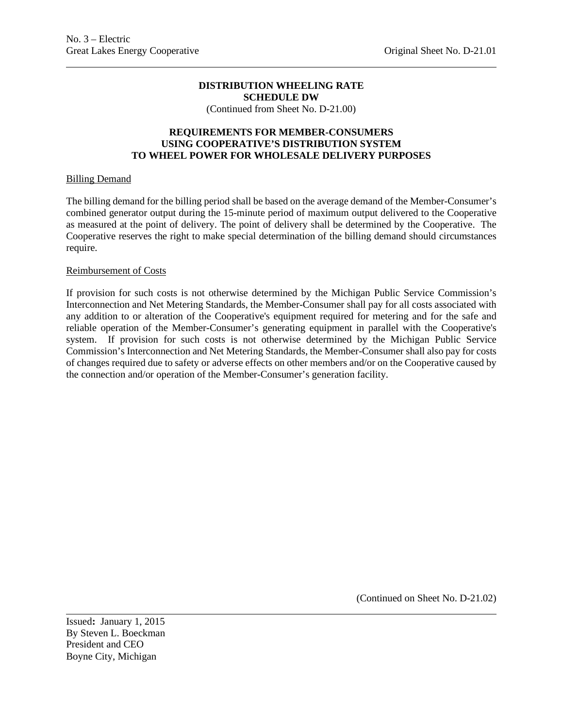(Continued from Sheet No. D-21.00)

### **REQUIREMENTS FOR MEMBER-CONSUMERS USING COOPERATIVE'S DISTRIBUTION SYSTEM TO WHEEL POWER FOR WHOLESALE DELIVERY PURPOSES**

### Billing Demand

The billing demand for the billing period shall be based on the average demand of the Member-Consumer's combined generator output during the 15-minute period of maximum output delivered to the Cooperative as measured at the point of delivery. The point of delivery shall be determined by the Cooperative. The Cooperative reserves the right to make special determination of the billing demand should circumstances require.

### Reimbursement of Costs

If provision for such costs is not otherwise determined by the Michigan Public Service Commission's Interconnection and Net Metering Standards, the Member-Consumer shall pay for all costs associated with any addition to or alteration of the Cooperative's equipment required for metering and for the safe and reliable operation of the Member-Consumer's generating equipment in parallel with the Cooperative's system. If provision for such costs is not otherwise determined by the Michigan Public Service Commission's Interconnection and Net Metering Standards, the Member-Consumer shall also pay for costs of changes required due to safety or adverse effects on other members and/or on the Cooperative caused by the connection and/or operation of the Member-Consumer's generation facility.

(Continued on Sheet No. D-21.02)

Issued**:** January 1, 2015 By Steven L. Boeckman President and CEO Boyne City, Michigan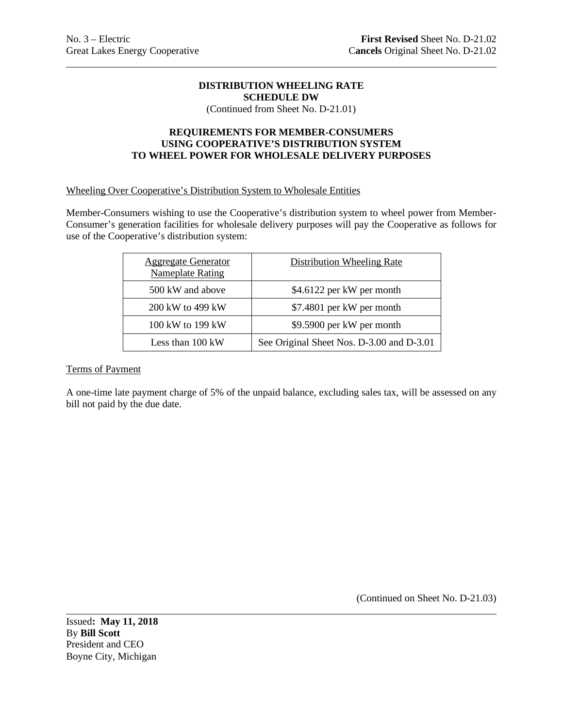(Continued from Sheet No. D-21.01)

### **REQUIREMENTS FOR MEMBER-CONSUMERS USING COOPERATIVE'S DISTRIBUTION SYSTEM TO WHEEL POWER FOR WHOLESALE DELIVERY PURPOSES**

### Wheeling Over Cooperative's Distribution System to Wholesale Entities

Member-Consumers wishing to use the Cooperative's distribution system to wheel power from Member-Consumer's generation facilities for wholesale delivery purposes will pay the Cooperative as follows for use of the Cooperative's distribution system:

| <b>Aggregate Generator</b><br><b>Nameplate Rating</b> | <b>Distribution Wheeling Rate</b>         |
|-------------------------------------------------------|-------------------------------------------|
| 500 kW and above                                      | \$4.6122 per kW per month                 |
| 200 kW to 499 kW                                      | \$7.4801 per kW per month                 |
| 100 kW to 199 kW                                      | \$9.5900 per kW per month                 |
| Less than 100 kW                                      | See Original Sheet Nos. D-3.00 and D-3.01 |

### Terms of Payment

A one-time late payment charge of 5% of the unpaid balance, excluding sales tax, will be assessed on any bill not paid by the due date.

(Continued on Sheet No. D-21.03)

Issued**: May 11, 2018** By **Bill Scott** President and CEO Boyne City, Michigan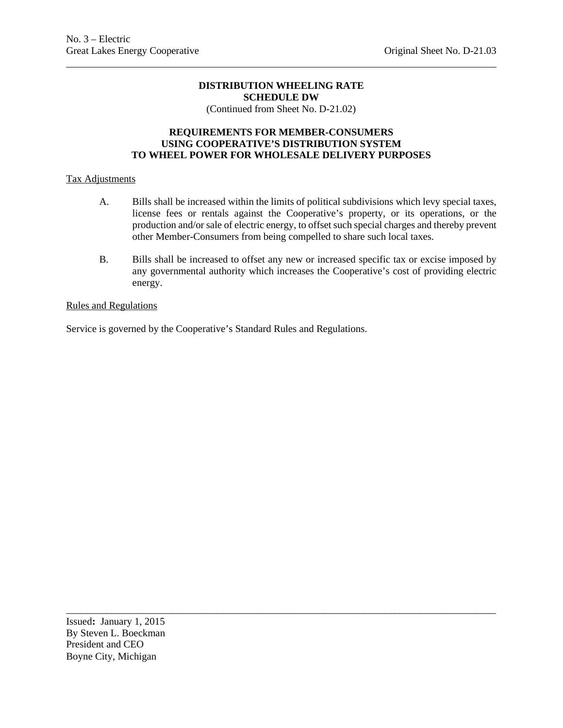(Continued from Sheet No. D-21.02)

### **REQUIREMENTS FOR MEMBER-CONSUMERS USING COOPERATIVE'S DISTRIBUTION SYSTEM TO WHEEL POWER FOR WHOLESALE DELIVERY PURPOSES**

### Tax Adjustments

- A. Bills shall be increased within the limits of political subdivisions which levy special taxes, license fees or rentals against the Cooperative's property, or its operations, or the production and/or sale of electric energy, to offset such special charges and thereby prevent other Member-Consumers from being compelled to share such local taxes.
- B. Bills shall be increased to offset any new or increased specific tax or excise imposed by any governmental authority which increases the Cooperative's cost of providing electric energy.

\_\_\_\_\_\_\_\_\_\_\_\_\_\_\_\_\_\_\_\_\_\_\_\_\_\_\_\_\_\_\_\_\_\_\_\_\_\_\_\_\_\_\_\_\_\_\_\_\_\_\_\_\_\_\_\_\_\_\_\_\_\_\_\_\_\_\_\_\_\_\_\_\_\_\_\_\_\_\_\_\_\_\_\_\_

### Rules and Regulations

Service is governed by the Cooperative's Standard Rules and Regulations.

Issued**:** January 1, 2015 By Steven L. Boeckman President and CEO Boyne City, Michigan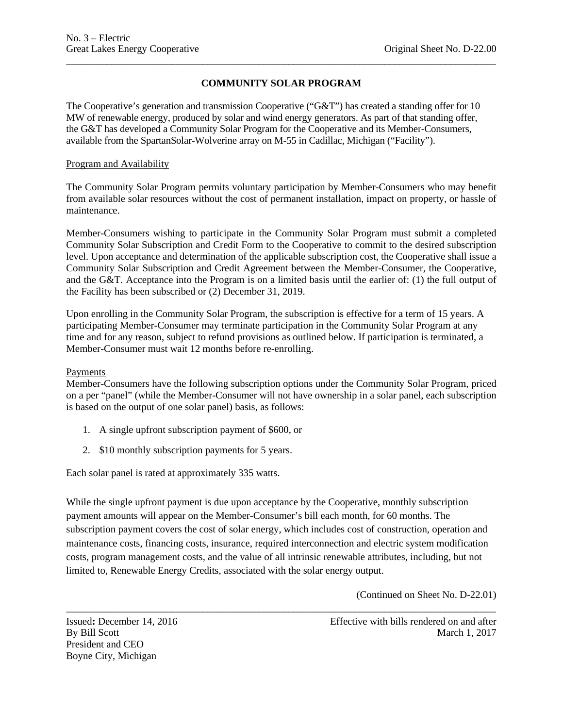# **COMMUNITY SOLAR PROGRAM**

\_\_\_\_\_\_\_\_\_\_\_\_\_\_\_\_\_\_\_\_\_\_\_\_\_\_\_\_\_\_\_\_\_\_\_\_\_\_\_\_\_\_\_\_\_\_\_\_\_\_\_\_\_\_\_\_\_\_\_\_\_\_\_\_\_\_\_\_\_\_\_\_\_\_\_\_\_\_\_\_\_\_\_\_\_

The Cooperative's generation and transmission Cooperative ("G&T") has created a standing offer for 10 MW of renewable energy, produced by solar and wind energy generators. As part of that standing offer, the G&T has developed a Community Solar Program for the Cooperative and its Member-Consumers, available from the SpartanSolar-Wolverine array on M-55 in Cadillac, Michigan ("Facility").

### Program and Availability

The Community Solar Program permits voluntary participation by Member-Consumers who may benefit from available solar resources without the cost of permanent installation, impact on property, or hassle of maintenance.

Member-Consumers wishing to participate in the Community Solar Program must submit a completed Community Solar Subscription and Credit Form to the Cooperative to commit to the desired subscription level. Upon acceptance and determination of the applicable subscription cost, the Cooperative shall issue a Community Solar Subscription and Credit Agreement between the Member-Consumer, the Cooperative, and the G&T. Acceptance into the Program is on a limited basis until the earlier of: (1) the full output of the Facility has been subscribed or (2) December 31, 2019.

Upon enrolling in the Community Solar Program, the subscription is effective for a term of 15 years. A participating Member-Consumer may terminate participation in the Community Solar Program at any time and for any reason, subject to refund provisions as outlined below. If participation is terminated, a Member-Consumer must wait 12 months before re-enrolling.

### Payments

Member-Consumers have the following subscription options under the Community Solar Program, priced on a per "panel" (while the Member-Consumer will not have ownership in a solar panel, each subscription is based on the output of one solar panel) basis, as follows:

- 1. A single upfront subscription payment of \$600, or
- 2. \$10 monthly subscription payments for 5 years.

Each solar panel is rated at approximately 335 watts.

While the single upfront payment is due upon acceptance by the Cooperative, monthly subscription payment amounts will appear on the Member-Consumer's bill each month, for 60 months. The subscription payment covers the cost of solar energy, which includes cost of construction, operation and maintenance costs, financing costs, insurance, required interconnection and electric system modification costs, program management costs, and the value of all intrinsic renewable attributes, including, but not limited to, Renewable Energy Credits, associated with the solar energy output.

\_\_\_\_\_\_\_\_\_\_\_\_\_\_\_\_\_\_\_\_\_\_\_\_\_\_\_\_\_\_\_\_\_\_\_\_\_\_\_\_\_\_\_\_\_\_\_\_\_\_\_\_\_\_\_\_\_\_\_\_\_\_\_\_\_\_\_\_\_\_\_\_\_\_\_\_\_\_\_\_\_\_\_\_\_

(Continued on Sheet No. D-22.01)

President and CEO Boyne City, Michigan

Issued: December 14, 2016 Effective with bills rendered on and after By Bill Scott March 1, 2017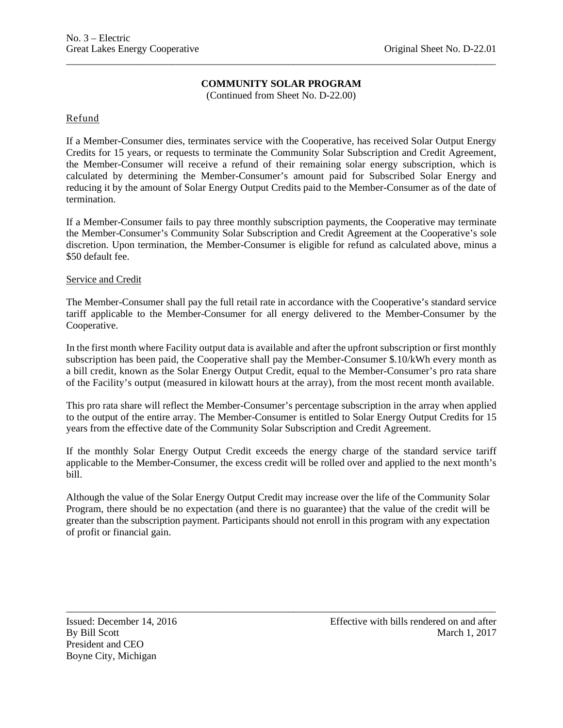## **COMMUNITY SOLAR PROGRAM**

\_\_\_\_\_\_\_\_\_\_\_\_\_\_\_\_\_\_\_\_\_\_\_\_\_\_\_\_\_\_\_\_\_\_\_\_\_\_\_\_\_\_\_\_\_\_\_\_\_\_\_\_\_\_\_\_\_\_\_\_\_\_\_\_\_\_\_\_\_\_\_\_\_\_\_\_\_\_\_\_\_\_\_\_\_

(Continued from Sheet No. D-22.00)

Refund

If a Member-Consumer dies, terminates service with the Cooperative, has received Solar Output Energy Credits for 15 years, or requests to terminate the Community Solar Subscription and Credit Agreement, the Member-Consumer will receive a refund of their remaining solar energy subscription, which is calculated by determining the Member-Consumer's amount paid for Subscribed Solar Energy and reducing it by the amount of Solar Energy Output Credits paid to the Member-Consumer as of the date of termination.

If a Member-Consumer fails to pay three monthly subscription payments, the Cooperative may terminate the Member-Consumer's Community Solar Subscription and Credit Agreement at the Cooperative's sole discretion. Upon termination, the Member-Consumer is eligible for refund as calculated above, minus a \$50 default fee.

Service and Credit

The Member-Consumer shall pay the full retail rate in accordance with the Cooperative's standard service tariff applicable to the Member-Consumer for all energy delivered to the Member-Consumer by the Cooperative.

In the first month where Facility output data is available and after the upfront subscription or first monthly subscription has been paid, the Cooperative shall pay the Member-Consumer \$.10/kWh every month as a bill credit, known as the Solar Energy Output Credit, equal to the Member-Consumer's pro rata share of the Facility's output (measured in kilowatt hours at the array), from the most recent month available.

This pro rata share will reflect the Member-Consumer's percentage subscription in the array when applied to the output of the entire array. The Member-Consumer is entitled to Solar Energy Output Credits for 15 years from the effective date of the Community Solar Subscription and Credit Agreement.

If the monthly Solar Energy Output Credit exceeds the energy charge of the standard service tariff applicable to the Member-Consumer, the excess credit will be rolled over and applied to the next month's bill.

Although the value of the Solar Energy Output Credit may increase over the life of the Community Solar Program, there should be no expectation (and there is no guarantee) that the value of the credit will be greater than the subscription payment. Participants should not enroll in this program with any expectation of profit or financial gain.

\_\_\_\_\_\_\_\_\_\_\_\_\_\_\_\_\_\_\_\_\_\_\_\_\_\_\_\_\_\_\_\_\_\_\_\_\_\_\_\_\_\_\_\_\_\_\_\_\_\_\_\_\_\_\_\_\_\_\_\_\_\_\_\_\_\_\_\_\_\_\_\_\_\_\_\_\_\_\_\_\_\_\_\_\_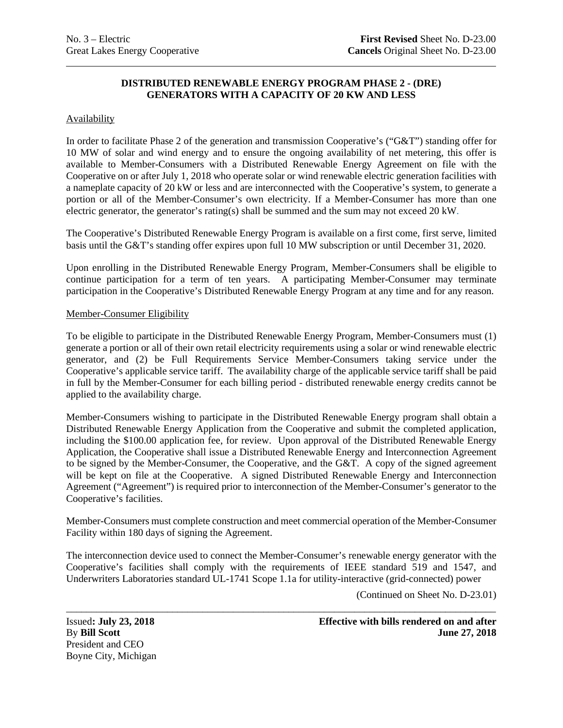## **DISTRIBUTED RENEWABLE ENERGY PROGRAM PHASE 2 - (DRE) GENERATORS WITH A CAPACITY OF 20 KW AND LESS**

### Availability

In order to facilitate Phase 2 of the generation and transmission Cooperative's ("G&T") standing offer for 10 MW of solar and wind energy and to ensure the ongoing availability of net metering, this offer is available to Member-Consumers with a Distributed Renewable Energy Agreement on file with the Cooperative on or after July 1, 2018 who operate solar or wind renewable electric generation facilities with a nameplate capacity of 20 kW or less and are interconnected with the Cooperative's system, to generate a portion or all of the Member-Consumer's own electricity. If a Member-Consumer has more than one electric generator, the generator's rating(s) shall be summed and the sum may not exceed 20 kW.

The Cooperative's Distributed Renewable Energy Program is available on a first come, first serve, limited basis until the G&T's standing offer expires upon full 10 MW subscription or until December 31, 2020.

Upon enrolling in the Distributed Renewable Energy Program, Member-Consumers shall be eligible to continue participation for a term of ten years. A participating Member-Consumer may terminate participation in the Cooperative's Distributed Renewable Energy Program at any time and for any reason.

### Member-Consumer Eligibility

To be eligible to participate in the Distributed Renewable Energy Program, Member-Consumers must (1) generate a portion or all of their own retail electricity requirements using a solar or wind renewable electric generator, and (2) be Full Requirements Service Member-Consumers taking service under the Cooperative's applicable service tariff. The availability charge of the applicable service tariff shall be paid in full by the Member-Consumer for each billing period - distributed renewable energy credits cannot be applied to the availability charge.

Member-Consumers wishing to participate in the Distributed Renewable Energy program shall obtain a Distributed Renewable Energy Application from the Cooperative and submit the completed application, including the \$100.00 application fee, for review. Upon approval of the Distributed Renewable Energy Application, the Cooperative shall issue a Distributed Renewable Energy and Interconnection Agreement to be signed by the Member-Consumer, the Cooperative, and the G&T. A copy of the signed agreement will be kept on file at the Cooperative. A signed Distributed Renewable Energy and Interconnection Agreement ("Agreement") is required prior to interconnection of the Member-Consumer's generator to the Cooperative's facilities.

Member-Consumers must complete construction and meet commercial operation of the Member-Consumer Facility within 180 days of signing the Agreement.

The interconnection device used to connect the Member-Consumer's renewable energy generator with the Cooperative's facilities shall comply with the requirements of IEEE standard 519 and 1547, and Underwriters Laboratories standard UL-1741 Scope 1.1a for utility-interactive (grid-connected) power

(Continued on Sheet No. D-23.01)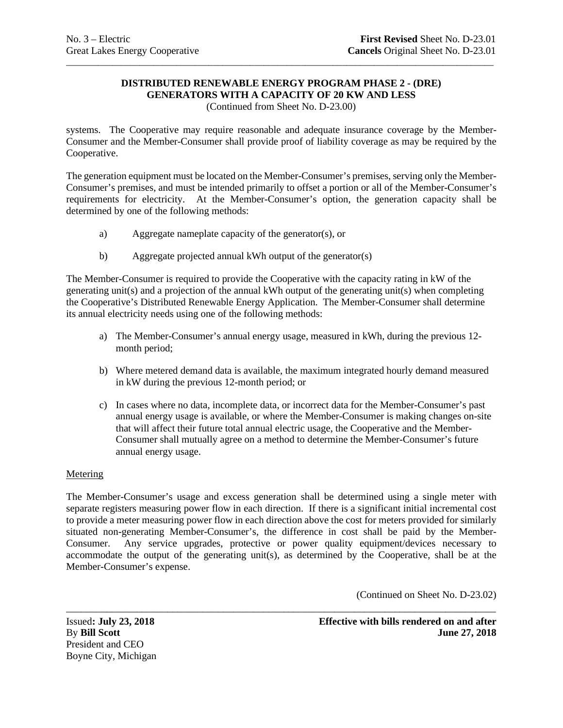# **DISTRIBUTED RENEWABLE ENERGY PROGRAM PHASE 2 - (DRE) GENERATORS WITH A CAPACITY OF 20 KW AND LESS**

\_\_\_\_\_\_\_\_\_\_\_\_\_\_\_\_\_\_\_\_\_\_\_\_\_\_\_\_\_\_\_\_\_\_\_\_\_\_\_\_\_\_\_\_\_\_\_\_\_\_\_\_\_\_\_\_\_\_\_\_\_\_\_\_\_\_\_\_\_\_\_\_\_\_\_\_\_\_\_\_\_\_\_\_\_\_\_\_\_\_\_\_\_

(Continued from Sheet No. D-23.00)

systems. The Cooperative may require reasonable and adequate insurance coverage by the Member-Consumer and the Member-Consumer shall provide proof of liability coverage as may be required by the Cooperative.

The generation equipment must be located on the Member-Consumer's premises, serving only the Member-Consumer's premises, and must be intended primarily to offset a portion or all of the Member-Consumer's requirements for electricity. At the Member-Consumer's option, the generation capacity shall be determined by one of the following methods:

- a) Aggregate nameplate capacity of the generator(s), or
- b) Aggregate projected annual kWh output of the generator(s)

The Member-Consumer is required to provide the Cooperative with the capacity rating in kW of the generating unit(s) and a projection of the annual kWh output of the generating unit(s) when completing the Cooperative's Distributed Renewable Energy Application. The Member-Consumer shall determine its annual electricity needs using one of the following methods:

- a) The Member-Consumer's annual energy usage, measured in kWh, during the previous 12 month period;
- b) Where metered demand data is available, the maximum integrated hourly demand measured in kW during the previous 12-month period; or
- c) In cases where no data, incomplete data, or incorrect data for the Member-Consumer's past annual energy usage is available, or where the Member-Consumer is making changes on-site that will affect their future total annual electric usage, the Cooperative and the Member-Consumer shall mutually agree on a method to determine the Member-Consumer's future annual energy usage.

### **Metering**

The Member-Consumer's usage and excess generation shall be determined using a single meter with separate registers measuring power flow in each direction. If there is a significant initial incremental cost to provide a meter measuring power flow in each direction above the cost for meters provided for similarly situated non-generating Member-Consumer's, the difference in cost shall be paid by the Member-Consumer. Any service upgrades, protective or power quality equipment/devices necessary to accommodate the output of the generating unit(s), as determined by the Cooperative, shall be at the Member-Consumer's expense.

(Continued on Sheet No. D-23.02)

\_\_\_\_\_\_\_\_\_\_\_\_\_\_\_\_\_\_\_\_\_\_\_\_\_\_\_\_\_\_\_\_\_\_\_\_\_\_\_\_\_\_\_\_\_\_\_\_\_\_\_\_\_\_\_\_\_\_\_\_\_\_\_\_\_\_\_\_\_\_\_\_\_\_\_\_\_\_\_\_\_\_\_\_\_ President and CEO Boyne City, Michigan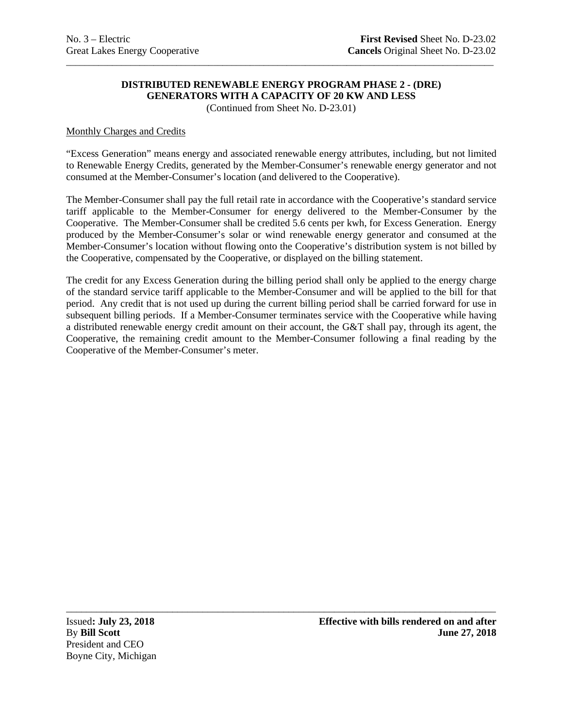# **DISTRIBUTED RENEWABLE ENERGY PROGRAM PHASE 2 - (DRE) GENERATORS WITH A CAPACITY OF 20 KW AND LESS**

\_\_\_\_\_\_\_\_\_\_\_\_\_\_\_\_\_\_\_\_\_\_\_\_\_\_\_\_\_\_\_\_\_\_\_\_\_\_\_\_\_\_\_\_\_\_\_\_\_\_\_\_\_\_\_\_\_\_\_\_\_\_\_\_\_\_\_\_\_\_\_\_\_\_\_\_\_\_\_\_\_\_\_\_\_\_\_\_\_\_\_\_\_

(Continued from Sheet No. D-23.01)

### Monthly Charges and Credits

"Excess Generation" means energy and associated renewable energy attributes, including, but not limited to Renewable Energy Credits, generated by the Member-Consumer's renewable energy generator and not consumed at the Member-Consumer's location (and delivered to the Cooperative).

The Member-Consumer shall pay the full retail rate in accordance with the Cooperative's standard service tariff applicable to the Member-Consumer for energy delivered to the Member-Consumer by the Cooperative. The Member-Consumer shall be credited 5.6 cents per kwh, for Excess Generation. Energy produced by the Member-Consumer's solar or wind renewable energy generator and consumed at the Member-Consumer's location without flowing onto the Cooperative's distribution system is not billed by the Cooperative, compensated by the Cooperative, or displayed on the billing statement.

The credit for any Excess Generation during the billing period shall only be applied to the energy charge of the standard service tariff applicable to the Member-Consumer and will be applied to the bill for that period. Any credit that is not used up during the current billing period shall be carried forward for use in subsequent billing periods. If a Member-Consumer terminates service with the Cooperative while having a distributed renewable energy credit amount on their account, the G&T shall pay, through its agent, the Cooperative, the remaining credit amount to the Member-Consumer following a final reading by the Cooperative of the Member-Consumer's meter.

\_\_\_\_\_\_\_\_\_\_\_\_\_\_\_\_\_\_\_\_\_\_\_\_\_\_\_\_\_\_\_\_\_\_\_\_\_\_\_\_\_\_\_\_\_\_\_\_\_\_\_\_\_\_\_\_\_\_\_\_\_\_\_\_\_\_\_\_\_\_\_\_\_\_\_\_\_\_\_\_\_\_\_\_\_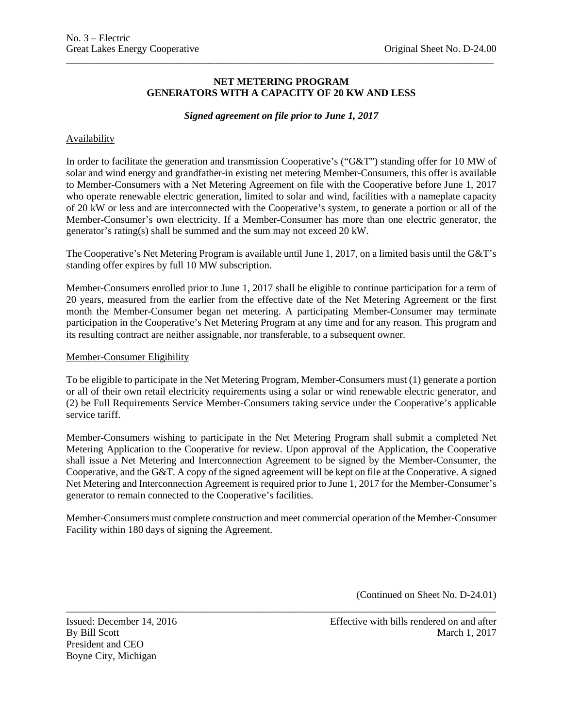### **NET METERING PROGRAM GENERATORS WITH A CAPACITY OF 20 KW AND LESS**

\_\_\_\_\_\_\_\_\_\_\_\_\_\_\_\_\_\_\_\_\_\_\_\_\_\_\_\_\_\_\_\_\_\_\_\_\_\_\_\_\_\_\_\_\_\_\_\_\_\_\_\_\_\_\_\_\_\_\_\_\_\_\_\_\_\_\_\_\_\_\_\_\_\_\_\_\_\_\_\_\_\_\_\_\_\_\_\_\_\_\_\_\_

### *Signed agreement on file prior to June 1, 2017*

### Availability

In order to facilitate the generation and transmission Cooperative's ("G&T") standing offer for 10 MW of solar and wind energy and grandfather-in existing net metering Member-Consumers, this offer is available to Member-Consumers with a Net Metering Agreement on file with the Cooperative before June 1, 2017 who operate renewable electric generation, limited to solar and wind, facilities with a nameplate capacity of 20 kW or less and are interconnected with the Cooperative's system, to generate a portion or all of the Member-Consumer's own electricity. If a Member-Consumer has more than one electric generator, the generator's rating(s) shall be summed and the sum may not exceed 20 kW.

The Cooperative's Net Metering Program is available until June 1, 2017, on a limited basis until the G&T's standing offer expires by full 10 MW subscription.

Member-Consumers enrolled prior to June 1, 2017 shall be eligible to continue participation for a term of 20 years, measured from the earlier from the effective date of the Net Metering Agreement or the first month the Member-Consumer began net metering. A participating Member-Consumer may terminate participation in the Cooperative's Net Metering Program at any time and for any reason. This program and its resulting contract are neither assignable, nor transferable, to a subsequent owner.

#### Member-Consumer Eligibility

To be eligible to participate in the Net Metering Program, Member-Consumers must (1) generate a portion or all of their own retail electricity requirements using a solar or wind renewable electric generator, and (2) be Full Requirements Service Member-Consumers taking service under the Cooperative's applicable service tariff.

Member-Consumers wishing to participate in the Net Metering Program shall submit a completed Net Metering Application to the Cooperative for review. Upon approval of the Application, the Cooperative shall issue a Net Metering and Interconnection Agreement to be signed by the Member-Consumer, the Cooperative, and the G&T. A copy of the signed agreement will be kept on file at the Cooperative. A signed Net Metering and Interconnection Agreement is required prior to June 1, 2017 for the Member-Consumer's generator to remain connected to the Cooperative's facilities.

Member-Consumers must complete construction and meet commercial operation of the Member-Consumer Facility within 180 days of signing the Agreement.

\_\_\_\_\_\_\_\_\_\_\_\_\_\_\_\_\_\_\_\_\_\_\_\_\_\_\_\_\_\_\_\_\_\_\_\_\_\_\_\_\_\_\_\_\_\_\_\_\_\_\_\_\_\_\_\_\_\_\_\_\_\_\_\_\_\_\_\_\_\_\_\_\_\_\_\_\_\_\_\_\_\_\_\_\_

(Continued on Sheet No. D-24.01)

President and CEO Boyne City, Michigan

Issued: December 14, 2016 Effective with bills rendered on and after By Bill Scott March 1, 2017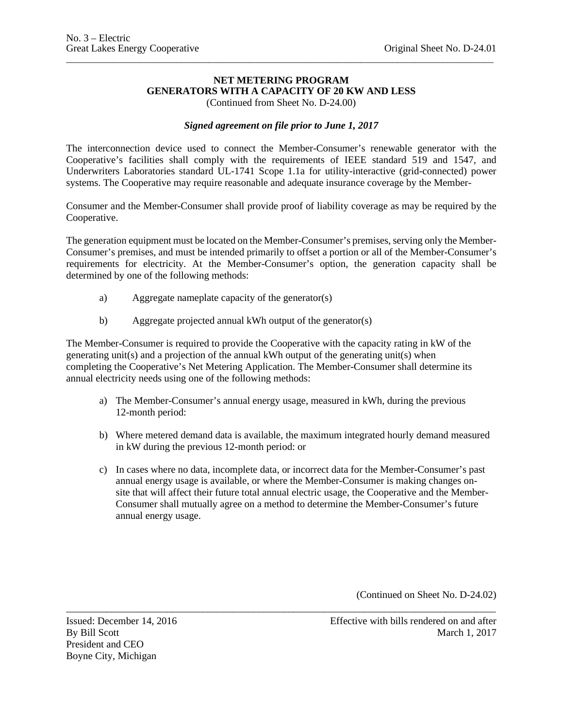# **NET METERING PROGRAM GENERATORS WITH A CAPACITY OF 20 KW AND LESS**

\_\_\_\_\_\_\_\_\_\_\_\_\_\_\_\_\_\_\_\_\_\_\_\_\_\_\_\_\_\_\_\_\_\_\_\_\_\_\_\_\_\_\_\_\_\_\_\_\_\_\_\_\_\_\_\_\_\_\_\_\_\_\_\_\_\_\_\_\_\_\_\_\_\_\_\_\_\_\_\_\_\_\_\_\_\_\_\_\_\_\_\_\_

(Continued from Sheet No. D-24.00)

### *Signed agreement on file prior to June 1, 2017*

The interconnection device used to connect the Member-Consumer's renewable generator with the Cooperative's facilities shall comply with the requirements of IEEE standard 519 and 1547, and Underwriters Laboratories standard UL-1741 Scope 1.1a for utility-interactive (grid-connected) power systems. The Cooperative may require reasonable and adequate insurance coverage by the Member-

Consumer and the Member-Consumer shall provide proof of liability coverage as may be required by the Cooperative.

The generation equipment must be located on the Member-Consumer's premises, serving only the Member-Consumer's premises, and must be intended primarily to offset a portion or all of the Member-Consumer's requirements for electricity. At the Member-Consumer's option, the generation capacity shall be determined by one of the following methods:

- a) Aggregate nameplate capacity of the generator(s)
- b) Aggregate projected annual kWh output of the generator(s)

The Member-Consumer is required to provide the Cooperative with the capacity rating in kW of the generating unit(s) and a projection of the annual kWh output of the generating unit(s) when completing the Cooperative's Net Metering Application. The Member-Consumer shall determine its annual electricity needs using one of the following methods:

- a) The Member-Consumer's annual energy usage, measured in kWh, during the previous 12-month period:
- b) Where metered demand data is available, the maximum integrated hourly demand measured in kW during the previous 12-month period: or
- c) In cases where no data, incomplete data, or incorrect data for the Member-Consumer's past annual energy usage is available, or where the Member-Consumer is making changes onsite that will affect their future total annual electric usage, the Cooperative and the Member-Consumer shall mutually agree on a method to determine the Member-Consumer's future annual energy usage.

\_\_\_\_\_\_\_\_\_\_\_\_\_\_\_\_\_\_\_\_\_\_\_\_\_\_\_\_\_\_\_\_\_\_\_\_\_\_\_\_\_\_\_\_\_\_\_\_\_\_\_\_\_\_\_\_\_\_\_\_\_\_\_\_\_\_\_\_\_\_\_\_\_\_\_\_\_\_\_\_\_\_\_\_\_

(Continued on Sheet No. D-24.02)

President and CEO Boyne City, Michigan

Issued: December 14, 2016 Effective with bills rendered on and after<br>By Bill Scott March 1, 2017 March 1, 2017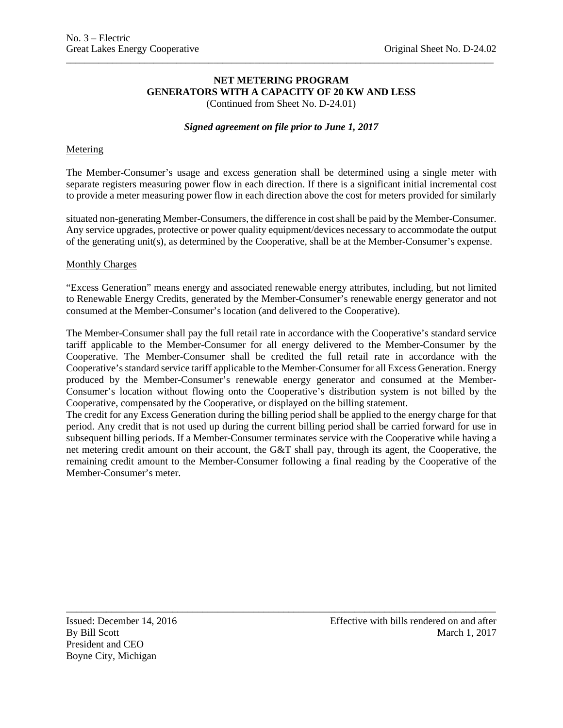# **NET METERING PROGRAM GENERATORS WITH A CAPACITY OF 20 KW AND LESS**

\_\_\_\_\_\_\_\_\_\_\_\_\_\_\_\_\_\_\_\_\_\_\_\_\_\_\_\_\_\_\_\_\_\_\_\_\_\_\_\_\_\_\_\_\_\_\_\_\_\_\_\_\_\_\_\_\_\_\_\_\_\_\_\_\_\_\_\_\_\_\_\_\_\_\_\_\_\_\_\_\_\_\_\_\_\_\_\_\_\_\_\_\_

(Continued from Sheet No. D-24.01)

### *Signed agreement on file prior to June 1, 2017*

### Metering

The Member-Consumer's usage and excess generation shall be determined using a single meter with separate registers measuring power flow in each direction. If there is a significant initial incremental cost to provide a meter measuring power flow in each direction above the cost for meters provided for similarly

situated non-generating Member-Consumers, the difference in cost shall be paid by the Member-Consumer. Any service upgrades, protective or power quality equipment/devices necessary to accommodate the output of the generating unit(s), as determined by the Cooperative, shall be at the Member-Consumer's expense.

#### Monthly Charges

"Excess Generation" means energy and associated renewable energy attributes, including, but not limited to Renewable Energy Credits, generated by the Member-Consumer's renewable energy generator and not consumed at the Member-Consumer's location (and delivered to the Cooperative).

The Member-Consumer shall pay the full retail rate in accordance with the Cooperative's standard service tariff applicable to the Member-Consumer for all energy delivered to the Member-Consumer by the Cooperative. The Member-Consumer shall be credited the full retail rate in accordance with the Cooperative's standard service tariff applicable to the Member-Consumer for all Excess Generation. Energy produced by the Member-Consumer's renewable energy generator and consumed at the Member-Consumer's location without flowing onto the Cooperative's distribution system is not billed by the Cooperative, compensated by the Cooperative, or displayed on the billing statement.

The credit for any Excess Generation during the billing period shall be applied to the energy charge for that period. Any credit that is not used up during the current billing period shall be carried forward for use in subsequent billing periods. If a Member-Consumer terminates service with the Cooperative while having a net metering credit amount on their account, the G&T shall pay, through its agent, the Cooperative, the remaining credit amount to the Member-Consumer following a final reading by the Cooperative of the Member-Consumer's meter.

\_\_\_\_\_\_\_\_\_\_\_\_\_\_\_\_\_\_\_\_\_\_\_\_\_\_\_\_\_\_\_\_\_\_\_\_\_\_\_\_\_\_\_\_\_\_\_\_\_\_\_\_\_\_\_\_\_\_\_\_\_\_\_\_\_\_\_\_\_\_\_\_\_\_\_\_\_\_\_\_\_\_\_\_\_

President and CEO Boyne City, Michigan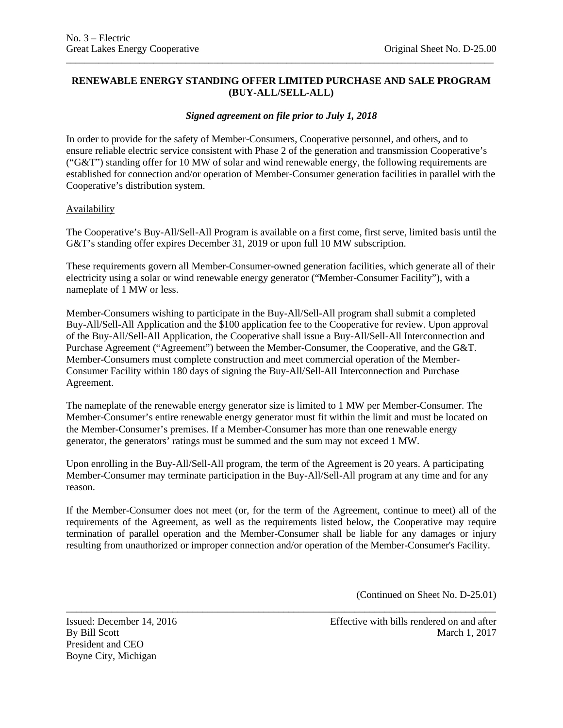# **RENEWABLE ENERGY STANDING OFFER LIMITED PURCHASE AND SALE PROGRAM (BUY-ALL/SELL-ALL)**

\_\_\_\_\_\_\_\_\_\_\_\_\_\_\_\_\_\_\_\_\_\_\_\_\_\_\_\_\_\_\_\_\_\_\_\_\_\_\_\_\_\_\_\_\_\_\_\_\_\_\_\_\_\_\_\_\_\_\_\_\_\_\_\_\_\_\_\_\_\_\_\_\_\_\_\_\_\_\_\_\_\_\_\_\_\_\_\_\_\_\_\_\_

# *Signed agreement on file prior to July 1, 2018*

In order to provide for the safety of Member-Consumers, Cooperative personnel, and others, and to ensure reliable electric service consistent with Phase 2 of the generation and transmission Cooperative's ("G&T") standing offer for 10 MW of solar and wind renewable energy, the following requirements are established for connection and/or operation of Member-Consumer generation facilities in parallel with the Cooperative's distribution system.

### Availability

The Cooperative's Buy-All/Sell-All Program is available on a first come, first serve, limited basis until the G&T's standing offer expires December 31, 2019 or upon full 10 MW subscription.

These requirements govern all Member-Consumer-owned generation facilities, which generate all of their electricity using a solar or wind renewable energy generator ("Member-Consumer Facility"), with a nameplate of 1 MW or less.

Member-Consumers wishing to participate in the Buy-All/Sell-All program shall submit a completed Buy-All/Sell-All Application and the \$100 application fee to the Cooperative for review. Upon approval of the Buy-All/Sell-All Application, the Cooperative shall issue a Buy-All/Sell-All Interconnection and Purchase Agreement ("Agreement") between the Member-Consumer, the Cooperative, and the G&T. Member-Consumers must complete construction and meet commercial operation of the Member-Consumer Facility within 180 days of signing the Buy-All/Sell-All Interconnection and Purchase Agreement.

The nameplate of the renewable energy generator size is limited to 1 MW per Member-Consumer. The Member-Consumer's entire renewable energy generator must fit within the limit and must be located on the Member-Consumer's premises. If a Member-Consumer has more than one renewable energy generator, the generators' ratings must be summed and the sum may not exceed 1 MW.

Upon enrolling in the Buy-All/Sell-All program, the term of the Agreement is 20 years. A participating Member-Consumer may terminate participation in the Buy-All/Sell-All program at any time and for any reason.

If the Member-Consumer does not meet (or, for the term of the Agreement, continue to meet) all of the requirements of the Agreement, as well as the requirements listed below, the Cooperative may require termination of parallel operation and the Member-Consumer shall be liable for any damages or injury resulting from unauthorized or improper connection and/or operation of the Member-Consumer's Facility.

\_\_\_\_\_\_\_\_\_\_\_\_\_\_\_\_\_\_\_\_\_\_\_\_\_\_\_\_\_\_\_\_\_\_\_\_\_\_\_\_\_\_\_\_\_\_\_\_\_\_\_\_\_\_\_\_\_\_\_\_\_\_\_\_\_\_\_\_\_\_\_\_\_\_\_\_\_\_\_\_\_\_\_\_\_

(Continued on Sheet No. D-25.01)

President and CEO Boyne City, Michigan

Issued: December 14, 2016 Effective with bills rendered on and after By Bill Scott March 1, 2017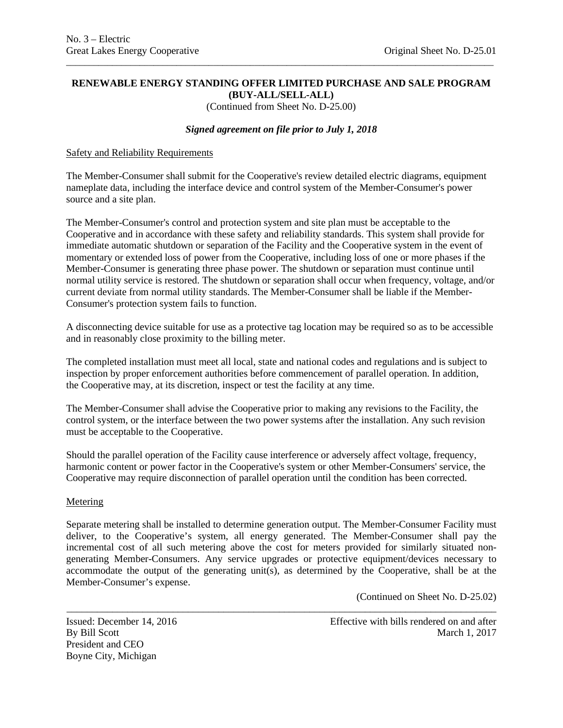### **RENEWABLE ENERGY STANDING OFFER LIMITED PURCHASE AND SALE PROGRAM (BUY-ALL/SELL-ALL)**

\_\_\_\_\_\_\_\_\_\_\_\_\_\_\_\_\_\_\_\_\_\_\_\_\_\_\_\_\_\_\_\_\_\_\_\_\_\_\_\_\_\_\_\_\_\_\_\_\_\_\_\_\_\_\_\_\_\_\_\_\_\_\_\_\_\_\_\_\_\_\_\_\_\_\_\_\_\_\_\_\_\_\_\_\_\_\_\_\_\_\_\_\_

(Continued from Sheet No. D-25.00)

# *Signed agreement on file prior to July 1, 2018*

### Safety and Reliability Requirements

The Member-Consumer shall submit for the Cooperative's review detailed electric diagrams, equipment nameplate data, including the interface device and control system of the Member-Consumer's power source and a site plan.

The Member-Consumer's control and protection system and site plan must be acceptable to the Cooperative and in accordance with these safety and reliability standards. This system shall provide for immediate automatic shutdown or separation of the Facility and the Cooperative system in the event of momentary or extended loss of power from the Cooperative, including loss of one or more phases if the Member-Consumer is generating three phase power. The shutdown or separation must continue until normal utility service is restored. The shutdown or separation shall occur when frequency, voltage, and/or current deviate from normal utility standards. The Member-Consumer shall be liable if the Member-Consumer's protection system fails to function.

A disconnecting device suitable for use as a protective tag location may be required so as to be accessible and in reasonably close proximity to the billing meter.

The completed installation must meet all local, state and national codes and regulations and is subject to inspection by proper enforcement authorities before commencement of parallel operation. In addition, the Cooperative may, at its discretion, inspect or test the facility at any time.

The Member-Consumer shall advise the Cooperative prior to making any revisions to the Facility, the control system, or the interface between the two power systems after the installation. Any such revision must be acceptable to the Cooperative.

Should the parallel operation of the Facility cause interference or adversely affect voltage, frequency, harmonic content or power factor in the Cooperative's system or other Member-Consumers' service, the Cooperative may require disconnection of parallel operation until the condition has been corrected.

### **Metering**

Separate metering shall be installed to determine generation output. The Member-Consumer Facility must deliver, to the Cooperative's system, all energy generated. The Member-Consumer shall pay the incremental cost of all such metering above the cost for meters provided for similarly situated nongenerating Member-Consumers. Any service upgrades or protective equipment/devices necessary to accommodate the output of the generating unit(s), as determined by the Cooperative, shall be at the Member-Consumer's expense.

\_\_\_\_\_\_\_\_\_\_\_\_\_\_\_\_\_\_\_\_\_\_\_\_\_\_\_\_\_\_\_\_\_\_\_\_\_\_\_\_\_\_\_\_\_\_\_\_\_\_\_\_\_\_\_\_\_\_\_\_\_\_\_\_\_\_\_\_\_\_\_\_\_\_\_\_\_\_\_\_\_\_\_\_\_

(Continued on Sheet No. D-25.02)

Issued: December 14, 2016 Effective with bills rendered on and after<br>By Bill Scott March 1, 2017 March 1, 2017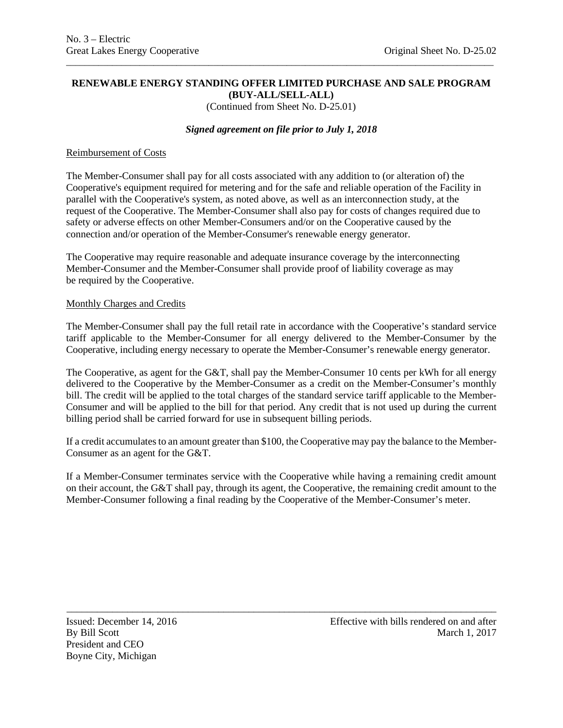### **RENEWABLE ENERGY STANDING OFFER LIMITED PURCHASE AND SALE PROGRAM (BUY-ALL/SELL-ALL)**

\_\_\_\_\_\_\_\_\_\_\_\_\_\_\_\_\_\_\_\_\_\_\_\_\_\_\_\_\_\_\_\_\_\_\_\_\_\_\_\_\_\_\_\_\_\_\_\_\_\_\_\_\_\_\_\_\_\_\_\_\_\_\_\_\_\_\_\_\_\_\_\_\_\_\_\_\_\_\_\_\_\_\_\_\_\_\_\_\_\_\_\_\_

(Continued from Sheet No. D-25.01)

## *Signed agreement on file prior to July 1, 2018*

### Reimbursement of Costs

The Member-Consumer shall pay for all costs associated with any addition to (or alteration of) the Cooperative's equipment required for metering and for the safe and reliable operation of the Facility in parallel with the Cooperative's system, as noted above, as well as an interconnection study, at the request of the Cooperative. The Member-Consumer shall also pay for costs of changes required due to safety or adverse effects on other Member-Consumers and/or on the Cooperative caused by the connection and/or operation of the Member-Consumer's renewable energy generator.

The Cooperative may require reasonable and adequate insurance coverage by the interconnecting Member-Consumer and the Member-Consumer shall provide proof of liability coverage as may be required by the Cooperative.

### Monthly Charges and Credits

The Member-Consumer shall pay the full retail rate in accordance with the Cooperative's standard service tariff applicable to the Member-Consumer for all energy delivered to the Member-Consumer by the Cooperative, including energy necessary to operate the Member-Consumer's renewable energy generator.

The Cooperative, as agent for the G&T, shall pay the Member-Consumer 10 cents per kWh for all energy delivered to the Cooperative by the Member-Consumer as a credit on the Member-Consumer's monthly bill. The credit will be applied to the total charges of the standard service tariff applicable to the Member-Consumer and will be applied to the bill for that period. Any credit that is not used up during the current billing period shall be carried forward for use in subsequent billing periods.

If a credit accumulates to an amount greater than \$100, the Cooperative may pay the balance to the Member-Consumer as an agent for the G&T.

If a Member-Consumer terminates service with the Cooperative while having a remaining credit amount on their account, the G&T shall pay, through its agent, the Cooperative, the remaining credit amount to the Member-Consumer following a final reading by the Cooperative of the Member-Consumer's meter.

\_\_\_\_\_\_\_\_\_\_\_\_\_\_\_\_\_\_\_\_\_\_\_\_\_\_\_\_\_\_\_\_\_\_\_\_\_\_\_\_\_\_\_\_\_\_\_\_\_\_\_\_\_\_\_\_\_\_\_\_\_\_\_\_\_\_\_\_\_\_\_\_\_\_\_\_\_\_\_\_\_\_\_\_\_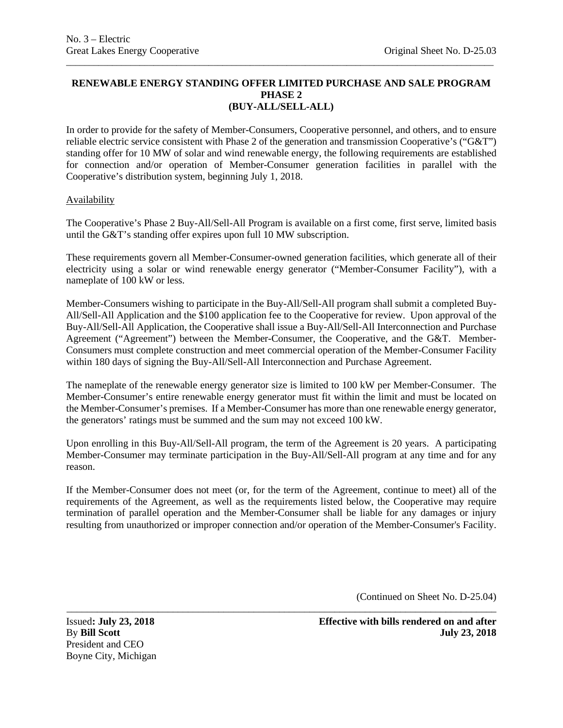# **RENEWABLE ENERGY STANDING OFFER LIMITED PURCHASE AND SALE PROGRAM PHASE 2 (BUY-ALL/SELL-ALL)**

\_\_\_\_\_\_\_\_\_\_\_\_\_\_\_\_\_\_\_\_\_\_\_\_\_\_\_\_\_\_\_\_\_\_\_\_\_\_\_\_\_\_\_\_\_\_\_\_\_\_\_\_\_\_\_\_\_\_\_\_\_\_\_\_\_\_\_\_\_\_\_\_\_\_\_\_\_\_\_\_\_\_\_\_\_\_\_\_\_\_\_\_\_

In order to provide for the safety of Member-Consumers, Cooperative personnel, and others, and to ensure reliable electric service consistent with Phase 2 of the generation and transmission Cooperative's ("G&T") standing offer for 10 MW of solar and wind renewable energy, the following requirements are established for connection and/or operation of Member-Consumer generation facilities in parallel with the Cooperative's distribution system, beginning July 1, 2018.

## **Availability**

The Cooperative's Phase 2 Buy-All/Sell-All Program is available on a first come, first serve, limited basis until the G&T's standing offer expires upon full 10 MW subscription.

These requirements govern all Member-Consumer-owned generation facilities, which generate all of their electricity using a solar or wind renewable energy generator ("Member-Consumer Facility"), with a nameplate of 100 kW or less.

Member-Consumers wishing to participate in the Buy-All/Sell-All program shall submit a completed Buy-All/Sell-All Application and the \$100 application fee to the Cooperative for review. Upon approval of the Buy-All/Sell-All Application, the Cooperative shall issue a Buy-All/Sell-All Interconnection and Purchase Agreement ("Agreement") between the Member-Consumer, the Cooperative, and the G&T. Member-Consumers must complete construction and meet commercial operation of the Member-Consumer Facility within 180 days of signing the Buy-All/Sell-All Interconnection and Purchase Agreement.

The nameplate of the renewable energy generator size is limited to 100 kW per Member-Consumer. The Member-Consumer's entire renewable energy generator must fit within the limit and must be located on the Member-Consumer's premises. If a Member-Consumer has more than one renewable energy generator, the generators' ratings must be summed and the sum may not exceed 100 kW.

Upon enrolling in this Buy-All/Sell-All program, the term of the Agreement is 20 years. A participating Member-Consumer may terminate participation in the Buy-All/Sell-All program at any time and for any reason.

If the Member-Consumer does not meet (or, for the term of the Agreement, continue to meet) all of the requirements of the Agreement, as well as the requirements listed below, the Cooperative may require termination of parallel operation and the Member-Consumer shall be liable for any damages or injury resulting from unauthorized or improper connection and/or operation of the Member-Consumer's Facility.

\_\_\_\_\_\_\_\_\_\_\_\_\_\_\_\_\_\_\_\_\_\_\_\_\_\_\_\_\_\_\_\_\_\_\_\_\_\_\_\_\_\_\_\_\_\_\_\_\_\_\_\_\_\_\_\_\_\_\_\_\_\_\_\_\_\_\_\_\_\_\_\_\_\_\_\_\_\_\_\_\_\_\_\_\_

(Continued on Sheet No. D-25.04)

President and CEO Boyne City, Michigan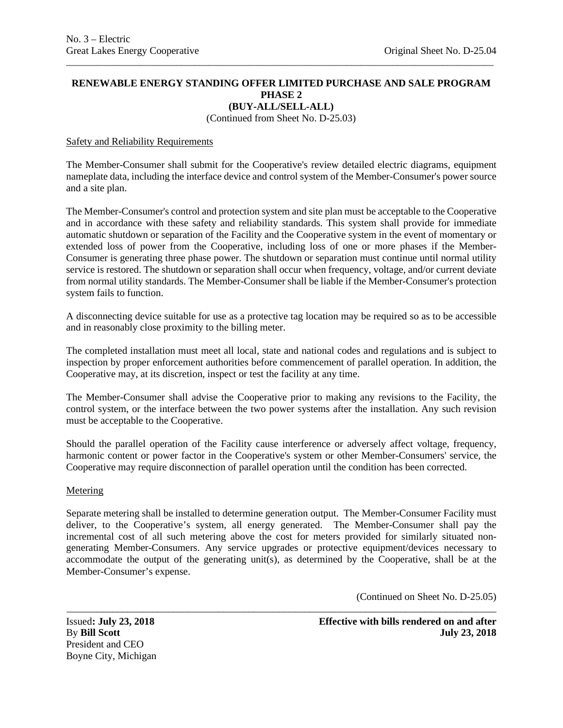## **RENEWABLE ENERGY STANDING OFFER LIMITED PURCHASE AND SALE PROGRAM PHASE 2 (BUY-ALL/SELL-ALL)**

\_\_\_\_\_\_\_\_\_\_\_\_\_\_\_\_\_\_\_\_\_\_\_\_\_\_\_\_\_\_\_\_\_\_\_\_\_\_\_\_\_\_\_\_\_\_\_\_\_\_\_\_\_\_\_\_\_\_\_\_\_\_\_\_\_\_\_\_\_\_\_\_\_\_\_\_\_\_\_\_\_\_\_\_\_\_\_\_\_\_\_\_\_

(Continued from Sheet No. D-25.03)

#### Safety and Reliability Requirements

The Member-Consumer shall submit for the Cooperative's review detailed electric diagrams, equipment nameplate data, including the interface device and control system of the Member-Consumer's power source and a site plan.

The Member-Consumer's control and protection system and site plan must be acceptable to the Cooperative and in accordance with these safety and reliability standards. This system shall provide for immediate automatic shutdown or separation of the Facility and the Cooperative system in the event of momentary or extended loss of power from the Cooperative, including loss of one or more phases if the Member-Consumer is generating three phase power. The shutdown or separation must continue until normal utility service is restored. The shutdown or separation shall occur when frequency, voltage, and/or current deviate from normal utility standards. The Member-Consumer shall be liable if the Member-Consumer's protection system fails to function.

A disconnecting device suitable for use as a protective tag location may be required so as to be accessible and in reasonably close proximity to the billing meter.

The completed installation must meet all local, state and national codes and regulations and is subject to inspection by proper enforcement authorities before commencement of parallel operation. In addition, the Cooperative may, at its discretion, inspect or test the facility at any time.

The Member-Consumer shall advise the Cooperative prior to making any revisions to the Facility, the control system, or the interface between the two power systems after the installation. Any such revision must be acceptable to the Cooperative.

Should the parallel operation of the Facility cause interference or adversely affect voltage, frequency, harmonic content or power factor in the Cooperative's system or other Member-Consumers' service, the Cooperative may require disconnection of parallel operation until the condition has been corrected.

#### Metering

Separate metering shall be installed to determine generation output. The Member-Consumer Facility must deliver, to the Cooperative's system, all energy generated. The Member-Consumer shall pay the incremental cost of all such metering above the cost for meters provided for similarly situated nongenerating Member-Consumers. Any service upgrades or protective equipment/devices necessary to accommodate the output of the generating unit(s), as determined by the Cooperative, shall be at the Member-Consumer's expense.

\_\_\_\_\_\_\_\_\_\_\_\_\_\_\_\_\_\_\_\_\_\_\_\_\_\_\_\_\_\_\_\_\_\_\_\_\_\_\_\_\_\_\_\_\_\_\_\_\_\_\_\_\_\_\_\_\_\_\_\_\_\_\_\_\_\_\_\_\_\_\_\_\_\_\_\_\_\_\_\_\_\_\_\_\_

(Continued on Sheet No. D-25.05)

President and CEO Boyne City, Michigan

Issued**: July 23, 2018 Effective with bills rendered on and after** By **Bill Scott July 23, 2018**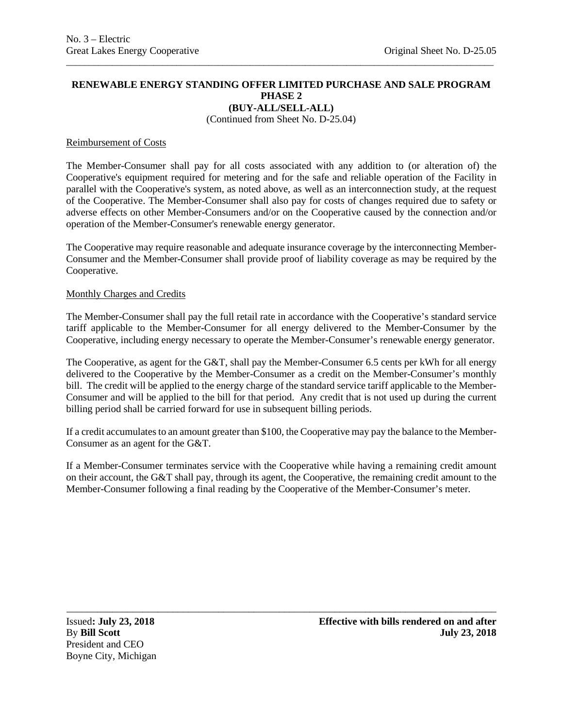#### **RENEWABLE ENERGY STANDING OFFER LIMITED PURCHASE AND SALE PROGRAM PHASE 2 (BUY-ALL/SELL-ALL)**

\_\_\_\_\_\_\_\_\_\_\_\_\_\_\_\_\_\_\_\_\_\_\_\_\_\_\_\_\_\_\_\_\_\_\_\_\_\_\_\_\_\_\_\_\_\_\_\_\_\_\_\_\_\_\_\_\_\_\_\_\_\_\_\_\_\_\_\_\_\_\_\_\_\_\_\_\_\_\_\_\_\_\_\_\_\_\_\_\_\_\_\_\_

(Continued from Sheet No. D-25.04)

#### Reimbursement of Costs

The Member-Consumer shall pay for all costs associated with any addition to (or alteration of) the Cooperative's equipment required for metering and for the safe and reliable operation of the Facility in parallel with the Cooperative's system, as noted above, as well as an interconnection study, at the request of the Cooperative. The Member-Consumer shall also pay for costs of changes required due to safety or adverse effects on other Member-Consumers and/or on the Cooperative caused by the connection and/or operation of the Member-Consumer's renewable energy generator.

The Cooperative may require reasonable and adequate insurance coverage by the interconnecting Member-Consumer and the Member-Consumer shall provide proof of liability coverage as may be required by the Cooperative.

#### Monthly Charges and Credits

The Member-Consumer shall pay the full retail rate in accordance with the Cooperative's standard service tariff applicable to the Member-Consumer for all energy delivered to the Member-Consumer by the Cooperative, including energy necessary to operate the Member-Consumer's renewable energy generator.

The Cooperative, as agent for the G&T, shall pay the Member-Consumer 6.5 cents per kWh for all energy delivered to the Cooperative by the Member-Consumer as a credit on the Member-Consumer's monthly bill. The credit will be applied to the energy charge of the standard service tariff applicable to the Member-Consumer and will be applied to the bill for that period. Any credit that is not used up during the current billing period shall be carried forward for use in subsequent billing periods.

If a credit accumulates to an amount greater than \$100, the Cooperative may pay the balance to the Member-Consumer as an agent for the G&T.

If a Member-Consumer terminates service with the Cooperative while having a remaining credit amount on their account, the G&T shall pay, through its agent, the Cooperative, the remaining credit amount to the Member-Consumer following a final reading by the Cooperative of the Member-Consumer's meter.

\_\_\_\_\_\_\_\_\_\_\_\_\_\_\_\_\_\_\_\_\_\_\_\_\_\_\_\_\_\_\_\_\_\_\_\_\_\_\_\_\_\_\_\_\_\_\_\_\_\_\_\_\_\_\_\_\_\_\_\_\_\_\_\_\_\_\_\_\_\_\_\_\_\_\_\_\_\_\_\_\_\_\_\_\_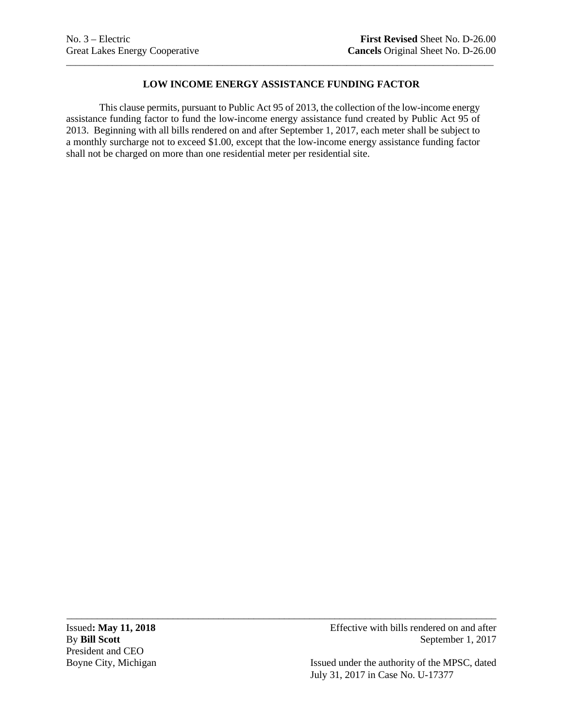# **LOW INCOME ENERGY ASSISTANCE FUNDING FACTOR**

\_\_\_\_\_\_\_\_\_\_\_\_\_\_\_\_\_\_\_\_\_\_\_\_\_\_\_\_\_\_\_\_\_\_\_\_\_\_\_\_\_\_\_\_\_\_\_\_\_\_\_\_\_\_\_\_\_\_\_\_\_\_\_\_\_\_\_\_\_\_\_\_\_\_\_\_\_\_\_\_\_\_\_\_\_\_\_\_\_\_\_\_\_

This clause permits, pursuant to Public Act 95 of 2013, the collection of the low-income energy assistance funding factor to fund the low-income energy assistance fund created by Public Act 95 of 2013. Beginning with all bills rendered on and after September 1, 2017, each meter shall be subject to a monthly surcharge not to exceed \$1.00, except that the low-income energy assistance funding factor shall not be charged on more than one residential meter per residential site.

\_\_\_\_\_\_\_\_\_\_\_\_\_\_\_\_\_\_\_\_\_\_\_\_\_\_\_\_\_\_\_\_\_\_\_\_\_\_\_\_\_\_\_\_\_\_\_\_\_\_\_\_\_\_\_\_\_\_\_\_\_\_\_\_\_\_\_\_\_\_\_\_\_\_\_\_\_\_\_\_\_\_\_\_\_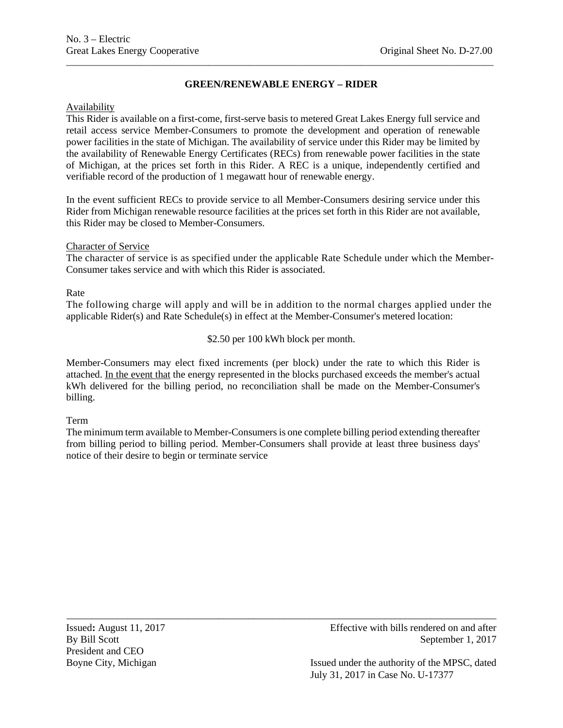# **GREEN/RENEWABLE ENERGY – RIDER**

\_\_\_\_\_\_\_\_\_\_\_\_\_\_\_\_\_\_\_\_\_\_\_\_\_\_\_\_\_\_\_\_\_\_\_\_\_\_\_\_\_\_\_\_\_\_\_\_\_\_\_\_\_\_\_\_\_\_\_\_\_\_\_\_\_\_\_\_\_\_\_\_\_\_\_\_\_\_\_\_\_\_\_\_\_\_\_\_\_\_\_\_\_

# Availability

This Rider is available on a first-come, first-serve basis to metered Great Lakes Energy full service and retail access service Member-Consumers to promote the development and operation of renewable power facilities in the state of Michigan. The availability of service under this Rider may be limited by the availability of Renewable Energy Certificates (RECs) from renewable power facilities in the state of Michigan, at the prices set forth in this Rider. A REC is a unique, independently certified and verifiable record of the production of 1 megawatt hour of renewable energy.

In the event sufficient RECs to provide service to all Member-Consumers desiring service under this Rider from Michigan renewable resource facilities at the prices set forth in this Rider are not available, this Rider may be closed to Member-Consumers.

## Character of Service

The character of service is as specified under the applicable Rate Schedule under which the Member-Consumer takes service and with which this Rider is associated.

## Rate

The following charge will apply and will be in addition to the normal charges applied under the applicable Rider(s) and Rate Schedule(s) in effect at the Member-Consumer's metered location:

\$2.50 per 100 kWh block per month.

Member-Consumers may elect fixed increments (per block) under the rate to which this Rider is attached. In the event that the energy represented in the blocks purchased exceeds the member's actual kWh delivered for the billing period, no reconciliation shall be made on the Member-Consumer's billing.

# Term

The minimum term available to Member-Consumers is one complete billing period extending thereafter from billing period to billing period. Member-Consumers shall provide at least three business days' notice of their desire to begin or terminate service

\_\_\_\_\_\_\_\_\_\_\_\_\_\_\_\_\_\_\_\_\_\_\_\_\_\_\_\_\_\_\_\_\_\_\_\_\_\_\_\_\_\_\_\_\_\_\_\_\_\_\_\_\_\_\_\_\_\_\_\_\_\_\_\_\_\_\_\_\_\_\_\_\_\_\_\_\_\_\_\_\_\_\_\_\_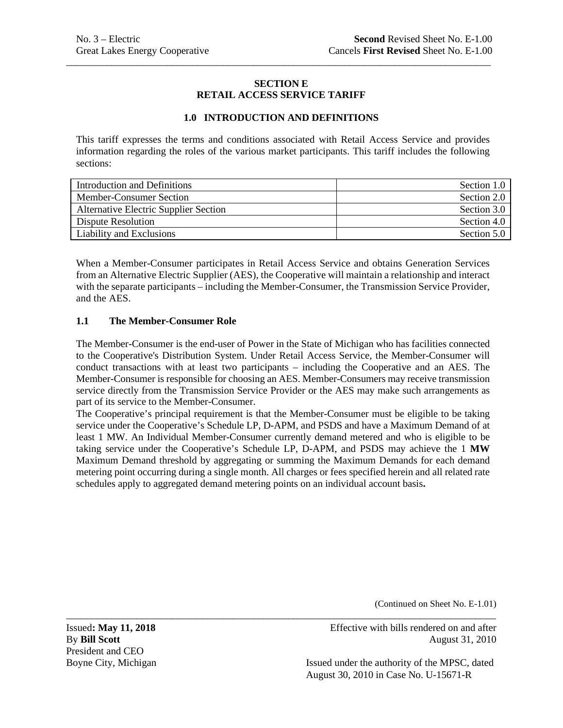## **SECTION E RETAIL ACCESS SERVICE TARIFF**

\_\_\_\_\_\_\_\_\_\_\_\_\_\_\_\_\_\_\_\_\_\_\_\_\_\_\_\_\_\_\_\_\_\_\_\_\_\_\_\_\_\_\_\_\_\_\_\_\_\_\_\_\_\_\_\_\_\_\_\_\_\_\_\_\_\_\_\_\_\_\_\_\_\_\_\_\_\_\_\_\_\_\_\_

## **1.0 INTRODUCTION AND DEFINITIONS**

This tariff expresses the terms and conditions associated with Retail Access Service and provides information regarding the roles of the various market participants. This tariff includes the following sections:

| Introduction and Definitions                 | Section 1.0 |
|----------------------------------------------|-------------|
| Member-Consumer Section                      | Section 2.0 |
| <b>Alternative Electric Supplier Section</b> | Section 3.0 |
| Dispute Resolution                           | Section 4.0 |
| Liability and Exclusions                     | Section 5.0 |

When a Member-Consumer participates in Retail Access Service and obtains Generation Services from an Alternative Electric Supplier (AES), the Cooperative will maintain a relationship and interact with the separate participants – including the Member-Consumer, the Transmission Service Provider, and the AES.

## **1.1 The Member-Consumer Role**

The Member-Consumer is the end-user of Power in the State of Michigan who has facilities connected to the Cooperative's Distribution System. Under Retail Access Service, the Member-Consumer will conduct transactions with at least two participants – including the Cooperative and an AES. The Member-Consumer is responsible for choosing an AES. Member-Consumers may receive transmission service directly from the Transmission Service Provider or the AES may make such arrangements as part of its service to the Member-Consumer.

The Cooperative's principal requirement is that the Member-Consumer must be eligible to be taking service under the Cooperative's Schedule LP, D-APM, and PSDS and have a Maximum Demand of at least 1 MW. An Individual Member-Consumer currently demand metered and who is eligible to be taking service under the Cooperative's Schedule LP, D-APM, and PSDS may achieve the 1 **MW** Maximum Demand threshold by aggregating or summing the Maximum Demands for each demand metering point occurring during a single month. All charges or fees specified herein and all related rate schedules apply to aggregated demand metering points on an individual account basis**.**

\_\_\_\_\_\_\_\_\_\_\_\_\_\_\_\_\_\_\_\_\_\_\_\_\_\_\_\_\_\_\_\_\_\_\_\_\_\_\_\_\_\_\_\_\_\_\_\_\_\_\_\_\_\_\_\_\_\_\_\_\_\_\_\_\_\_\_\_\_\_\_\_\_\_\_\_\_\_\_\_\_\_\_\_\_

(Continued on Sheet No. E-1.01)

President and CEO

Issued**: May 11, 2018** Effective with bills rendered on and after **By Bill Scott** August 31, 2010

Boyne City, Michigan Issued under the authority of the MPSC, dated August 30, 2010 in Case No. U-15671-R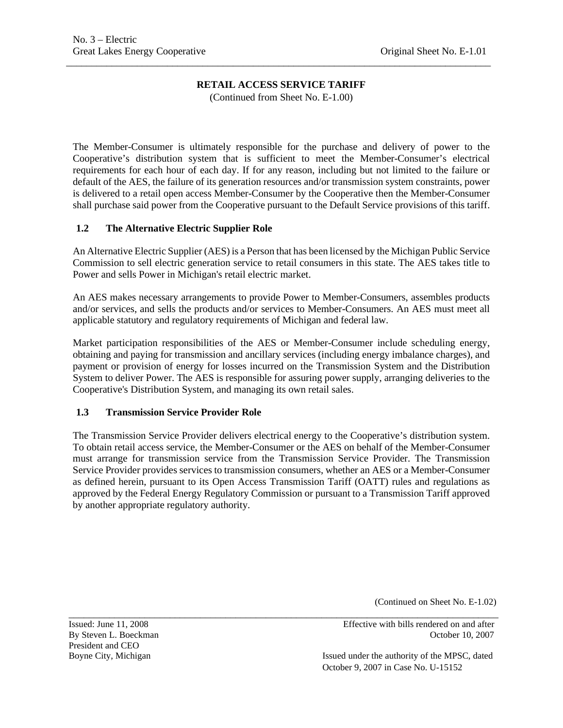\_\_\_\_\_\_\_\_\_\_\_\_\_\_\_\_\_\_\_\_\_\_\_\_\_\_\_\_\_\_\_\_\_\_\_\_\_\_\_\_\_\_\_\_\_\_\_\_\_\_\_\_\_\_\_\_\_\_\_\_\_\_\_\_\_\_\_\_\_\_\_\_\_\_\_\_\_\_\_\_\_\_\_\_

(Continued from Sheet No. E-1.00)

The Member-Consumer is ultimately responsible for the purchase and delivery of power to the Cooperative's distribution system that is sufficient to meet the Member-Consumer's electrical requirements for each hour of each day. If for any reason, including but not limited to the failure or default of the AES, the failure of its generation resources and/or transmission system constraints, power is delivered to a retail open access Member-Consumer by the Cooperative then the Member-Consumer shall purchase said power from the Cooperative pursuant to the Default Service provisions of this tariff.

## **1.2 The Alternative Electric Supplier Role**

An Alternative Electric Supplier (AES) is a Person that has been licensed by the Michigan Public Service Commission to sell electric generation service to retail consumers in this state. The AES takes title to Power and sells Power in Michigan's retail electric market.

An AES makes necessary arrangements to provide Power to Member-Consumers, assembles products and/or services, and sells the products and/or services to Member-Consumers. An AES must meet all applicable statutory and regulatory requirements of Michigan and federal law.

Market participation responsibilities of the AES or Member-Consumer include scheduling energy, obtaining and paying for transmission and ancillary services (including energy imbalance charges), and payment or provision of energy for losses incurred on the Transmission System and the Distribution System to deliver Power. The AES is responsible for assuring power supply, arranging deliveries to the Cooperative's Distribution System, and managing its own retail sales.

## **1.3 Transmission Service Provider Role**

The Transmission Service Provider delivers electrical energy to the Cooperative's distribution system. To obtain retail access service, the Member-Consumer or the AES on behalf of the Member-Consumer must arrange for transmission service from the Transmission Service Provider. The Transmission Service Provider provides services to transmission consumers, whether an AES or a Member-Consumer as defined herein, pursuant to its Open Access Transmission Tariff (OATT) rules and regulations as approved by the Federal Energy Regulatory Commission or pursuant to a Transmission Tariff approved by another appropriate regulatory authority.

(Continued on Sheet No. E-1.02)

\_\_\_\_\_\_\_\_\_\_\_\_\_\_\_\_\_\_\_\_\_\_\_\_\_\_\_\_\_\_\_\_\_\_\_\_\_\_\_\_\_\_\_\_\_\_\_\_\_\_\_\_\_\_\_\_\_\_\_\_\_\_\_\_\_\_\_\_\_\_\_\_\_\_\_\_\_\_\_\_\_\_\_\_\_ President and CEO

Issued: June 11, 2008 Effective with bills rendered on and after By Steven L. Boeckman **Details** Books and Contract and Contract Books and Corollary Contract and Contract and Contract and Contract and Contract and Contract and Contract and Contract and Contract and Contract and Contract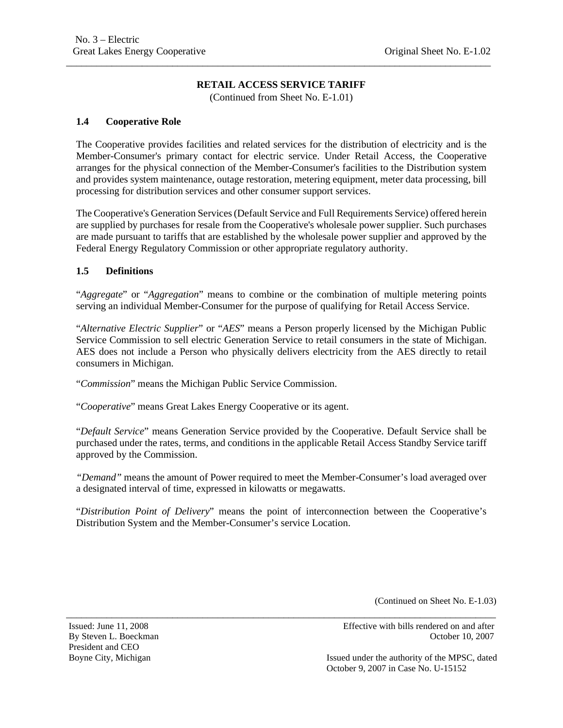\_\_\_\_\_\_\_\_\_\_\_\_\_\_\_\_\_\_\_\_\_\_\_\_\_\_\_\_\_\_\_\_\_\_\_\_\_\_\_\_\_\_\_\_\_\_\_\_\_\_\_\_\_\_\_\_\_\_\_\_\_\_\_\_\_\_\_\_\_\_\_\_\_\_\_\_\_\_\_\_\_\_\_\_

(Continued from Sheet No. E-1.01)

### **1.4 Cooperative Role**

The Cooperative provides facilities and related services for the distribution of electricity and is the Member-Consumer's primary contact for electric service. Under Retail Access, the Cooperative arranges for the physical connection of the Member-Consumer's facilities to the Distribution system and provides system maintenance, outage restoration, metering equipment, meter data processing, bill processing for distribution services and other consumer support services.

The Cooperative's Generation Services (Default Service and Full Requirements Service) offered herein are supplied by purchases for resale from the Cooperative's wholesale power supplier. Such purchases are made pursuant to tariffs that are established by the wholesale power supplier and approved by the Federal Energy Regulatory Commission or other appropriate regulatory authority.

## **1.5 Definitions**

"*Aggregate*" or "*Aggregation*" means to combine or the combination of multiple metering points serving an individual Member-Consumer for the purpose of qualifying for Retail Access Service.

"*Alternative Electric Supplier*" or "*AES*" means a Person properly licensed by the Michigan Public Service Commission to sell electric Generation Service to retail consumers in the state of Michigan. AES does not include a Person who physically delivers electricity from the AES directly to retail consumers in Michigan.

"*Commission*" means the Michigan Public Service Commission.

"*Cooperative*" means Great Lakes Energy Cooperative or its agent.

"*Default Service*" means Generation Service provided by the Cooperative. Default Service shall be purchased under the rates, terms, and conditions in the applicable Retail Access Standby Service tariff approved by the Commission.

*"Demand"* means the amount of Power required to meet the Member-Consumer's load averaged over a designated interval of time, expressed in kilowatts or megawatts.

"*Distribution Point of Delivery*" means the point of interconnection between the Cooperative's Distribution System and the Member-Consumer's service Location.

\_\_\_\_\_\_\_\_\_\_\_\_\_\_\_\_\_\_\_\_\_\_\_\_\_\_\_\_\_\_\_\_\_\_\_\_\_\_\_\_\_\_\_\_\_\_\_\_\_\_\_\_\_\_\_\_\_\_\_\_\_\_\_\_\_\_\_\_\_\_\_\_\_\_\_\_\_\_\_\_\_\_\_\_\_

(Continued on Sheet No. E-1.03)

President and CEO

Issued: June 11, 2008 Effective with bills rendered on and after By Steven L. Boeckman **Details** Books and Corollary and Corollary Corollary Corollary Corollary Corollary Corollary Corollary Corollary Corollary Corollary Corollary Corollary Corollary Corollary Corollary Corollary Coroll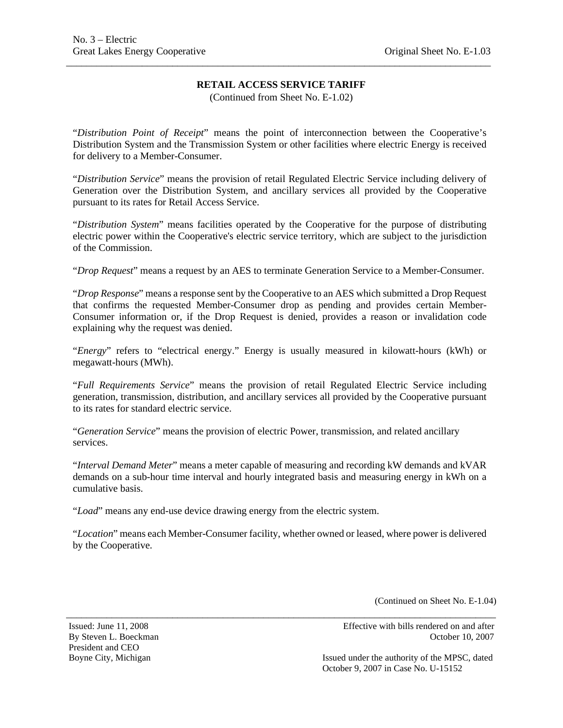\_\_\_\_\_\_\_\_\_\_\_\_\_\_\_\_\_\_\_\_\_\_\_\_\_\_\_\_\_\_\_\_\_\_\_\_\_\_\_\_\_\_\_\_\_\_\_\_\_\_\_\_\_\_\_\_\_\_\_\_\_\_\_\_\_\_\_\_\_\_\_\_\_\_\_\_\_\_\_\_\_\_\_\_

(Continued from Sheet No. E-1.02)

"*Distribution Point of Receipt*" means the point of interconnection between the Cooperative's Distribution System and the Transmission System or other facilities where electric Energy is received for delivery to a Member-Consumer.

"*Distribution Service*" means the provision of retail Regulated Electric Service including delivery of Generation over the Distribution System, and ancillary services all provided by the Cooperative pursuant to its rates for Retail Access Service.

"*Distribution System*" means facilities operated by the Cooperative for the purpose of distributing electric power within the Cooperative's electric service territory, which are subject to the jurisdiction of the Commission.

"*Drop Request*" means a request by an AES to terminate Generation Service to a Member-Consumer.

"*Drop Response*" means a response sent by the Cooperative to an AES which submitted a Drop Request that confirms the requested Member-Consumer drop as pending and provides certain Member-Consumer information or, if the Drop Request is denied, provides a reason or invalidation code explaining why the request was denied.

"*Energy*" refers to "electrical energy." Energy is usually measured in kilowatt-hours (kWh) or megawatt-hours (MWh).

"*Full Requirements Service*" means the provision of retail Regulated Electric Service including generation, transmission, distribution, and ancillary services all provided by the Cooperative pursuant to its rates for standard electric service.

"*Generation Service*" means the provision of electric Power, transmission, and related ancillary services.

"*Interval Demand Meter*" means a meter capable of measuring and recording kW demands and kVAR demands on a sub-hour time interval and hourly integrated basis and measuring energy in kWh on a cumulative basis.

"*Load*" means any end-use device drawing energy from the electric system.

"*Location*" means each Member-Consumer facility, whether owned or leased, where power is delivered by the Cooperative.

\_\_\_\_\_\_\_\_\_\_\_\_\_\_\_\_\_\_\_\_\_\_\_\_\_\_\_\_\_\_\_\_\_\_\_\_\_\_\_\_\_\_\_\_\_\_\_\_\_\_\_\_\_\_\_\_\_\_\_\_\_\_\_\_\_\_\_\_\_\_\_\_\_\_\_\_\_\_\_\_\_\_\_\_\_

(Continued on Sheet No. E-1.04)

President and CEO

Issued: June 11, 2008 Effective with bills rendered on and after By Steven L. Boeckman **Details** Books and Contract and Corollary Section 10, 2007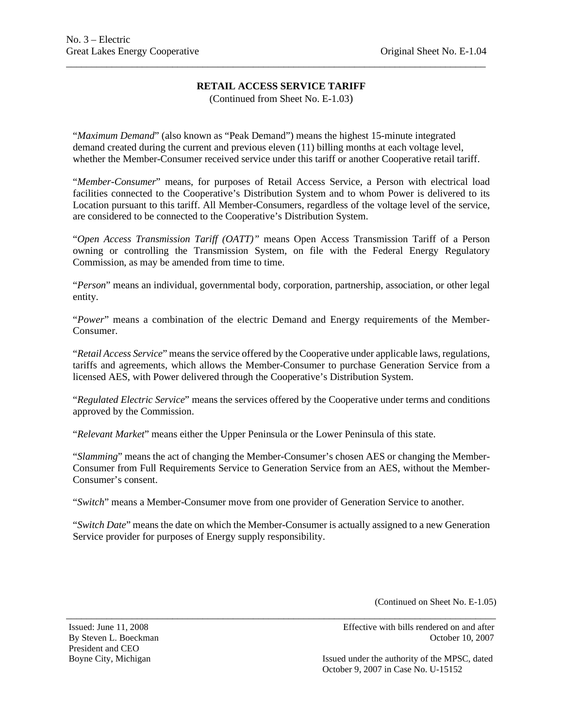\_\_\_\_\_\_\_\_\_\_\_\_\_\_\_\_\_\_\_\_\_\_\_\_\_\_\_\_\_\_\_\_\_\_\_\_\_\_\_\_\_\_\_\_\_\_\_\_\_\_\_\_\_\_\_\_\_\_\_\_\_\_\_\_\_\_\_\_\_\_\_\_\_\_\_\_\_\_\_\_\_\_\_

(Continued from Sheet No. E-1.03)

"*Maximum Demand*" (also known as "Peak Demand") means the highest 15-minute integrated demand created during the current and previous eleven (11) billing months at each voltage level, whether the Member-Consumer received service under this tariff or another Cooperative retail tariff.

"*Member-Consumer*" means, for purposes of Retail Access Service, a Person with electrical load facilities connected to the Cooperative's Distribution System and to whom Power is delivered to its Location pursuant to this tariff. All Member-Consumers, regardless of the voltage level of the service, are considered to be connected to the Cooperative's Distribution System.

"*Open Access Transmission Tariff (OATT)"* means Open Access Transmission Tariff of a Person owning or controlling the Transmission System, on file with the Federal Energy Regulatory Commission, as may be amended from time to time.

"*Person*" means an individual, governmental body, corporation, partnership, association, or other legal entity.

"*Power*" means a combination of the electric Demand and Energy requirements of the Member-Consumer.

"*Retail Access Service*" means the service offered by the Cooperative under applicable laws, regulations, tariffs and agreements, which allows the Member-Consumer to purchase Generation Service from a licensed AES, with Power delivered through the Cooperative's Distribution System.

"*Regulated Electric Service*" means the services offered by the Cooperative under terms and conditions approved by the Commission.

"*Relevant Market*" means either the Upper Peninsula or the Lower Peninsula of this state.

"*Slamming*" means the act of changing the Member-Consumer's chosen AES or changing the Member-Consumer from Full Requirements Service to Generation Service from an AES, without the Member-Consumer's consent.

"*Switch*" means a Member-Consumer move from one provider of Generation Service to another.

"*Switch Date*" means the date on which the Member-Consumer is actually assigned to a new Generation Service provider for purposes of Energy supply responsibility.

\_\_\_\_\_\_\_\_\_\_\_\_\_\_\_\_\_\_\_\_\_\_\_\_\_\_\_\_\_\_\_\_\_\_\_\_\_\_\_\_\_\_\_\_\_\_\_\_\_\_\_\_\_\_\_\_\_\_\_\_\_\_\_\_\_\_\_\_\_\_\_\_\_\_\_\_\_\_\_\_\_\_\_\_\_

(Continued on Sheet No. E-1.05)

President and CEO

Issued: June 11, 2008 Effective with bills rendered on and after By Steven L. Boeckman **Details** Books and Corollary Steven L. Boeckman **October 10, 2007**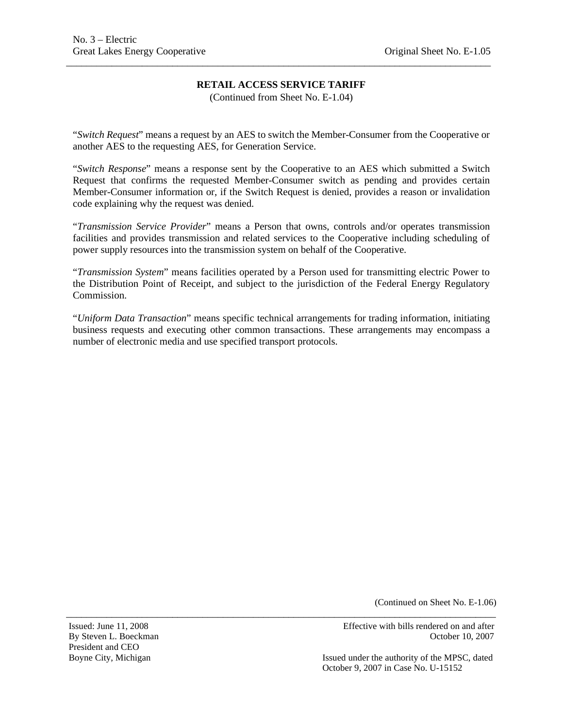\_\_\_\_\_\_\_\_\_\_\_\_\_\_\_\_\_\_\_\_\_\_\_\_\_\_\_\_\_\_\_\_\_\_\_\_\_\_\_\_\_\_\_\_\_\_\_\_\_\_\_\_\_\_\_\_\_\_\_\_\_\_\_\_\_\_\_\_\_\_\_\_\_\_\_\_\_\_\_\_\_\_\_\_

(Continued from Sheet No. E-1.04)

"*Switch Request*" means a request by an AES to switch the Member-Consumer from the Cooperative or another AES to the requesting AES, for Generation Service.

"*Switch Response*" means a response sent by the Cooperative to an AES which submitted a Switch Request that confirms the requested Member-Consumer switch as pending and provides certain Member-Consumer information or, if the Switch Request is denied, provides a reason or invalidation code explaining why the request was denied.

"*Transmission Service Provider*" means a Person that owns, controls and/or operates transmission facilities and provides transmission and related services to the Cooperative including scheduling of power supply resources into the transmission system on behalf of the Cooperative.

"*Transmission System*" means facilities operated by a Person used for transmitting electric Power to the Distribution Point of Receipt, and subject to the jurisdiction of the Federal Energy Regulatory Commission.

"*Uniform Data Transaction*" means specific technical arrangements for trading information, initiating business requests and executing other common transactions. These arrangements may encompass a number of electronic media and use specified transport protocols.

\_\_\_\_\_\_\_\_\_\_\_\_\_\_\_\_\_\_\_\_\_\_\_\_\_\_\_\_\_\_\_\_\_\_\_\_\_\_\_\_\_\_\_\_\_\_\_\_\_\_\_\_\_\_\_\_\_\_\_\_\_\_\_\_\_\_\_\_\_\_\_\_\_\_\_\_\_\_\_\_\_\_\_\_\_

(Continued on Sheet No. E-1.06)

Issued: June 11, 2008 Effective with bills rendered on and after By Steven L. Boeckman **Details** Books and Corollary Steven L. Boeckman **October 10, 2007** 

Boyne City, Michigan Issued under the authority of the MPSC, dated October 9, 2007 in Case No. U-15152

President and CEO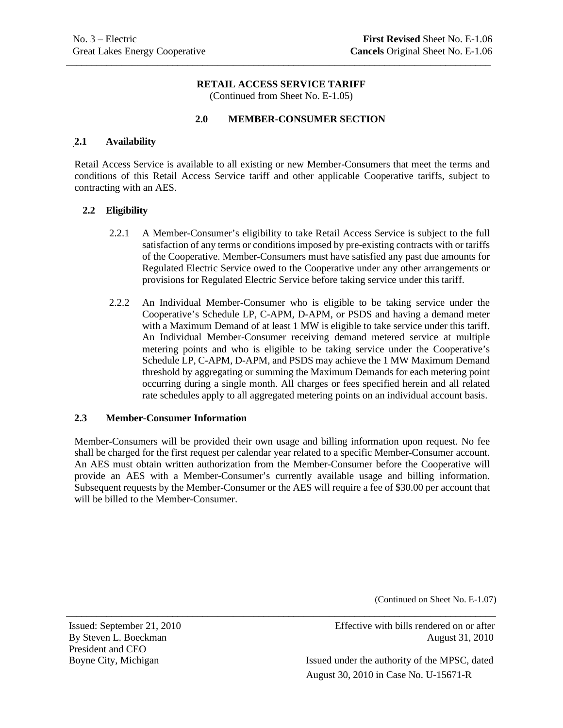\_\_\_\_\_\_\_\_\_\_\_\_\_\_\_\_\_\_\_\_\_\_\_\_\_\_\_\_\_\_\_\_\_\_\_\_\_\_\_\_\_\_\_\_\_\_\_\_\_\_\_\_\_\_\_\_\_\_\_\_\_\_\_\_\_\_\_\_\_\_\_\_\_\_\_\_\_\_\_\_\_\_\_\_

(Continued from Sheet No. E-1.05)

## **2.0 MEMBER-CONSUMER SECTION**

#### **2.1 Availability**

Retail Access Service is available to all existing or new Member-Consumers that meet the terms and conditions of this Retail Access Service tariff and other applicable Cooperative tariffs, subject to contracting with an AES.

#### **2.2 Eligibility**

- 2.2.1 A Member-Consumer's eligibility to take Retail Access Service is subject to the full satisfaction of any terms or conditions imposed by pre-existing contracts with or tariffs of the Cooperative. Member-Consumers must have satisfied any past due amounts for Regulated Electric Service owed to the Cooperative under any other arrangements or provisions for Regulated Electric Service before taking service under this tariff.
- 2.2.2 An Individual Member-Consumer who is eligible to be taking service under the Cooperative's Schedule LP, C-APM, D-APM, or PSDS and having a demand meter with a Maximum Demand of at least 1 MW is eligible to take service under this tariff. An Individual Member-Consumer receiving demand metered service at multiple metering points and who is eligible to be taking service under the Cooperative's Schedule LP, C-APM, D-APM, and PSDS may achieve the 1 MW Maximum Demand threshold by aggregating or summing the Maximum Demands for each metering point occurring during a single month. All charges or fees specified herein and all related rate schedules apply to all aggregated metering points on an individual account basis.

#### **2.3 Member-Consumer Information**

Member-Consumers will be provided their own usage and billing information upon request. No fee shall be charged for the first request per calendar year related to a specific Member-Consumer account. An AES must obtain written authorization from the Member-Consumer before the Cooperative will provide an AES with a Member-Consumer's currently available usage and billing information. Subsequent requests by the Member-Consumer or the AES will require a fee of \$30.00 per account that will be billed to the Member-Consumer.

\_\_\_\_\_\_\_\_\_\_\_\_\_\_\_\_\_\_\_\_\_\_\_\_\_\_\_\_\_\_\_\_\_\_\_\_\_\_\_\_\_\_\_\_\_\_\_\_\_\_\_\_\_\_\_\_\_\_\_\_\_\_\_\_\_\_\_\_\_\_\_\_\_\_\_\_\_\_\_\_\_\_\_\_\_

(Continued on Sheet No. E-1.07)

President and CEO

Issued: September 21, 2010 Effective with bills rendered on or after By Steven L. Boeckman August 31, 2010

Boyne City, Michigan Issued under the authority of the MPSC, dated August 30, 2010 in Case No. U-15671-R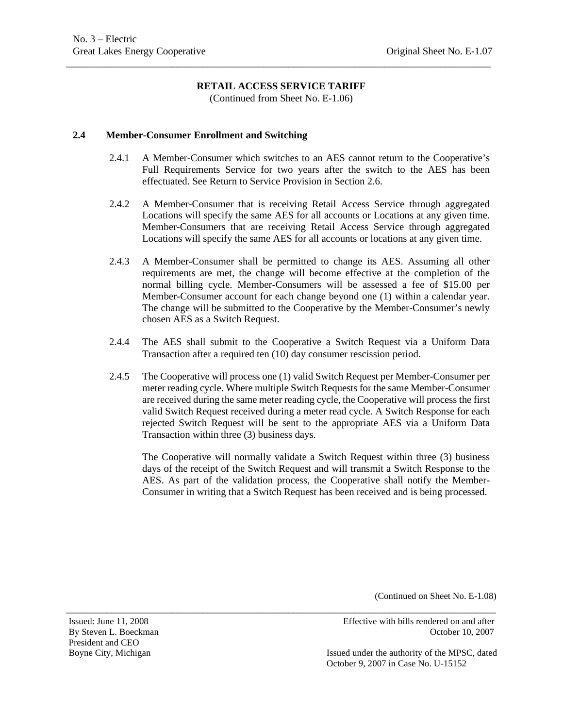\_\_\_\_\_\_\_\_\_\_\_\_\_\_\_\_\_\_\_\_\_\_\_\_\_\_\_\_\_\_\_\_\_\_\_\_\_\_\_\_\_\_\_\_\_\_\_\_\_\_\_\_\_\_\_\_\_\_\_\_\_\_\_\_\_\_\_\_\_\_\_\_\_\_\_\_\_\_\_\_\_\_\_\_

(Continued from Sheet No. E-1.06)

#### **2.4 Member-Consumer Enrollment and Switching**

- 2.4.1 A Member-Consumer which switches to an AES cannot return to the Cooperative's Full Requirements Service for two years after the switch to the AES has been effectuated. See Return to Service Provision in Section 2.6.
- 2.4.2 A Member-Consumer that is receiving Retail Access Service through aggregated Locations will specify the same AES for all accounts or Locations at any given time. Member-Consumers that are receiving Retail Access Service through aggregated Locations will specify the same AES for all accounts or locations at any given time.
- 2.4.3 A Member-Consumer shall be permitted to change its AES. Assuming all other requirements are met, the change will become effective at the completion of the normal billing cycle. Member-Consumers will be assessed a fee of \$15.00 per Member-Consumer account for each change beyond one (1) within a calendar year. The change will be submitted to the Cooperative by the Member-Consumer's newly chosen AES as a Switch Request.
- 2.4.4 The AES shall submit to the Cooperative a Switch Request via a Uniform Data Transaction after a required ten (10) day consumer rescission period.
- 2.4.5 The Cooperative will process one (1) valid Switch Request per Member-Consumer per meter reading cycle. Where multiple Switch Requests for the same Member-Consumer are received during the same meter reading cycle, the Cooperative will process the first valid Switch Request received during a meter read cycle. A Switch Response for each rejected Switch Request will be sent to the appropriate AES via a Uniform Data Transaction within three (3) business days.

\_\_\_\_\_\_\_\_\_\_\_\_\_\_\_\_\_\_\_\_\_\_\_\_\_\_\_\_\_\_\_\_\_\_\_\_\_\_\_\_\_\_\_\_\_\_\_\_\_\_\_\_\_\_\_\_\_\_\_\_\_\_\_\_\_\_\_\_\_\_\_\_\_\_\_\_\_\_\_\_\_\_\_\_\_

The Cooperative will normally validate a Switch Request within three (3) business days of the receipt of the Switch Request and will transmit a Switch Response to the AES. As part of the validation process, the Cooperative shall notify the Member-Consumer in writing that a Switch Request has been received and is being processed.

(Continued on Sheet No. E-1.08)

President and CEO

Issued: June 11, 2008 Effective with bills rendered on and after By Steven L. Boeckman **Details** Books and Details and Details and Details and Details and Details and Details and Details and Details and Details and Details and Details and Details and Details and Details and Details and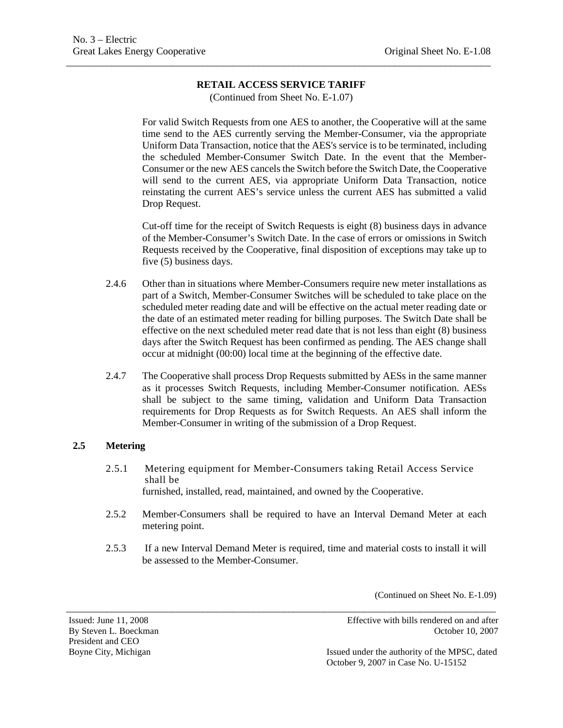\_\_\_\_\_\_\_\_\_\_\_\_\_\_\_\_\_\_\_\_\_\_\_\_\_\_\_\_\_\_\_\_\_\_\_\_\_\_\_\_\_\_\_\_\_\_\_\_\_\_\_\_\_\_\_\_\_\_\_\_\_\_\_\_\_\_\_\_\_\_\_\_\_\_\_\_\_\_\_\_\_\_\_\_

(Continued from Sheet No. E-1.07)

For valid Switch Requests from one AES to another, the Cooperative will at the same time send to the AES currently serving the Member-Consumer, via the appropriate Uniform Data Transaction, notice that the AES's service is to be terminated, including the scheduled Member-Consumer Switch Date. In the event that the Member-Consumer or the new AES cancels the Switch before the Switch Date, the Cooperative will send to the current AES, via appropriate Uniform Data Transaction, notice reinstating the current AES's service unless the current AES has submitted a valid Drop Request.

Cut-off time for the receipt of Switch Requests is eight (8) business days in advance of the Member-Consumer's Switch Date. In the case of errors or omissions in Switch Requests received by the Cooperative, final disposition of exceptions may take up to five (5) business days.

- 2.4.6 Other than in situations where Member-Consumers require new meter installations as part of a Switch, Member-Consumer Switches will be scheduled to take place on the scheduled meter reading date and will be effective on the actual meter reading date or the date of an estimated meter reading for billing purposes. The Switch Date shall be effective on the next scheduled meter read date that is not less than eight (8) business days after the Switch Request has been confirmed as pending. The AES change shall occur at midnight (00:00) local time at the beginning of the effective date.
- 2.4.7 The Cooperative shall process Drop Requests submitted by AESs in the same manner as it processes Switch Requests, including Member-Consumer notification. AESs shall be subject to the same timing, validation and Uniform Data Transaction requirements for Drop Requests as for Switch Requests. An AES shall inform the Member-Consumer in writing of the submission of a Drop Request.

## **2.5 Metering**

- 2.5.1 Metering equipment for Member-Consumers taking Retail Access Service shall be furnished, installed, read, maintained, and owned by the Cooperative.
- 2.5.2 Member-Consumers shall be required to have an Interval Demand Meter at each metering point.
- 2.5.3 If a new Interval Demand Meter is required, time and material costs to install it will be assessed to the Member-Consumer.

\_\_\_\_\_\_\_\_\_\_\_\_\_\_\_\_\_\_\_\_\_\_\_\_\_\_\_\_\_\_\_\_\_\_\_\_\_\_\_\_\_\_\_\_\_\_\_\_\_\_\_\_\_\_\_\_\_\_\_\_\_\_\_\_\_\_\_\_\_\_\_\_\_\_\_\_\_\_\_\_\_\_\_\_\_

(Continued on Sheet No. E-1.09)

President and CEO

Issued: June 11, 2008 Effective with bills rendered on and after By Steven L. Boeckman **Details** Books and Details and Details and Details and Details and Details and Details and Details and Details and Details and Details and Details and Details and Details and Details and Details and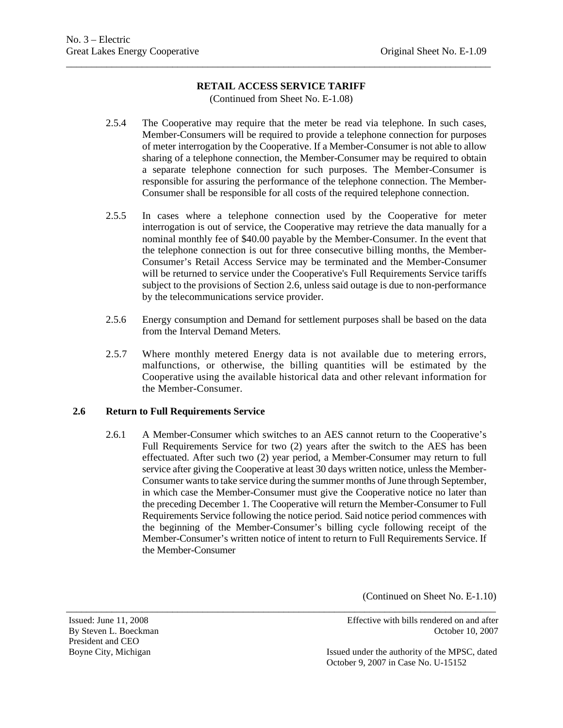\_\_\_\_\_\_\_\_\_\_\_\_\_\_\_\_\_\_\_\_\_\_\_\_\_\_\_\_\_\_\_\_\_\_\_\_\_\_\_\_\_\_\_\_\_\_\_\_\_\_\_\_\_\_\_\_\_\_\_\_\_\_\_\_\_\_\_\_\_\_\_\_\_\_\_\_\_\_\_\_\_\_\_\_

(Continued from Sheet No. E-1.08)

- 2.5.4 The Cooperative may require that the meter be read via telephone. In such cases, Member-Consumers will be required to provide a telephone connection for purposes of meter interrogation by the Cooperative. If a Member-Consumer is not able to allow sharing of a telephone connection, the Member-Consumer may be required to obtain a separate telephone connection for such purposes. The Member-Consumer is responsible for assuring the performance of the telephone connection. The Member-Consumer shall be responsible for all costs of the required telephone connection.
- 2.5.5 In cases where a telephone connection used by the Cooperative for meter interrogation is out of service, the Cooperative may retrieve the data manually for a nominal monthly fee of \$40.00 payable by the Member-Consumer. In the event that the telephone connection is out for three consecutive billing months, the Member-Consumer's Retail Access Service may be terminated and the Member-Consumer will be returned to service under the Cooperative's Full Requirements Service tariffs subject to the provisions of Section 2.6, unless said outage is due to non-performance by the telecommunications service provider.
- 2.5.6 Energy consumption and Demand for settlement purposes shall be based on the data from the Interval Demand Meters.
- 2.5.7 Where monthly metered Energy data is not available due to metering errors, malfunctions, or otherwise, the billing quantities will be estimated by the Cooperative using the available historical data and other relevant information for the Member-Consumer.

## **2.6 Return to Full Requirements Service**

2.6.1 A Member-Consumer which switches to an AES cannot return to the Cooperative's Full Requirements Service for two (2) years after the switch to the AES has been effectuated. After such two (2) year period, a Member-Consumer may return to full service after giving the Cooperative at least 30 days written notice, unless the Member-Consumer wants to take service during the summer months of June through September, in which case the Member-Consumer must give the Cooperative notice no later than the preceding December 1. The Cooperative will return the Member-Consumer to Full Requirements Service following the notice period. Said notice period commences with the beginning of the Member-Consumer's billing cycle following receipt of the Member-Consumer's written notice of intent to return to Full Requirements Service. If the Member-Consumer

\_\_\_\_\_\_\_\_\_\_\_\_\_\_\_\_\_\_\_\_\_\_\_\_\_\_\_\_\_\_\_\_\_\_\_\_\_\_\_\_\_\_\_\_\_\_\_\_\_\_\_\_\_\_\_\_\_\_\_\_\_\_\_\_\_\_\_\_\_\_\_\_\_\_\_\_\_\_\_\_\_\_\_\_\_

(Continued on Sheet No. E-1.10)

President and CEO

Issued: June 11, 2008 Effective with bills rendered on and after By Steven L. Boeckman **Details** Books and Details and Details and Details and Details and Details and Details and Details and Details and Details and Details and Details and Details and Details and Details and Details and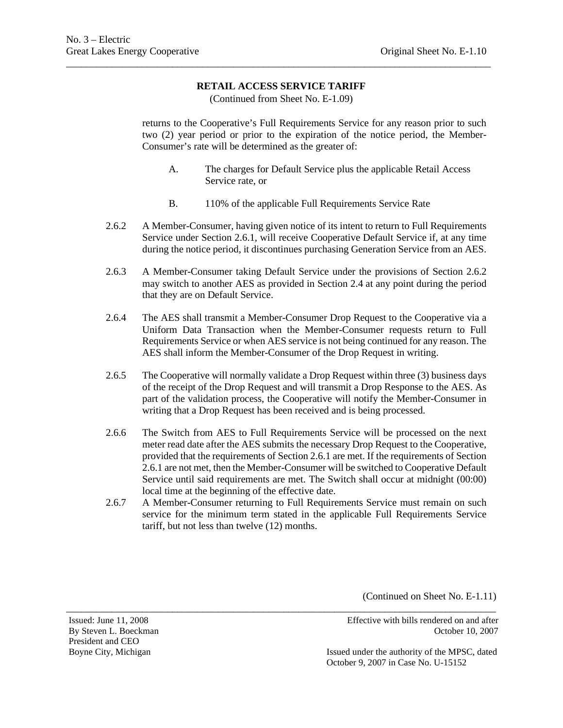\_\_\_\_\_\_\_\_\_\_\_\_\_\_\_\_\_\_\_\_\_\_\_\_\_\_\_\_\_\_\_\_\_\_\_\_\_\_\_\_\_\_\_\_\_\_\_\_\_\_\_\_\_\_\_\_\_\_\_\_\_\_\_\_\_\_\_\_\_\_\_\_\_\_\_\_\_\_\_\_\_\_\_\_

(Continued from Sheet No. E-1.09)

returns to the Cooperative's Full Requirements Service for any reason prior to such two (2) year period or prior to the expiration of the notice period, the Member-Consumer's rate will be determined as the greater of:

- A. The charges for Default Service plus the applicable Retail Access Service rate, or
- B. 110% of the applicable Full Requirements Service Rate
- 2.6.2 A Member-Consumer, having given notice of its intent to return to Full Requirements Service under Section 2.6.1, will receive Cooperative Default Service if, at any time during the notice period, it discontinues purchasing Generation Service from an AES.
- 2.6.3 A Member-Consumer taking Default Service under the provisions of Section 2.6.2 may switch to another AES as provided in Section 2.4 at any point during the period that they are on Default Service.
- 2.6.4 The AES shall transmit a Member-Consumer Drop Request to the Cooperative via a Uniform Data Transaction when the Member-Consumer requests return to Full Requirements Service or when AES service is not being continued for any reason. The AES shall inform the Member-Consumer of the Drop Request in writing.
- 2.6.5 The Cooperative will normally validate a Drop Request within three (3) business days of the receipt of the Drop Request and will transmit a Drop Response to the AES. As part of the validation process, the Cooperative will notify the Member-Consumer in writing that a Drop Request has been received and is being processed.
- 2.6.6 The Switch from AES to Full Requirements Service will be processed on the next meter read date after the AES submits the necessary Drop Request to the Cooperative, provided that the requirements of Section 2.6.1 are met. If the requirements of Section 2.6.1 are not met, then the Member-Consumer will be switched to Cooperative Default Service until said requirements are met. The Switch shall occur at midnight (00:00) local time at the beginning of the effective date.
- 2.6.7 A Member-Consumer returning to Full Requirements Service must remain on such service for the minimum term stated in the applicable Full Requirements Service tariff, but not less than twelve (12) months.

\_\_\_\_\_\_\_\_\_\_\_\_\_\_\_\_\_\_\_\_\_\_\_\_\_\_\_\_\_\_\_\_\_\_\_\_\_\_\_\_\_\_\_\_\_\_\_\_\_\_\_\_\_\_\_\_\_\_\_\_\_\_\_\_\_\_\_\_\_\_\_\_\_\_\_\_\_\_\_\_\_\_\_\_\_

(Continued on Sheet No. E-1.11)

President and CEO

Issued: June 11, 2008 Effective with bills rendered on and after By Steven L. Boeckman **Details** Books and Details and Details and Details and Details and Details and Details and Details and Details and Details and Details and Details and Details and Details and Details and Details and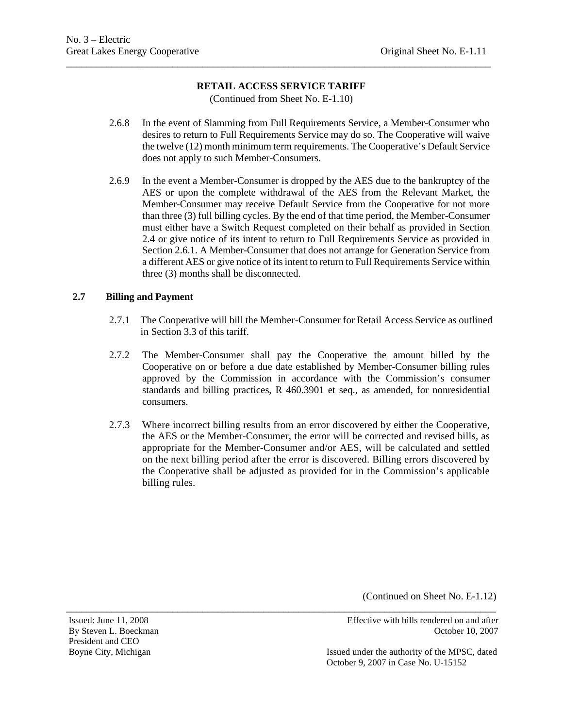\_\_\_\_\_\_\_\_\_\_\_\_\_\_\_\_\_\_\_\_\_\_\_\_\_\_\_\_\_\_\_\_\_\_\_\_\_\_\_\_\_\_\_\_\_\_\_\_\_\_\_\_\_\_\_\_\_\_\_\_\_\_\_\_\_\_\_\_\_\_\_\_\_\_\_\_\_\_\_\_\_\_\_\_

(Continued from Sheet No. E-1.10)

- 2.6.8 In the event of Slamming from Full Requirements Service, a Member-Consumer who desires to return to Full Requirements Service may do so. The Cooperative will waive the twelve (12) month minimum term requirements. The Cooperative's Default Service does not apply to such Member-Consumers.
- 2.6.9 In the event a Member-Consumer is dropped by the AES due to the bankruptcy of the AES or upon the complete withdrawal of the AES from the Relevant Market, the Member-Consumer may receive Default Service from the Cooperative for not more than three (3) full billing cycles. By the end of that time period, the Member-Consumer must either have a Switch Request completed on their behalf as provided in Section 2.4 or give notice of its intent to return to Full Requirements Service as provided in Section 2.6.1. A Member-Consumer that does not arrange for Generation Service from a different AES or give notice of its intent to return to Full Requirements Service within three (3) months shall be disconnected.

#### **2.7 Billing and Payment**

- 2.7.1 The Cooperative will bill the Member-Consumer for Retail Access Service as outlined in Section 3.3 of this tariff.
- 2.7.2 The Member-Consumer shall pay the Cooperative the amount billed by the Cooperative on or before a due date established by Member-Consumer billing rules approved by the Commission in accordance with the Commission's consumer standards and billing practices, R 460.3901 et seq., as amended, for nonresidential consumers.
- 2.7.3 Where incorrect billing results from an error discovered by either the Cooperative, the AES or the Member-Consumer, the error will be corrected and revised bills, as appropriate for the Member-Consumer and/or AES, will be calculated and settled on the next billing period after the error is discovered. Billing errors discovered by the Cooperative shall be adjusted as provided for in the Commission's applicable billing rules.

\_\_\_\_\_\_\_\_\_\_\_\_\_\_\_\_\_\_\_\_\_\_\_\_\_\_\_\_\_\_\_\_\_\_\_\_\_\_\_\_\_\_\_\_\_\_\_\_\_\_\_\_\_\_\_\_\_\_\_\_\_\_\_\_\_\_\_\_\_\_\_\_\_\_\_\_\_\_\_\_\_\_\_\_\_

(Continued on Sheet No. E-1.12)

President and CEO

Issued: June 11, 2008 Effective with bills rendered on and after By Steven L. Boeckman **Details** Books and Contract Contract Contract Contract Contract Contract Contract Contract Contract Contract Contract Contract Contract Contract Contract Contract Contract Contract Contract Contract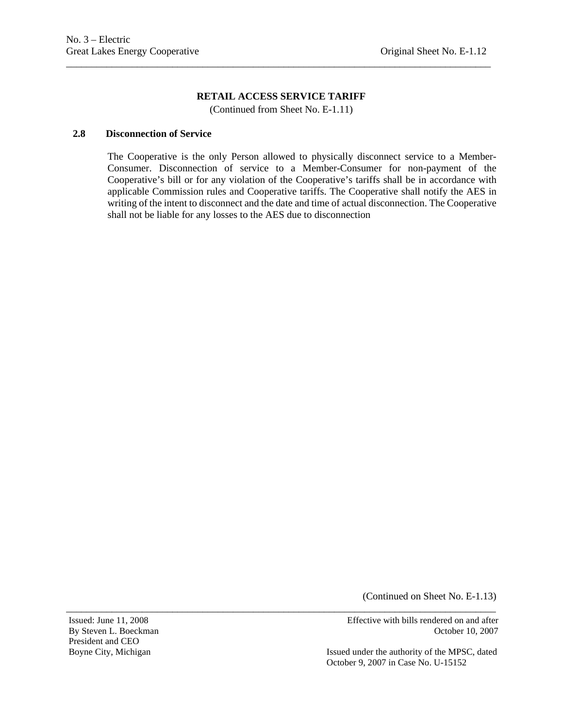\_\_\_\_\_\_\_\_\_\_\_\_\_\_\_\_\_\_\_\_\_\_\_\_\_\_\_\_\_\_\_\_\_\_\_\_\_\_\_\_\_\_\_\_\_\_\_\_\_\_\_\_\_\_\_\_\_\_\_\_\_\_\_\_\_\_\_\_\_\_\_\_\_\_\_\_\_\_\_\_\_\_\_\_

(Continued from Sheet No. E-1.11)

\_\_\_\_\_\_\_\_\_\_\_\_\_\_\_\_\_\_\_\_\_\_\_\_\_\_\_\_\_\_\_\_\_\_\_\_\_\_\_\_\_\_\_\_\_\_\_\_\_\_\_\_\_\_\_\_\_\_\_\_\_\_\_\_\_\_\_\_\_\_\_\_\_\_\_\_\_\_\_\_\_\_\_\_\_

### **2.8 Disconnection of Service**

The Cooperative is the only Person allowed to physically disconnect service to a Member-Consumer. Disconnection of service to a Member-Consumer for non-payment of the Cooperative's bill or for any violation of the Cooperative's tariffs shall be in accordance with applicable Commission rules and Cooperative tariffs. The Cooperative shall notify the AES in writing of the intent to disconnect and the date and time of actual disconnection. The Cooperative shall not be liable for any losses to the AES due to disconnection

(Continued on Sheet No. E-1.13)

President and CEO

Issued: June 11, 2008 Effective with bills rendered on and after By Steven L. Boeckman **Details** Books and Details and Details and Details and Details and Details and Details and Details and Details and Details and Details and Details and Details and Details and Details and Details and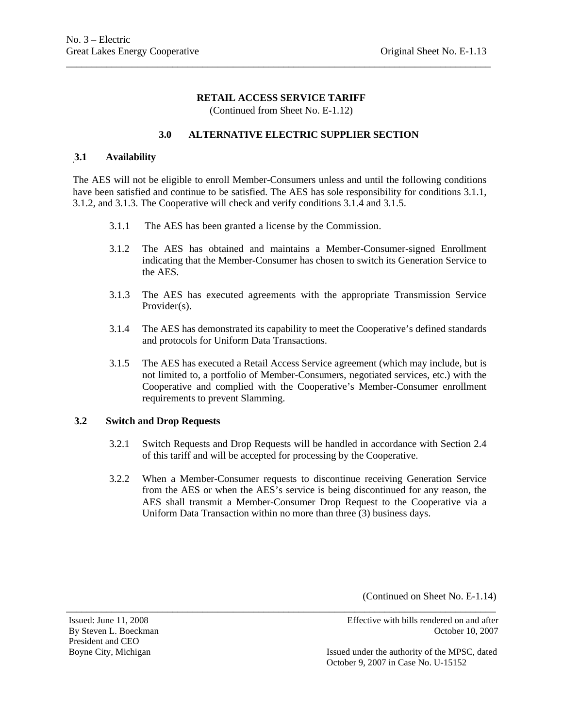## **RETAIL ACCESS SERVICE TARIFF**  (Continued from Sheet No. E-1.12)

\_\_\_\_\_\_\_\_\_\_\_\_\_\_\_\_\_\_\_\_\_\_\_\_\_\_\_\_\_\_\_\_\_\_\_\_\_\_\_\_\_\_\_\_\_\_\_\_\_\_\_\_\_\_\_\_\_\_\_\_\_\_\_\_\_\_\_\_\_\_\_\_\_\_\_\_\_\_\_\_\_\_\_\_

# **3.0 ALTERNATIVE ELECTRIC SUPPLIER SECTION**

## **3.1 Availability**

The AES will not be eligible to enroll Member-Consumers unless and until the following conditions have been satisfied and continue to be satisfied. The AES has sole responsibility for conditions 3.1.1, 3.1.2, and 3.1.3. The Cooperative will check and verify conditions 3.1.4 and 3.1.5.

- 3.1.1 The AES has been granted a license by the Commission.
- 3.1.2 The AES has obtained and maintains a Member-Consumer-signed Enrollment indicating that the Member-Consumer has chosen to switch its Generation Service to the AES.
- 3.1.3 The AES has executed agreements with the appropriate Transmission Service Provider(s).
- 3.1.4 The AES has demonstrated its capability to meet the Cooperative's defined standards and protocols for Uniform Data Transactions.
- 3.1.5 The AES has executed a Retail Access Service agreement (which may include, but is not limited to, a portfolio of Member-Consumers, negotiated services, etc.) with the Cooperative and complied with the Cooperative's Member-Consumer enrollment requirements to prevent Slamming.

## **3.2 Switch and Drop Requests**

- 3.2.1 Switch Requests and Drop Requests will be handled in accordance with Section 2.4 of this tariff and will be accepted for processing by the Cooperative.
- 3.2.2 When a Member-Consumer requests to discontinue receiving Generation Service from the AES or when the AES's service is being discontinued for any reason, the AES shall transmit a Member-Consumer Drop Request to the Cooperative via a Uniform Data Transaction within no more than three (3) business days.

\_\_\_\_\_\_\_\_\_\_\_\_\_\_\_\_\_\_\_\_\_\_\_\_\_\_\_\_\_\_\_\_\_\_\_\_\_\_\_\_\_\_\_\_\_\_\_\_\_\_\_\_\_\_\_\_\_\_\_\_\_\_\_\_\_\_\_\_\_\_\_\_\_\_\_\_\_\_\_\_\_\_\_\_\_

(Continued on Sheet No. E-1.14)

President and CEO

Issued: June 11, 2008 Effective with bills rendered on and after By Steven L. Boeckman **Details** Books and Details and Details and Details and Details and Details and Details and Details and Details and Details and Details and Details and Details and Details and Details and Details and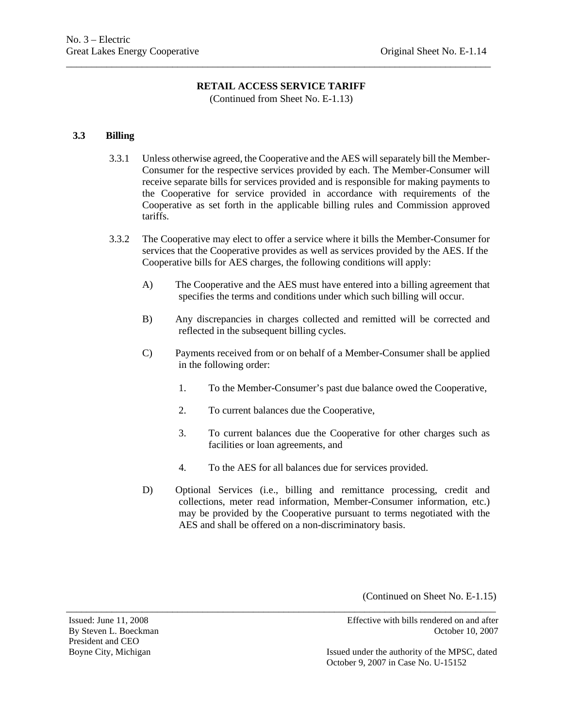\_\_\_\_\_\_\_\_\_\_\_\_\_\_\_\_\_\_\_\_\_\_\_\_\_\_\_\_\_\_\_\_\_\_\_\_\_\_\_\_\_\_\_\_\_\_\_\_\_\_\_\_\_\_\_\_\_\_\_\_\_\_\_\_\_\_\_\_\_\_\_\_\_\_\_\_\_\_\_\_\_\_\_\_

(Continued from Sheet No. E-1.13)

## **3.3 Billing**

- 3.3.1 Unless otherwise agreed, the Cooperative and the AES will separately bill the Member-Consumer for the respective services provided by each. The Member-Consumer will receive separate bills for services provided and is responsible for making payments to the Cooperative for service provided in accordance with requirements of the Cooperative as set forth in the applicable billing rules and Commission approved tariffs.
- 3.3.2 The Cooperative may elect to offer a service where it bills the Member-Consumer for services that the Cooperative provides as well as services provided by the AES. If the Cooperative bills for AES charges, the following conditions will apply:
	- A) The Cooperative and the AES must have entered into a billing agreement that specifies the terms and conditions under which such billing will occur.
	- B) Any discrepancies in charges collected and remitted will be corrected and reflected in the subsequent billing cycles.
	- C) Payments received from or on behalf of a Member-Consumer shall be applied in the following order:
		- 1. To the Member-Consumer's past due balance owed the Cooperative,
		- 2. To current balances due the Cooperative,

\_\_\_\_\_\_\_\_\_\_\_\_\_\_\_\_\_\_\_\_\_\_\_\_\_\_\_\_\_\_\_\_\_\_\_\_\_\_\_\_\_\_\_\_\_\_\_\_\_\_\_\_\_\_\_\_\_\_\_\_\_\_\_\_\_\_\_\_\_\_\_\_\_\_\_\_\_\_\_\_\_\_\_\_\_

- 3. To current balances due the Cooperative for other charges such as facilities or loan agreements, and
- 4. To the AES for all balances due for services provided.
- D) Optional Services (i.e., billing and remittance processing, credit and collections, meter read information, Member-Consumer information, etc.) may be provided by the Cooperative pursuant to terms negotiated with the AES and shall be offered on a non-discriminatory basis.

(Continued on Sheet No. E-1.15)

President and CEO

Issued: June 11, 2008 Effective with bills rendered on and after By Steven L. Boeckman **Details** Books and Details and Details and Details and Details and Details and Details and Details and Details and Details and Details and Details and Details and Details and Details and Details and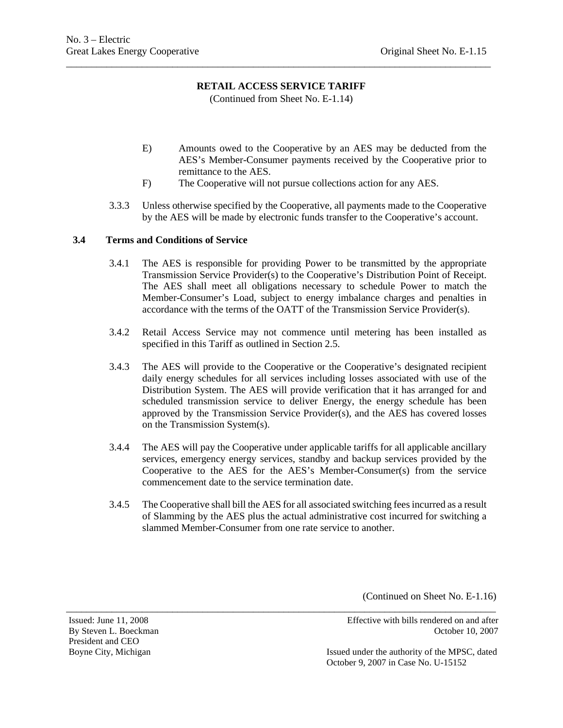(Continued from Sheet No. E-1.14)

\_\_\_\_\_\_\_\_\_\_\_\_\_\_\_\_\_\_\_\_\_\_\_\_\_\_\_\_\_\_\_\_\_\_\_\_\_\_\_\_\_\_\_\_\_\_\_\_\_\_\_\_\_\_\_\_\_\_\_\_\_\_\_\_\_\_\_\_\_\_\_\_\_\_\_\_\_\_\_\_\_\_\_\_

- E) Amounts owed to the Cooperative by an AES may be deducted from the AES's Member-Consumer payments received by the Cooperative prior to remittance to the AES.
- F) The Cooperative will not pursue collections action for any AES.
- 3.3.3 Unless otherwise specified by the Cooperative, all payments made to the Cooperative by the AES will be made by electronic funds transfer to the Cooperative's account.

## **3.4 Terms and Conditions of Service**

- 3.4.1 The AES is responsible for providing Power to be transmitted by the appropriate Transmission Service Provider(s) to the Cooperative's Distribution Point of Receipt. The AES shall meet all obligations necessary to schedule Power to match the Member-Consumer's Load, subject to energy imbalance charges and penalties in accordance with the terms of the OATT of the Transmission Service Provider(s).
- 3.4.2 Retail Access Service may not commence until metering has been installed as specified in this Tariff as outlined in Section 2.5.
- 3.4.3 The AES will provide to the Cooperative or the Cooperative's designated recipient daily energy schedules for all services including losses associated with use of the Distribution System. The AES will provide verification that it has arranged for and scheduled transmission service to deliver Energy, the energy schedule has been approved by the Transmission Service Provider(s), and the AES has covered losses on the Transmission System(s).
- 3.4.4 The AES will pay the Cooperative under applicable tariffs for all applicable ancillary services, emergency energy services, standby and backup services provided by the Cooperative to the AES for the AES's Member-Consumer(s) from the service commencement date to the service termination date.
- 3.4.5 The Cooperative shall bill the AES for all associated switching fees incurred as a result of Slamming by the AES plus the actual administrative cost incurred for switching a slammed Member-Consumer from one rate service to another.

\_\_\_\_\_\_\_\_\_\_\_\_\_\_\_\_\_\_\_\_\_\_\_\_\_\_\_\_\_\_\_\_\_\_\_\_\_\_\_\_\_\_\_\_\_\_\_\_\_\_\_\_\_\_\_\_\_\_\_\_\_\_\_\_\_\_\_\_\_\_\_\_\_\_\_\_\_\_\_\_\_\_\_\_\_

(Continued on Sheet No. E-1.16)

President and CEO

Issued: June 11, 2008 Effective with bills rendered on and after By Steven L. Boeckman **Details** Books and Contract Contract Contract Contract Contract Contract Contract Contract Contract Contract Contract Contract Contract Contract Contract Contract Contract Contract Contract Contract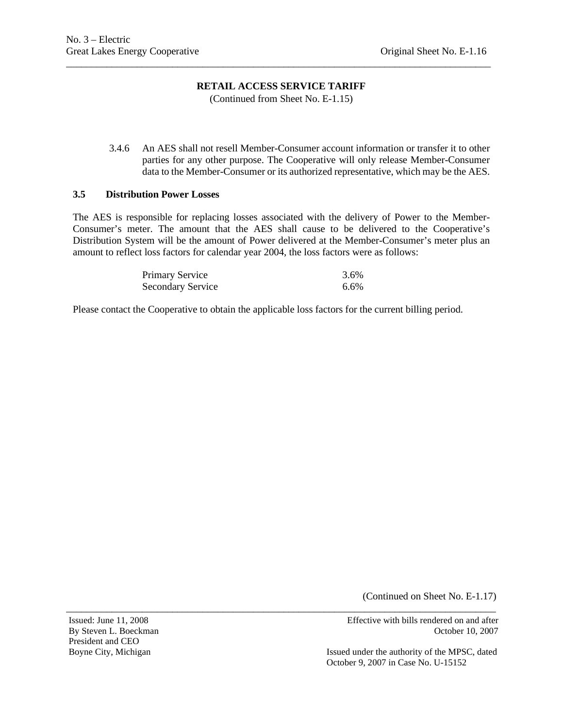(Continued from Sheet No. E-1.15)

\_\_\_\_\_\_\_\_\_\_\_\_\_\_\_\_\_\_\_\_\_\_\_\_\_\_\_\_\_\_\_\_\_\_\_\_\_\_\_\_\_\_\_\_\_\_\_\_\_\_\_\_\_\_\_\_\_\_\_\_\_\_\_\_\_\_\_\_\_\_\_\_\_\_\_\_\_\_\_\_\_\_\_\_

3.4.6 An AES shall not resell Member-Consumer account information or transfer it to other parties for any other purpose. The Cooperative will only release Member-Consumer data to the Member-Consumer or its authorized representative, which may be the AES.

#### **3.5 Distribution Power Losses**

The AES is responsible for replacing losses associated with the delivery of Power to the Member-Consumer's meter. The amount that the AES shall cause to be delivered to the Cooperative's Distribution System will be the amount of Power delivered at the Member-Consumer's meter plus an amount to reflect loss factors for calendar year 2004, the loss factors were as follows:

| Primary Service          | 3.6% |
|--------------------------|------|
| <b>Secondary Service</b> | 6.6% |

Please contact the Cooperative to obtain the applicable loss factors for the current billing period.

\_\_\_\_\_\_\_\_\_\_\_\_\_\_\_\_\_\_\_\_\_\_\_\_\_\_\_\_\_\_\_\_\_\_\_\_\_\_\_\_\_\_\_\_\_\_\_\_\_\_\_\_\_\_\_\_\_\_\_\_\_\_\_\_\_\_\_\_\_\_\_\_\_\_\_\_\_\_\_\_\_\_\_\_\_

(Continued on Sheet No. E-1.17)

President and CEO

Issued: June 11, 2008 Effective with bills rendered on and after By Steven L. Boeckman October 10, 2007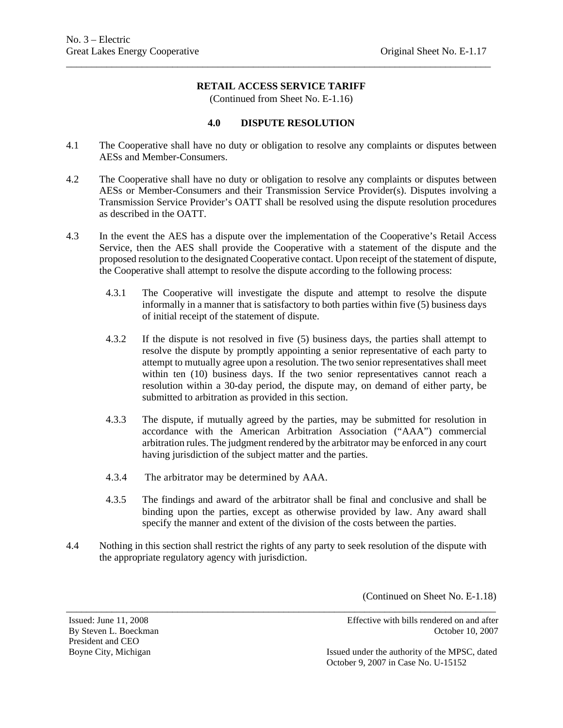\_\_\_\_\_\_\_\_\_\_\_\_\_\_\_\_\_\_\_\_\_\_\_\_\_\_\_\_\_\_\_\_\_\_\_\_\_\_\_\_\_\_\_\_\_\_\_\_\_\_\_\_\_\_\_\_\_\_\_\_\_\_\_\_\_\_\_\_\_\_\_\_\_\_\_\_\_\_\_\_\_\_\_\_

(Continued from Sheet No. E-1.16)

#### **4.0 DISPUTE RESOLUTION**

- 4.1 The Cooperative shall have no duty or obligation to resolve any complaints or disputes between AESs and Member-Consumers.
- 4.2 The Cooperative shall have no duty or obligation to resolve any complaints or disputes between AESs or Member-Consumers and their Transmission Service Provider(s). Disputes involving a Transmission Service Provider's OATT shall be resolved using the dispute resolution procedures as described in the OATT.
- 4.3 In the event the AES has a dispute over the implementation of the Cooperative's Retail Access Service, then the AES shall provide the Cooperative with a statement of the dispute and the proposed resolution to the designated Cooperative contact. Upon receipt of the statement of dispute, the Cooperative shall attempt to resolve the dispute according to the following process:
	- 4.3.1 The Cooperative will investigate the dispute and attempt to resolve the dispute informally in a manner that is satisfactory to both parties within five (5) business days of initial receipt of the statement of dispute.
	- 4.3.2 If the dispute is not resolved in five (5) business days, the parties shall attempt to resolve the dispute by promptly appointing a senior representative of each party to attempt to mutually agree upon a resolution. The two senior representatives shall meet within ten (10) business days. If the two senior representatives cannot reach a resolution within a 30-day period, the dispute may, on demand of either party, be submitted to arbitration as provided in this section.
	- 4.3.3 The dispute, if mutually agreed by the parties, may be submitted for resolution in accordance with the American Arbitration Association ("AAA") commercial arbitration rules. The judgment rendered by the arbitrator may be enforced in any court having jurisdiction of the subject matter and the parties.
	- 4.3.4 The arbitrator may be determined by AAA.
	- 4.3.5 The findings and award of the arbitrator shall be final and conclusive and shall be binding upon the parties, except as otherwise provided by law. Any award shall specify the manner and extent of the division of the costs between the parties.
- 4.4 Nothing in this section shall restrict the rights of any party to seek resolution of the dispute with the appropriate regulatory agency with jurisdiction.

\_\_\_\_\_\_\_\_\_\_\_\_\_\_\_\_\_\_\_\_\_\_\_\_\_\_\_\_\_\_\_\_\_\_\_\_\_\_\_\_\_\_\_\_\_\_\_\_\_\_\_\_\_\_\_\_\_\_\_\_\_\_\_\_\_\_\_\_\_\_\_\_\_\_\_\_\_\_\_\_\_\_\_\_\_

(Continued on Sheet No. E-1.18)

President and CEO

Issued: June 11, 2008 Effective with bills rendered on and after By Steven L. Boeckman **Details** Books and Contract Contract Contract Contract Contract Contract Contract Contract Contract Contract Contract Contract Contract Contract Contract Contract Contract Contract Contract Contract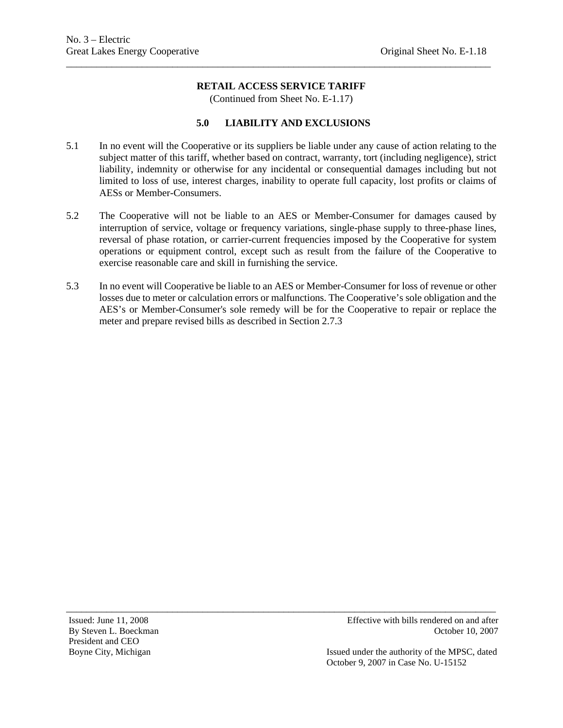\_\_\_\_\_\_\_\_\_\_\_\_\_\_\_\_\_\_\_\_\_\_\_\_\_\_\_\_\_\_\_\_\_\_\_\_\_\_\_\_\_\_\_\_\_\_\_\_\_\_\_\_\_\_\_\_\_\_\_\_\_\_\_\_\_\_\_\_\_\_\_\_\_\_\_\_\_\_\_\_\_\_\_\_

(Continued from Sheet No. E-1.17)

### **5.0 LIABILITY AND EXCLUSIONS**

- 5.1 In no event will the Cooperative or its suppliers be liable under any cause of action relating to the subject matter of this tariff, whether based on contract, warranty, tort (including negligence), strict liability, indemnity or otherwise for any incidental or consequential damages including but not limited to loss of use, interest charges, inability to operate full capacity, lost profits or claims of AESs or Member-Consumers.
- 5.2 The Cooperative will not be liable to an AES or Member-Consumer for damages caused by interruption of service, voltage or frequency variations, single-phase supply to three-phase lines, reversal of phase rotation, or carrier-current frequencies imposed by the Cooperative for system operations or equipment control, except such as result from the failure of the Cooperative to exercise reasonable care and skill in furnishing the service.
- 5.3 In no event will Cooperative be liable to an AES or Member-Consumer for loss of revenue or other losses due to meter or calculation errors or malfunctions. The Cooperative's sole obligation and the AES's or Member-Consumer's sole remedy will be for the Cooperative to repair or replace the meter and prepare revised bills as described in Section 2.7.3

\_\_\_\_\_\_\_\_\_\_\_\_\_\_\_\_\_\_\_\_\_\_\_\_\_\_\_\_\_\_\_\_\_\_\_\_\_\_\_\_\_\_\_\_\_\_\_\_\_\_\_\_\_\_\_\_\_\_\_\_\_\_\_\_\_\_\_\_\_\_\_\_\_\_\_\_\_\_\_\_\_\_\_\_\_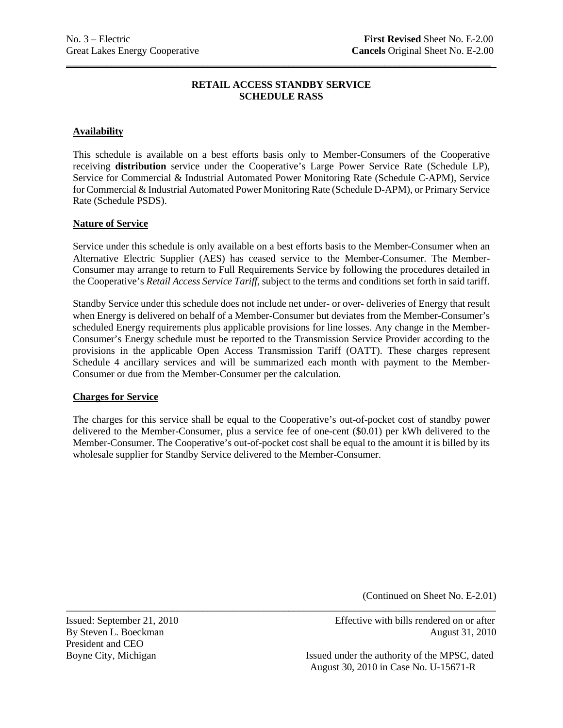# **RETAIL ACCESS STANDBY SERVICE SCHEDULE RASS**

\_\_\_\_\_\_\_\_\_\_\_\_\_\_\_\_\_\_\_\_\_\_\_\_\_\_\_\_\_\_\_\_\_\_\_\_\_\_\_\_\_\_\_\_\_\_\_\_\_\_\_\_\_\_\_\_\_\_\_\_\_\_\_\_\_\_\_\_\_\_\_\_\_\_\_\_\_\_\_\_\_\_\_\_

# **Availability**

This schedule is available on a best efforts basis only to Member-Consumers of the Cooperative receiving **distribution** service under the Cooperative's Large Power Service Rate (Schedule LP), Service for Commercial & Industrial Automated Power Monitoring Rate (Schedule C-APM), Service for Commercial & Industrial Automated Power Monitoring Rate (Schedule D-APM), or Primary Service Rate (Schedule PSDS).

## **Nature of Service**

Service under this schedule is only available on a best efforts basis to the Member-Consumer when an Alternative Electric Supplier (AES) has ceased service to the Member-Consumer. The Member-Consumer may arrange to return to Full Requirements Service by following the procedures detailed in the Cooperative's *Retail Access Service Tariff*, subject to the terms and conditions set forth in said tariff.

Standby Service under this schedule does not include net under- or over- deliveries of Energy that result when Energy is delivered on behalf of a Member-Consumer but deviates from the Member-Consumer's scheduled Energy requirements plus applicable provisions for line losses. Any change in the Member-Consumer's Energy schedule must be reported to the Transmission Service Provider according to the provisions in the applicable Open Access Transmission Tariff (OATT). These charges represent Schedule 4 ancillary services and will be summarized each month with payment to the Member-Consumer or due from the Member-Consumer per the calculation.

## **Charges for Service**

The charges for this service shall be equal to the Cooperative's out-of-pocket cost of standby power delivered to the Member-Consumer, plus a service fee of one-cent (\$0.01) per kWh delivered to the Member-Consumer. The Cooperative's out-of-pocket cost shall be equal to the amount it is billed by its wholesale supplier for Standby Service delivered to the Member-Consumer.

\_\_\_\_\_\_\_\_\_\_\_\_\_\_\_\_\_\_\_\_\_\_\_\_\_\_\_\_\_\_\_\_\_\_\_\_\_\_\_\_\_\_\_\_\_\_\_\_\_\_\_\_\_\_\_\_\_\_\_\_\_\_\_\_\_\_\_\_\_\_\_\_\_\_\_\_\_\_\_\_\_\_\_\_\_

(Continued on Sheet No. E-2.01)

President and CEO

Issued: September 21, 2010 Effective with bills rendered on or after By Steven L. Boeckman August 31, 2010

Boyne City, Michigan **Issued under the authority of the MPSC**, dated August 30, 2010 in Case No. U-15671-R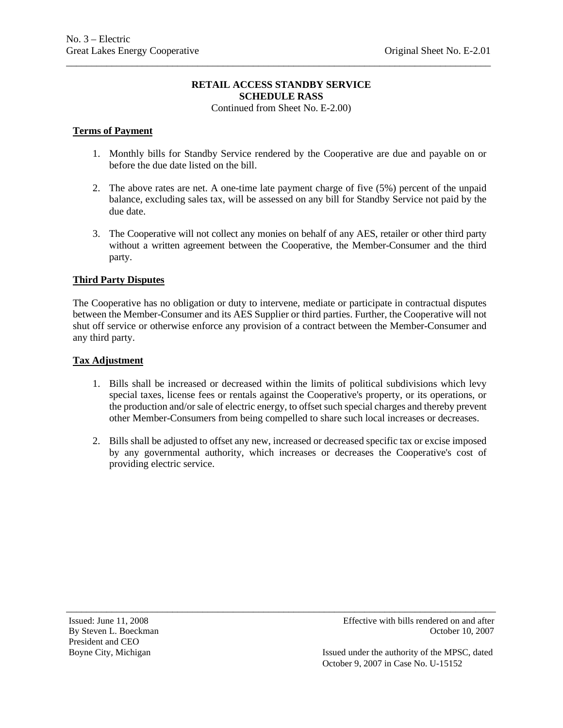# **RETAIL ACCESS STANDBY SERVICE SCHEDULE RASS**

\_\_\_\_\_\_\_\_\_\_\_\_\_\_\_\_\_\_\_\_\_\_\_\_\_\_\_\_\_\_\_\_\_\_\_\_\_\_\_\_\_\_\_\_\_\_\_\_\_\_\_\_\_\_\_\_\_\_\_\_\_\_\_\_\_\_\_\_\_\_\_\_\_\_\_\_\_\_\_\_\_\_\_\_

Continued from Sheet No. E-2.00)

# **Terms of Payment**

- 1. Monthly bills for Standby Service rendered by the Cooperative are due and payable on or before the due date listed on the bill.
- 2. The above rates are net. A one-time late payment charge of five (5%) percent of the unpaid balance, excluding sales tax, will be assessed on any bill for Standby Service not paid by the due date.
- 3. The Cooperative will not collect any monies on behalf of any AES, retailer or other third party without a written agreement between the Cooperative, the Member-Consumer and the third party.

# **Third Party Disputes**

The Cooperative has no obligation or duty to intervene, mediate or participate in contractual disputes between the Member-Consumer and its AES Supplier or third parties. Further, the Cooperative will not shut off service or otherwise enforce any provision of a contract between the Member-Consumer and any third party.

## **Tax Adjustment**

- 1. Bills shall be increased or decreased within the limits of political subdivisions which levy special taxes, license fees or rentals against the Cooperative's property, or its operations, or the production and/or sale of electric energy, to offset such special charges and thereby prevent other Member-Consumers from being compelled to share such local increases or decreases.
- 2. Bills shall be adjusted to offset any new, increased or decreased specific tax or excise imposed by any governmental authority, which increases or decreases the Cooperative's cost of providing electric service.

\_\_\_\_\_\_\_\_\_\_\_\_\_\_\_\_\_\_\_\_\_\_\_\_\_\_\_\_\_\_\_\_\_\_\_\_\_\_\_\_\_\_\_\_\_\_\_\_\_\_\_\_\_\_\_\_\_\_\_\_\_\_\_\_\_\_\_\_\_\_\_\_\_\_\_\_\_\_\_\_\_\_\_\_\_

Issued under the authority of the MPSC, dated October 9, 2007 in Case No. U-15152